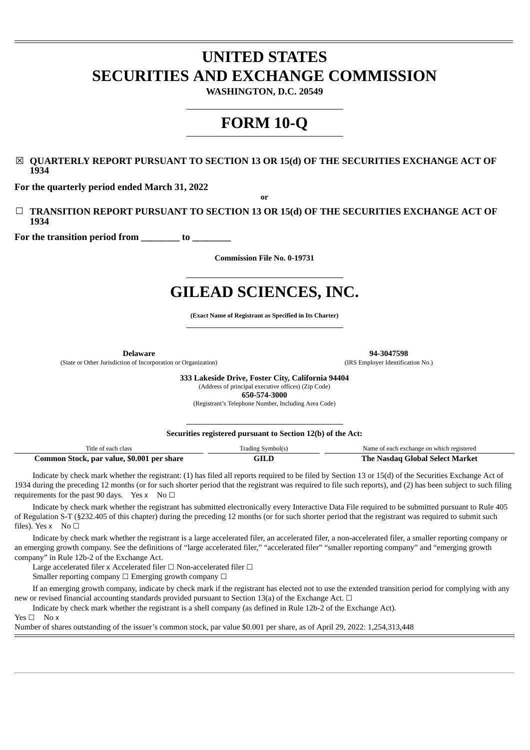# **UNITED STATES SECURITIES AND EXCHANGE COMMISSION**

**WASHINGTON, D.C. 20549**

# **FORM 10-Q**

☒ **QUARTERLY REPORT PURSUANT TO SECTION 13 OR 15(d) OF THE SECURITIES EXCHANGE ACT OF 1934**

**For the quarterly period ended March 31, 2022**

**or**

☐ **TRANSITION REPORT PURSUANT TO SECTION 13 OR 15(d) OF THE SECURITIES EXCHANGE ACT OF 1934**

**For the transition period from \_\_\_\_\_\_\_\_ to \_\_\_\_\_\_\_\_**

**Commission File No. 0-19731**

# **GILEAD SCIENCES, INC.**

**(Exact Name of Registrant as Specified in Its Charter)**

**Delaware 94-3047598**

(State or Other Jurisdiction of Incorporation or Organization) (IRS Employer Identification No.)

**333 Lakeside Drive, Foster City, California 94404** (Address of principal executive offices) (Zip Code) **650-574-3000**

(Registrant's Telephone Number, Including Area Code)

**Securities registered pursuant to Section 12(b) of the Act:**

| Title of each class                        | rading Symbol(s` | Name of each exchange on which registered |
|--------------------------------------------|------------------|-------------------------------------------|
| Common Stock, par value, \$0.001 per share | .;ILD            | <b>The Nasdag Global Select Market</b>    |

Indicate by check mark whether the registrant: (1) has filed all reports required to be filed by Section 13 or 15(d) of the Securities Exchange Act of 1934 during the preceding 12 months (or for such shorter period that the registrant was required to file such reports), and (2) has been subject to such filing requirements for the past 90 days. Yes x No  $\Box$ 

Indicate by check mark whether the registrant has submitted electronically every Interactive Data File required to be submitted pursuant to Rule 405 of Regulation S-T (§232.405 of this chapter) during the preceding 12 months (or for such shorter period that the registrant was required to submit such files). Yes  $x \in No \square$ 

Indicate by check mark whether the registrant is a large accelerated filer, an accelerated filer, a non-accelerated filer, a smaller reporting company or an emerging growth company. See the definitions of "large accelerated filer," "accelerated filer" "smaller reporting company" and "emerging growth company" in Rule 12b-2 of the Exchange Act.

Large accelerated filer x Accelerated filer  $\Box$  Non-accelerated filer  $\Box$ 

Smaller reporting company  $\Box$  Emerging growth company  $\Box$ 

If an emerging growth company, indicate by check mark if the registrant has elected not to use the extended transition period for complying with any new or revised financial accounting standards provided pursuant to Section 13(a) of the Exchange Act.  $\Box$ 

Indicate by check mark whether the registrant is a shell company (as defined in Rule 12b-2 of the Exchange Act).

 $Yes \Box$  No x

Number of shares outstanding of the issuer's common stock, par value \$0.001 per share, as of April 29, 2022: 1,254,313,448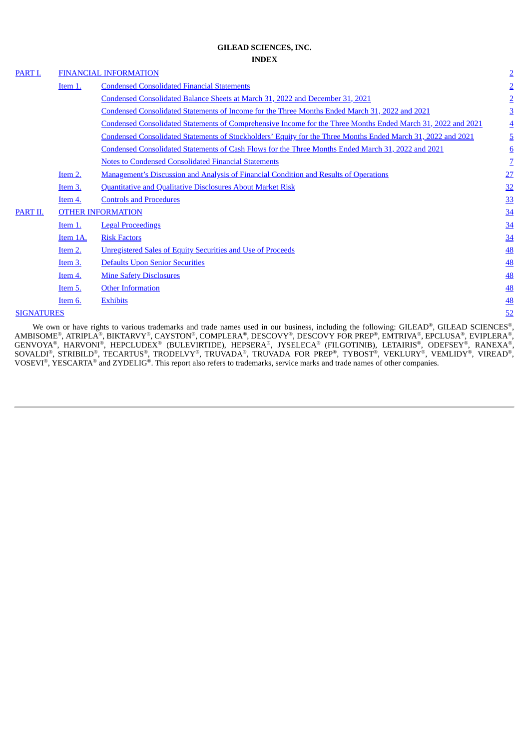# **GILEAD SCIENCES, INC. INDEX**

| PART I.           |          | <b>FINANCIAL INFORMATION</b>                                                                                 | $\overline{2}$  |
|-------------------|----------|--------------------------------------------------------------------------------------------------------------|-----------------|
|                   | Item 1.  | <b>Condensed Consolidated Financial Statements</b>                                                           | $\overline{2}$  |
|                   |          | Condensed Consolidated Balance Sheets at March 31, 2022 and December 31, 2021                                | $\overline{2}$  |
|                   |          | Condensed Consolidated Statements of Income for the Three Months Ended March 31, 2022 and 2021               | $\overline{3}$  |
|                   |          | Condensed Consolidated Statements of Comprehensive Income for the Three Months Ended March 31, 2022 and 2021 | $\overline{4}$  |
|                   |          | Condensed Consolidated Statements of Stockholders' Equity for the Three Months Ended March 31, 2022 and 2021 | $\overline{5}$  |
|                   |          | Condensed Consolidated Statements of Cash Flows for the Three Months Ended March 31, 2022 and 2021           | $6\overline{6}$ |
|                   |          | <b>Notes to Condensed Consolidated Financial Statements</b>                                                  | $\overline{Z}$  |
|                   | Item 2.  | <b>Management's Discussion and Analysis of Financial Condition and Results of Operations</b>                 | 27              |
|                   | Item 3.  | <b>Quantitative and Qualitative Disclosures About Market Risk</b>                                            | 32              |
|                   | Item 4.  | <b>Controls and Procedures</b>                                                                               | 33              |
| PART II.          |          | <b>OTHER INFORMATION</b>                                                                                     | 34              |
|                   | Item 1.  | <b>Legal Proceedings</b>                                                                                     | 34              |
|                   | Item 1A. | <b>Risk Factors</b>                                                                                          | $\frac{34}{5}$  |
|                   | Item 2.  | <b>Unregistered Sales of Equity Securities and Use of Proceeds</b>                                           | 48              |
|                   | Item 3.  | <b>Defaults Upon Senior Securities</b>                                                                       | <b>48</b>       |
|                   | Item 4.  | <b>Mine Safety Disclosures</b>                                                                               | <u>48</u>       |
|                   | Item 5.  | <b>Other Information</b>                                                                                     | 48              |
|                   | Item 6.  | <b>Exhibits</b>                                                                                              | <u>48</u>       |
| <b>SIGNATURES</b> |          |                                                                                                              | 52              |

<span id="page-1-0"></span>We own or have rights to various trademarks and trade names used in our business, including the following:  $\mathrm{GILEAD}^{\circ}$ ,  $\mathrm{GILEAD}$   $\mathrm{SCIENCES}^{\circ}$ ,  $\mathsf{AMBISOME}^\circ$ ,  $\mathsf{ATRIPLA}^\circ$ ,  $\mathsf{BIKTARYY}^\circ$ ,  $\mathsf{CAYSTON}^\circ$ ,  $\mathsf{COMPLEX}^\circ$ ,  $\mathsf{DESCOYY}^\circ$ ,  $\mathsf{DESCOVY}$  for  $\mathsf{PREP}^\circ$ ,  $\mathsf{EMTRIVA}^\circ$ ,  $\mathsf{EYICUSA}^\circ$ ,  $\mathsf{EVIPLERA}^\circ$ ,  $\rm{GENVOYA}^{\circ}\rm{,}\rm{HARVONI}^{\circ}\rm{,}\rm{}$   $\rm{HPCLUDEX}^{\circ}\rm{}$   $\rm{(BULEVIRTIDE)}$ ,  $\rm{HEPSERA}^{\circ}\rm{,}\rm{}$   $\rm{}JSELECA^{\circ}\rm{}$   $\rm{(FILGGTINIB)}$ ,  $\rm{LETAIRIS}^{\circ}\rm{,}\rm{}$   $\rm{}ODEFSEV^{\circ}\rm{,}\rm{}\rm{}$   $\rm{}RANEXA^{\circ}\rm{,}\rm{}$  $\mathsf{SOVALDI}^\circ$ ,  $\mathsf{STRIBILD}^\circ$ ,  $\mathsf{TECARTUS}^\circ$ ,  $\mathsf{TRODELV}^\circ$ ,  $\mathsf{TRUVADA}^\circ$ ,  $\mathsf{TRUVADA}$   $\mathsf{FOR}\ \mathsf{PREP}^\circ$ ,  $\mathsf{TYBOST}^\circ$ ,  $\mathsf{VEKLURY}^\circ$ ,  $\mathsf{VEMLIDY}^\circ$ ,  $\mathsf{VIREAD}^\circ$ ,  $\rm VOSEVI^{\circ}\!\!\!N$  ,  $\rm YESCARTA^{\circ}\!\!\!N$  and  $\rm ZYDELIG^{\circ}\!\!\!N$ . This report also refers to trademarks, service marks and trade names of other companies.  $^{\circledR}$  atridi a $^{\circledR}$  riktariv $^{\circledR}$  cavston $^{\circledR}$  compi era $^{\circledR}$  descoviv $^{\circledR}$  descoviv eor deep $^{\circledR}$  emtriva $^{\circledR}$  edci iisa $^{\circledR}$  evidi era $^{\circledR}$  $^{\circledR}$  HARVONI $^{\circledR}$  HEDCI HDEY $^{\circledR}$  (RHI EVIRTIDE) HEDSERA $^{\circledR}$  IVSEI ECA $^{\circledR}$  (EH COTINIR) I ETAIRIS $^{\circledR}$  ODEESEV $^{\circledR}$  RANEYA $^{\circledR}$  $^\circ$  striril  ${\sf D}^\circ$  translic $^\circ$  translive triivada $^\circ$  triivada for drep $^\circ$  tvrost $^\circ$  vekilirv $^\circ$  vemilid ${\sf V}^\circ$  viread $^\circ$  $^{\circledR}$  VESCARTA $^{\circledR}$  and ZVDELIC $^{\circledR}$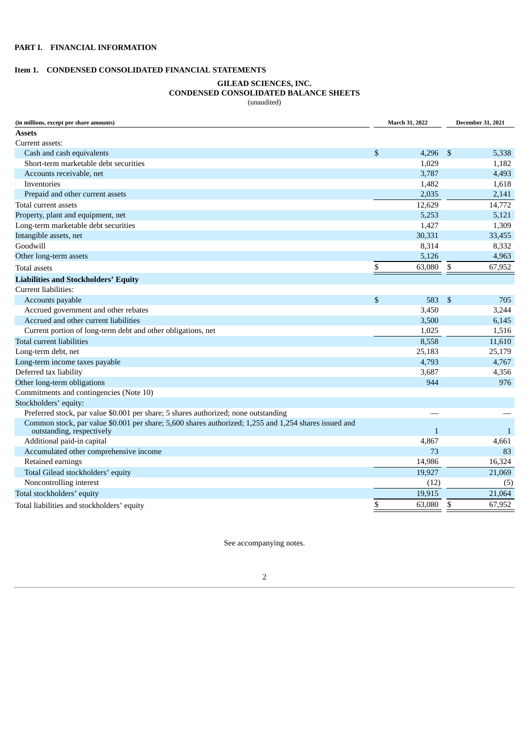# <span id="page-2-1"></span><span id="page-2-0"></span>**Item 1. CONDENSED CONSOLIDATED FINANCIAL STATEMENTS**

# **GILEAD SCIENCES, INC. CONDENSED CONSOLIDATED BALANCE SHEETS** (unaudited)

| (in millions, except per share amounts)                                                                                            | March 31, 2022 |                | <b>December 31, 2021</b> |
|------------------------------------------------------------------------------------------------------------------------------------|----------------|----------------|--------------------------|
| Assets                                                                                                                             |                |                |                          |
| Current assets:                                                                                                                    |                |                |                          |
| Cash and cash equivalents                                                                                                          | \$<br>4,296    | $\mathfrak{S}$ | 5,338                    |
| Short-term marketable debt securities                                                                                              | 1,029          |                | 1,182                    |
| Accounts receivable, net                                                                                                           | 3,787          |                | 4,493                    |
| Inventories                                                                                                                        | 1,482          |                | 1,618                    |
| Prepaid and other current assets                                                                                                   | 2,035          |                | 2,141                    |
| Total current assets                                                                                                               | 12,629         |                | 14,772                   |
| Property, plant and equipment, net                                                                                                 | 5,253          |                | 5,121                    |
| Long-term marketable debt securities                                                                                               | 1,427          |                | 1,309                    |
| Intangible assets, net                                                                                                             | 30,331         |                | 33,455                   |
| Goodwill                                                                                                                           | 8,314          |                | 8,332                    |
| Other long-term assets                                                                                                             | 5,126          |                | 4,963                    |
| <b>Total assets</b>                                                                                                                | \$<br>63,080   | \$             | 67,952                   |
| <b>Liabilities and Stockholders' Equity</b>                                                                                        |                |                |                          |
| Current liabilities:                                                                                                               |                |                |                          |
| Accounts payable                                                                                                                   | \$<br>583      | \$             | 705                      |
| Accrued government and other rebates                                                                                               | 3,450          |                | 3,244                    |
| Accrued and other current liabilities                                                                                              | 3,500          |                | 6,145                    |
| Current portion of long-term debt and other obligations, net                                                                       | 1,025          |                | 1,516                    |
| <b>Total current liabilities</b>                                                                                                   | 8,558          |                | 11,610                   |
| Long-term debt, net                                                                                                                | 25,183         |                | 25,179                   |
| Long-term income taxes payable                                                                                                     | 4,793          |                | 4,767                    |
| Deferred tax liability                                                                                                             | 3,687          |                | 4,356                    |
| Other long-term obligations                                                                                                        | 944            |                | 976                      |
| Commitments and contingencies (Note 10)                                                                                            |                |                |                          |
| Stockholders' equity:                                                                                                              |                |                |                          |
| Preferred stock, par value \$0.001 per share; 5 shares authorized; none outstanding                                                |                |                |                          |
| Common stock, par value \$0.001 per share; 5,600 shares authorized; 1,255 and 1,254 shares issued and<br>outstanding, respectively | $\mathbf{1}$   |                | $\mathbf{1}$             |
| Additional paid-in capital                                                                                                         | 4,867          |                | 4,661                    |
| Accumulated other comprehensive income                                                                                             | 73             |                | 83                       |
| Retained earnings                                                                                                                  | 14,986         |                | 16,324                   |
| Total Gilead stockholders' equity                                                                                                  | 19,927         |                | 21,069                   |
| Noncontrolling interest                                                                                                            | (12)           |                | (5)                      |
| Total stockholders' equity                                                                                                         | 19,915         |                | 21,064                   |
| Total liabilities and stockholders' equity                                                                                         | \$<br>63,080   | \$             | 67,952                   |

<span id="page-2-2"></span>See accompanying notes.

2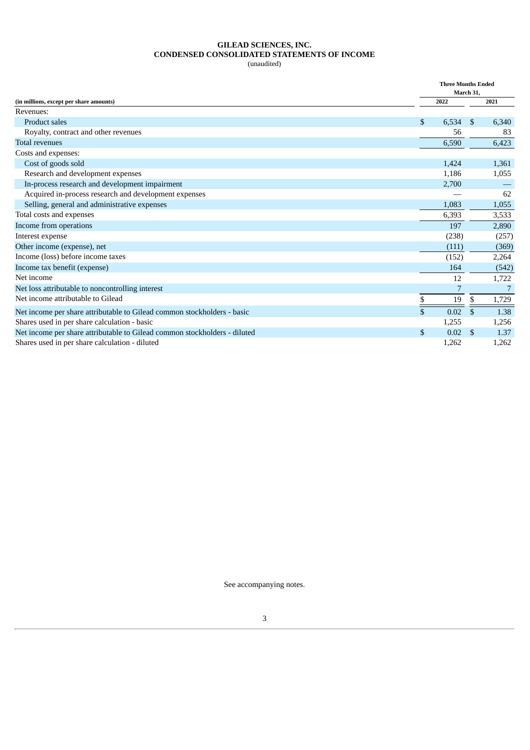# **GILEAD SCIENCES, INC. CONDENSED CONSOLIDATED STATEMENTS OF INCOME** (unaudited)

|                                                                           |               | <b>Three Months Ended</b><br>March 31, |    |       |
|---------------------------------------------------------------------------|---------------|----------------------------------------|----|-------|
| (in millions, except per share amounts)                                   |               | 2022                                   |    | 2021  |
| Revenues:                                                                 |               |                                        |    |       |
| Product sales                                                             | \$            | 6,534                                  | -S | 6,340 |
| Royalty, contract and other revenues                                      |               | 56                                     |    | 83    |
| <b>Total revenues</b>                                                     |               | 6,590                                  |    | 6,423 |
| Costs and expenses:                                                       |               |                                        |    |       |
| Cost of goods sold                                                        |               | 1,424                                  |    | 1,361 |
| Research and development expenses                                         |               | 1,186                                  |    | 1,055 |
| In-process research and development impairment                            |               | 2,700                                  |    |       |
| Acquired in-process research and development expenses                     |               |                                        |    | 62    |
| Selling, general and administrative expenses                              |               | 1,083                                  |    | 1,055 |
| Total costs and expenses                                                  |               | 6,393                                  |    | 3,533 |
| Income from operations                                                    |               | 197                                    |    | 2,890 |
| Interest expense                                                          |               | (238)                                  |    | (257) |
| Other income (expense), net                                               |               | (111)                                  |    | (369) |
| Income (loss) before income taxes                                         |               | (152)                                  |    | 2,264 |
| Income tax benefit (expense)                                              |               | 164                                    |    | (542) |
| Net income                                                                |               | 12                                     |    | 1,722 |
| Net loss attributable to noncontrolling interest                          |               | 7                                      |    |       |
| Net income attributable to Gilead                                         | \$            | 19                                     | \$ | 1,729 |
| Net income per share attributable to Gilead common stockholders - basic   | $\mathbf{\$}$ | 0.02                                   | \$ | 1.38  |
| Shares used in per share calculation - basic                              |               | 1,255                                  |    | 1,256 |
| Net income per share attributable to Gilead common stockholders - diluted | \$            | 0.02                                   | S  | 1.37  |
| Shares used in per share calculation - diluted                            |               | 1,262                                  |    | 1,262 |

<span id="page-3-0"></span>See accompanying notes.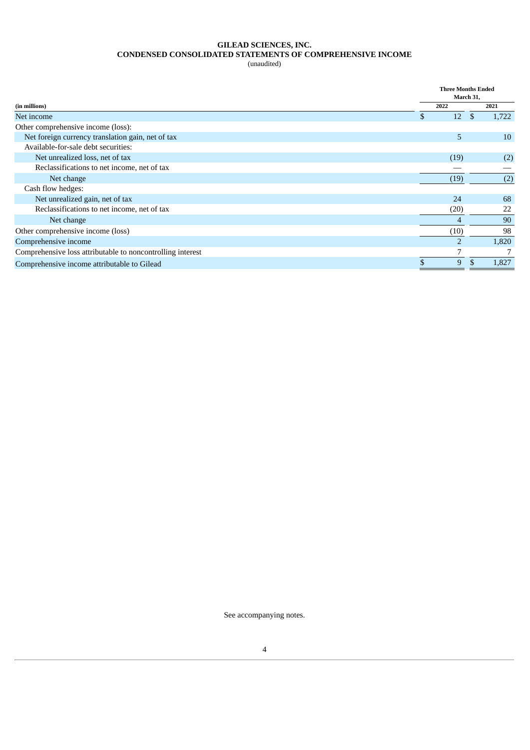# **GILEAD SCIENCES, INC. CONDENSED CONSOLIDATED STATEMENTS OF COMPREHENSIVE INCOME**

(unaudited)

|                                                            |   | <b>Three Months Ended</b><br>March 31, |      |       |  |  |
|------------------------------------------------------------|---|----------------------------------------|------|-------|--|--|
| (in millions)                                              |   | 2022                                   | 2021 |       |  |  |
| Net income                                                 | S | 12                                     | \$.  | 1,722 |  |  |
| Other comprehensive income (loss):                         |   |                                        |      |       |  |  |
| Net foreign currency translation gain, net of tax          |   | 5                                      |      | 10    |  |  |
| Available-for-sale debt securities:                        |   |                                        |      |       |  |  |
| Net unrealized loss, net of tax                            |   | (19)                                   |      | (2)   |  |  |
| Reclassifications to net income, net of tax                |   |                                        |      |       |  |  |
| Net change                                                 |   | (19)                                   |      | (2)   |  |  |
| Cash flow hedges:                                          |   |                                        |      |       |  |  |
| Net unrealized gain, net of tax                            |   | 24                                     |      | 68    |  |  |
| Reclassifications to net income, net of tax                |   | (20)                                   |      | 22    |  |  |
| Net change                                                 |   | $\overline{4}$                         |      | 90    |  |  |
| Other comprehensive income (loss)                          |   | (10)                                   |      | 98    |  |  |
| Comprehensive income                                       |   | $\overline{2}$                         |      | 1,820 |  |  |
| Comprehensive loss attributable to noncontrolling interest |   | 7                                      |      |       |  |  |
| Comprehensive income attributable to Gilead                |   | 9                                      | S    | 1,827 |  |  |

<span id="page-4-0"></span>See accompanying notes.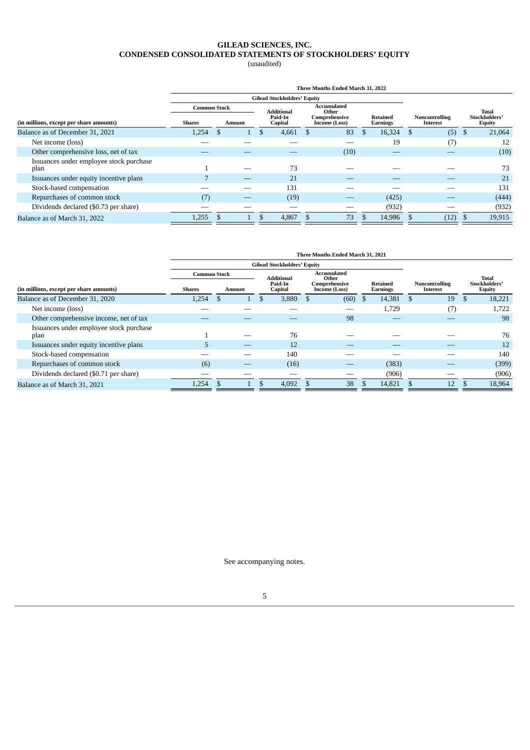# **GILEAD SCIENCES, INC. CONDENSED CONSOLIDATED STATEMENTS OF STOCKHOLDERS' EQUITY**

(unaudited)

|                                                 |                     |        | Three Months Ended March 31, 2022  |                                       |                      |                            |                         |
|-------------------------------------------------|---------------------|--------|------------------------------------|---------------------------------------|----------------------|----------------------------|-------------------------|
|                                                 |                     |        | <b>Gilead Stockholders' Equity</b> |                                       |                      |                            |                         |
|                                                 | <b>Common Stock</b> |        | <b>Additional</b>                  | Accumulated<br>Other                  |                      |                            | <b>Total</b>            |
| (in millions, except per share amounts)         | Shares              | Amount | Paid-In<br>Capital                 | Comprehensive<br><b>Income (Loss)</b> | Retained<br>Earnings | Noncontrolling<br>Interest | Stockholders'<br>Equity |
| Balance as of December 31, 2021                 | 1,254               | \$.    | 4,661<br>\$                        | 83                                    | \$.<br>16,324        | (5)<br>S                   | 21,064<br>-\$           |
| Net income (loss)                               |                     |        |                                    |                                       | 19                   | (7)                        | 12                      |
| Other comprehensive loss, net of tax            |                     |        |                                    | (10)                                  |                      |                            | (10)                    |
| Issuances under employee stock purchase<br>plan |                     |        | 73                                 |                                       |                      |                            | 73                      |
| Issuances under equity incentive plans          |                     |        | 21                                 |                                       |                      |                            | 21                      |
| Stock-based compensation                        |                     |        | 131                                |                                       |                      |                            | 131                     |
| Repurchases of common stock                     | (7)                 |        | (19)                               |                                       | (425)                |                            | (444)                   |
| Dividends declared (\$0.73 per share)           |                     |        |                                    |                                       | (932)                |                            | (932)                   |
| Balance as of March 31, 2022                    | 1,255               |        | 4,867<br>\$                        | 73                                    | 14,986<br>\$.        | (12)                       | 19,915                  |

|                                                 |                     |              | Three Months Ended March 31, 2021  |                    |  |                                |     |                             |    |                            |     |                                |
|-------------------------------------------------|---------------------|--------------|------------------------------------|--------------------|--|--------------------------------|-----|-----------------------------|----|----------------------------|-----|--------------------------------|
|                                                 |                     |              | <b>Gilead Stockholders' Equity</b> |                    |  |                                |     |                             |    |                            |     |                                |
|                                                 | <b>Common Stock</b> |              |                                    | <b>Additional</b>  |  | <b>Accumulated</b><br>Other    |     |                             |    |                            |     | <b>Total</b>                   |
| (in millions, except per share amounts)         | Shares              | Amount       |                                    | Paid-In<br>Capital |  | Comprehensive<br>Income (Loss) |     | <b>Retained</b><br>Earnings |    | Noncontrolling<br>Interest |     | Stockholders'<br><b>Equity</b> |
| Balance as of December 31, 2020                 | 1,254               | $\mathbf{1}$ | \$.                                | 3,880              |  | (60)                           | -\$ | 14,381                      | S. | 19                         | -\$ | 18,221                         |
| Net income (loss)                               |                     |              |                                    |                    |  |                                |     | 1,729                       |    | (7)                        |     | 1,722                          |
| Other comprehensive income, net of tax          |                     |              |                                    |                    |  | 98                             |     |                             |    |                            |     | 98                             |
| Issuances under employee stock purchase<br>plan |                     |              |                                    | 76                 |  |                                |     |                             |    |                            |     | 76                             |
| Issuances under equity incentive plans          | 5.                  |              |                                    | 12                 |  |                                |     |                             |    |                            |     | 12                             |
| Stock-based compensation                        |                     |              |                                    | 140                |  |                                |     |                             |    |                            |     | 140                            |
| Repurchases of common stock                     | (6)                 |              |                                    | (16)               |  |                                |     | (383)                       |    |                            |     | (399)                          |
| Dividends declared (\$0.71 per share)           |                     |              |                                    |                    |  |                                |     | (906)                       |    |                            |     | (906)                          |
| Balance as of March 31, 2021                    | 1,254               |              | \$                                 | 4,092              |  | 38                             | \$  | 14,821                      |    | 12                         |     | 18,964                         |

<span id="page-5-0"></span>See accompanying notes.

5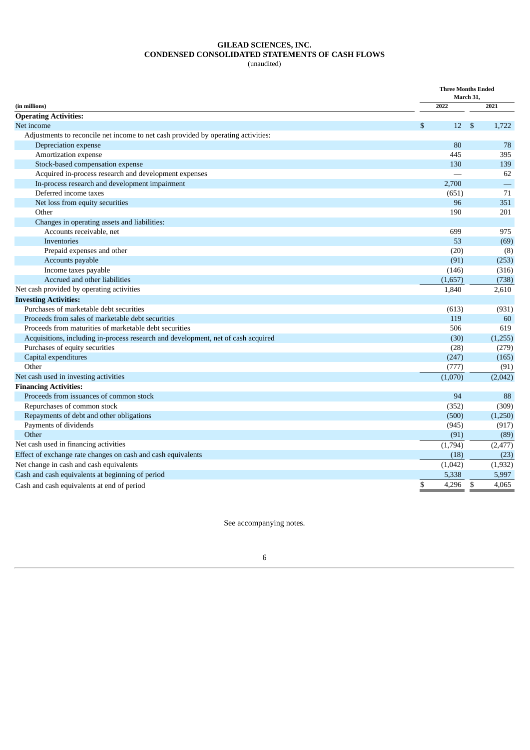# **GILEAD SCIENCES, INC. CONDENSED CONSOLIDATED STATEMENTS OF CASH FLOWS**

(unaudited)

| 2022<br>2021<br>(in millions)<br><b>Operating Activities:</b><br>Net income<br>\$<br>1,722<br>12<br>\$<br>Adjustments to reconcile net income to net cash provided by operating activities:<br>Depreciation expense<br>80<br>78<br>Amortization expense<br>445<br>395<br>Stock-based compensation expense<br>130<br>139<br>Acquired in-process research and development expenses<br>62<br>In-process research and development impairment<br>2,700<br>Deferred income taxes<br>71<br>(651)<br>Net loss from equity securities<br>96<br>351<br>Other<br>190<br>201<br>Changes in operating assets and liabilities:<br>699<br>975<br>Accounts receivable, net<br>53<br>(69)<br>Inventories<br>Prepaid expenses and other<br>(20)<br>(8)<br>Accounts payable<br>(91)<br>(253)<br>Income taxes payable<br>(316)<br>(146)<br>Accrued and other liabilities<br>(1,657)<br>(738)<br>Net cash provided by operating activities<br>1,840<br>2,610<br>Purchases of marketable debt securities<br>(613)<br>(931)<br>Proceeds from sales of marketable debt securities<br>119<br>60<br>Proceeds from maturities of marketable debt securities<br>506<br>619<br>(30)<br>Acquisitions, including in-process research and development, net of cash acquired<br>(1,255)<br>Purchases of equity securities<br>(28)<br>(279)<br>Capital expenditures<br>(247)<br>(165)<br>Other<br>(777)<br>(91)<br>Net cash used in investing activities<br>(1,070)<br>(2,042)<br><b>Financing Activities:</b><br>Proceeds from issuances of common stock<br>94<br>88<br>Repurchases of common stock<br>(352)<br>(309)<br>Repayments of debt and other obligations<br>(500)<br>(1,250)<br>Payments of dividends<br>(945)<br>(917)<br>Other<br>(91)<br>(89)<br>Net cash used in financing activities<br>(1,794)<br>(2, 477)<br>Effect of exchange rate changes on cash and cash equivalents<br>(23)<br>(18)<br>Net change in cash and cash equivalents<br>(1,042)<br>(1, 932)<br>Cash and cash equivalents at beginning of period<br>5,338<br>5,997 |                                            |             | <b>Three Months Ended</b><br>March 31, |       |  |  |  |  |
|------------------------------------------------------------------------------------------------------------------------------------------------------------------------------------------------------------------------------------------------------------------------------------------------------------------------------------------------------------------------------------------------------------------------------------------------------------------------------------------------------------------------------------------------------------------------------------------------------------------------------------------------------------------------------------------------------------------------------------------------------------------------------------------------------------------------------------------------------------------------------------------------------------------------------------------------------------------------------------------------------------------------------------------------------------------------------------------------------------------------------------------------------------------------------------------------------------------------------------------------------------------------------------------------------------------------------------------------------------------------------------------------------------------------------------------------------------------------------------------------------------------------------------------------------------------------------------------------------------------------------------------------------------------------------------------------------------------------------------------------------------------------------------------------------------------------------------------------------------------------------------------------------------------------------------------------------------------------------------------------------------------|--------------------------------------------|-------------|----------------------------------------|-------|--|--|--|--|
|                                                                                                                                                                                                                                                                                                                                                                                                                                                                                                                                                                                                                                                                                                                                                                                                                                                                                                                                                                                                                                                                                                                                                                                                                                                                                                                                                                                                                                                                                                                                                                                                                                                                                                                                                                                                                                                                                                                                                                                                                  |                                            |             |                                        |       |  |  |  |  |
|                                                                                                                                                                                                                                                                                                                                                                                                                                                                                                                                                                                                                                                                                                                                                                                                                                                                                                                                                                                                                                                                                                                                                                                                                                                                                                                                                                                                                                                                                                                                                                                                                                                                                                                                                                                                                                                                                                                                                                                                                  |                                            |             |                                        |       |  |  |  |  |
|                                                                                                                                                                                                                                                                                                                                                                                                                                                                                                                                                                                                                                                                                                                                                                                                                                                                                                                                                                                                                                                                                                                                                                                                                                                                                                                                                                                                                                                                                                                                                                                                                                                                                                                                                                                                                                                                                                                                                                                                                  |                                            |             |                                        |       |  |  |  |  |
|                                                                                                                                                                                                                                                                                                                                                                                                                                                                                                                                                                                                                                                                                                                                                                                                                                                                                                                                                                                                                                                                                                                                                                                                                                                                                                                                                                                                                                                                                                                                                                                                                                                                                                                                                                                                                                                                                                                                                                                                                  |                                            |             |                                        |       |  |  |  |  |
|                                                                                                                                                                                                                                                                                                                                                                                                                                                                                                                                                                                                                                                                                                                                                                                                                                                                                                                                                                                                                                                                                                                                                                                                                                                                                                                                                                                                                                                                                                                                                                                                                                                                                                                                                                                                                                                                                                                                                                                                                  |                                            |             |                                        |       |  |  |  |  |
|                                                                                                                                                                                                                                                                                                                                                                                                                                                                                                                                                                                                                                                                                                                                                                                                                                                                                                                                                                                                                                                                                                                                                                                                                                                                                                                                                                                                                                                                                                                                                                                                                                                                                                                                                                                                                                                                                                                                                                                                                  |                                            |             |                                        |       |  |  |  |  |
|                                                                                                                                                                                                                                                                                                                                                                                                                                                                                                                                                                                                                                                                                                                                                                                                                                                                                                                                                                                                                                                                                                                                                                                                                                                                                                                                                                                                                                                                                                                                                                                                                                                                                                                                                                                                                                                                                                                                                                                                                  |                                            |             |                                        |       |  |  |  |  |
|                                                                                                                                                                                                                                                                                                                                                                                                                                                                                                                                                                                                                                                                                                                                                                                                                                                                                                                                                                                                                                                                                                                                                                                                                                                                                                                                                                                                                                                                                                                                                                                                                                                                                                                                                                                                                                                                                                                                                                                                                  |                                            |             |                                        |       |  |  |  |  |
|                                                                                                                                                                                                                                                                                                                                                                                                                                                                                                                                                                                                                                                                                                                                                                                                                                                                                                                                                                                                                                                                                                                                                                                                                                                                                                                                                                                                                                                                                                                                                                                                                                                                                                                                                                                                                                                                                                                                                                                                                  |                                            |             |                                        |       |  |  |  |  |
|                                                                                                                                                                                                                                                                                                                                                                                                                                                                                                                                                                                                                                                                                                                                                                                                                                                                                                                                                                                                                                                                                                                                                                                                                                                                                                                                                                                                                                                                                                                                                                                                                                                                                                                                                                                                                                                                                                                                                                                                                  |                                            |             |                                        |       |  |  |  |  |
|                                                                                                                                                                                                                                                                                                                                                                                                                                                                                                                                                                                                                                                                                                                                                                                                                                                                                                                                                                                                                                                                                                                                                                                                                                                                                                                                                                                                                                                                                                                                                                                                                                                                                                                                                                                                                                                                                                                                                                                                                  |                                            |             |                                        |       |  |  |  |  |
|                                                                                                                                                                                                                                                                                                                                                                                                                                                                                                                                                                                                                                                                                                                                                                                                                                                                                                                                                                                                                                                                                                                                                                                                                                                                                                                                                                                                                                                                                                                                                                                                                                                                                                                                                                                                                                                                                                                                                                                                                  |                                            |             |                                        |       |  |  |  |  |
|                                                                                                                                                                                                                                                                                                                                                                                                                                                                                                                                                                                                                                                                                                                                                                                                                                                                                                                                                                                                                                                                                                                                                                                                                                                                                                                                                                                                                                                                                                                                                                                                                                                                                                                                                                                                                                                                                                                                                                                                                  |                                            |             |                                        |       |  |  |  |  |
|                                                                                                                                                                                                                                                                                                                                                                                                                                                                                                                                                                                                                                                                                                                                                                                                                                                                                                                                                                                                                                                                                                                                                                                                                                                                                                                                                                                                                                                                                                                                                                                                                                                                                                                                                                                                                                                                                                                                                                                                                  |                                            |             |                                        |       |  |  |  |  |
|                                                                                                                                                                                                                                                                                                                                                                                                                                                                                                                                                                                                                                                                                                                                                                                                                                                                                                                                                                                                                                                                                                                                                                                                                                                                                                                                                                                                                                                                                                                                                                                                                                                                                                                                                                                                                                                                                                                                                                                                                  |                                            |             |                                        |       |  |  |  |  |
|                                                                                                                                                                                                                                                                                                                                                                                                                                                                                                                                                                                                                                                                                                                                                                                                                                                                                                                                                                                                                                                                                                                                                                                                                                                                                                                                                                                                                                                                                                                                                                                                                                                                                                                                                                                                                                                                                                                                                                                                                  |                                            |             |                                        |       |  |  |  |  |
|                                                                                                                                                                                                                                                                                                                                                                                                                                                                                                                                                                                                                                                                                                                                                                                                                                                                                                                                                                                                                                                                                                                                                                                                                                                                                                                                                                                                                                                                                                                                                                                                                                                                                                                                                                                                                                                                                                                                                                                                                  |                                            |             |                                        |       |  |  |  |  |
|                                                                                                                                                                                                                                                                                                                                                                                                                                                                                                                                                                                                                                                                                                                                                                                                                                                                                                                                                                                                                                                                                                                                                                                                                                                                                                                                                                                                                                                                                                                                                                                                                                                                                                                                                                                                                                                                                                                                                                                                                  |                                            |             |                                        |       |  |  |  |  |
|                                                                                                                                                                                                                                                                                                                                                                                                                                                                                                                                                                                                                                                                                                                                                                                                                                                                                                                                                                                                                                                                                                                                                                                                                                                                                                                                                                                                                                                                                                                                                                                                                                                                                                                                                                                                                                                                                                                                                                                                                  |                                            |             |                                        |       |  |  |  |  |
|                                                                                                                                                                                                                                                                                                                                                                                                                                                                                                                                                                                                                                                                                                                                                                                                                                                                                                                                                                                                                                                                                                                                                                                                                                                                                                                                                                                                                                                                                                                                                                                                                                                                                                                                                                                                                                                                                                                                                                                                                  |                                            |             |                                        |       |  |  |  |  |
|                                                                                                                                                                                                                                                                                                                                                                                                                                                                                                                                                                                                                                                                                                                                                                                                                                                                                                                                                                                                                                                                                                                                                                                                                                                                                                                                                                                                                                                                                                                                                                                                                                                                                                                                                                                                                                                                                                                                                                                                                  | <b>Investing Activities:</b>               |             |                                        |       |  |  |  |  |
|                                                                                                                                                                                                                                                                                                                                                                                                                                                                                                                                                                                                                                                                                                                                                                                                                                                                                                                                                                                                                                                                                                                                                                                                                                                                                                                                                                                                                                                                                                                                                                                                                                                                                                                                                                                                                                                                                                                                                                                                                  |                                            |             |                                        |       |  |  |  |  |
|                                                                                                                                                                                                                                                                                                                                                                                                                                                                                                                                                                                                                                                                                                                                                                                                                                                                                                                                                                                                                                                                                                                                                                                                                                                                                                                                                                                                                                                                                                                                                                                                                                                                                                                                                                                                                                                                                                                                                                                                                  |                                            |             |                                        |       |  |  |  |  |
|                                                                                                                                                                                                                                                                                                                                                                                                                                                                                                                                                                                                                                                                                                                                                                                                                                                                                                                                                                                                                                                                                                                                                                                                                                                                                                                                                                                                                                                                                                                                                                                                                                                                                                                                                                                                                                                                                                                                                                                                                  |                                            |             |                                        |       |  |  |  |  |
|                                                                                                                                                                                                                                                                                                                                                                                                                                                                                                                                                                                                                                                                                                                                                                                                                                                                                                                                                                                                                                                                                                                                                                                                                                                                                                                                                                                                                                                                                                                                                                                                                                                                                                                                                                                                                                                                                                                                                                                                                  |                                            |             |                                        |       |  |  |  |  |
|                                                                                                                                                                                                                                                                                                                                                                                                                                                                                                                                                                                                                                                                                                                                                                                                                                                                                                                                                                                                                                                                                                                                                                                                                                                                                                                                                                                                                                                                                                                                                                                                                                                                                                                                                                                                                                                                                                                                                                                                                  |                                            |             |                                        |       |  |  |  |  |
|                                                                                                                                                                                                                                                                                                                                                                                                                                                                                                                                                                                                                                                                                                                                                                                                                                                                                                                                                                                                                                                                                                                                                                                                                                                                                                                                                                                                                                                                                                                                                                                                                                                                                                                                                                                                                                                                                                                                                                                                                  |                                            |             |                                        |       |  |  |  |  |
|                                                                                                                                                                                                                                                                                                                                                                                                                                                                                                                                                                                                                                                                                                                                                                                                                                                                                                                                                                                                                                                                                                                                                                                                                                                                                                                                                                                                                                                                                                                                                                                                                                                                                                                                                                                                                                                                                                                                                                                                                  |                                            |             |                                        |       |  |  |  |  |
|                                                                                                                                                                                                                                                                                                                                                                                                                                                                                                                                                                                                                                                                                                                                                                                                                                                                                                                                                                                                                                                                                                                                                                                                                                                                                                                                                                                                                                                                                                                                                                                                                                                                                                                                                                                                                                                                                                                                                                                                                  |                                            |             |                                        |       |  |  |  |  |
|                                                                                                                                                                                                                                                                                                                                                                                                                                                                                                                                                                                                                                                                                                                                                                                                                                                                                                                                                                                                                                                                                                                                                                                                                                                                                                                                                                                                                                                                                                                                                                                                                                                                                                                                                                                                                                                                                                                                                                                                                  |                                            |             |                                        |       |  |  |  |  |
|                                                                                                                                                                                                                                                                                                                                                                                                                                                                                                                                                                                                                                                                                                                                                                                                                                                                                                                                                                                                                                                                                                                                                                                                                                                                                                                                                                                                                                                                                                                                                                                                                                                                                                                                                                                                                                                                                                                                                                                                                  |                                            |             |                                        |       |  |  |  |  |
|                                                                                                                                                                                                                                                                                                                                                                                                                                                                                                                                                                                                                                                                                                                                                                                                                                                                                                                                                                                                                                                                                                                                                                                                                                                                                                                                                                                                                                                                                                                                                                                                                                                                                                                                                                                                                                                                                                                                                                                                                  |                                            |             |                                        |       |  |  |  |  |
|                                                                                                                                                                                                                                                                                                                                                                                                                                                                                                                                                                                                                                                                                                                                                                                                                                                                                                                                                                                                                                                                                                                                                                                                                                                                                                                                                                                                                                                                                                                                                                                                                                                                                                                                                                                                                                                                                                                                                                                                                  |                                            |             |                                        |       |  |  |  |  |
|                                                                                                                                                                                                                                                                                                                                                                                                                                                                                                                                                                                                                                                                                                                                                                                                                                                                                                                                                                                                                                                                                                                                                                                                                                                                                                                                                                                                                                                                                                                                                                                                                                                                                                                                                                                                                                                                                                                                                                                                                  |                                            |             |                                        |       |  |  |  |  |
|                                                                                                                                                                                                                                                                                                                                                                                                                                                                                                                                                                                                                                                                                                                                                                                                                                                                                                                                                                                                                                                                                                                                                                                                                                                                                                                                                                                                                                                                                                                                                                                                                                                                                                                                                                                                                                                                                                                                                                                                                  |                                            |             |                                        |       |  |  |  |  |
|                                                                                                                                                                                                                                                                                                                                                                                                                                                                                                                                                                                                                                                                                                                                                                                                                                                                                                                                                                                                                                                                                                                                                                                                                                                                                                                                                                                                                                                                                                                                                                                                                                                                                                                                                                                                                                                                                                                                                                                                                  |                                            |             |                                        |       |  |  |  |  |
|                                                                                                                                                                                                                                                                                                                                                                                                                                                                                                                                                                                                                                                                                                                                                                                                                                                                                                                                                                                                                                                                                                                                                                                                                                                                                                                                                                                                                                                                                                                                                                                                                                                                                                                                                                                                                                                                                                                                                                                                                  |                                            |             |                                        |       |  |  |  |  |
|                                                                                                                                                                                                                                                                                                                                                                                                                                                                                                                                                                                                                                                                                                                                                                                                                                                                                                                                                                                                                                                                                                                                                                                                                                                                                                                                                                                                                                                                                                                                                                                                                                                                                                                                                                                                                                                                                                                                                                                                                  |                                            |             |                                        |       |  |  |  |  |
|                                                                                                                                                                                                                                                                                                                                                                                                                                                                                                                                                                                                                                                                                                                                                                                                                                                                                                                                                                                                                                                                                                                                                                                                                                                                                                                                                                                                                                                                                                                                                                                                                                                                                                                                                                                                                                                                                                                                                                                                                  |                                            |             |                                        |       |  |  |  |  |
|                                                                                                                                                                                                                                                                                                                                                                                                                                                                                                                                                                                                                                                                                                                                                                                                                                                                                                                                                                                                                                                                                                                                                                                                                                                                                                                                                                                                                                                                                                                                                                                                                                                                                                                                                                                                                                                                                                                                                                                                                  | Cash and cash equivalents at end of period | \$<br>4.296 | $\mathbb{S}$                           | 4,065 |  |  |  |  |

<span id="page-6-0"></span>See accompanying notes.

6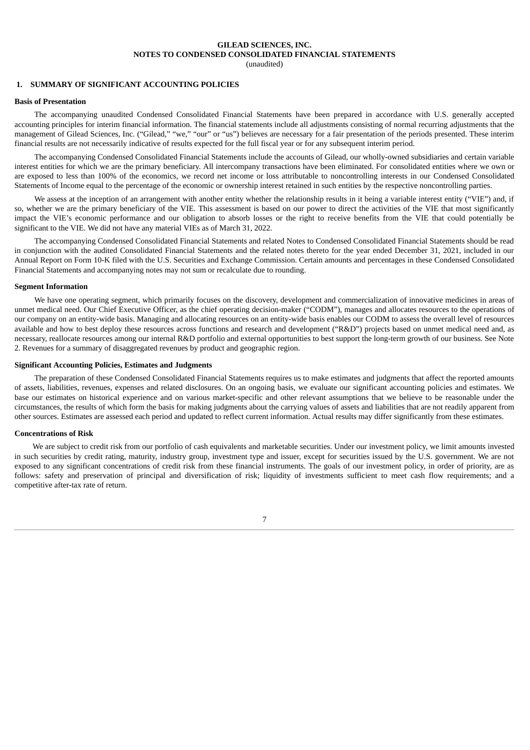#### **GILEAD SCIENCES, INC. NOTES TO CONDENSED CONSOLIDATED FINANCIAL STATEMENTS** (unaudited)

#### **1. SUMMARY OF SIGNIFICANT ACCOUNTING POLICIES**

#### **Basis of Presentation**

The accompanying unaudited Condensed Consolidated Financial Statements have been prepared in accordance with U.S. generally accepted accounting principles for interim financial information. The financial statements include all adjustments consisting of normal recurring adjustments that the management of Gilead Sciences, Inc. ("Gilead," "we," "our" or "us") believes are necessary for a fair presentation of the periods presented. These interim financial results are not necessarily indicative of results expected for the full fiscal year or for any subsequent interim period.

The accompanying Condensed Consolidated Financial Statements include the accounts of Gilead, our wholly-owned subsidiaries and certain variable interest entities for which we are the primary beneficiary. All intercompany transactions have been eliminated. For consolidated entities where we own or are exposed to less than 100% of the economics, we record net income or loss attributable to noncontrolling interests in our Condensed Consolidated Statements of Income equal to the percentage of the economic or ownership interest retained in such entities by the respective noncontrolling parties.

We assess at the inception of an arrangement with another entity whether the relationship results in it being a variable interest entity ("VIE") and, if so, whether we are the primary beneficiary of the VIE. This assessment is based on our power to direct the activities of the VIE that most significantly impact the VIE's economic performance and our obligation to absorb losses or the right to receive benefits from the VIE that could potentially be significant to the VIE. We did not have any material VIEs as of March 31, 2022.

The accompanying Condensed Consolidated Financial Statements and related Notes to Condensed Consolidated Financial Statements should be read in conjunction with the audited Consolidated Financial Statements and the related notes thereto for the year ended December 31, 2021, included in our Annual Report on Form 10-K filed with the U.S. Securities and Exchange Commission. Certain amounts and percentages in these Condensed Consolidated Financial Statements and accompanying notes may not sum or recalculate due to rounding.

#### **Segment Information**

We have one operating segment, which primarily focuses on the discovery, development and commercialization of innovative medicines in areas of unmet medical need. Our Chief Executive Officer, as the chief operating decision-maker ("CODM"), manages and allocates resources to the operations of our company on an entity-wide basis. Managing and allocating resources on an entity-wide basis enables our CODM to assess the overall level of resources available and how to best deploy these resources across functions and research and development ("R&D") projects based on unmet medical need and, as necessary, reallocate resources among our internal R&D portfolio and external opportunities to best support the long-term growth of our business. See Note 2. Revenues for a summary of disaggregated revenues by product and geographic region.

#### **Significant Accounting Policies, Estimates and Judgments**

The preparation of these Condensed Consolidated Financial Statements requires us to make estimates and judgments that affect the reported amounts of assets, liabilities, revenues, expenses and related disclosures. On an ongoing basis, we evaluate our significant accounting policies and estimates. We base our estimates on historical experience and on various market-specific and other relevant assumptions that we believe to be reasonable under the circumstances, the results of which form the basis for making judgments about the carrying values of assets and liabilities that are not readily apparent from other sources. Estimates are assessed each period and updated to reflect current information. Actual results may differ significantly from these estimates.

### **Concentrations of Risk**

We are subject to credit risk from our portfolio of cash equivalents and marketable securities. Under our investment policy, we limit amounts invested in such securities by credit rating, maturity, industry group, investment type and issuer, except for securities issued by the U.S. government. We are not exposed to any significant concentrations of credit risk from these financial instruments. The goals of our investment policy, in order of priority, are as follows: safety and preservation of principal and diversification of risk; liquidity of investments sufficient to meet cash flow requirements; and a competitive after-tax rate of return.

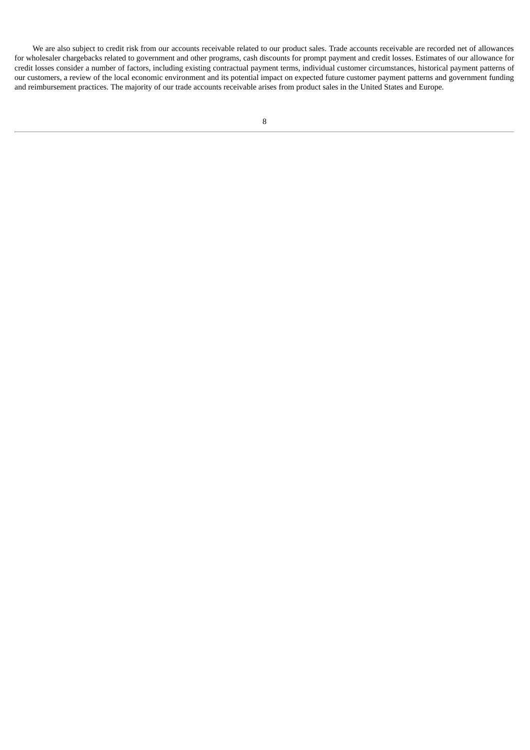We are also subject to credit risk from our accounts receivable related to our product sales. Trade accounts receivable are recorded net of allowances for wholesaler chargebacks related to government and other programs, cash discounts for prompt payment and credit losses. Estimates of our allowance for credit losses consider a number of factors, including existing contractual payment terms, individual customer circumstances, historical payment patterns of our customers, a review of the local economic environment and its potential impact on expected future customer payment patterns and government funding and reimbursement practices. The majority of our trade accounts receivable arises from product sales in the United States and Europe.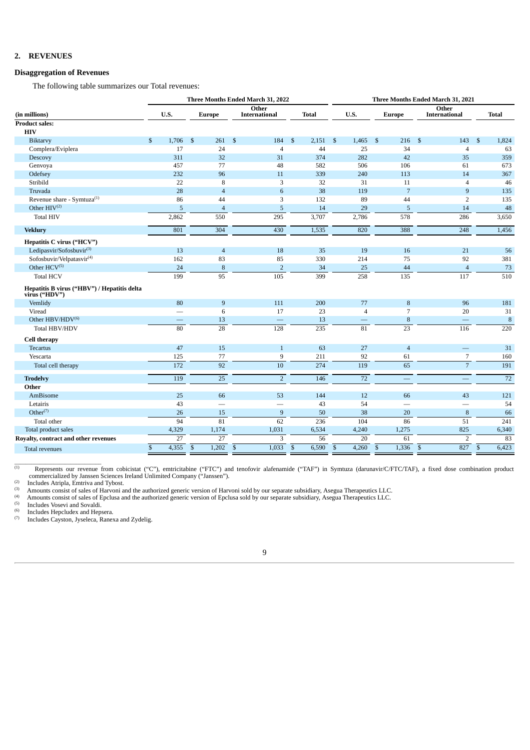# **2. REVENUES**

# **Disaggregation of Revenues**

The following table summarizes our Total revenues:

|                                                              |              |       |                          |                | Three Months Ended March 31, 2022 |                          | Three Months Ended March 31, 2021 |  |                |                |                 |                               |                               |              |              |
|--------------------------------------------------------------|--------------|-------|--------------------------|----------------|-----------------------------------|--------------------------|-----------------------------------|--|----------------|----------------|-----------------|-------------------------------|-------------------------------|--------------|--------------|
| (in millions)                                                |              | U.S.  |                          | <b>Europe</b>  | Other<br><b>International</b>     |                          | <b>Total</b>                      |  | U.S.           |                | <b>Europe</b>   | Other<br><b>International</b> |                               |              | <b>Total</b> |
| <b>Product sales:</b>                                        |              |       |                          |                |                                   |                          |                                   |  |                |                |                 |                               |                               |              |              |
| <b>HIV</b>                                                   |              |       |                          |                |                                   |                          |                                   |  |                |                |                 |                               |                               |              |              |
| Biktarvy                                                     | $\mathbb{S}$ | 1,706 | -\$                      | 261S           | 184                               | -\$                      | $2,151$ \$                        |  | 1,465          | $\mathbb{S}$   | 216             | - \$                          | 143                           | $\mathbb{S}$ | 1,824        |
| Complera/Eviplera                                            |              | 17    |                          | 24             | $\overline{4}$                    |                          | 44                                |  | 25             |                | 34              |                               | $\overline{4}$                |              | 63           |
| Descovy                                                      |              | 311   |                          | 32             | 31                                |                          | 374                               |  | 282            |                | 42              |                               | 35                            |              | 359          |
| Genvoya                                                      |              | 457   |                          | 77             | 48                                |                          | 582                               |  | 506            |                | 106             |                               | 61                            |              | 673          |
| Odefsey                                                      |              | 232   |                          | 96             | 11                                |                          | 339                               |  | 240            |                | 113             |                               | 14                            |              | 367          |
| Stribild                                                     |              | 22    |                          | 8              | 3                                 |                          | 32                                |  | 31             |                | 11              |                               | $\overline{4}$                |              | 46           |
| Truvada                                                      |              | 28    |                          | $\overline{4}$ | 6                                 |                          | 38                                |  | 119            |                | $7\overline{ }$ |                               | 9                             |              | 135          |
| Revenue share - Symtuza <sup>(1)</sup>                       |              | 86    |                          | 44             | 3                                 |                          | 132                               |  | 89             |                | 44              |                               | $\overline{2}$                |              | 135          |
| Other $HIV(2)$                                               |              | 5     |                          | $\overline{4}$ | 5                                 |                          | 14                                |  | 29             |                | 5               |                               | 14                            |              | 48           |
| <b>Total HIV</b>                                             |              | 2,862 |                          | 550            | 295                               |                          | 3,707                             |  | 2,786          |                | 578             |                               | 286                           |              | 3,650        |
| <b>Veklury</b>                                               |              | 801   |                          | 304            | 430                               |                          | 1,535                             |  | 820            |                | 388             |                               | 248                           |              | 1,456        |
| Hepatitis C virus ("HCV")                                    |              |       |                          |                |                                   |                          |                                   |  |                |                |                 |                               |                               |              |              |
| Ledipasvir/Sofosbuvir <sup>(3)</sup>                         |              | 13    |                          | $\overline{4}$ | 18                                |                          | 35                                |  | 19             |                | 16              |                               | 21                            |              | 56           |
| Sofosbuvir/Velpatasvir <sup>(4)</sup>                        |              | 162   |                          | 83             | 85                                |                          | 330                               |  | 214            |                | 75              |                               | 92                            |              | 381          |
| Other HCV <sup>(5)</sup>                                     |              | 24    |                          | 8              | $\overline{2}$                    |                          | 34                                |  | 25             |                | 44              |                               | $\overline{4}$                |              | 73           |
| <b>Total HCV</b>                                             |              | 199   |                          | 95             | 105                               |                          | 399                               |  | 258            |                | 135             |                               | 117                           |              | 510          |
| Hepatitis B virus ("HBV") / Hepatitis delta<br>virus ("HDV") |              |       |                          |                |                                   |                          |                                   |  |                |                |                 |                               |                               |              |              |
| Vemlidy                                                      |              | 80    |                          | 9              | 111                               |                          | 200                               |  | 77             |                | 8               |                               | 96                            |              | 181          |
| Viread                                                       |              |       |                          | 6              | 17                                |                          | 23                                |  | $\overline{4}$ |                | $\overline{7}$  |                               | 20                            |              | 31           |
| Other HBV/HDV <sup>(6)</sup>                                 |              |       |                          | 13             | $\equiv$                          |                          | 13                                |  |                |                | 8               |                               | $\overline{\phantom{0}}$      |              | 8            |
| <b>Total HBV/HDV</b>                                         |              | 80    |                          | 28             | 128                               |                          | 235                               |  | 81             |                | 23              |                               | 116                           |              | 220          |
| Cell therapy                                                 |              |       |                          |                |                                   |                          |                                   |  |                |                |                 |                               |                               |              |              |
| <b>Tecartus</b>                                              |              | 47    |                          | 15             | $\mathbf{1}$                      |                          | 63                                |  | 27             |                | $\overline{4}$  |                               | $\equiv$                      |              | 31           |
| Yescarta                                                     |              | 125   |                          | 77             | 9                                 |                          | 211                               |  | 92             |                | 61              |                               | $\overline{7}$                |              | 160          |
| Total cell therapy                                           |              | 172   |                          | 92             | 10                                |                          | 274                               |  | 119            |                | 65              |                               | $\overline{7}$                |              | 191          |
| <b>Trodelvy</b>                                              |              | 119   |                          | 25             | $\overline{2}$                    |                          | 146                               |  | 72             |                |                 |                               |                               |              | 72           |
| Other                                                        |              |       |                          |                |                                   |                          |                                   |  |                |                |                 |                               |                               |              |              |
| AmBisome                                                     |              | 25    |                          | 66             | 53                                |                          | 144                               |  | 12             |                | 66              |                               | 43                            |              | 121          |
| Letairis                                                     |              | 43    |                          |                |                                   |                          | 43                                |  | 54             |                |                 |                               | $\overbrace{\phantom{aaaaa}}$ |              | 54           |
| Other $(7)$                                                  |              | 26    |                          | 15             | $\overline{9}$                    |                          | 50                                |  | 38             |                | 20              |                               | 8                             |              | 66           |
| Total other                                                  |              | 94    |                          | 81             | 62                                |                          | 236                               |  | 104            |                | 86              |                               | 51                            |              | 241          |
| Total product sales                                          |              | 4,329 |                          | 1,174          | 1,031                             |                          | 6,534                             |  | 4,240          |                | 1,275           |                               | 825                           |              | 6,340        |
| Royalty, contract and other revenues                         |              | 27    |                          | 27             | 3                                 |                          | 56                                |  | 20             |                | 61              |                               | $\overline{2}$                |              | 83           |
| Total revenues                                               | $\mathbb{S}$ | 4,355 | $\overline{\mathcal{S}}$ | 1,202          | 1,033                             | $\overline{\mathcal{S}}$ | $6,590$ \$                        |  | 4,260          | $\mathfrak{S}$ | 1,336           | $\overline{\mathbf{s}}$       | 827                           | $\mathbf{s}$ | 6,423        |

 $\overline{u}$  Represents our revenue from cobicistat ("C"), emtricitabine ("FTC") and tenofovir alafenamide ("TAF") in Symtuza (darunavir/C/FTC/TAF), a fixed dose combination product commercialized by Janssen Sciences Ireland Unlimited Company ("Janssen").  $\overline{(1)}$ 

Includes Atripla, Emtriva and Tybost. (2)

Amounts consist of sales of Harvoni and the authorized generic version of Harvoni sold by our separate subsidiary, Asegua Therapeutics LLC. (3)

Amounts consist of sales of Epclusa and the authorized generic version of Epclusa sold by our separate subsidiary, Asegua Therapeutics LLC. (4)

Includes Vosevi and Sovaldi. (5)

Includes Hepcludex and Hepsera. (6)  $(7)$ 

Includes Cayston, Jyseleca, Ranexa and Zydelig.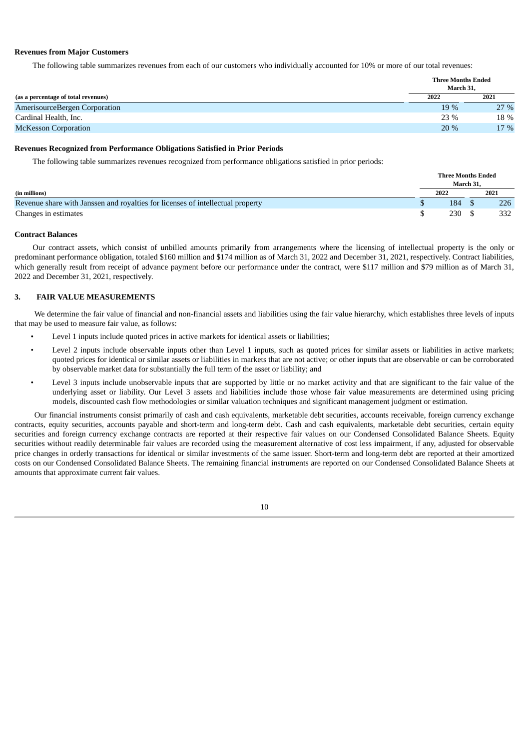# **Revenues from Major Customers**

The following table summarizes revenues from each of our customers who individually accounted for 10% or more of our total revenues:

|                                     | <b>Three Months Ended</b> |      |
|-------------------------------------|---------------------------|------|
|                                     | March 31.                 |      |
| (as a percentage of total revenues) | 2022                      | 2021 |
| AmerisourceBergen Corporation       | $19\%$                    | 27 % |
| Cardinal Health, Inc.               | 23 %                      | 18 % |
| <b>McKesson Corporation</b>         | 20%                       | 17 % |

#### **Revenues Recognized from Performance Obligations Satisfied in Prior Periods**

The following table summarizes revenues recognized from performance obligations satisfied in prior periods:

|                                                                                | Three Months Ended |           |      |  |  |
|--------------------------------------------------------------------------------|--------------------|-----------|------|--|--|
|                                                                                |                    | March 31. |      |  |  |
| (in millions)                                                                  | 2022               |           | 2021 |  |  |
| Revenue share with Janssen and royalties for licenses of intellectual property | 184                |           | 226  |  |  |
| Changes in estimates                                                           | 230                |           | 332  |  |  |

#### **Contract Balances**

Our contract assets, which consist of unbilled amounts primarily from arrangements where the licensing of intellectual property is the only or predominant performance obligation, totaled \$160 million and \$174 million as of March 31, 2022 and December 31, 2021, respectively. Contract liabilities, which generally result from receipt of advance payment before our performance under the contract, were \$117 million and \$79 million as of March 31, 2022 and December 31, 2021, respectively.

# **3. FAIR VALUE MEASUREMENTS**

We determine the fair value of financial and non-financial assets and liabilities using the fair value hierarchy, which establishes three levels of inputs that may be used to measure fair value, as follows:

- Level 1 inputs include quoted prices in active markets for identical assets or liabilities;
- Level 2 inputs include observable inputs other than Level 1 inputs, such as quoted prices for similar assets or liabilities in active markets; quoted prices for identical or similar assets or liabilities in markets that are not active; or other inputs that are observable or can be corroborated by observable market data for substantially the full term of the asset or liability; and
- Level 3 inputs include unobservable inputs that are supported by little or no market activity and that are significant to the fair value of the underlying asset or liability. Our Level 3 assets and liabilities include those whose fair value measurements are determined using pricing models, discounted cash flow methodologies or similar valuation techniques and significant management judgment or estimation.

Our financial instruments consist primarily of cash and cash equivalents, marketable debt securities, accounts receivable, foreign currency exchange contracts, equity securities, accounts payable and short-term and long-term debt. Cash and cash equivalents, marketable debt securities, certain equity securities and foreign currency exchange contracts are reported at their respective fair values on our Condensed Consolidated Balance Sheets. Equity securities without readily determinable fair values are recorded using the measurement alternative of cost less impairment, if any, adjusted for observable price changes in orderly transactions for identical or similar investments of the same issuer. Short-term and long-term debt are reported at their amortized costs on our Condensed Consolidated Balance Sheets. The remaining financial instruments are reported on our Condensed Consolidated Balance Sheets at amounts that approximate current fair values.

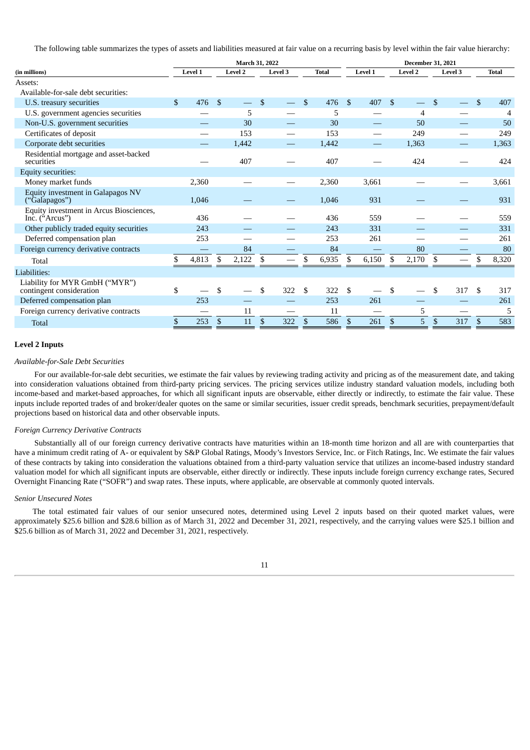The following table summarizes the types of assets and liabilities measured at fair value on a recurring basis by level within the fair value hierarchy:

|                                                            |              |       |               | March 31, 2022 |              |                          |                |              | <b>December 31, 2021</b> |         |                |                |              |                          |                |              |
|------------------------------------------------------------|--------------|-------|---------------|----------------|--------------|--------------------------|----------------|--------------|--------------------------|---------|----------------|----------------|--------------|--------------------------|----------------|--------------|
| (in millions)                                              | Level 1      |       |               | Level 2        |              | Level 3                  |                | <b>Total</b> |                          | Level 1 | Level 2        |                | Level 3      |                          |                | <b>Total</b> |
| Assets:                                                    |              |       |               |                |              |                          |                |              |                          |         |                |                |              |                          |                |              |
| Available-for-sale debt securities:                        |              |       |               |                |              |                          |                |              |                          |         |                |                |              |                          |                |              |
| U.S. treasury securities                                   | $\mathbb{S}$ | 476   | $\mathbf{\$}$ |                | $\mathbb{S}$ |                          | <sup>\$</sup>  | 476          | <sup>\$</sup>            | 407     | \$             |                | $\mathbb{S}$ |                          | $\mathfrak{L}$ | 407          |
| U.S. government agencies securities                        |              |       |               | 5              |              |                          |                | 5            |                          |         |                | $\overline{4}$ |              |                          |                | 4            |
| Non-U.S. government securities                             |              |       |               | 30             |              |                          |                | 30           |                          |         |                | 50             |              |                          |                | 50           |
| Certificates of deposit                                    |              |       |               | 153            |              |                          |                | 153          |                          |         |                | 249            |              |                          |                | 249          |
| Corporate debt securities                                  |              |       |               | 1,442          |              |                          |                | 1,442        |                          |         |                | 1,363          |              |                          |                | 1,363        |
| Residential mortgage and asset-backed<br>securities        |              |       |               | 407            |              |                          |                | 407          |                          |         |                | 424            |              |                          |                | 424          |
| Equity securities:                                         |              |       |               |                |              |                          |                |              |                          |         |                |                |              |                          |                |              |
| Money market funds                                         |              | 2,360 |               |                |              | $\overline{\phantom{0}}$ |                | 2,360        |                          | 3,661   |                |                |              | $\overline{\phantom{0}}$ |                | 3,661        |
| Equity investment in Galapagos NV<br>("Galapagos")         |              | 1,046 |               |                |              |                          |                | 1,046        |                          | 931     |                |                |              |                          |                | 931          |
| Equity investment in Arcus Biosciences,<br>Inc. ("Arcus")  |              | 436   |               |                |              |                          |                | 436          |                          | 559     |                |                |              |                          |                | 559          |
| Other publicly traded equity securities                    |              | 243   |               |                |              |                          |                | 243          |                          | 331     |                |                |              |                          |                | 331          |
| Deferred compensation plan                                 |              | 253   |               |                |              |                          |                | 253          |                          | 261     |                |                |              |                          |                | 261          |
| Foreign currency derivative contracts                      |              |       |               | 84             |              |                          |                | 84           |                          |         |                | 80             |              |                          |                | 80           |
| Total                                                      | \$           | 4,813 | - \$          | 2,122          | \$           |                          | S              | 6,935        | \$                       | 6,150   | \$             | 2,170          | \$           |                          |                | 8,320        |
| Liabilities:                                               |              |       |               |                |              |                          |                |              |                          |         |                |                |              |                          |                |              |
| Liability for MYR GmbH ("MYR")<br>contingent consideration | \$           |       | \$            |                | \$           | 322                      | -\$            | 322          | \$                       |         | \$             |                | \$           | 317                      | \$             | 317          |
| Deferred compensation plan                                 |              | 253   |               |                |              |                          |                | 253          |                          | 261     |                |                |              |                          |                | 261          |
| Foreign currency derivative contracts                      |              |       |               | 11             |              |                          |                | 11           |                          |         |                | 5              |              |                          |                | 5            |
| <b>Total</b>                                               | \$           | 253   | $\mathbb{S}$  | 11             | \$           | 322                      | $\mathfrak{s}$ | 586          | \$                       | 261     | $\mathfrak{s}$ | 5              | $\mathbb S$  | 317                      | $\mathfrak{S}$ | 583          |

### **Level 2 Inputs**

#### *Available-for-Sale Debt Securities*

For our available-for-sale debt securities, we estimate the fair values by reviewing trading activity and pricing as of the measurement date, and taking into consideration valuations obtained from third-party pricing services. The pricing services utilize industry standard valuation models, including both income-based and market-based approaches, for which all significant inputs are observable, either directly or indirectly, to estimate the fair value. These inputs include reported trades of and broker/dealer quotes on the same or similar securities, issuer credit spreads, benchmark securities, prepayment/default projections based on historical data and other observable inputs.

#### *Foreign Currency Derivative Contracts*

Substantially all of our foreign currency derivative contracts have maturities within an 18-month time horizon and all are with counterparties that have a minimum credit rating of A- or equivalent by S&P Global Ratings, Moody's Investors Service, Inc. or Fitch Ratings, Inc. We estimate the fair values of these contracts by taking into consideration the valuations obtained from a third-party valuation service that utilizes an income-based industry standard valuation model for which all significant inputs are observable, either directly or indirectly. These inputs include foreign currency exchange rates, Secured Overnight Financing Rate ("SOFR") and swap rates. These inputs, where applicable, are observable at commonly quoted intervals.

#### *Senior Unsecured Notes*

The total estimated fair values of our senior unsecured notes, determined using Level 2 inputs based on their quoted market values, were approximately \$25.6 billion and \$28.6 billion as of March 31, 2022 and December 31, 2021, respectively, and the carrying values were \$25.1 billion and \$25.6 billion as of March 31, 2022 and December 31, 2021, respectively.

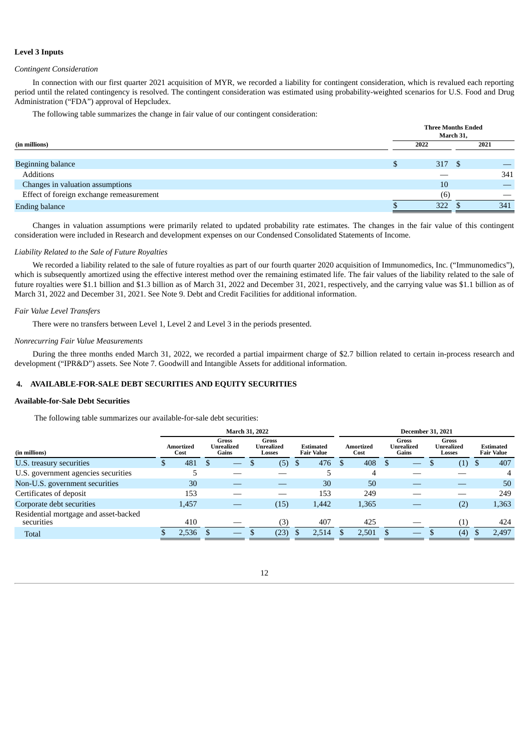#### **Level 3 Inputs**

#### *Contingent Consideration*

In connection with our first quarter 2021 acquisition of MYR, we recorded a liability for contingent consideration, which is revalued each reporting period until the related contingency is resolved. The contingent consideration was estimated using probability-weighted scenarios for U.S. Food and Drug Administration ("FDA") approval of Hepcludex.

The following table summarizes the change in fair value of our contingent consideration:

|                                          | <b>Three Months Ended</b><br>March 31, |        |  |      |  |  |  |  |  |  |
|------------------------------------------|----------------------------------------|--------|--|------|--|--|--|--|--|--|
| (in millions)                            |                                        | 2022   |  | 2021 |  |  |  |  |  |  |
|                                          |                                        |        |  |      |  |  |  |  |  |  |
| <b>Beginning balance</b>                 |                                        | 317 \$ |  |      |  |  |  |  |  |  |
| Additions                                |                                        |        |  | 341  |  |  |  |  |  |  |
| Changes in valuation assumptions         |                                        | 10     |  |      |  |  |  |  |  |  |
| Effect of foreign exchange remeasurement |                                        | (6)    |  |      |  |  |  |  |  |  |
| <b>Ending balance</b>                    |                                        | 322    |  | 341  |  |  |  |  |  |  |

Changes in valuation assumptions were primarily related to updated probability rate estimates. The changes in the fair value of this contingent consideration were included in Research and development expenses on our Condensed Consolidated Statements of Income.

#### *Liability Related to the Sale of Future Royalties*

We recorded a liability related to the sale of future royalties as part of our fourth quarter 2020 acquisition of Immunomedics, Inc. ("Immunomedics"), which is subsequently amortized using the effective interest method over the remaining estimated life. The fair values of the liability related to the sale of future royalties were \$1.1 billion and \$1.3 billion as of March 31, 2022 and December 31, 2021, respectively, and the carrying value was \$1.1 billion as of March 31, 2022 and December 31, 2021. See Note 9. Debt and Credit Facilities for additional information.

# *Fair Value Level Transfers*

There were no transfers between Level 1, Level 2 and Level 3 in the periods presented.

# *Nonrecurring Fair Value Measurements*

During the three months ended March 31, 2022, we recorded a partial impairment charge of \$2.7 billion related to certain in-process research and development ("IPR&D") assets. See Note 7. Goodwill and Intangible Assets for additional information.

#### **4. AVAILABLE-FOR-SALE DEBT SECURITIES AND EQUITY SECURITIES**

#### **Available-for-Sale Debt Securities**

The following table summarizes our available-for-sale debt securities:

|                                                     |                   |          | <b>March 31, 2022</b>        |                               |   |                                       | <b>December 31, 2021</b> |                          |     |                              |  |                               |    |                                       |
|-----------------------------------------------------|-------------------|----------|------------------------------|-------------------------------|---|---------------------------------------|--------------------------|--------------------------|-----|------------------------------|--|-------------------------------|----|---------------------------------------|
| (in millions)                                       | Amortized<br>Cost |          | Gross<br>Unrealized<br>Gains | Gross<br>Unrealized<br>Losses |   | <b>Estimated</b><br><b>Fair Value</b> |                          | <b>Amortized</b><br>Cost |     | Gross<br>Unrealized<br>Gains |  | Gross<br>Unrealized<br>Losses |    | <b>Estimated</b><br><b>Fair Value</b> |
| U.S. treasury securities                            | 481               | <b>S</b> |                              | (5)                           | S | 476                                   | -S                       | 408                      | - S |                              |  | (1)                           |    | 407                                   |
| U.S. government agencies securities                 |                   |          |                              |                               |   |                                       |                          | 4                        |     |                              |  |                               |    | 4                                     |
| Non-U.S. government securities                      | 30                |          |                              |                               |   | 30                                    |                          | 50                       |     |                              |  |                               |    | 50                                    |
| Certificates of deposit                             | 153               |          |                              |                               |   | 153                                   |                          | 249                      |     |                              |  |                               |    | 249                                   |
| Corporate debt securities                           | 1,457             |          |                              | (15)                          |   | 1,442                                 |                          | 1,365                    |     |                              |  | (2)                           |    | 1,363                                 |
| Residential mortgage and asset-backed<br>securities | 410               |          |                              | (3)                           |   | 407                                   |                          | 425                      |     |                              |  |                               |    | 424                                   |
| <b>Total</b>                                        | $2,536$ \$        |          |                              | (23)                          |   | 2,514                                 |                          | 2,501                    |     |                              |  | (4)                           | -S | 2,497                                 |
|                                                     |                   |          |                              |                               |   |                                       |                          |                          |     |                              |  |                               |    |                                       |

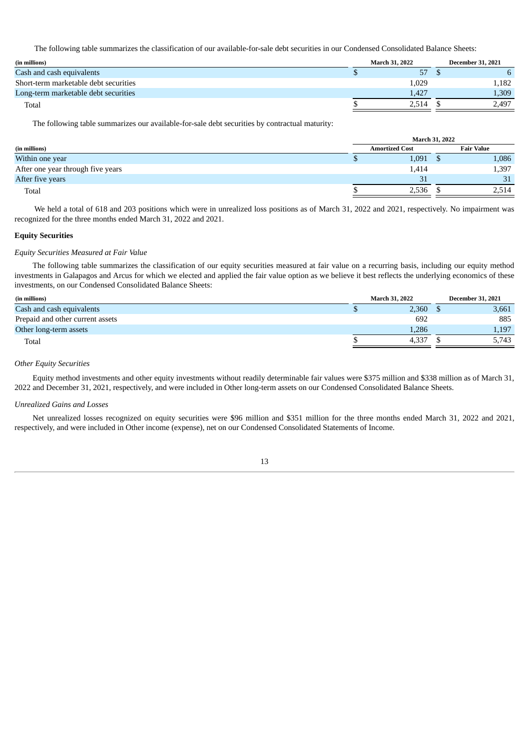The following table summarizes the classification of our available-for-sale debt securities in our Condensed Consolidated Balance Sheets:

| (in millions)                         | <b>March 31, 2022</b> | <b>December 31, 2021</b> |
|---------------------------------------|-----------------------|--------------------------|
| Cash and cash equivalents             | 57                    |                          |
| Short-term marketable debt securities | 1,029                 | 1,182                    |
| Long-term marketable debt securities  | 1,427                 | 1,309                    |
| Total                                 | 2.514                 | 2,497                    |

The following table summarizes our available-for-sale debt securities by contractual maturity:

| <b>March 31, 2022</b> |       |                       |                   |  |  |  |  |  |  |
|-----------------------|-------|-----------------------|-------------------|--|--|--|--|--|--|
|                       |       |                       | <b>Fair Value</b> |  |  |  |  |  |  |
|                       | 1,091 |                       | 1,086             |  |  |  |  |  |  |
|                       | 1,414 |                       | 1,397             |  |  |  |  |  |  |
|                       | 31    |                       | 31                |  |  |  |  |  |  |
|                       | 2,536 |                       | 2,514             |  |  |  |  |  |  |
|                       |       | <b>Amortized Cost</b> |                   |  |  |  |  |  |  |

We held a total of 618 and 203 positions which were in unrealized loss positions as of March 31, 2022 and 2021, respectively. No impairment was recognized for the three months ended March 31, 2022 and 2021.

# **Equity Securities**

#### *Equity Securities Measured at Fair Value*

The following table summarizes the classification of our equity securities measured at fair value on a recurring basis, including our equity method investments in Galapagos and Arcus for which we elected and applied the fair value option as we believe it best reflects the underlying economics of these investments, on our Condensed Consolidated Balance Sheets:

| (in millions)                    | <b>March 31, 2022</b> | <b>December 31, 2021</b> |
|----------------------------------|-----------------------|--------------------------|
| Cash and cash equivalents        | 2,360                 | 3,661                    |
| Prepaid and other current assets | 692                   | 885                      |
| Other long-term assets           | 1,286                 | 1,197                    |
| Total                            | 4,337                 | 5,743                    |

# *Other Equity Securities*

Equity method investments and other equity investments without readily determinable fair values were \$375 million and \$338 million as of March 31, 2022 and December 31, 2021, respectively, and were included in Other long-term assets on our Condensed Consolidated Balance Sheets.

#### *Unrealized Gains and Losses*

Net unrealized losses recognized on equity securities were \$96 million and \$351 million for the three months ended March 31, 2022 and 2021, respectively, and were included in Other income (expense), net on our Condensed Consolidated Statements of Income.

#### 13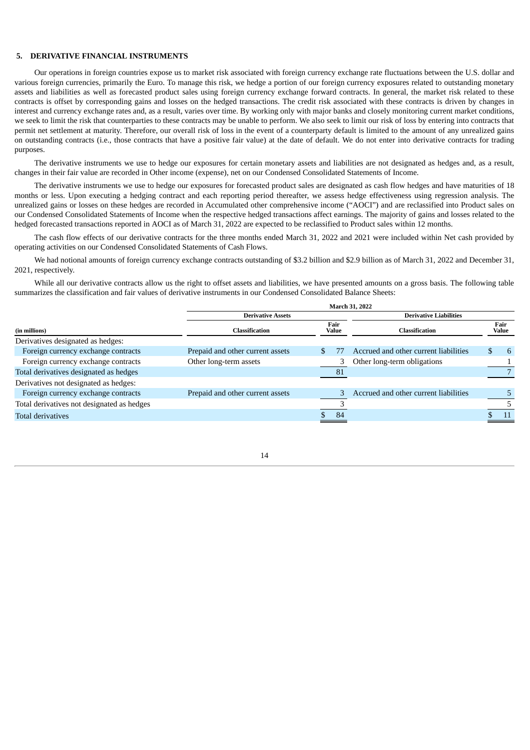# **5. DERIVATIVE FINANCIAL INSTRUMENTS**

Our operations in foreign countries expose us to market risk associated with foreign currency exchange rate fluctuations between the U.S. dollar and various foreign currencies, primarily the Euro. To manage this risk, we hedge a portion of our foreign currency exposures related to outstanding monetary assets and liabilities as well as forecasted product sales using foreign currency exchange forward contracts. In general, the market risk related to these contracts is offset by corresponding gains and losses on the hedged transactions. The credit risk associated with these contracts is driven by changes in interest and currency exchange rates and, as a result, varies over time. By working only with major banks and closely monitoring current market conditions, we seek to limit the risk that counterparties to these contracts may be unable to perform. We also seek to limit our risk of loss by entering into contracts that permit net settlement at maturity. Therefore, our overall risk of loss in the event of a counterparty default is limited to the amount of any unrealized gains on outstanding contracts (i.e., those contracts that have a positive fair value) at the date of default. We do not enter into derivative contracts for trading purposes.

The derivative instruments we use to hedge our exposures for certain monetary assets and liabilities are not designated as hedges and, as a result, changes in their fair value are recorded in Other income (expense), net on our Condensed Consolidated Statements of Income.

The derivative instruments we use to hedge our exposures for forecasted product sales are designated as cash flow hedges and have maturities of 18 months or less. Upon executing a hedging contract and each reporting period thereafter, we assess hedge effectiveness using regression analysis. The unrealized gains or losses on these hedges are recorded in Accumulated other comprehensive income ("AOCI") and are reclassified into Product sales on our Condensed Consolidated Statements of Income when the respective hedged transactions affect earnings. The majority of gains and losses related to the hedged forecasted transactions reported in AOCI as of March 31, 2022 are expected to be reclassified to Product sales within 12 months.

The cash flow effects of our derivative contracts for the three months ended March 31, 2022 and 2021 were included within Net cash provided by operating activities on our Condensed Consolidated Statements of Cash Flows.

We had notional amounts of foreign currency exchange contracts outstanding of \$3.2 billion and \$2.9 billion as of March 31, 2022 and December 31, 2021, respectively.

While all our derivative contracts allow us the right to offset assets and liabilities, we have presented amounts on a gross basis. The following table summarizes the classification and fair values of derivative instruments in our Condensed Consolidated Balance Sheets:

|                                            | <b>March 31, 2022</b>            |                      |                               |                                       |  |                      |  |  |  |  |  |  |  |
|--------------------------------------------|----------------------------------|----------------------|-------------------------------|---------------------------------------|--|----------------------|--|--|--|--|--|--|--|
|                                            | <b>Derivative Assets</b>         |                      | <b>Derivative Liabilities</b> |                                       |  |                      |  |  |  |  |  |  |  |
| (in millions)                              | <b>Classification</b>            | Fair<br><b>Value</b> |                               | <b>Classification</b>                 |  | Fair<br><b>Value</b> |  |  |  |  |  |  |  |
| Derivatives designated as hedges:          |                                  |                      |                               |                                       |  |                      |  |  |  |  |  |  |  |
| Foreign currency exchange contracts        | Prepaid and other current assets |                      |                               | Accrued and other current liabilities |  | -6                   |  |  |  |  |  |  |  |
| Foreign currency exchange contracts        | Other long-term assets           |                      |                               | Other long-term obligations           |  |                      |  |  |  |  |  |  |  |
| Total derivatives designated as hedges     |                                  |                      | 81                            |                                       |  |                      |  |  |  |  |  |  |  |
| Derivatives not designated as hedges:      |                                  |                      |                               |                                       |  |                      |  |  |  |  |  |  |  |
| Foreign currency exchange contracts        | Prepaid and other current assets |                      |                               | Accrued and other current liabilities |  |                      |  |  |  |  |  |  |  |
| Total derivatives not designated as hedges |                                  |                      |                               |                                       |  |                      |  |  |  |  |  |  |  |
| <b>Total derivatives</b>                   |                                  |                      | 84                            |                                       |  | 11                   |  |  |  |  |  |  |  |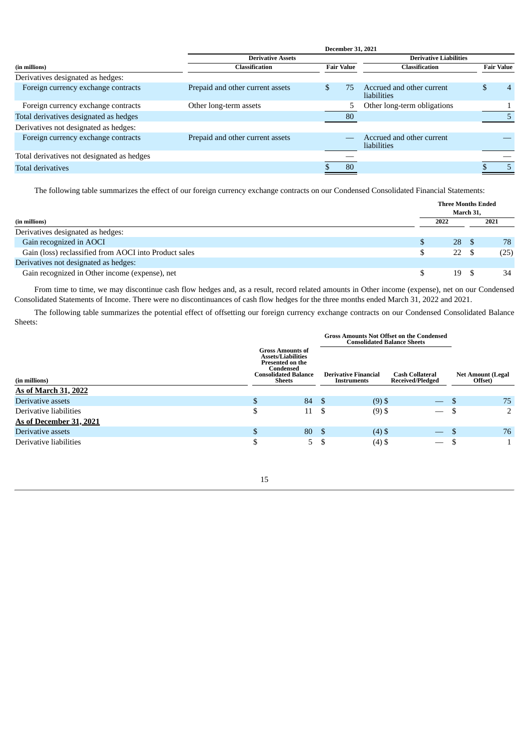|                                            | <b>December 31, 2021</b>         |                   |                                          |  |                   |  |  |  |  |  |  |  |  |  |
|--------------------------------------------|----------------------------------|-------------------|------------------------------------------|--|-------------------|--|--|--|--|--|--|--|--|--|
|                                            | <b>Derivative Assets</b>         |                   | <b>Derivative Liabilities</b>            |  |                   |  |  |  |  |  |  |  |  |  |
| (in millions)                              | <b>Classification</b>            | <b>Fair Value</b> | <b>Classification</b>                    |  | <b>Fair Value</b> |  |  |  |  |  |  |  |  |  |
| Derivatives designated as hedges:          |                                  |                   |                                          |  |                   |  |  |  |  |  |  |  |  |  |
| Foreign currency exchange contracts        | Prepaid and other current assets | 75<br>S           | Accrued and other current<br>liabilities |  | $\overline{4}$    |  |  |  |  |  |  |  |  |  |
| Foreign currency exchange contracts        | Other long-term assets           | 5                 | Other long-term obligations              |  |                   |  |  |  |  |  |  |  |  |  |
| Total derivatives designated as hedges     |                                  | 80                |                                          |  |                   |  |  |  |  |  |  |  |  |  |
| Derivatives not designated as hedges:      |                                  |                   |                                          |  |                   |  |  |  |  |  |  |  |  |  |
| Foreign currency exchange contracts        | Prepaid and other current assets |                   | Accrued and other current<br>liabilities |  |                   |  |  |  |  |  |  |  |  |  |
| Total derivatives not designated as hedges |                                  |                   |                                          |  |                   |  |  |  |  |  |  |  |  |  |
| Total derivatives                          |                                  | 80                |                                          |  | 5                 |  |  |  |  |  |  |  |  |  |

The following table summarizes the effect of our foreign currency exchange contracts on our Condensed Consolidated Financial Statements:

|                                                       | <b>Three Months Ended</b><br>March 31, |      |      |      |  |  |  |
|-------------------------------------------------------|----------------------------------------|------|------|------|--|--|--|
| (in millions)                                         |                                        | 2022 | 2021 |      |  |  |  |
| Derivatives designated as hedges:                     |                                        |      |      |      |  |  |  |
| Gain recognized in AOCI                               |                                        | 28   |      | 78   |  |  |  |
| Gain (loss) reclassified from AOCI into Product sales |                                        | 22   |      | (25) |  |  |  |
| Derivatives not designated as hedges:                 |                                        |      |      |      |  |  |  |
| Gain recognized in Other income (expense), net        |                                        | 19   |      | 34   |  |  |  |

From time to time, we may discontinue cash flow hedges and, as a result, record related amounts in Other income (expense), net on our Condensed Consolidated Statements of Income. There were no discontinuances of cash flow hedges for the three months ended March 31, 2022 and 2021.

The following table summarizes the potential effect of offsetting our foreign currency exchange contracts on our Condensed Consolidated Balance Sheets:

|                         |                                                                                                                                |       |      | <b>Gross Amounts Not Offset on the Condensed</b><br><b>Consolidated Balance Sheets</b> |                                            |      |                                     |
|-------------------------|--------------------------------------------------------------------------------------------------------------------------------|-------|------|----------------------------------------------------------------------------------------|--------------------------------------------|------|-------------------------------------|
| (in millions)           | <b>Gross Amounts of</b><br><b>Assets/Liabilities</b><br>Presented on the<br>Condensed<br><b>Consolidated Balance</b><br>Sheets |       |      | <b>Derivative Financial</b><br>Instruments                                             | <b>Cash Collateral</b><br>Received/Pledged |      | <b>Net Amount (Legal</b><br>Offset) |
| As of March 31, 2022    |                                                                                                                                |       |      |                                                                                        |                                            |      |                                     |
| Derivative assets       | D                                                                                                                              | 84 \$ |      | $(9)$ \$                                                                               | $\overline{\phantom{0}}$                   |      | 75                                  |
| Derivative liabilities  | J                                                                                                                              | 11    | - \$ | $(9)$ \$                                                                               | $\hspace{0.1mm}-\hspace{0.1mm}$            | \$   | $\overline{2}$                      |
| As of December 31, 2021 |                                                                                                                                |       |      |                                                                                        |                                            |      |                                     |
| Derivative assets       | \$                                                                                                                             | 80    | - \$ | $(4)$ \$                                                                               |                                            |      | 76                                  |
| Derivative liabilities  | D                                                                                                                              | 5     | - \$ | (4) \$                                                                                 | $\overline{\phantom{0}}$                   | - \$ |                                     |

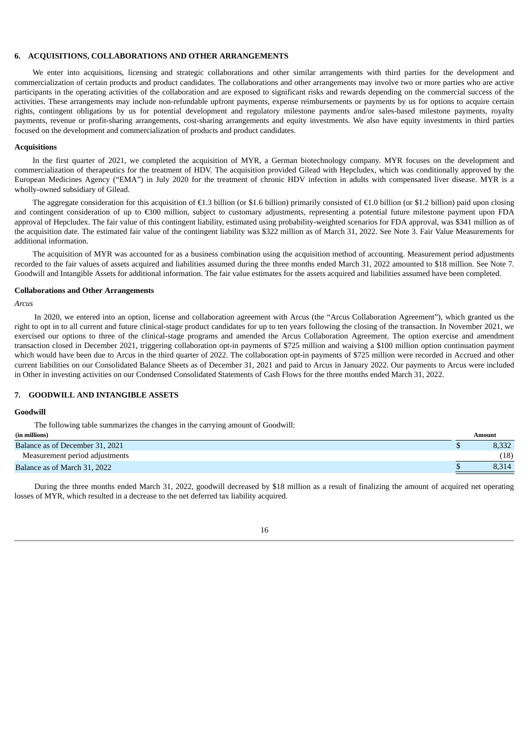# **6. ACQUISITIONS, COLLABORATIONS AND OTHER ARRANGEMENTS**

We enter into acquisitions, licensing and strategic collaborations and other similar arrangements with third parties for the development and commercialization of certain products and product candidates. The collaborations and other arrangements may involve two or more parties who are active participants in the operating activities of the collaboration and are exposed to significant risks and rewards depending on the commercial success of the activities. These arrangements may include non-refundable upfront payments, expense reimbursements or payments by us for options to acquire certain rights, contingent obligations by us for potential development and regulatory milestone payments and/or sales-based milestone payments, royalty payments, revenue or profit-sharing arrangements, cost-sharing arrangements and equity investments. We also have equity investments in third parties focused on the development and commercialization of products and product candidates.

#### **Acquisitions**

In the first quarter of 2021, we completed the acquisition of MYR, a German biotechnology company. MYR focuses on the development and commercialization of therapeutics for the treatment of HDV. The acquisition provided Gilead with Hepcludex, which was conditionally approved by the European Medicines Agency ("EMA") in July 2020 for the treatment of chronic HDV infection in adults with compensated liver disease. MYR is a wholly-owned subsidiary of Gilead.

The aggregate consideration for this acquisition of  $\epsilon$ 1.3 billion (or \$1.6 billion) primarily consisted of  $\epsilon$ 1.0 billion (or \$1.2 billion) paid upon closing and contingent consideration of up to €300 million, subject to customary adjustments, representing a potential future milestone payment upon FDA approval of Hepcludex. The fair value of this contingent liability, estimated using probability-weighted scenarios for FDA approval, was \$341 million as of the acquisition date. The estimated fair value of the contingent liability was \$322 million as of March 31, 2022. See Note 3. Fair Value Measurements for additional information.

The acquisition of MYR was accounted for as a business combination using the acquisition method of accounting. Measurement period adjustments recorded to the fair values of assets acquired and liabilities assumed during the three months ended March 31, 2022 amounted to \$18 million. See Note 7. Goodwill and Intangible Assets for additional information. The fair value estimates for the assets acquired and liabilities assumed have been completed.

#### **Collaborations and Other Arrangements**

#### *Arcus*

In 2020, we entered into an option, license and collaboration agreement with Arcus (the "Arcus Collaboration Agreement"), which granted us the right to opt in to all current and future clinical-stage product candidates for up to ten years following the closing of the transaction. In November 2021, we exercised our options to three of the clinical-stage programs and amended the Arcus Collaboration Agreement. The option exercise and amendment transaction closed in December 2021, triggering collaboration opt-in payments of \$725 million and waiving a \$100 million option continuation payment which would have been due to Arcus in the third quarter of 2022. The collaboration opt-in payments of \$725 million were recorded in Accrued and other current liabilities on our Consolidated Balance Sheets as of December 31, 2021 and paid to Arcus in January 2022. Our payments to Arcus were included in Other in investing activities on our Condensed Consolidated Statements of Cash Flows for the three months ended March 31, 2022.

# **7. GOODWILL AND INTANGIBLE ASSETS**

#### **Goodwill**

The following table summarizes the changes in the carrying amount of Goodwill:

| (in millions)                   | Amount |
|---------------------------------|--------|
| Balance as of December 31, 2021 | 8,332  |
| Measurement period adjustments  | (18)   |
| Balance as of March 31, 2022    | 8.314  |

During the three months ended March 31, 2022, goodwill decreased by \$18 million as a result of finalizing the amount of acquired net operating losses of MYR, which resulted in a decrease to the net deferred tax liability acquired.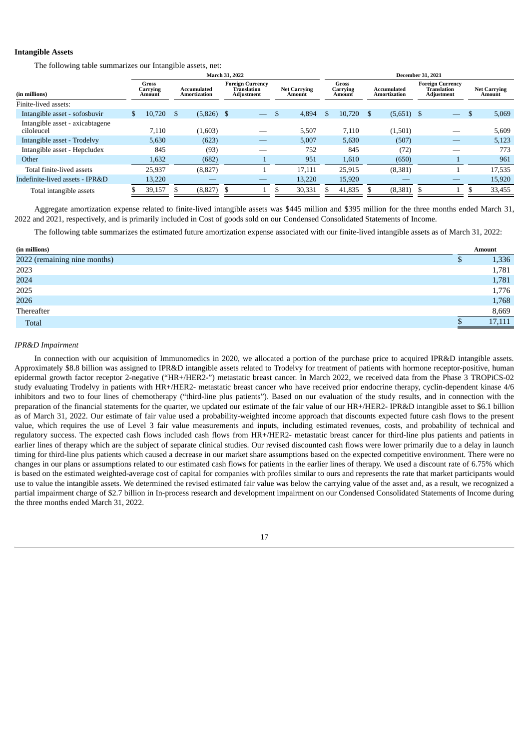# **Intangible Assets**

The following table summarizes our Intangible assets, net:

|                                               |                                    | <b>March 31, 2022</b>              |                                                      |                               | <b>December 31, 2021</b> |                             |  |              |  |  |    |        |  |  |  |  |  |  |  |  |  |  |  |  |  |  |  |  |  |  |  |  |  |  |  |  |  |  |  |  |  |  |  |  |  |  |  |  |  |  |  |  |  |  |  |  |  |  |  |  |  |  |  |  |  |  |  |  |  |  |  |  |  |  |  |  |  |                                    |  |                                                             |  |                               |
|-----------------------------------------------|------------------------------------|------------------------------------|------------------------------------------------------|-------------------------------|--------------------------|-----------------------------|--|--------------|--|--|----|--------|--|--|--|--|--|--|--|--|--|--|--|--|--|--|--|--|--|--|--|--|--|--|--|--|--|--|--|--|--|--|--|--|--|--|--|--|--|--|--|--|--|--|--|--|--|--|--|--|--|--|--|--|--|--|--|--|--|--|--|--|--|--|--|--|--|------------------------------------|--|-------------------------------------------------------------|--|-------------------------------|
| (in millions)                                 | <b>Gross</b><br>Carrying<br>Amount | Accumulated<br><b>Amortization</b> | <b>Foreign Currency</b><br>Translation<br>Adjustment | <b>Net Carrying</b><br>Amount |                          | Gross<br>Carrying<br>Amount |  |              |  |  |    |        |  |  |  |  |  |  |  |  |  |  |  |  |  |  |  |  |  |  |  |  |  |  |  |  |  |  |  |  |  |  |  |  |  |  |  |  |  |  |  |  |  |  |  |  |  |  |  |  |  |  |  |  |  |  |  |  |  |  |  |  |  |  |  |  |  | Accumulated<br><b>Amortization</b> |  | <b>Foreign Currency</b><br>Translation<br><b>Adjustment</b> |  | <b>Net Carrying</b><br>Amount |
| Finite-lived assets:                          |                                    |                                    |                                                      |                               |                          |                             |  |              |  |  |    |        |  |  |  |  |  |  |  |  |  |  |  |  |  |  |  |  |  |  |  |  |  |  |  |  |  |  |  |  |  |  |  |  |  |  |  |  |  |  |  |  |  |  |  |  |  |  |  |  |  |  |  |  |  |  |  |  |  |  |  |  |  |  |  |  |  |                                    |  |                                                             |  |                               |
| Intangible asset - sofosbuvir                 | 10,720                             | \$<br>$(5,826)$ \$                 |                                                      | \$<br>4,894                   | S                        | 10,720                      |  | $(5,651)$ \$ |  |  | \$ | 5,069  |  |  |  |  |  |  |  |  |  |  |  |  |  |  |  |  |  |  |  |  |  |  |  |  |  |  |  |  |  |  |  |  |  |  |  |  |  |  |  |  |  |  |  |  |  |  |  |  |  |  |  |  |  |  |  |  |  |  |  |  |  |  |  |  |  |                                    |  |                                                             |  |                               |
| Intangible asset - axicabtagene<br>ciloleucel | 7,110                              | (1,603)                            |                                                      | 5,507                         |                          | 7,110                       |  | (1,501)      |  |  |    | 5,609  |  |  |  |  |  |  |  |  |  |  |  |  |  |  |  |  |  |  |  |  |  |  |  |  |  |  |  |  |  |  |  |  |  |  |  |  |  |  |  |  |  |  |  |  |  |  |  |  |  |  |  |  |  |  |  |  |  |  |  |  |  |  |  |  |  |                                    |  |                                                             |  |                               |
| Intangible asset - Trodelvy                   | 5,630                              | (623)                              |                                                      | 5,007                         |                          | 5,630                       |  | (507)        |  |  |    | 5,123  |  |  |  |  |  |  |  |  |  |  |  |  |  |  |  |  |  |  |  |  |  |  |  |  |  |  |  |  |  |  |  |  |  |  |  |  |  |  |  |  |  |  |  |  |  |  |  |  |  |  |  |  |  |  |  |  |  |  |  |  |  |  |  |  |  |                                    |  |                                                             |  |                               |
| Intangible asset - Hepcludex                  | 845                                | (93)                               |                                                      | 752                           |                          | 845                         |  | (72)         |  |  |    | 773    |  |  |  |  |  |  |  |  |  |  |  |  |  |  |  |  |  |  |  |  |  |  |  |  |  |  |  |  |  |  |  |  |  |  |  |  |  |  |  |  |  |  |  |  |  |  |  |  |  |  |  |  |  |  |  |  |  |  |  |  |  |  |  |  |  |                                    |  |                                                             |  |                               |
| Other                                         | 1,632                              | (682)                              |                                                      | 951                           |                          | 1,610                       |  | (650)        |  |  |    | 961    |  |  |  |  |  |  |  |  |  |  |  |  |  |  |  |  |  |  |  |  |  |  |  |  |  |  |  |  |  |  |  |  |  |  |  |  |  |  |  |  |  |  |  |  |  |  |  |  |  |  |  |  |  |  |  |  |  |  |  |  |  |  |  |  |  |                                    |  |                                                             |  |                               |
| Total finite-lived assets                     | 25.937                             | (8,827)                            |                                                      | 17,111                        |                          | 25,915                      |  | (8,381)      |  |  |    | 17,535 |  |  |  |  |  |  |  |  |  |  |  |  |  |  |  |  |  |  |  |  |  |  |  |  |  |  |  |  |  |  |  |  |  |  |  |  |  |  |  |  |  |  |  |  |  |  |  |  |  |  |  |  |  |  |  |  |  |  |  |  |  |  |  |  |  |                                    |  |                                                             |  |                               |
| Indefinite-lived assets - IPR&D               | 13,220                             |                                    |                                                      | 13,220                        |                          | 15,920                      |  |              |  |  |    | 15,920 |  |  |  |  |  |  |  |  |  |  |  |  |  |  |  |  |  |  |  |  |  |  |  |  |  |  |  |  |  |  |  |  |  |  |  |  |  |  |  |  |  |  |  |  |  |  |  |  |  |  |  |  |  |  |  |  |  |  |  |  |  |  |  |  |  |                                    |  |                                                             |  |                               |
| Total intangible assets                       | 39,157                             | (8,827)                            |                                                      | 30,331                        |                          | 41,835                      |  | (8,381)      |  |  |    | 33,455 |  |  |  |  |  |  |  |  |  |  |  |  |  |  |  |  |  |  |  |  |  |  |  |  |  |  |  |  |  |  |  |  |  |  |  |  |  |  |  |  |  |  |  |  |  |  |  |  |  |  |  |  |  |  |  |  |  |  |  |  |  |  |  |  |  |                                    |  |                                                             |  |                               |

Aggregate amortization expense related to finite-lived intangible assets was \$445 million and \$395 million for the three months ended March 31, 2022 and 2021, respectively, and is primarily included in Cost of goods sold on our Condensed Consolidated Statements of Income.

The following table summarizes the estimated future amortization expense associated with our finite-lived intangible assets as of March 31, 2022:

| (in millions)                |   | <b>Amount</b> |
|------------------------------|---|---------------|
| 2022 (remaining nine months) | Φ | 1,336         |
| 2023                         |   | 1,781         |
| 2024                         |   | 1,781         |
| 2025                         |   | 1,776         |
| 2026                         |   | 1,768         |
| Thereafter                   |   | 8,669         |
| <b>Total</b>                 |   | 17,111        |

#### *IPR&D Impairment*

In connection with our acquisition of Immunomedics in 2020, we allocated a portion of the purchase price to acquired IPR&D intangible assets. Approximately \$8.8 billion was assigned to IPR&D intangible assets related to Trodelvy for treatment of patients with hormone receptor-positive, human epidermal growth factor receptor 2-negative ("HR+/HER2-") metastatic breast cancer. In March 2022, we received data from the Phase 3 TROPiCS-02 study evaluating Trodelvy in patients with HR+/HER2- metastatic breast cancer who have received prior endocrine therapy, cyclin-dependent kinase 4/6 inhibitors and two to four lines of chemotherapy ("third-line plus patients"). Based on our evaluation of the study results, and in connection with the preparation of the financial statements for the quarter, we updated our estimate of the fair value of our HR+/HER2- IPR&D intangible asset to \$6.1 billion as of March 31, 2022. Our estimate of fair value used a probability-weighted income approach that discounts expected future cash flows to the present value, which requires the use of Level 3 fair value measurements and inputs, including estimated revenues, costs, and probability of technical and regulatory success. The expected cash flows included cash flows from HR+/HER2- metastatic breast cancer for third-line plus patients and patients in earlier lines of therapy which are the subject of separate clinical studies. Our revised discounted cash flows were lower primarily due to a delay in launch timing for third-line plus patients which caused a decrease in our market share assumptions based on the expected competitive environment. There were no changes in our plans or assumptions related to our estimated cash flows for patients in the earlier lines of therapy. We used a discount rate of 6.75% which is based on the estimated weighted-average cost of capital for companies with profiles similar to ours and represents the rate that market participants would use to value the intangible assets. We determined the revised estimated fair value was below the carrying value of the asset and, as a result, we recognized a partial impairment charge of \$2.7 billion in In-process research and development impairment on our Condensed Consolidated Statements of Income during the three months ended March 31, 2022.

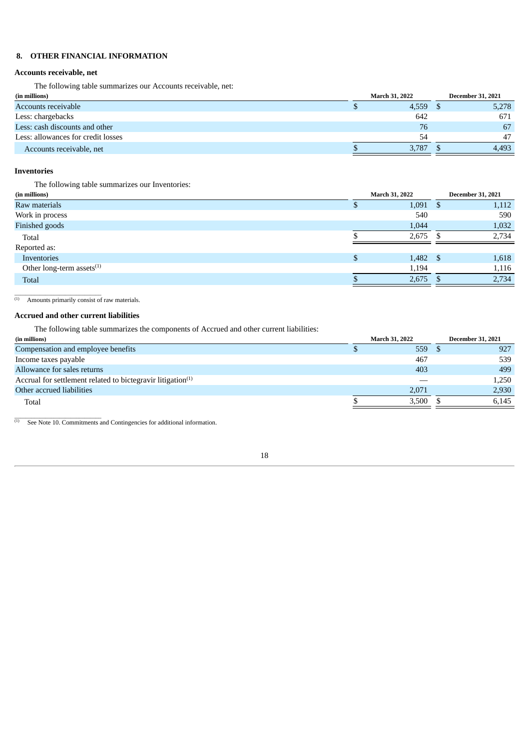# **8. OTHER FINANCIAL INFORMATION**

# **Accounts receivable, net**

The following table summarizes our Accounts receivable, net:

| (in millions)                      | <b>March 31, 2022</b> | <b>December 31, 2021</b> |
|------------------------------------|-----------------------|--------------------------|
| Accounts receivable                | 4,559                 | 5,278                    |
| Less: chargebacks                  | 642                   | 671                      |
| Less: cash discounts and other     | 76                    | 67                       |
| Less: allowances for credit losses | 54                    | 47                       |
| Accounts receivable, net           | 3,787                 | 4.493                    |

# **Inventories**

The following table summarizes our Inventories:

| (in millions)                   | <b>March 31, 2022</b> |      | <b>December 31, 2021</b> |
|---------------------------------|-----------------------|------|--------------------------|
| Raw materials                   | 1,091                 | - \$ | 1,112                    |
| Work in process                 | 540                   |      | 590                      |
| Finished goods                  | 1,044                 |      | 1,032                    |
| Total                           | 2,675                 |      | 2,734                    |
| Reported as:                    |                       |      |                          |
| Inventories                     | 1,482                 | - \$ | 1,618                    |
| Other long-term assets $^{(1)}$ | 1,194                 |      | 1,116                    |
| Total                           | 2,675                 |      | 2,734                    |
|                                 |                       |      |                          |

 $\frac{1}{10}$  Amounts primarily consist of raw materials.

# **Accrued and other current liabilities**

The following table summarizes the components of Accrued and other current liabilities:

| (in millions)                                                           | <b>March 31, 2022</b> | <b>December 31, 2021</b> |
|-------------------------------------------------------------------------|-----------------------|--------------------------|
| Compensation and employee benefits                                      | 559                   | 927                      |
| Income taxes payable                                                    | 467                   | 539                      |
| Allowance for sales returns                                             | 403                   | 499                      |
| Accrual for settlement related to bictegravir litigation <sup>(1)</sup> |                       | 1,250                    |
| Other accrued liabilities                                               | 2.071                 | 2,930                    |
| Total                                                                   | 3.500                 | 6.145                    |
|                                                                         |                       |                          |

 $\overline{a}$  See Note 10. Commitments and Contingencies for additional information.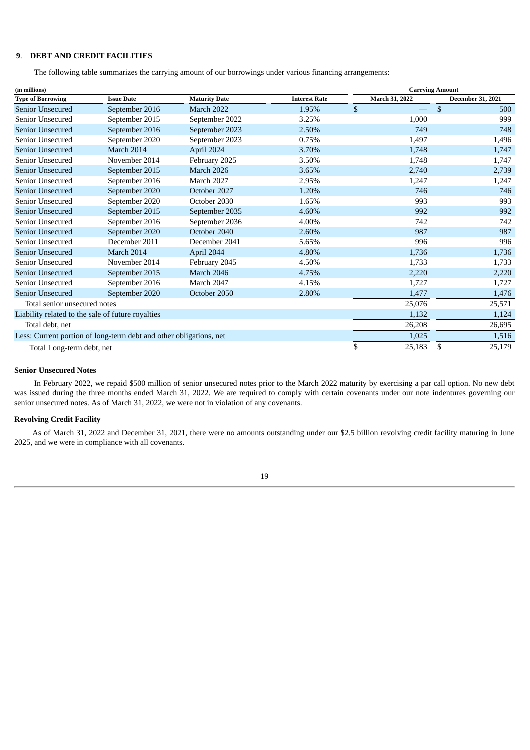# **9**. **DEBT AND CREDIT FACILITIES**

The following table summarizes the carrying amount of our borrowings under various financing arrangements:

| (in millions)                                     |                                                                    |                      |                      |              | <b>Carrying Amount</b> |    |                   |  |
|---------------------------------------------------|--------------------------------------------------------------------|----------------------|----------------------|--------------|------------------------|----|-------------------|--|
| <b>Type of Borrowing</b>                          | <b>Issue Date</b>                                                  | <b>Maturity Date</b> | <b>Interest Rate</b> |              | March 31, 2022         |    | December 31, 2021 |  |
| Senior Unsecured                                  | September 2016                                                     | March 2022           | 1.95%                | $\mathbb{S}$ |                        | \$ | 500               |  |
| Senior Unsecured                                  | September 2015                                                     | September 2022       | 3.25%                |              | 1,000                  |    | 999               |  |
| <b>Senior Unsecured</b>                           | September 2016                                                     | September 2023       | 2.50%                |              | 749                    |    | 748               |  |
| Senior Unsecured                                  | September 2020                                                     | September 2023       | 0.75%                |              | 1,497                  |    | 1,496             |  |
| <b>Senior Unsecured</b>                           | March 2014                                                         | April 2024           | 3.70%                |              | 1,748                  |    | 1,747             |  |
| Senior Unsecured                                  | November 2014                                                      | February 2025        | 3.50%                |              | 1,748                  |    | 1,747             |  |
| <b>Senior Unsecured</b>                           | September 2015                                                     | March 2026           | 3.65%                |              | 2,740                  |    | 2,739             |  |
| Senior Unsecured                                  | September 2016                                                     | March 2027           | 2.95%                |              | 1,247                  |    | 1,247             |  |
| <b>Senior Unsecured</b>                           | September 2020                                                     | October 2027         | 1.20%                |              | 746                    |    | 746               |  |
| Senior Unsecured                                  | September 2020                                                     | October 2030         | 1.65%                |              | 993                    |    | 993               |  |
| <b>Senior Unsecured</b>                           | September 2015                                                     | September 2035       | 4.60%                |              | 992                    |    | 992               |  |
| Senior Unsecured                                  | September 2016                                                     | September 2036       | 4.00%                |              | 742                    |    | 742               |  |
| Senior Unsecured                                  | September 2020                                                     | October 2040         | 2.60%                |              | 987                    |    | 987               |  |
| Senior Unsecured                                  | December 2011                                                      | December 2041        | 5.65%                |              | 996                    |    | 996               |  |
| Senior Unsecured                                  | March 2014                                                         | April 2044           | 4.80%                |              | 1,736                  |    | 1,736             |  |
| Senior Unsecured                                  | November 2014                                                      | February 2045        | 4.50%                |              | 1,733                  |    | 1,733             |  |
| Senior Unsecured                                  | September 2015                                                     | March 2046           | 4.75%                |              | 2,220                  |    | 2,220             |  |
| Senior Unsecured                                  | September 2016                                                     | March 2047           | 4.15%                |              | 1,727                  |    | 1,727             |  |
| <b>Senior Unsecured</b>                           | September 2020                                                     | October 2050         | 2.80%                |              | 1,477                  |    | 1,476             |  |
| Total senior unsecured notes                      |                                                                    |                      |                      |              | 25,076                 |    | 25,571            |  |
| Liability related to the sale of future royalties |                                                                    |                      |                      |              | 1,132                  |    | 1,124             |  |
| Total debt, net                                   |                                                                    |                      |                      |              | 26,208                 |    | 26,695            |  |
|                                                   | Less: Current portion of long-term debt and other obligations, net |                      |                      |              | 1,025                  |    | 1,516             |  |
| Total Long-term debt, net                         |                                                                    |                      |                      | \$           | 25,183                 | \$ | 25,179            |  |

#### **Senior Unsecured Notes**

In February 2022, we repaid \$500 million of senior unsecured notes prior to the March 2022 maturity by exercising a par call option. No new debt was issued during the three months ended March 31, 2022. We are required to comply with certain covenants under our note indentures governing our senior unsecured notes. As of March 31, 2022, we were not in violation of any covenants.

# **Revolving Credit Facility**

As of March 31, 2022 and December 31, 2021, there were no amounts outstanding under our \$2.5 billion revolving credit facility maturing in June 2025, and we were in compliance with all covenants.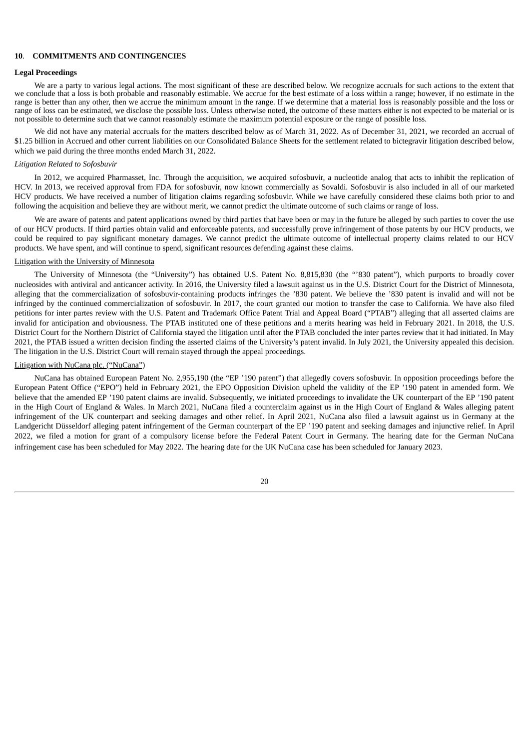# **10**. **COMMITMENTS AND CONTINGENCIES**

#### **Legal Proceedings**

We are a party to various legal actions. The most significant of these are described below. We recognize accruals for such actions to the extent that we conclude that a loss is both probable and reasonably estimable. We accrue for the best estimate of a loss within a range; however, if no estimate in the range is better than any other, then we accrue the minimum amount in the range. If we determine that a material loss is reasonably possible and the loss or range of loss can be estimated, we disclose the possible loss. Unless otherwise noted, the outcome of these matters either is not expected to be material or is not possible to determine such that we cannot reasonably estimate the maximum potential exposure or the range of possible loss.

We did not have any material accruals for the matters described below as of March 31, 2022. As of December 31, 2021, we recorded an accrual of \$1.25 billion in Accrued and other current liabilities on our Consolidated Balance Sheets for the settlement related to bictegravir litigation described below, which we paid during the three months ended March 31, 2022.

#### *Litigation Related to Sofosbuvir*

In 2012, we acquired Pharmasset, Inc. Through the acquisition, we acquired sofosbuvir, a nucleotide analog that acts to inhibit the replication of HCV. In 2013, we received approval from FDA for sofosbuvir, now known commercially as Sovaldi. Sofosbuvir is also included in all of our marketed HCV products. We have received a number of litigation claims regarding sofosbuvir. While we have carefully considered these claims both prior to and following the acquisition and believe they are without merit, we cannot predict the ultimate outcome of such claims or range of loss.

We are aware of patents and patent applications owned by third parties that have been or may in the future be alleged by such parties to cover the use of our HCV products. If third parties obtain valid and enforceable patents, and successfully prove infringement of those patents by our HCV products, we could be required to pay significant monetary damages. We cannot predict the ultimate outcome of intellectual property claims related to our HCV products. We have spent, and will continue to spend, significant resources defending against these claims.

#### Litigation with the University of Minnesota

The University of Minnesota (the "University") has obtained U.S. Patent No. 8,815,830 (the "'830 patent"), which purports to broadly cover nucleosides with antiviral and anticancer activity. In 2016, the University filed a lawsuit against us in the U.S. District Court for the District of Minnesota, alleging that the commercialization of sofosbuvir-containing products infringes the '830 patent. We believe the '830 patent is invalid and will not be infringed by the continued commercialization of sofosbuvir. In 2017, the court granted our motion to transfer the case to California. We have also filed petitions for inter partes review with the U.S. Patent and Trademark Office Patent Trial and Appeal Board ("PTAB") alleging that all asserted claims are invalid for anticipation and obviousness. The PTAB instituted one of these petitions and a merits hearing was held in February 2021. In 2018, the U.S. District Court for the Northern District of California stayed the litigation until after the PTAB concluded the inter partes review that it had initiated. In May 2021, the PTAB issued a written decision finding the asserted claims of the University's patent invalid. In July 2021, the University appealed this decision. The litigation in the U.S. District Court will remain stayed through the appeal proceedings.

#### Litigation with NuCana plc. ("NuCana")

NuCana has obtained European Patent No. 2,955,190 (the "EP '190 patent") that allegedly covers sofosbuvir. In opposition proceedings before the European Patent Office ("EPO") held in February 2021, the EPO Opposition Division upheld the validity of the EP '190 patent in amended form. We believe that the amended EP '190 patent claims are invalid. Subsequently, we initiated proceedings to invalidate the UK counterpart of the EP '190 patent in the High Court of England & Wales. In March 2021, NuCana filed a counterclaim against us in the High Court of England & Wales alleging patent infringement of the UK counterpart and seeking damages and other relief. In April 2021, NuCana also filed a lawsuit against us in Germany at the Landgericht Düsseldorf alleging patent infringement of the German counterpart of the EP '190 patent and seeking damages and injunctive relief. In April 2022, we filed a motion for grant of a compulsory license before the Federal Patent Court in Germany. The hearing date for the German NuCana infringement case has been scheduled for May 2022. The hearing date for the UK NuCana case has been scheduled for January 2023.

20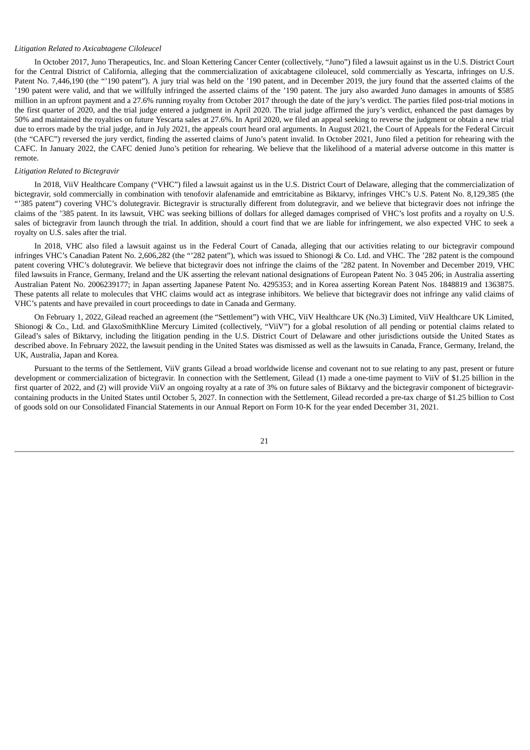#### *Litigation Related to Axicabtagene Ciloleucel*

In October 2017, Juno Therapeutics, Inc. and Sloan Kettering Cancer Center (collectively, "Juno") filed a lawsuit against us in the U.S. District Court for the Central District of California, alleging that the commercialization of axicabtagene ciloleucel, sold commercially as Yescarta, infringes on U.S. Patent No. 7,446,190 (the "'190 patent"). A jury trial was held on the '190 patent, and in December 2019, the jury found that the asserted claims of the '190 patent were valid, and that we willfully infringed the asserted claims of the '190 patent. The jury also awarded Juno damages in amounts of \$585 million in an upfront payment and a 27.6% running royalty from October 2017 through the date of the jury's verdict. The parties filed post-trial motions in the first quarter of 2020, and the trial judge entered a judgment in April 2020. The trial judge affirmed the jury's verdict, enhanced the past damages by 50% and maintained the royalties on future Yescarta sales at 27.6%. In April 2020, we filed an appeal seeking to reverse the judgment or obtain a new trial due to errors made by the trial judge, and in July 2021, the appeals court heard oral arguments. In August 2021, the Court of Appeals for the Federal Circuit (the "CAFC") reversed the jury verdict, finding the asserted claims of Juno's patent invalid. In October 2021, Juno filed a petition for rehearing with the CAFC. In January 2022, the CAFC denied Juno's petition for rehearing. We believe that the likelihood of a material adverse outcome in this matter is remote.

#### *Litigation Related to Bictegravir*

In 2018, ViiV Healthcare Company ("VHC") filed a lawsuit against us in the U.S. District Court of Delaware, alleging that the commercialization of bictegravir, sold commercially in combination with tenofovir alafenamide and emtricitabine as Biktarvy, infringes VHC's U.S. Patent No. 8,129,385 (the "'385 patent") covering VHC's dolutegravir. Bictegravir is structurally different from dolutegravir, and we believe that bictegravir does not infringe the claims of the '385 patent. In its lawsuit, VHC was seeking billions of dollars for alleged damages comprised of VHC's lost profits and a royalty on U.S. sales of bictegravir from launch through the trial. In addition, should a court find that we are liable for infringement, we also expected VHC to seek a royalty on U.S. sales after the trial.

In 2018, VHC also filed a lawsuit against us in the Federal Court of Canada, alleging that our activities relating to our bictegravir compound infringes VHC's Canadian Patent No. 2,606,282 (the "'282 patent"), which was issued to Shionogi & Co. Ltd. and VHC. The '282 patent is the compound patent covering VHC's dolutegravir. We believe that bictegravir does not infringe the claims of the '282 patent. In November and December 2019, VHC filed lawsuits in France, Germany, Ireland and the UK asserting the relevant national designations of European Patent No. 3 045 206; in Australia asserting Australian Patent No. 2006239177; in Japan asserting Japanese Patent No. 4295353; and in Korea asserting Korean Patent Nos. 1848819 and 1363875. These patents all relate to molecules that VHC claims would act as integrase inhibitors. We believe that bictegravir does not infringe any valid claims of VHC's patents and have prevailed in court proceedings to date in Canada and Germany.

On February 1, 2022, Gilead reached an agreement (the "Settlement") with VHC, ViiV Healthcare UK (No.3) Limited, ViiV Healthcare UK Limited, Shionogi & Co., Ltd. and GlaxoSmithKline Mercury Limited (collectively, "ViiV") for a global resolution of all pending or potential claims related to Gilead's sales of Biktarvy, including the litigation pending in the U.S. District Court of Delaware and other jurisdictions outside the United States as described above. In February 2022, the lawsuit pending in the United States was dismissed as well as the lawsuits in Canada, France, Germany, Ireland, the UK, Australia, Japan and Korea.

Pursuant to the terms of the Settlement, ViiV grants Gilead a broad worldwide license and covenant not to sue relating to any past, present or future development or commercialization of bictegravir. In connection with the Settlement, Gilead (1) made a one-time payment to ViiV of \$1.25 billion in the first quarter of 2022, and (2) will provide ViiV an ongoing royalty at a rate of 3% on future sales of Biktarvy and the bictegravir component of bictegravircontaining products in the United States until October 5, 2027. In connection with the Settlement, Gilead recorded a pre-tax charge of \$1.25 billion to Cost of goods sold on our Consolidated Financial Statements in our [Annual](http://www.sec.gov/Archives/edgar/data/882095/000088209520000006/0000882095-20-000006-index.htm) Report on Form 10-K for the year ended December 31, 2021.

21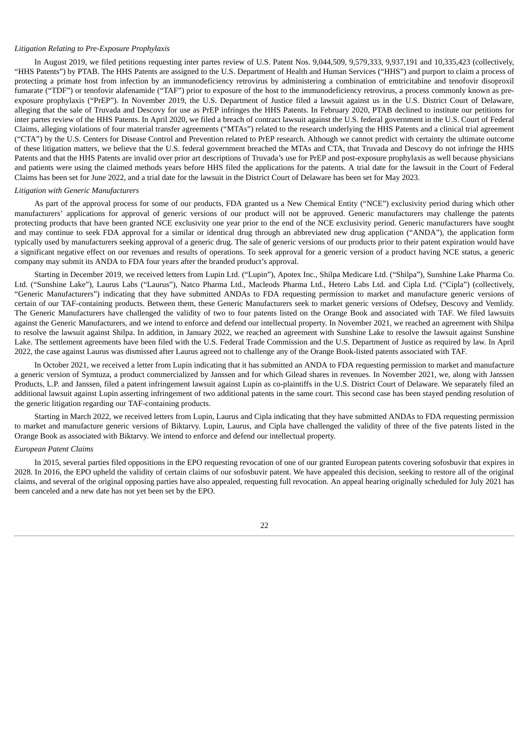#### *Litigation Relating to Pre-Exposure Prophylaxis*

In August 2019, we filed petitions requesting inter partes review of U.S. Patent Nos. 9,044,509, 9,579,333, 9,937,191 and 10,335,423 (collectively, "HHS Patents") by PTAB. The HHS Patents are assigned to the U.S. Department of Health and Human Services ("HHS") and purport to claim a process of protecting a primate host from infection by an immunodeficiency retrovirus by administering a combination of emtricitabine and tenofovir disoproxil fumarate ("TDF") or tenofovir alafenamide ("TAF") prior to exposure of the host to the immunodeficiency retrovirus, a process commonly known as preexposure prophylaxis ("PrEP"). In November 2019, the U.S. Department of Justice filed a lawsuit against us in the U.S. District Court of Delaware, alleging that the sale of Truvada and Descovy for use as PrEP infringes the HHS Patents. In February 2020, PTAB declined to institute our petitions for inter partes review of the HHS Patents. In April 2020, we filed a breach of contract lawsuit against the U.S. federal government in the U.S. Court of Federal Claims, alleging violations of four material transfer agreements ("MTAs") related to the research underlying the HHS Patents and a clinical trial agreement ("CTA") by the U.S. Centers for Disease Control and Prevention related to PrEP research. Although we cannot predict with certainty the ultimate outcome of these litigation matters, we believe that the U.S. federal government breached the MTAs and CTA, that Truvada and Descovy do not infringe the HHS Patents and that the HHS Patents are invalid over prior art descriptions of Truvada's use for PrEP and post-exposure prophylaxis as well because physicians and patients were using the claimed methods years before HHS filed the applications for the patents. A trial date for the lawsuit in the Court of Federal Claims has been set for June 2022, and a trial date for the lawsuit in the District Court of Delaware has been set for May 2023.

#### *Litigation with Generic Manufacturers*

As part of the approval process for some of our products, FDA granted us a New Chemical Entity ("NCE") exclusivity period during which other manufacturers' applications for approval of generic versions of our product will not be approved. Generic manufacturers may challenge the patents protecting products that have been granted NCE exclusivity one year prior to the end of the NCE exclusivity period. Generic manufacturers have sought and may continue to seek FDA approval for a similar or identical drug through an abbreviated new drug application ("ANDA"), the application form typically used by manufacturers seeking approval of a generic drug. The sale of generic versions of our products prior to their patent expiration would have a significant negative effect on our revenues and results of operations. To seek approval for a generic version of a product having NCE status, a generic company may submit its ANDA to FDA four years after the branded product's approval.

Starting in December 2019, we received letters from Lupin Ltd. ("Lupin"), Apotex Inc., Shilpa Medicare Ltd. ("Shilpa"), Sunshine Lake Pharma Co. Ltd. ("Sunshine Lake"), Laurus Labs ("Laurus"), Natco Pharma Ltd., Macleods Pharma Ltd., Hetero Labs Ltd. and Cipla Ltd. ("Cipla") (collectively, "Generic Manufacturers") indicating that they have submitted ANDAs to FDA requesting permission to market and manufacture generic versions of certain of our TAF-containing products. Between them, these Generic Manufacturers seek to market generic versions of Odefsey, Descovy and Vemlidy. The Generic Manufacturers have challenged the validity of two to four patents listed on the Orange Book and associated with TAF. We filed lawsuits against the Generic Manufacturers, and we intend to enforce and defend our intellectual property. In November 2021, we reached an agreement with Shilpa to resolve the lawsuit against Shilpa. In addition, in January 2022, we reached an agreement with Sunshine Lake to resolve the lawsuit against Sunshine Lake. The settlement agreements have been filed with the U.S. Federal Trade Commission and the U.S. Department of Justice as required by law. In April 2022, the case against Laurus was dismissed after Laurus agreed not to challenge any of the Orange Book-listed patents associated with TAF.

In October 2021, we received a letter from Lupin indicating that it has submitted an ANDA to FDA requesting permission to market and manufacture a generic version of Symtuza, a product commercialized by Janssen and for which Gilead shares in revenues. In November 2021, we, along with Janssen Products, L.P. and Janssen, filed a patent infringement lawsuit against Lupin as co-plaintiffs in the U.S. District Court of Delaware. We separately filed an additional lawsuit against Lupin asserting infringement of two additional patents in the same court. This second case has been stayed pending resolution of the generic litigation regarding our TAF-containing products.

Starting in March 2022, we received letters from Lupin, Laurus and Cipla indicating that they have submitted ANDAs to FDA requesting permission to market and manufacture generic versions of Biktarvy. Lupin, Laurus, and Cipla have challenged the validity of three of the five patents listed in the Orange Book as associated with Biktarvy. We intend to enforce and defend our intellectual property.

#### *European Patent Claims*

In 2015, several parties filed oppositions in the EPO requesting revocation of one of our granted European patents covering sofosbuvir that expires in 2028. In 2016, the EPO upheld the validity of certain claims of our sofosbuvir patent. We have appealed this decision, seeking to restore all of the original claims, and several of the original opposing parties have also appealed, requesting full revocation. An appeal hearing originally scheduled for July 2021 has been canceled and a new date has not yet been set by the EPO.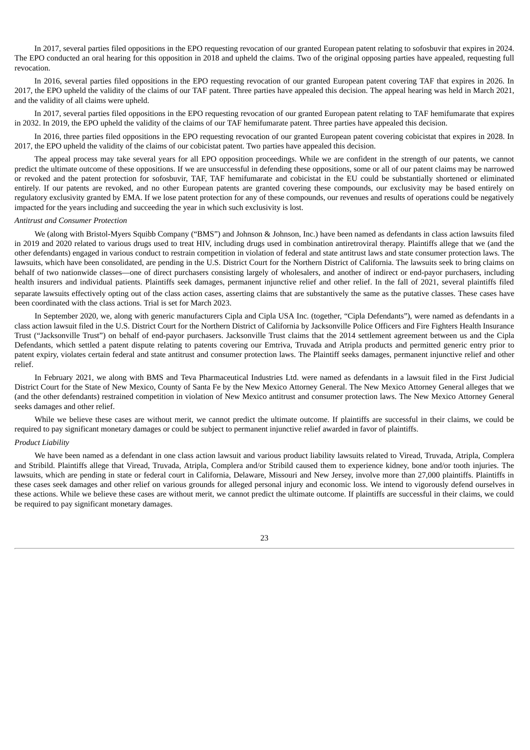In 2017, several parties filed oppositions in the EPO requesting revocation of our granted European patent relating to sofosbuvir that expires in 2024. The EPO conducted an oral hearing for this opposition in 2018 and upheld the claims. Two of the original opposing parties have appealed, requesting full revocation.

In 2016, several parties filed oppositions in the EPO requesting revocation of our granted European patent covering TAF that expires in 2026. In 2017, the EPO upheld the validity of the claims of our TAF patent. Three parties have appealed this decision. The appeal hearing was held in March 2021, and the validity of all claims were upheld.

In 2017, several parties filed oppositions in the EPO requesting revocation of our granted European patent relating to TAF hemifumarate that expires in 2032. In 2019, the EPO upheld the validity of the claims of our TAF hemifumarate patent. Three parties have appealed this decision.

In 2016, three parties filed oppositions in the EPO requesting revocation of our granted European patent covering cobicistat that expires in 2028. In 2017, the EPO upheld the validity of the claims of our cobicistat patent. Two parties have appealed this decision.

The appeal process may take several years for all EPO opposition proceedings. While we are confident in the strength of our patents, we cannot predict the ultimate outcome of these oppositions. If we are unsuccessful in defending these oppositions, some or all of our patent claims may be narrowed or revoked and the patent protection for sofosbuvir, TAF, TAF hemifumarate and cobicistat in the EU could be substantially shortened or eliminated entirely. If our patents are revoked, and no other European patents are granted covering these compounds, our exclusivity may be based entirely on regulatory exclusivity granted by EMA. If we lose patent protection for any of these compounds, our revenues and results of operations could be negatively impacted for the years including and succeeding the year in which such exclusivity is lost.

#### *Antitrust and Consumer Protection*

We (along with Bristol-Myers Squibb Company ("BMS") and Johnson & Johnson, Inc.) have been named as defendants in class action lawsuits filed in 2019 and 2020 related to various drugs used to treat HIV, including drugs used in combination antiretroviral therapy. Plaintiffs allege that we (and the other defendants) engaged in various conduct to restrain competition in violation of federal and state antitrust laws and state consumer protection laws. The lawsuits, which have been consolidated, are pending in the U.S. District Court for the Northern District of California. The lawsuits seek to bring claims on behalf of two nationwide classes—one of direct purchasers consisting largely of wholesalers, and another of indirect or end-payor purchasers, including health insurers and individual patients. Plaintiffs seek damages, permanent injunctive relief and other relief. In the fall of 2021, several plaintiffs filed separate lawsuits effectively opting out of the class action cases, asserting claims that are substantively the same as the putative classes. These cases have been coordinated with the class actions. Trial is set for March 2023.

In September 2020, we, along with generic manufacturers Cipla and Cipla USA Inc. (together, "Cipla Defendants"), were named as defendants in a class action lawsuit filed in the U.S. District Court for the Northern District of California by Jacksonville Police Officers and Fire Fighters Health Insurance Trust ("Jacksonville Trust") on behalf of end-payor purchasers. Jacksonville Trust claims that the 2014 settlement agreement between us and the Cipla Defendants, which settled a patent dispute relating to patents covering our Emtriva, Truvada and Atripla products and permitted generic entry prior to patent expiry, violates certain federal and state antitrust and consumer protection laws. The Plaintiff seeks damages, permanent injunctive relief and other relief.

In February 2021, we along with BMS and Teva Pharmaceutical Industries Ltd. were named as defendants in a lawsuit filed in the First Judicial District Court for the State of New Mexico, County of Santa Fe by the New Mexico Attorney General. The New Mexico Attorney General alleges that we (and the other defendants) restrained competition in violation of New Mexico antitrust and consumer protection laws. The New Mexico Attorney General seeks damages and other relief.

While we believe these cases are without merit, we cannot predict the ultimate outcome. If plaintiffs are successful in their claims, we could be required to pay significant monetary damages or could be subject to permanent injunctive relief awarded in favor of plaintiffs.

#### *Product Liability*

We have been named as a defendant in one class action lawsuit and various product liability lawsuits related to Viread, Truvada, Atripla, Complera and Stribild. Plaintiffs allege that Viread, Truvada, Atripla, Complera and/or Stribild caused them to experience kidney, bone and/or tooth injuries. The lawsuits, which are pending in state or federal court in California, Delaware, Missouri and New Jersey, involve more than 27,000 plaintiffs. Plaintiffs in these cases seek damages and other relief on various grounds for alleged personal injury and economic loss. We intend to vigorously defend ourselves in these actions. While we believe these cases are without merit, we cannot predict the ultimate outcome. If plaintiffs are successful in their claims, we could be required to pay significant monetary damages.

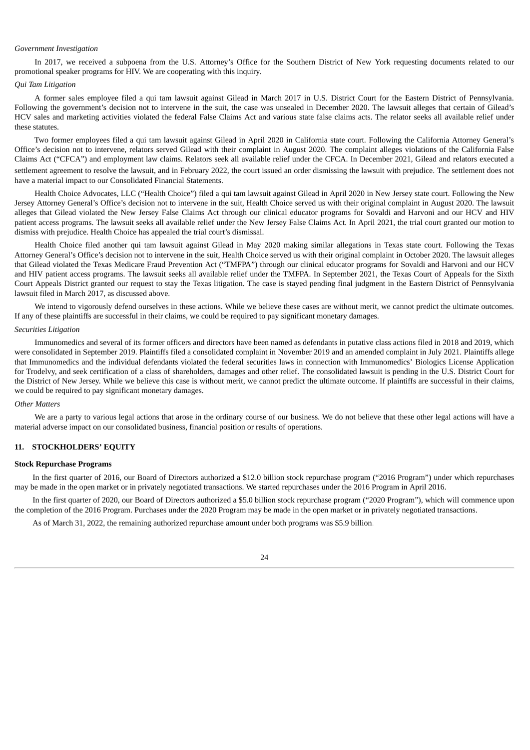#### *Government Investigation*

In 2017, we received a subpoena from the U.S. Attorney's Office for the Southern District of New York requesting documents related to our promotional speaker programs for HIV. We are cooperating with this inquiry.

#### *Qui Tam Litigation*

A former sales employee filed a qui tam lawsuit against Gilead in March 2017 in U.S. District Court for the Eastern District of Pennsylvania. Following the government's decision not to intervene in the suit, the case was unsealed in December 2020. The lawsuit alleges that certain of Gilead's HCV sales and marketing activities violated the federal False Claims Act and various state false claims acts. The relator seeks all available relief under these statutes.

Two former employees filed a qui tam lawsuit against Gilead in April 2020 in California state court. Following the California Attorney General's Office's decision not to intervene, relators served Gilead with their complaint in August 2020. The complaint alleges violations of the California False Claims Act ("CFCA") and employment law claims. Relators seek all available relief under the CFCA. In December 2021, Gilead and relators executed a settlement agreement to resolve the lawsuit, and in February 2022, the court issued an order dismissing the lawsuit with prejudice. The settlement does not have a material impact to our Consolidated Financial Statements.

Health Choice Advocates, LLC ("Health Choice") filed a qui tam lawsuit against Gilead in April 2020 in New Jersey state court. Following the New Jersey Attorney General's Office's decision not to intervene in the suit, Health Choice served us with their original complaint in August 2020. The lawsuit alleges that Gilead violated the New Jersey False Claims Act through our clinical educator programs for Sovaldi and Harvoni and our HCV and HIV patient access programs. The lawsuit seeks all available relief under the New Jersey False Claims Act. In April 2021, the trial court granted our motion to dismiss with prejudice. Health Choice has appealed the trial court's dismissal.

Health Choice filed another qui tam lawsuit against Gilead in May 2020 making similar allegations in Texas state court. Following the Texas Attorney General's Office's decision not to intervene in the suit, Health Choice served us with their original complaint in October 2020. The lawsuit alleges that Gilead violated the Texas Medicare Fraud Prevention Act ("TMFPA") through our clinical educator programs for Sovaldi and Harvoni and our HCV and HIV patient access programs. The lawsuit seeks all available relief under the TMFPA. In September 2021, the Texas Court of Appeals for the Sixth Court Appeals District granted our request to stay the Texas litigation. The case is stayed pending final judgment in the Eastern District of Pennsylvania lawsuit filed in March 2017, as discussed above.

We intend to vigorously defend ourselves in these actions. While we believe these cases are without merit, we cannot predict the ultimate outcomes. If any of these plaintiffs are successful in their claims, we could be required to pay significant monetary damages.

#### *Securities Litigation*

Immunomedics and several of its former officers and directors have been named as defendants in putative class actions filed in 2018 and 2019, which were consolidated in September 2019. Plaintiffs filed a consolidated complaint in November 2019 and an amended complaint in July 2021. Plaintiffs allege that Immunomedics and the individual defendants violated the federal securities laws in connection with Immunomedics' Biologics License Application for Trodelvy, and seek certification of a class of shareholders, damages and other relief. The consolidated lawsuit is pending in the U.S. District Court for the District of New Jersey. While we believe this case is without merit, we cannot predict the ultimate outcome. If plaintiffs are successful in their claims, we could be required to pay significant monetary damages.

#### *Other Matters*

We are a party to various legal actions that arose in the ordinary course of our business. We do not believe that these other legal actions will have a material adverse impact on our consolidated business, financial position or results of operations.

#### **11. STOCKHOLDERS' EQUITY**

#### **Stock Repurchase Programs**

In the first quarter of 2016, our Board of Directors authorized a \$12.0 billion stock repurchase program ("2016 Program") under which repurchases may be made in the open market or in privately negotiated transactions. We started repurchases under the 2016 Program in April 2016.

In the first quarter of 2020, our Board of Directors authorized a \$5.0 billion stock repurchase program ("2020 Program"), which will commence upon the completion of the 2016 Program. Purchases under the 2020 Program may be made in the open market or in privately negotiated transactions.

As of March 31, 2022, the remaining authorized repurchase amount under both programs was \$5.9 billion.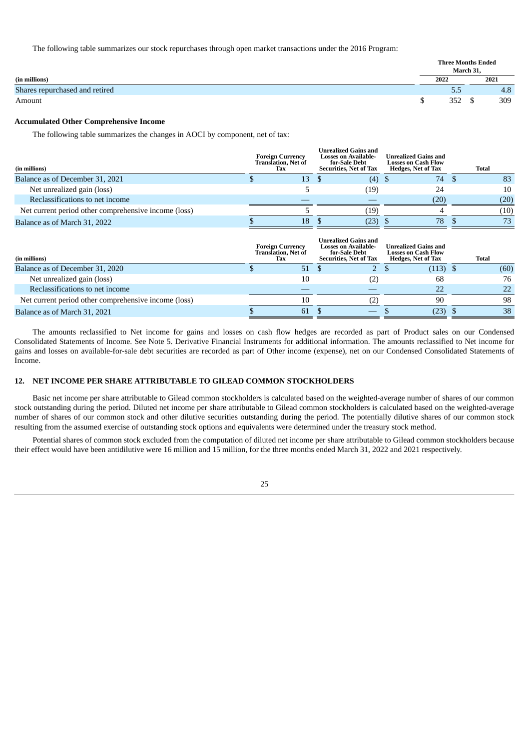The following table summarizes our stock repurchases through open market transactions under the 2016 Program:

|                                | <b>Three Months Ended</b> |           |      |
|--------------------------------|---------------------------|-----------|------|
|                                |                           | March 31, |      |
| (in millions)                  | 2022                      |           | 2021 |
| Shares repurchased and retired | ວ.ວ                       |           | 4.8  |
| Amount                         | 352                       |           | 309  |

# **Accumulated Other Comprehensive Income**

The following table summarizes the changes in AOCI by component, net of tax:

| (in millions)                                        | <b>Foreign Currency</b><br><b>Translation. Net of</b><br>Tax | <b>Unrealized Gains and</b><br><b>Losses on Available-</b><br>for-Sale Debt<br><b>Securities, Net of Tax</b> | <b>Unrealized Gains and</b><br><b>Losses on Cash Flow</b><br>Hedges, Net of Tax | <b>Total</b> |
|------------------------------------------------------|--------------------------------------------------------------|--------------------------------------------------------------------------------------------------------------|---------------------------------------------------------------------------------|--------------|
| Balance as of December 31, 2021                      | 13                                                           | $(4)$ \$                                                                                                     | 74 \$                                                                           | 83           |
| Net unrealized gain (loss)                           |                                                              | (19)                                                                                                         | 24                                                                              | 10           |
| Reclassifications to net income                      |                                                              |                                                                                                              | (20)                                                                            | (20)         |
| Net current period other comprehensive income (loss) |                                                              | (19)                                                                                                         |                                                                                 | (10)         |
| Balance as of March 31, 2022                         | 18                                                           | (23)                                                                                                         | 78                                                                              | 73           |

| (in millions)                                        | <b>Foreign Currency</b><br><b>Translation, Net of</b><br>Tax | Unrealized Gains and<br><b>Losses on Available-</b><br>for-Sale Debt<br><b>Securities, Net of Tax</b> | Unrealized Gains and<br><b>Losses on Cash Flow</b><br><b>Hedges, Net of Tax</b> | <b>Total</b> |
|------------------------------------------------------|--------------------------------------------------------------|-------------------------------------------------------------------------------------------------------|---------------------------------------------------------------------------------|--------------|
| Balance as of December 31, 2020                      | 51                                                           | 2 S                                                                                                   | $(113)$ \$                                                                      | (60)         |
| Net unrealized gain (loss)                           | 10                                                           | (2)                                                                                                   | 68                                                                              | 76           |
| Reclassifications to net income                      |                                                              |                                                                                                       | 22                                                                              | 22           |
| Net current period other comprehensive income (loss) | 10                                                           |                                                                                                       | 90                                                                              | 98           |
| Balance as of March 31, 2021                         | 61                                                           | $\qquad \qquad \overline{\qquad \qquad }$                                                             | $(23)$ \$                                                                       | 38           |

The amounts reclassified to Net income for gains and losses on cash flow hedges are recorded as part of Product sales on our Condensed Consolidated Statements of Income. See Note 5. Derivative Financial Instruments for additional information. The amounts reclassified to Net income for gains and losses on available-for-sale debt securities are recorded as part of Other income (expense), net on our Condensed Consolidated Statements of Income.

# **12. NET INCOME PER SHARE ATTRIBUTABLE TO GILEAD COMMON STOCKHOLDERS**

Basic net income per share attributable to Gilead common stockholders is calculated based on the weighted-average number of shares of our common stock outstanding during the period. Diluted net income per share attributable to Gilead common stockholders is calculated based on the weighted-average number of shares of our common stock and other dilutive securities outstanding during the period. The potentially dilutive shares of our common stock resulting from the assumed exercise of outstanding stock options and equivalents were determined under the treasury stock method.

Potential shares of common stock excluded from the computation of diluted net income per share attributable to Gilead common stockholders because their effect would have been antidilutive were 16 million and 15 million, for the three months ended March 31, 2022 and 2021 respectively.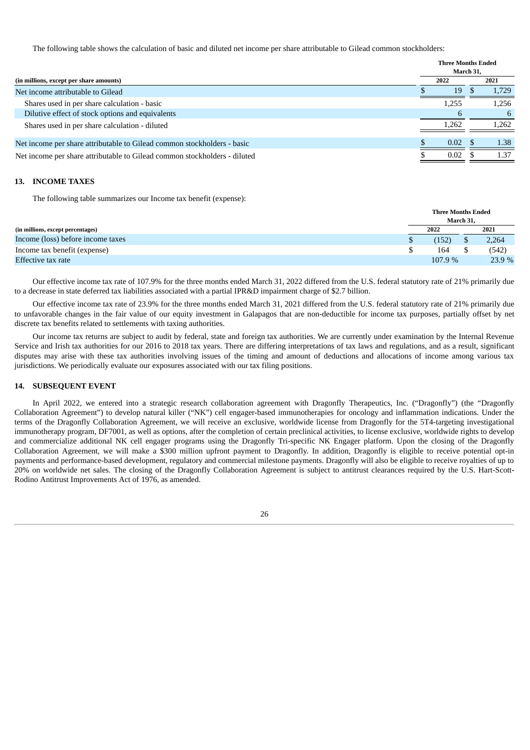The following table shows the calculation of basic and diluted net income per share attributable to Gilead common stockholders:

|                                                                           | <b>Three Months Ended</b> | March 31, |       |
|---------------------------------------------------------------------------|---------------------------|-----------|-------|
| (in millions, except per share amounts)                                   | 2022                      |           | 2021  |
| Net income attributable to Gilead                                         | 19                        |           | 1.729 |
| Shares used in per share calculation - basic                              | 1,255                     |           | 1,256 |
| Dilutive effect of stock options and equivalents                          | b                         |           | 6     |
| Shares used in per share calculation - diluted                            | 1.262                     |           | 1.262 |
| Net income per share attributable to Gilead common stockholders - basic   | 0.02                      |           | 1.38  |
| Net income per share attributable to Gilead common stockholders - diluted | 0.02                      |           | 1.37  |

## **13. INCOME TAXES**

The following table summarizes our Income tax benefit (expense):

|                                   | <b>Three Months Ended</b> |           |        |
|-----------------------------------|---------------------------|-----------|--------|
|                                   |                           | March 31. |        |
| (in millions, except percentages) | 2022                      |           | 2021   |
| Income (loss) before income taxes | (152)                     |           | 2,264  |
| Income tax benefit (expense)      | 164                       |           | (542)  |
| Effective tax rate                | 107.9 %                   |           | 23.9 % |

Our effective income tax rate of 107.9% for the three months ended March 31, 2022 differed from the U.S. federal statutory rate of 21% primarily due to a decrease in state deferred tax liabilities associated with a partial IPR&D impairment charge of \$2.7 billion.

Our effective income tax rate of 23.9% for the three months ended March 31, 2021 differed from the U.S. federal statutory rate of 21% primarily due to unfavorable changes in the fair value of our equity investment in Galapagos that are non-deductible for income tax purposes, partially offset by net discrete tax benefits related to settlements with taxing authorities.

Our income tax returns are subject to audit by federal, state and foreign tax authorities. We are currently under examination by the Internal Revenue Service and Irish tax authorities for our 2016 to 2018 tax years. There are differing interpretations of tax laws and regulations, and as a result, significant disputes may arise with these tax authorities involving issues of the timing and amount of deductions and allocations of income among various tax jurisdictions. We periodically evaluate our exposures associated with our tax filing positions.

# **14. SUBSEQUENT EVENT**

<span id="page-26-0"></span>In April 2022, we entered into a strategic research collaboration agreement with Dragonfly Therapeutics, Inc. ("Dragonfly") (the "Dragonfly Collaboration Agreement") to develop natural killer ("NK") cell engager-based immunotherapies for oncology and inflammation indications. Under the terms of the Dragonfly Collaboration Agreement, we will receive an exclusive, worldwide license from Dragonfly for the 5T4-targeting investigational immunotherapy program, DF7001, as well as options, after the completion of certain preclinical activities, to license exclusive, worldwide rights to develop and commercialize additional NK cell engager programs using the Dragonfly Tri-specific NK Engager platform. Upon the closing of the Dragonfly Collaboration Agreement, we will make a \$300 million upfront payment to Dragonfly. In addition, Dragonfly is eligible to receive potential opt-in payments and performance-based development, regulatory and commercial milestone payments. Dragonfly will also be eligible to receive royalties of up to 20% on worldwide net sales. The closing of the Dragonfly Collaboration Agreement is subject to antitrust clearances required by the U.S. Hart-Scott-Rodino Antitrust Improvements Act of 1976, as amended.

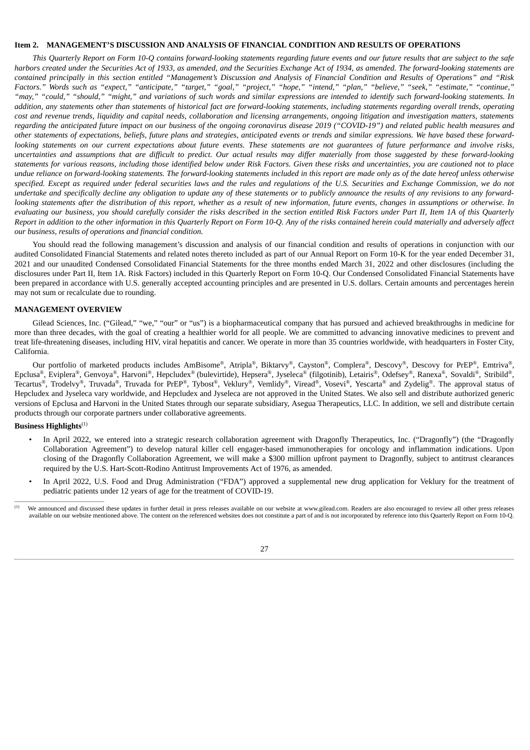#### **Item 2. MANAGEMENT'S DISCUSSION AND ANALYSIS OF FINANCIAL CONDITION AND RESULTS OF OPERATIONS**

This Quarterly Report on Form 10-Q contains forward-looking statements regarding future events and our future results that are subject to the safe harbors created under the Securities Act of 1933, as amended, and the Securities Exchange Act of 1934, as amended. The forward-looking statements are contained principally in this section entitled "Management's Discussion and Analysis of Financial Condition and Results of Operations" and "Risk Factors." Words such as "expect," "anticipate," "target," "goal," "project," "hope," "intend," "plan," "believe," "seek," "estimate," "continue," "may," "could," "should," "might," and variations of such words and similar expressions are intended to identify such forward-looking statements. In addition, any statements other than statements of historical fact are forward-looking statements, including statements regarding overall trends, operating cost and revenue trends, liquidity and capital needs, collaboration and licensing arrangements, ongoing litigation and investigation matters, statements regarding the anticipated future impact on our business of the ongoing coronavirus disease 2019 ("COVID-19") and related public health measures and other statements of expectations, beliefs, future plans and strategies, anticipated events or trends and similar expressions. We have based these forwardlooking statements on our current expectations about future events. These statements are not quarantees of future performance and involve risks, uncertainties and assumptions that are difficult to predict. Our actual results may differ materially from those suggested by these forward-looking statements for various reasons, including those identified below under Risk Factors. Given these risks and uncertainties, you are cautioned not to place undue reliance on forward-looking statements. The forward-looking statements included in this report are made only as of the date hereof unless otherwise specified. Except as required under federal securities laws and the rules and regulations of the U.S. Securities and Exchange Commission, we do not undertake and specifically decline any obligation to update any of these statements or to publicly announce the results of any revisions to any forwardlooking statements after the distribution of this report, whether as a result of new information, future events, changes in assumptions or otherwise. In evaluating our business, you should carefully consider the risks described in the section entitled Risk Factors under Part II, Item 1A of this Quarterly Report in addition to the other information in this Quarterly Report on Form 10-Q. Any of the risks contained herein could materially and adversely affect *our business, results of operations and financial condition.*

You should read the following management's discussion and analysis of our financial condition and results of operations in conjunction with our audited Consolidated Financial Statements and related notes thereto included as part of our [Annual](http://www.sec.gov/Archives/edgar/data/882095/000088209520000006/0000882095-20-000006-index.htm) Report on Form 10-K for the year ended December 31, 2021 and our unaudited Condensed Consolidated Financial Statements for the three months ended March 31, 2022 and other disclosures (including the disclosures under Part II, Item 1A. Risk Factors) included in this Quarterly Report on Form 10-Q. Our Condensed Consolidated Financial Statements have been prepared in accordance with U.S. generally accepted accounting principles and are presented in U.S. dollars. Certain amounts and percentages herein may not sum or recalculate due to rounding.

#### **MANAGEMENT OVERVIEW**

Gilead Sciences, Inc. ("Gilead," "we," "our" or "us") is a biopharmaceutical company that has pursued and achieved breakthroughs in medicine for more than three decades, with the goal of creating a healthier world for all people. We are committed to advancing innovative medicines to prevent and treat life-threatening diseases, including HIV, viral hepatitis and cancer. We operate in more than 35 countries worldwide, with headquarters in Foster City, California.

Our portfolio of marketed products includes AmBisome®, Atripla®, Biktarvy®, Cayston®, Complera®, Descovy®, Descovy for PrEP®, Emtriva®, Epclusa®, Eviplera®, Genvoya®, Harvoni®, Hepcludex® (bulevirtide), Hepsera®, Jyseleca® (filgotinib), Letairis®, Odefsey®, Ranexa®, Sovaldi®, Stribild®, Tecartus®, Trodelvy®, Truvada®, Truvada for PrEP®, Tybost®, Veklury®, Vemlidy®, Viread®, Vosevi®, Yescarta® and Zydelig®. The approval status of Hepcludex and Jyseleca vary worldwide, and Hepcludex and Jyseleca are not approved in the United States. We also sell and distribute authorized generic versions of Epclusa and Harvoni in the United States through our separate subsidiary, Asegua Therapeutics, LLC. In addition, we sell and distribute certain products through our corporate partners under collaborative agreements.

### **Business Highlights** (1)

\_\_\_\_\_\_\_\_\_\_\_\_\_\_\_\_\_\_\_\_\_\_\_\_\_\_\_\_\_\_\_\_

- In April 2022, we entered into a strategic research collaboration agreement with Dragonfly Therapeutics, Inc. ("Dragonfly") (the "Dragonfly Collaboration Agreement") to develop natural killer cell engager-based immunotherapies for oncology and inflammation indications. Upon closing of the Dragonfly Collaboration Agreement, we will make a \$300 million upfront payment to Dragonfly, subject to antitrust clearances required by the U.S. Hart-Scott-Rodino Antitrust Improvements Act of 1976, as amended.
- In April 2022, U.S. Food and Drug Administration ("FDA") approved a supplemental new drug application for Veklury for the treatment of pediatric patients under 12 years of age for the treatment of COVID-19.

We announced and discussed these updates in further detail in press releases available on our website at www.gilead.com. Readers are also encouraged to review all other press releases available on our website mentioned above. The content on the referenced websites does not constitute a part of and is not incorporated by reference into this Quarterly Report on Form 10-Q. (1)

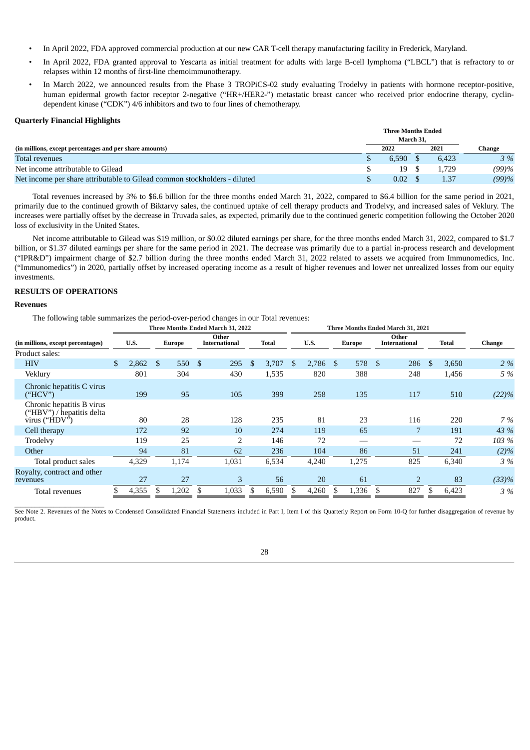- In April 2022, FDA approved commercial production at our new CAR T-cell therapy manufacturing facility in Frederick, Maryland.
- In April 2022, FDA granted approval to Yescarta as initial treatment for adults with large B-cell lymphoma ("LBCL") that is refractory to or relapses within 12 months of first-line chemoimmunotherapy.
- In March 2022, we announced results from the Phase 3 TROPiCS-02 study evaluating Trodelvy in patients with hormone receptor-positive, human epidermal growth factor receptor 2-negative ("HR+/HER2-") metastatic breast cancer who received prior endocrine therapy, cyclindependent kinase ("CDK") 4/6 inhibitors and two to four lines of chemotherapy.

## **Quarterly Financial Highlights**

|                                                                           | <b>Three Months Ended</b> |       |        |
|---------------------------------------------------------------------------|---------------------------|-------|--------|
|                                                                           | March 31.                 |       |        |
| (in millions, except percentages and per share amounts)                   | 2022                      | 2021  | Change |
| Total revenues                                                            | 6.590                     | 6.423 | 3 %    |
| Net income attributable to Gilead                                         | 19                        | 1.729 | (99)%  |
| Net income per share attributable to Gilead common stockholders - diluted | $0.02\,$                  | 1.37  | (99)%  |

Total revenues increased by 3% to \$6.6 billion for the three months ended March 31, 2022, compared to \$6.4 billion for the same period in 2021, primarily due to the continued growth of Biktarvy sales, the continued uptake of cell therapy products and Trodelvy, and increased sales of Veklury. The increases were partially offset by the decrease in Truvada sales, as expected, primarily due to the continued generic competition following the October 2020 loss of exclusivity in the United States.

Net income attributable to Gilead was \$19 million, or \$0.02 diluted earnings per share, for the three months ended March 31, 2022, compared to \$1.7 billion, or \$1.37 diluted earnings per share for the same period in 2021. The decrease was primarily due to a partial in-process research and development ("IPR&D") impairment charge of \$2.7 billion during the three months ended March 31, 2022 related to assets we acquired from Immunomedics, Inc. ("Immunomedics") in 2020, partially offset by increased operating income as a result of higher revenues and lower net unrealized losses from our equity investments.

# **RESULTS OF OPERATIONS**

#### **Revenues**

The following table summarizes the period-over-period changes in our Total revenues:

|                                                                         |     |       |               | Three Months Ended March 31, 2022 |                               |              | Three Months Ended March 31, 2021 |            |  |               |     |                               |  |              |        |
|-------------------------------------------------------------------------|-----|-------|---------------|-----------------------------------|-------------------------------|--------------|-----------------------------------|------------|--|---------------|-----|-------------------------------|--|--------------|--------|
| (in millions, except percentages)                                       |     | U.S.  | <b>Europe</b> |                                   | Other<br><b>International</b> | <b>Total</b> |                                   | U.S.       |  | <b>Europe</b> |     | Other<br><b>International</b> |  | <b>Total</b> | Change |
| Product sales:                                                          |     |       |               |                                   |                               |              |                                   |            |  |               |     |                               |  |              |        |
| <b>HIV</b>                                                              | \$. | 2,862 | \$<br>550     | -\$                               | 295                           | \$<br>3,707  | \$.                               | $2,786$ \$ |  | 578           | -\$ | 286                           |  | 3,650        | 2 %    |
| Veklury                                                                 |     | 801   | 304           |                                   | 430                           | 1,535        |                                   | 820        |  | 388           |     | 248                           |  | 1,456        | 5 %    |
| Chronic hepatitis C virus<br>("HCV")                                    |     | 199   | 95            |                                   | 105                           | 399          |                                   | 258        |  | 135           |     | 117                           |  | 510          | (22)%  |
| Chronic hepatitis B virus<br>("HBV") / hepatitis delta<br>virus ("HDV") |     | 80    | 28            |                                   | 128                           | 235          |                                   | 81         |  | 23            |     | 116                           |  | 220          | 7 %    |
| Cell therapy                                                            |     | 172   | 92            |                                   | 10                            | 274          |                                   | 119        |  | 65            |     |                               |  | 191          | 43 %   |
| Trodelvy                                                                |     | 119   | 25            |                                   | $\overline{2}$                | 146          |                                   | 72         |  |               |     |                               |  | 72           | 103 %  |
| Other                                                                   |     | 94    | 81            |                                   | 62                            | 236          |                                   | 104        |  | 86            |     | 51                            |  | 241          | (2)%   |
| Total product sales                                                     |     | 4,329 | 1,174         |                                   | 1,031                         | 6,534        |                                   | 4,240      |  | 1,275         |     | 825                           |  | 6,340        | 3 %    |
| Royalty, contract and other<br>revenues                                 |     | 27    | 27            |                                   | 3                             | 56           |                                   | 20         |  | 61            |     | $\overline{2}$                |  | 83           | (33)%  |
| Total revenues                                                          |     | 4,355 | 1,202         |                                   | 1,033                         | 6,590        |                                   | 4,260      |  | 1,336         |     | 827                           |  | 6,423        | 3 %    |

\_\_\_\_\_\_\_\_\_\_\_\_\_\_\_\_\_\_\_\_\_\_\_\_\_\_\_\_\_\_\_\_ See Note 2. Revenues of the Notes to Condensed Consolidated Financial Statements included in Part I, Item I of this Quarterly Report on Form 10-Q for further disaggregation of revenue by product.

#### 28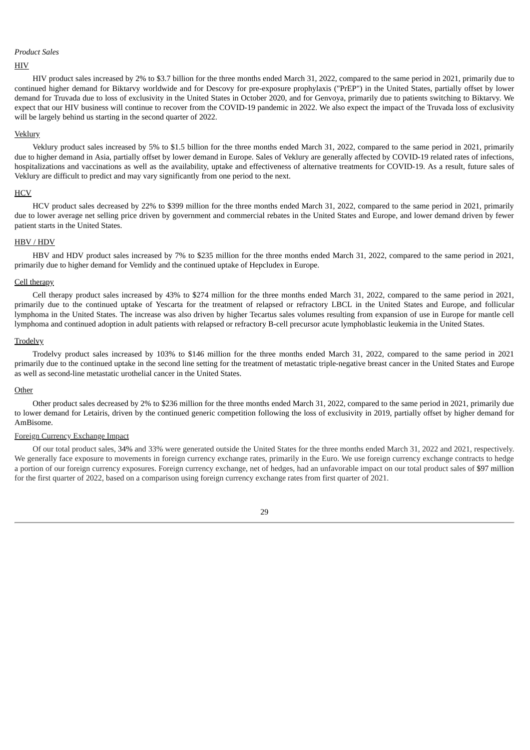#### *Product Sales*

#### HIV

HIV product sales increased by 2% to \$3.7 billion for the three months ended March 31, 2022, compared to the same period in 2021, primarily due to continued higher demand for Biktarvy worldwide and for Descovy for pre-exposure prophylaxis ("PrEP") in the United States, partially offset by lower demand for Truvada due to loss of exclusivity in the United States in October 2020, and for Genvoya, primarily due to patients switching to Biktarvy. We expect that our HIV business will continue to recover from the COVID-19 pandemic in 2022. We also expect the impact of the Truvada loss of exclusivity will be largely behind us starting in the second quarter of 2022.

#### Veklury

Veklury product sales increased by 5% to \$1.5 billion for the three months ended March 31, 2022, compared to the same period in 2021, primarily due to higher demand in Asia, partially offset by lower demand in Europe. Sales of Veklury are generally affected by COVID-19 related rates of infections, hospitalizations and vaccinations as well as the availability, uptake and effectiveness of alternative treatments for COVID-19. As a result, future sales of Veklury are difficult to predict and may vary significantly from one period to the next.

#### **HCV**

HCV product sales decreased by 22% to \$399 million for the three months ended March 31, 2022, compared to the same period in 2021, primarily due to lower average net selling price driven by government and commercial rebates in the United States and Europe, and lower demand driven by fewer patient starts in the United States.

### HBV / HDV

HBV and HDV product sales increased by 7% to \$235 million for the three months ended March 31, 2022, compared to the same period in 2021, primarily due to higher demand for Vemlidy and the continued uptake of Hepcludex in Europe.

#### Cell therapy

Cell therapy product sales increased by 43% to \$274 million for the three months ended March 31, 2022, compared to the same period in 2021, primarily due to the continued uptake of Yescarta for the treatment of relapsed or refractory LBCL in the United States and Europe, and follicular lymphoma in the United States. The increase was also driven by higher Tecartus sales volumes resulting from expansion of use in Europe for mantle cell lymphoma and continued adoption in adult patients with relapsed or refractory B-cell precursor acute lymphoblastic leukemia in the United States.

#### **Trodelvy**

Trodelvy product sales increased by 103% to \$146 million for the three months ended March 31, 2022, compared to the same period in 2021 primarily due to the continued uptake in the second line setting for the treatment of metastatic triple-negative breast cancer in the United States and Europe as well as second-line metastatic urothelial cancer in the United States.

#### **Other**

Other product sales decreased by 2% to \$236 million for the three months ended March 31, 2022, compared to the same period in 2021, primarily due to lower demand for Letairis, driven by the continued generic competition following the loss of exclusivity in 2019, partially offset by higher demand for AmBisome.

#### Foreign Currency Exchange Impact

Of our total product sales, 34% and 33% were generated outside the United States for the three months ended March 31, 2022 and 2021, respectively. We generally face exposure to movements in foreign currency exchange rates, primarily in the Euro. We use foreign currency exchange contracts to hedge a portion of our foreign currency exposures. Foreign currency exchange, net of hedges, had an unfavorable impact on our total product sales of \$97 million for the first quarter of 2022, based on a comparison using foreign currency exchange rates from first quarter of 2021.

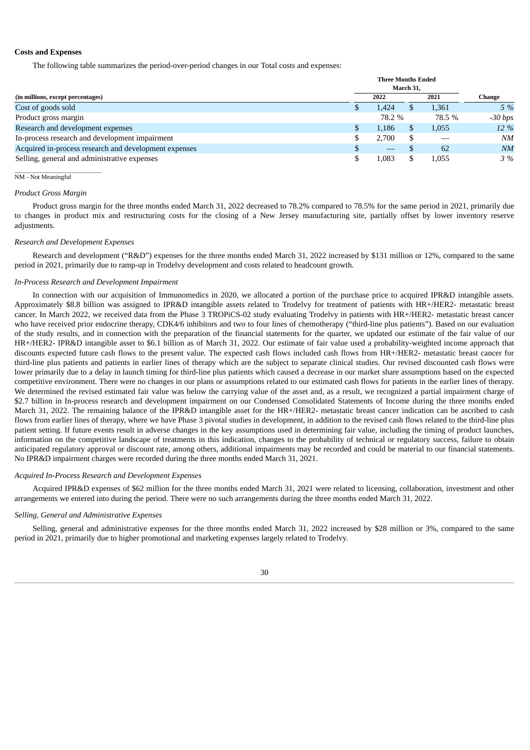# **Costs and Expenses**

The following table summarizes the period-over-period changes in our Total costs and expenses:

|                                                       |  | <b>Three Months Ended</b> |        |           |
|-------------------------------------------------------|--|---------------------------|--------|-----------|
|                                                       |  |                           |        |           |
| (in millions, except percentages)                     |  | 2022                      | 2021   | Change    |
| Cost of goods sold                                    |  | 1.424                     | 1.361  | 5 %       |
| Product gross margin                                  |  | 78.2 %                    | 78.5 % | $-30 bps$ |
| Research and development expenses                     |  | 1.186                     | 1,055  | $12\%$    |
| In-process research and development impairment        |  | 2.700                     |        | NΜ        |
| Acquired in-process research and development expenses |  |                           | 62     | NM        |
| Selling, general and administrative expenses          |  | .083                      | .055   | 3 %       |

\_\_\_\_\_\_\_\_\_\_\_\_\_\_\_\_\_\_\_\_\_\_\_\_\_\_\_\_\_\_\_ NM - Not Meaningful

#### *Product Gross Margin*

Product gross margin for the three months ended March 31, 2022 decreased to 78.2% compared to 78.5% for the same period in 2021, primarily due to changes in product mix and restructuring costs for the closing of a New Jersey manufacturing site, partially offset by lower inventory reserve adjustments.

#### *Research and Development Expenses*

Research and development ("R&D") expenses for the three months ended March 31, 2022 increased by \$131 million or 12%, compared to the same period in 2021, primarily due to ramp-up in Trodelvy development and costs related to headcount growth.

#### *In-Process Research and Development Impairment*

In connection with our acquisition of Immunomedics in 2020, we allocated a portion of the purchase price to acquired IPR&D intangible assets. Approximately \$8.8 billion was assigned to IPR&D intangible assets related to Trodelvy for treatment of patients with HR+/HER2- metastatic breast cancer. In March 2022, we received data from the Phase 3 TROPiCS-02 study evaluating Trodelvy in patients with HR+/HER2- metastatic breast cancer who have received prior endocrine therapy, CDK4/6 inhibitors and two to four lines of chemotherapy ("third-line plus patients"). Based on our evaluation of the study results, and in connection with the preparation of the financial statements for the quarter, we updated our estimate of the fair value of our HR+/HER2- IPR&D intangible asset to \$6.1 billion as of March 31, 2022. Our estimate of fair value used a probability-weighted income approach that discounts expected future cash flows to the present value. The expected cash flows included cash flows from HR+/HER2- metastatic breast cancer for third-line plus patients and patients in earlier lines of therapy which are the subject to separate clinical studies. Our revised discounted cash flows were lower primarily due to a delay in launch timing for third-line plus patients which caused a decrease in our market share assumptions based on the expected competitive environment. There were no changes in our plans or assumptions related to our estimated cash flows for patients in the earlier lines of therapy. We determined the revised estimated fair value was below the carrying value of the asset and, as a result, we recognized a partial impairment charge of \$2.7 billion in In-process research and development impairment on our Condensed Consolidated Statements of Income during the three months ended March 31, 2022. The remaining balance of the IPR&D intangible asset for the HR+/HER2- metastatic breast cancer indication can be ascribed to cash flows from earlier lines of therapy, where we have Phase 3 pivotal studies in development, in addition to the revised cash flows related to the third-line plus patient setting. If future events result in adverse changes in the key assumptions used in determining fair value, including the timing of product launches, information on the competitive landscape of treatments in this indication, changes to the probability of technical or regulatory success, failure to obtain anticipated regulatory approval or discount rate, among others, additional impairments may be recorded and could be material to our financial statements. No IPR&D impairment charges were recorded during the three months ended March 31, 2021.

#### *Acquired In-Process Research and Development Expenses*

Acquired IPR&D expenses of \$62 million for the three months ended March 31, 2021 were related to licensing, collaboration, investment and other arrangements we entered into during the period. There were no such arrangements during the three months ended March 31, 2022.

#### *Selling, General and Administrative Expenses*

Selling, general and administrative expenses for the three months ended March 31, 2022 increased by \$28 million or 3%, compared to the same period in 2021, primarily due to higher promotional and marketing expenses largely related to Trodelvy.

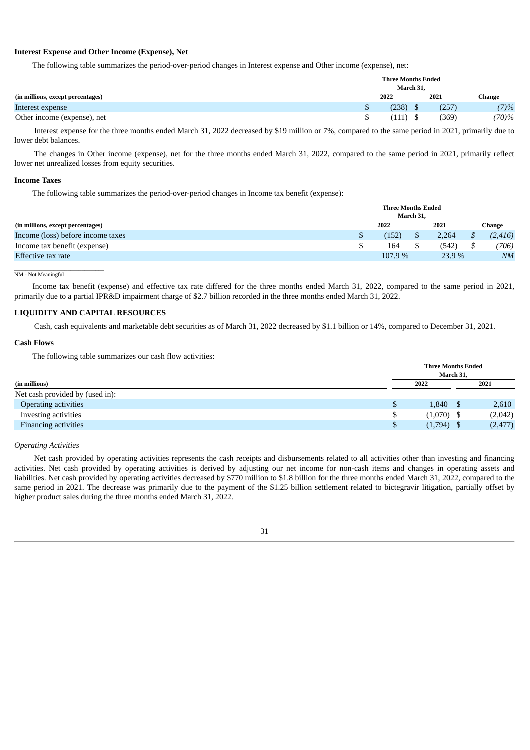# **Interest Expense and Other Income (Expense), Net**

The following table summarizes the period-over-period changes in Interest expense and Other income (expense), net:

|                                   | <b>Three Months Ended</b><br>March 31. |       |      |       |        |  |
|-----------------------------------|----------------------------------------|-------|------|-------|--------|--|
| (in millions, except percentages) |                                        | 2022  | 2021 |       | Change |  |
| Interest expense                  | Ψ                                      | (238) |      | (257) | (7)%   |  |
| Other income (expense), net       |                                        | (111) |      | (369) | (70)%  |  |

Interest expense for the three months ended March 31, 2022 decreased by \$19 million or 7%, compared to the same period in 2021, primarily due to lower debt balances.

The changes in Other income (expense), net for the three months ended March 31, 2022, compared to the same period in 2021, primarily reflect lower net unrealized losses from equity securities.

#### **Income Taxes**

The following table summarizes the period-over-period changes in Income tax benefit (expense):

|                                   | <b>Three Months Ended</b><br>March 31. |         |  |        |   |          |  |
|-----------------------------------|----------------------------------------|---------|--|--------|---|----------|--|
| (in millions, except percentages) |                                        | 2022    |  | 2021   |   | Change   |  |
| Income (loss) before income taxes |                                        | (152)   |  | 2,264  | Φ | (2, 416) |  |
| Income tax benefit (expense)      |                                        | 164     |  | (542)  |   | (706)    |  |
| Effective tax rate                |                                        | 107.9 % |  | 23.9 % |   | NM       |  |

\_\_\_\_\_\_\_\_\_\_\_\_\_\_\_\_\_\_\_\_\_\_\_\_\_\_\_\_\_\_\_\_ NM - Not Meaningful

Income tax benefit (expense) and effective tax rate differed for the three months ended March 31, 2022, compared to the same period in 2021, primarily due to a partial IPR&D impairment charge of \$2.7 billion recorded in the three months ended March 31, 2022.

# **LIQUIDITY AND CAPITAL RESOURCES**

Cash, cash equivalents and marketable debt securities as of March 31, 2022 decreased by \$1.1 billion or 14%, compared to December 31, 2021.

# **Cash Flows**

The following table summarizes our cash flow activities:

| <b>Three Months Ended</b><br>March 31, |                                       |  |  |  |  |  |
|----------------------------------------|---------------------------------------|--|--|--|--|--|
|                                        | 2021                                  |  |  |  |  |  |
|                                        |                                       |  |  |  |  |  |
|                                        | 2,610                                 |  |  |  |  |  |
|                                        | (2,042)                               |  |  |  |  |  |
|                                        | (2, 477)                              |  |  |  |  |  |
|                                        | 1,840<br>$(1,070)$ \$<br>$(1,794)$ \$ |  |  |  |  |  |

# *Operating Activities*

Net cash provided by operating activities represents the cash receipts and disbursements related to all activities other than investing and financing activities. Net cash provided by operating activities is derived by adjusting our net income for non-cash items and changes in operating assets and liabilities. Net cash provided by operating activities decreased by \$770 million to \$1.8 billion for the three months ended March 31, 2022, compared to the same period in 2021. The decrease was primarily due to the payment of the \$1.25 billion settlement related to bictegravir litigation, partially offset by higher product sales during the three months ended March 31, 2022.

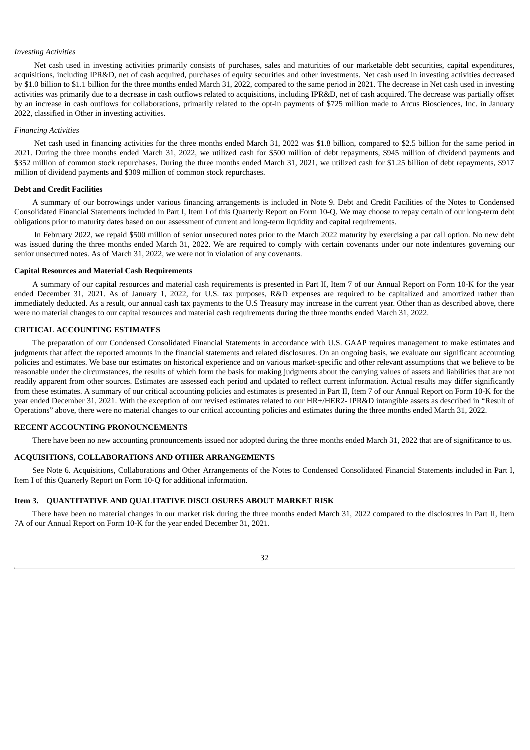#### *Investing Activities*

Net cash used in investing activities primarily consists of purchases, sales and maturities of our marketable debt securities, capital expenditures, acquisitions, including IPR&D, net of cash acquired, purchases of equity securities and other investments. Net cash used in investing activities decreased by \$1.0 billion to \$1.1 billion for the three months ended March 31, 2022, compared to the same period in 2021. The decrease in Net cash used in investing activities was primarily due to a decrease in cash outflows related to acquisitions, including IPR&D, net of cash acquired. The decrease was partially offset by an increase in cash outflows for collaborations, primarily related to the opt-in payments of \$725 million made to Arcus Biosciences, Inc. in January 2022, classified in Other in investing activities.

#### *Financing Activities*

Net cash used in financing activities for the three months ended March 31, 2022 was \$1.8 billion, compared to \$2.5 billion for the same period in 2021. During the three months ended March 31, 2022, we utilized cash for \$500 million of debt repayments, \$945 million of dividend payments and \$352 million of common stock repurchases. During the three months ended March 31, 2021, we utilized cash for \$1.25 billion of debt repayments, \$917 million of dividend payments and \$309 million of common stock repurchases.

#### **Debt and Credit Facilities**

A summary of our borrowings under various financing arrangements is included in Note 9. Debt and Credit Facilities of the Notes to Condensed Consolidated Financial Statements included in Part I, Item I of this Quarterly Report on Form 10-Q. We may choose to repay certain of our long-term debt obligations prior to maturity dates based on our assessment of current and long-term liquidity and capital requirements.

In February 2022, we repaid \$500 million of senior unsecured notes prior to the March 2022 maturity by exercising a par call option. No new debt was issued during the three months ended March 31, 2022. We are required to comply with certain covenants under our note indentures governing our senior unsecured notes. As of March 31, 2022, we were not in violation of any covenants.

#### **Capital Resources and Material Cash Requirements**

A summary of our capital resources and material cash requirements is presented in Part II, Item 7 of our Annual Report on Form 10-K for the year ended December 31, 2021. As of January 1, 2022, for U.S. tax purposes, R&D expenses are required to be capitalized and amortized rather than immediately deducted. As a result, our annual cash tax payments to the U.S Treasury may increase in the current year. Other than as described above, there were no material changes to our capital resources and material cash requirements during the three months ended March 31, 2022.

#### **CRITICAL ACCOUNTING ESTIMATES**

The preparation of our Condensed Consolidated Financial Statements in accordance with U.S. GAAP requires management to make estimates and judgments that affect the reported amounts in the financial statements and related disclosures. On an ongoing basis, we evaluate our significant accounting policies and estimates. We base our estimates on historical experience and on various market-specific and other relevant assumptions that we believe to be reasonable under the circumstances, the results of which form the basis for making judgments about the carrying values of assets and liabilities that are not readily apparent from other sources. Estimates are assessed each period and updated to reflect current information. Actual results may differ significantly from these estimates. A summary of our critical accounting policies and estimates is presented in Part II, Item 7 of our [Annual](http://www.sec.gov/Archives/edgar/data/882095/000088209520000006/0000882095-20-000006-index.htm) Report on Form 10-K for the year ended December 31, 2021. With the exception of our revised estimates related to our HR+/HER2- IPR&D intangible assets as described in "Result of Operations" above, there were no material changes to our critical accounting policies and estimates during the three months ended March 31, 2022.

# **RECENT ACCOUNTING PRONOUNCEMENTS**

There have been no new accounting pronouncements issued nor adopted during the three months ended March 31, 2022 that are of significance to us.

#### **ACQUISITIONS, COLLABORATIONS AND OTHER ARRANGEMENTS**

See Note 6. Acquisitions, Collaborations and Other Arrangements of the Notes to Condensed Consolidated Financial Statements included in Part I, Item I of this Quarterly Report on Form 10-Q for additional information.

# <span id="page-32-0"></span>**Item 3. QUANTITATIVE AND QUALITATIVE DISCLOSURES ABOUT MARKET RISK**

<span id="page-32-1"></span>There have been no material changes in our market risk during the three months ended March 31, 2022 compared to the disclosures in Part II, Item 7A of our [Annual](http://www.sec.gov/Archives/edgar/data/882095/000088209520000006/0000882095-20-000006-index.htm) Report on Form 10-K for the year ended December 31, 2021.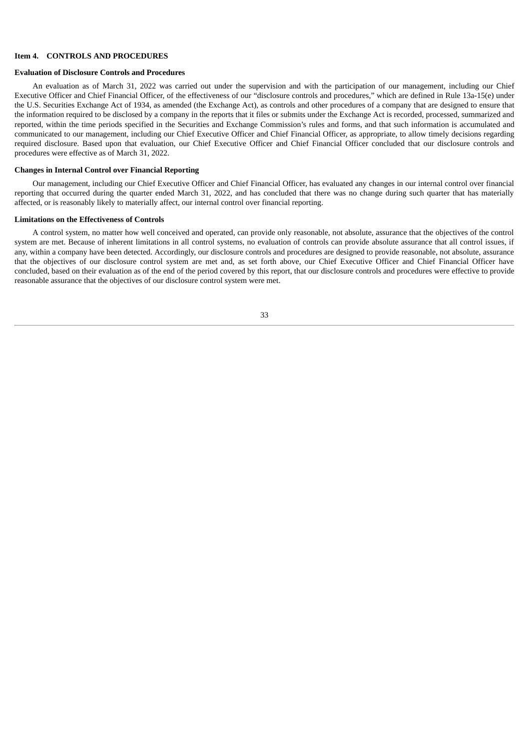# **Item 4. CONTROLS AND PROCEDURES**

#### **Evaluation of Disclosure Controls and Procedures**

An evaluation as of March 31, 2022 was carried out under the supervision and with the participation of our management, including our Chief Executive Officer and Chief Financial Officer, of the effectiveness of our "disclosure controls and procedures," which are defined in Rule 13a-15(e) under the U.S. Securities Exchange Act of 1934, as amended (the Exchange Act), as controls and other procedures of a company that are designed to ensure that the information required to be disclosed by a company in the reports that it files or submits under the Exchange Act is recorded, processed, summarized and reported, within the time periods specified in the Securities and Exchange Commission's rules and forms, and that such information is accumulated and communicated to our management, including our Chief Executive Officer and Chief Financial Officer, as appropriate, to allow timely decisions regarding required disclosure. Based upon that evaluation, our Chief Executive Officer and Chief Financial Officer concluded that our disclosure controls and procedures were effective as of March 31, 2022.

#### **Changes in Internal Control over Financial Reporting**

Our management, including our Chief Executive Officer and Chief Financial Officer, has evaluated any changes in our internal control over financial reporting that occurred during the quarter ended March 31, 2022, and has concluded that there was no change during such quarter that has materially affected, or is reasonably likely to materially affect, our internal control over financial reporting.

#### **Limitations on the Effectiveness of Controls**

<span id="page-33-0"></span>A control system, no matter how well conceived and operated, can provide only reasonable, not absolute, assurance that the objectives of the control system are met. Because of inherent limitations in all control systems, no evaluation of controls can provide absolute assurance that all control issues, if any, within a company have been detected. Accordingly, our disclosure controls and procedures are designed to provide reasonable, not absolute, assurance that the objectives of our disclosure control system are met and, as set forth above, our Chief Executive Officer and Chief Financial Officer have concluded, based on their evaluation as of the end of the period covered by this report, that our disclosure controls and procedures were effective to provide reasonable assurance that the objectives of our disclosure control system were met.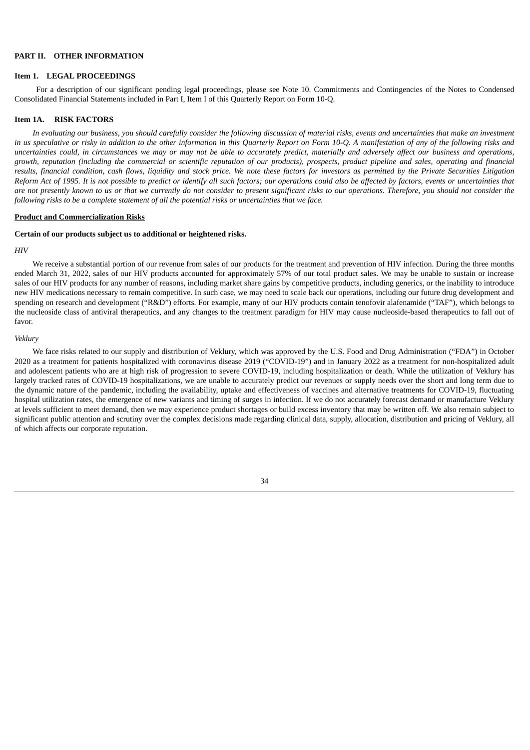# <span id="page-34-0"></span>**PART II. OTHER INFORMATION**

#### **Item 1. LEGAL PROCEEDINGS**

For a description of our significant pending legal proceedings, please see Note 10. Commitments and Contingencies of the Notes to Condensed Consolidated Financial Statements included in Part I, Item I of this Quarterly Report on Form 10-Q.

#### <span id="page-34-1"></span>**Item 1A. RISK FACTORS**

In evaluating our business, you should carefully consider the following discussion of material risks, events and uncertainties that make an investment in us speculative or risky in addition to the other information in this Quarterly Report on Form 10-Q. A manifestation of any of the following risks and uncertainties could, in circumstances we may or may not be able to accurately predict, materially and adversely affect our business and operations, growth, reputation (including the commercial or scientific reputation of our products), prospects, product pipeline and sales, operating and financial results, financial condition, cash flows, liquidity and stock price. We note these factors for investors as permitted by the Private Securities Litigation Reform Act of 1995. It is not possible to predict or identify all such factors; our operations could also be affected by factors, events or uncertainties that are not presently known to us or that we currently do not consider to present significant risks to our operations. Therefore, you should not consider the *following risks to be a complete statement of all the potential risks or uncertainties that we face.*

#### **Product and Commercialization Risks**

#### **Certain of our products subject us to additional or heightened risks.**

#### *HIV*

We receive a substantial portion of our revenue from sales of our products for the treatment and prevention of HIV infection. During the three months ended March 31, 2022, sales of our HIV products accounted for approximately 57% of our total product sales. We may be unable to sustain or increase sales of our HIV products for any number of reasons, including market share gains by competitive products, including generics, or the inability to introduce new HIV medications necessary to remain competitive. In such case, we may need to scale back our operations, including our future drug development and spending on research and development ("R&D") efforts. For example, many of our HIV products contain tenofovir alafenamide ("TAF"), which belongs to the nucleoside class of antiviral therapeutics, and any changes to the treatment paradigm for HIV may cause nucleoside-based therapeutics to fall out of favor.

#### *Veklury*

We face risks related to our supply and distribution of Veklury, which was approved by the U.S. Food and Drug Administration ("FDA") in October 2020 as a treatment for patients hospitalized with coronavirus disease 2019 ("COVID-19") and in January 2022 as a treatment for non-hospitalized adult and adolescent patients who are at high risk of progression to severe COVID-19, including hospitalization or death. While the utilization of Veklury has largely tracked rates of COVID-19 hospitalizations, we are unable to accurately predict our revenues or supply needs over the short and long term due to the dynamic nature of the pandemic, including the availability, uptake and effectiveness of vaccines and alternative treatments for COVID-19, fluctuating hospital utilization rates, the emergence of new variants and timing of surges in infection. If we do not accurately forecast demand or manufacture Veklury at levels sufficient to meet demand, then we may experience product shortages or build excess inventory that may be written off. We also remain subject to significant public attention and scrutiny over the complex decisions made regarding clinical data, supply, allocation, distribution and pricing of Veklury, all of which affects our corporate reputation.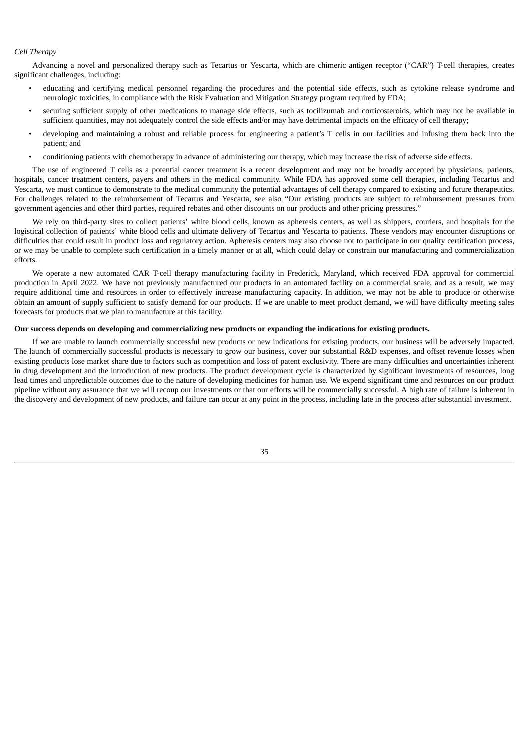#### *Cell Therapy*

Advancing a novel and personalized therapy such as Tecartus or Yescarta, which are chimeric antigen receptor ("CAR") T-cell therapies, creates significant challenges, including:

- educating and certifying medical personnel regarding the procedures and the potential side effects, such as cytokine release syndrome and neurologic toxicities, in compliance with the Risk Evaluation and Mitigation Strategy program required by FDA;
- securing sufficient supply of other medications to manage side effects, such as tocilizumab and corticosteroids, which may not be available in sufficient quantities, may not adequately control the side effects and/or may have detrimental impacts on the efficacy of cell therapy;
- developing and maintaining a robust and reliable process for engineering a patient's T cells in our facilities and infusing them back into the patient; and
- conditioning patients with chemotherapy in advance of administering our therapy, which may increase the risk of adverse side effects.

The use of engineered T cells as a potential cancer treatment is a recent development and may not be broadly accepted by physicians, patients, hospitals, cancer treatment centers, payers and others in the medical community. While FDA has approved some cell therapies, including Tecartus and Yescarta, we must continue to demonstrate to the medical community the potential advantages of cell therapy compared to existing and future therapeutics. For challenges related to the reimbursement of Tecartus and Yescarta, see also "Our existing products are subject to reimbursement pressures from government agencies and other third parties, required rebates and other discounts on our products and other pricing pressures."

We rely on third-party sites to collect patients' white blood cells, known as apheresis centers, as well as shippers, couriers, and hospitals for the logistical collection of patients' white blood cells and ultimate delivery of Tecartus and Yescarta to patients. These vendors may encounter disruptions or difficulties that could result in product loss and regulatory action. Apheresis centers may also choose not to participate in our quality certification process, or we may be unable to complete such certification in a timely manner or at all, which could delay or constrain our manufacturing and commercialization efforts.

We operate a new automated CAR T-cell therapy manufacturing facility in Frederick, Maryland, which received FDA approval for commercial production in April 2022. We have not previously manufactured our products in an automated facility on a commercial scale, and as a result, we may require additional time and resources in order to effectively increase manufacturing capacity. In addition, we may not be able to produce or otherwise obtain an amount of supply sufficient to satisfy demand for our products. If we are unable to meet product demand, we will have difficulty meeting sales forecasts for products that we plan to manufacture at this facility.

# Our success depends on developing and commercializing new products or expanding the indications for existing products.

If we are unable to launch commercially successful new products or new indications for existing products, our business will be adversely impacted. The launch of commercially successful products is necessary to grow our business, cover our substantial R&D expenses, and offset revenue losses when existing products lose market share due to factors such as competition and loss of patent exclusivity. There are many difficulties and uncertainties inherent in drug development and the introduction of new products. The product development cycle is characterized by significant investments of resources, long lead times and unpredictable outcomes due to the nature of developing medicines for human use. We expend significant time and resources on our product pipeline without any assurance that we will recoup our investments or that our efforts will be commercially successful. A high rate of failure is inherent in the discovery and development of new products, and failure can occur at any point in the process, including late in the process after substantial investment.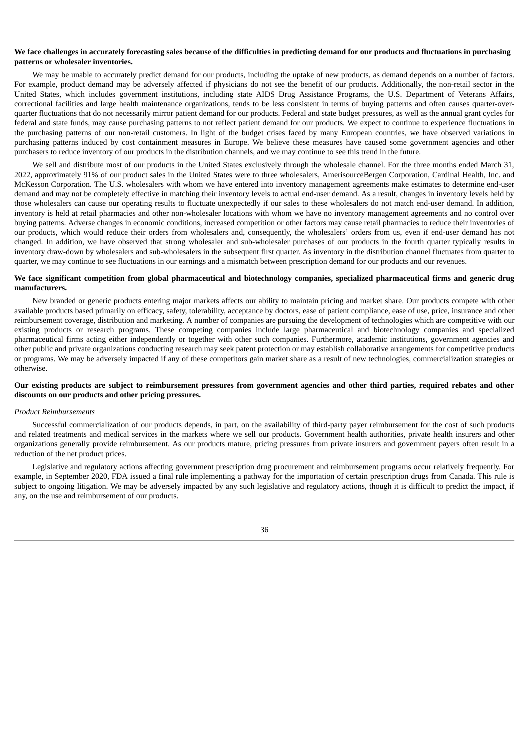### We face challenges in accurately forecasting sales because of the difficulties in predicting demand for our products and fluctuations in purchasing **patterns or wholesaler inventories.**

We may be unable to accurately predict demand for our products, including the uptake of new products, as demand depends on a number of factors. For example, product demand may be adversely affected if physicians do not see the benefit of our products. Additionally, the non-retail sector in the United States, which includes government institutions, including state AIDS Drug Assistance Programs, the U.S. Department of Veterans Affairs, correctional facilities and large health maintenance organizations, tends to be less consistent in terms of buying patterns and often causes quarter-overquarter fluctuations that do not necessarily mirror patient demand for our products. Federal and state budget pressures, as well as the annual grant cycles for federal and state funds, may cause purchasing patterns to not reflect patient demand for our products. We expect to continue to experience fluctuations in the purchasing patterns of our non-retail customers. In light of the budget crises faced by many European countries, we have observed variations in purchasing patterns induced by cost containment measures in Europe. We believe these measures have caused some government agencies and other purchasers to reduce inventory of our products in the distribution channels, and we may continue to see this trend in the future.

We sell and distribute most of our products in the United States exclusively through the wholesale channel. For the three months ended March 31, 2022, approximately 91% of our product sales in the United States were to three wholesalers, AmerisourceBergen Corporation, Cardinal Health, Inc. and McKesson Corporation. The U.S. wholesalers with whom we have entered into inventory management agreements make estimates to determine end-user demand and may not be completely effective in matching their inventory levels to actual end-user demand. As a result, changes in inventory levels held by those wholesalers can cause our operating results to fluctuate unexpectedly if our sales to these wholesalers do not match end-user demand. In addition, inventory is held at retail pharmacies and other non-wholesaler locations with whom we have no inventory management agreements and no control over buying patterns. Adverse changes in economic conditions, increased competition or other factors may cause retail pharmacies to reduce their inventories of our products, which would reduce their orders from wholesalers and, consequently, the wholesalers' orders from us, even if end-user demand has not changed. In addition, we have observed that strong wholesaler and sub-wholesaler purchases of our products in the fourth quarter typically results in inventory draw-down by wholesalers and sub-wholesalers in the subsequent first quarter. As inventory in the distribution channel fluctuates from quarter to quarter, we may continue to see fluctuations in our earnings and a mismatch between prescription demand for our products and our revenues.

### We face significant competition from global pharmaceutical and biotechnology companies, specialized pharmaceutical firms and generic drug **manufacturers.**

New branded or generic products entering major markets affects our ability to maintain pricing and market share. Our products compete with other available products based primarily on efficacy, safety, tolerability, acceptance by doctors, ease of patient compliance, ease of use, price, insurance and other reimbursement coverage, distribution and marketing. A number of companies are pursuing the development of technologies which are competitive with our existing products or research programs. These competing companies include large pharmaceutical and biotechnology companies and specialized pharmaceutical firms acting either independently or together with other such companies. Furthermore, academic institutions, government agencies and other public and private organizations conducting research may seek patent protection or may establish collaborative arrangements for competitive products or programs. We may be adversely impacted if any of these competitors gain market share as a result of new technologies, commercialization strategies or otherwise.

## Our existing products are subject to reimbursement pressures from government agencies and other third parties, required rebates and other **discounts on our products and other pricing pressures.**

#### *Product Reimbursements*

Successful commercialization of our products depends, in part, on the availability of third-party payer reimbursement for the cost of such products and related treatments and medical services in the markets where we sell our products. Government health authorities, private health insurers and other organizations generally provide reimbursement. As our products mature, pricing pressures from private insurers and government payers often result in a reduction of the net product prices.

Legislative and regulatory actions affecting government prescription drug procurement and reimbursement programs occur relatively frequently. For example, in September 2020, FDA issued a final rule implementing a pathway for the importation of certain prescription drugs from Canada. This rule is subject to ongoing litigation. We may be adversely impacted by any such legislative and regulatory actions, though it is difficult to predict the impact, if any, on the use and reimbursement of our products.

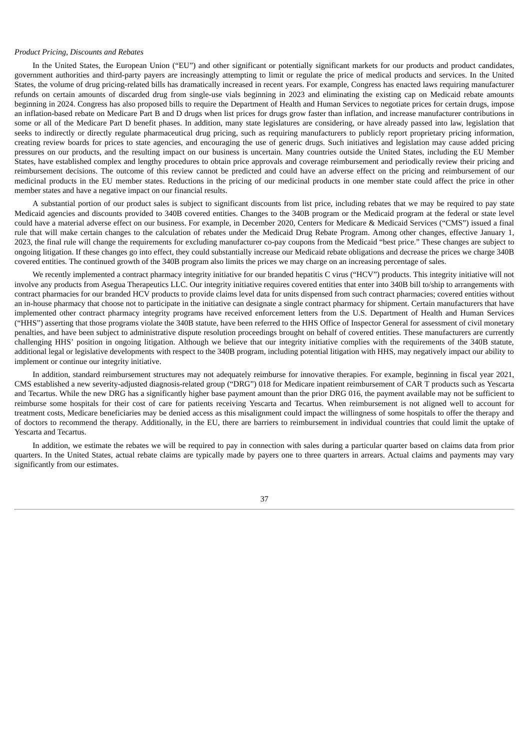### *Product Pricing, Discounts and Rebates*

In the United States, the European Union ("EU") and other significant or potentially significant markets for our products and product candidates, government authorities and third-party payers are increasingly attempting to limit or regulate the price of medical products and services. In the United States, the volume of drug pricing-related bills has dramatically increased in recent years. For example, Congress has enacted laws requiring manufacturer refunds on certain amounts of discarded drug from single-use vials beginning in 2023 and eliminating the existing cap on Medicaid rebate amounts beginning in 2024. Congress has also proposed bills to require the Department of Health and Human Services to negotiate prices for certain drugs, impose an inflation-based rebate on Medicare Part B and D drugs when list prices for drugs grow faster than inflation, and increase manufacturer contributions in some or all of the Medicare Part D benefit phases. In addition, many state legislatures are considering, or have already passed into law, legislation that seeks to indirectly or directly regulate pharmaceutical drug pricing, such as requiring manufacturers to publicly report proprietary pricing information, creating review boards for prices to state agencies, and encouraging the use of generic drugs. Such initiatives and legislation may cause added pricing pressures on our products, and the resulting impact on our business is uncertain. Many countries outside the United States, including the EU Member States, have established complex and lengthy procedures to obtain price approvals and coverage reimbursement and periodically review their pricing and reimbursement decisions. The outcome of this review cannot be predicted and could have an adverse effect on the pricing and reimbursement of our medicinal products in the EU member states. Reductions in the pricing of our medicinal products in one member state could affect the price in other member states and have a negative impact on our financial results.

A substantial portion of our product sales is subject to significant discounts from list price, including rebates that we may be required to pay state Medicaid agencies and discounts provided to 340B covered entities. Changes to the 340B program or the Medicaid program at the federal or state level could have a material adverse effect on our business. For example, in December 2020, Centers for Medicare & Medicaid Services ("CMS") issued a final rule that will make certain changes to the calculation of rebates under the Medicaid Drug Rebate Program. Among other changes, effective January 1, 2023, the final rule will change the requirements for excluding manufacturer co-pay coupons from the Medicaid "best price." These changes are subject to ongoing litigation. If these changes go into effect, they could substantially increase our Medicaid rebate obligations and decrease the prices we charge 340B covered entities. The continued growth of the 340B program also limits the prices we may charge on an increasing percentage of sales.

We recently implemented a contract pharmacy integrity initiative for our branded hepatitis C virus ("HCV") products. This integrity initiative will not involve any products from Asegua Therapeutics LLC. Our integrity initiative requires covered entities that enter into 340B bill to/ship to arrangements with contract pharmacies for our branded HCV products to provide claims level data for units dispensed from such contract pharmacies; covered entities without an in-house pharmacy that choose not to participate in the initiative can designate a single contract pharmacy for shipment. Certain manufacturers that have implemented other contract pharmacy integrity programs have received enforcement letters from the U.S. Department of Health and Human Services ("HHS") asserting that those programs violate the 340B statute, have been referred to the HHS Office of Inspector General for assessment of civil monetary penalties, and have been subject to administrative dispute resolution proceedings brought on behalf of covered entities. These manufacturers are currently challenging HHS' position in ongoing litigation. Although we believe that our integrity initiative complies with the requirements of the 340B statute, additional legal or legislative developments with respect to the 340B program, including potential litigation with HHS, may negatively impact our ability to implement or continue our integrity initiative.

In addition, standard reimbursement structures may not adequately reimburse for innovative therapies. For example, beginning in fiscal year 2021, CMS established a new severity-adjusted diagnosis-related group ("DRG") 018 for Medicare inpatient reimbursement of CAR T products such as Yescarta and Tecartus. While the new DRG has a significantly higher base payment amount than the prior DRG 016, the payment available may not be sufficient to reimburse some hospitals for their cost of care for patients receiving Yescarta and Tecartus. When reimbursement is not aligned well to account for treatment costs, Medicare beneficiaries may be denied access as this misalignment could impact the willingness of some hospitals to offer the therapy and of doctors to recommend the therapy. Additionally, in the EU, there are barriers to reimbursement in individual countries that could limit the uptake of Yescarta and Tecartus.

In addition, we estimate the rebates we will be required to pay in connection with sales during a particular quarter based on claims data from prior quarters. In the United States, actual rebate claims are typically made by payers one to three quarters in arrears. Actual claims and payments may vary significantly from our estimates.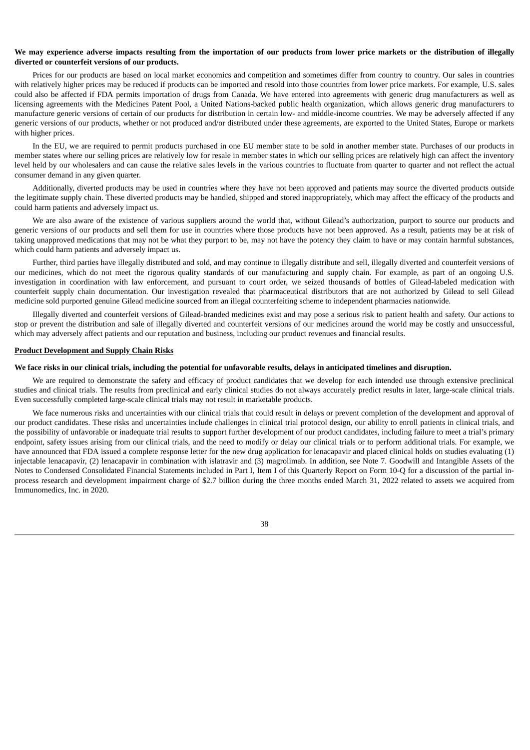### We may experience adverse impacts resulting from the importation of our products from lower price markets or the distribution of illegally **diverted or counterfeit versions of our products.**

Prices for our products are based on local market economics and competition and sometimes differ from country to country. Our sales in countries with relatively higher prices may be reduced if products can be imported and resold into those countries from lower price markets. For example, U.S. sales could also be affected if FDA permits importation of drugs from Canada. We have entered into agreements with generic drug manufacturers as well as licensing agreements with the Medicines Patent Pool, a United Nations-backed public health organization, which allows generic drug manufacturers to manufacture generic versions of certain of our products for distribution in certain low- and middle-income countries. We may be adversely affected if any generic versions of our products, whether or not produced and/or distributed under these agreements, are exported to the United States, Europe or markets with higher prices.

In the EU, we are required to permit products purchased in one EU member state to be sold in another member state. Purchases of our products in member states where our selling prices are relatively low for resale in member states in which our selling prices are relatively high can affect the inventory level held by our wholesalers and can cause the relative sales levels in the various countries to fluctuate from quarter to quarter and not reflect the actual consumer demand in any given quarter.

Additionally, diverted products may be used in countries where they have not been approved and patients may source the diverted products outside the legitimate supply chain. These diverted products may be handled, shipped and stored inappropriately, which may affect the efficacy of the products and could harm patients and adversely impact us.

We are also aware of the existence of various suppliers around the world that, without Gilead's authorization, purport to source our products and generic versions of our products and sell them for use in countries where those products have not been approved. As a result, patients may be at risk of taking unapproved medications that may not be what they purport to be, may not have the potency they claim to have or may contain harmful substances, which could harm patients and adversely impact us.

Further, third parties have illegally distributed and sold, and may continue to illegally distribute and sell, illegally diverted and counterfeit versions of our medicines, which do not meet the rigorous quality standards of our manufacturing and supply chain. For example, as part of an ongoing U.S. investigation in coordination with law enforcement, and pursuant to court order, we seized thousands of bottles of Gilead-labeled medication with counterfeit supply chain documentation. Our investigation revealed that pharmaceutical distributors that are not authorized by Gilead to sell Gilead medicine sold purported genuine Gilead medicine sourced from an illegal counterfeiting scheme to independent pharmacies nationwide.

Illegally diverted and counterfeit versions of Gilead-branded medicines exist and may pose a serious risk to patient health and safety. Our actions to stop or prevent the distribution and sale of illegally diverted and counterfeit versions of our medicines around the world may be costly and unsuccessful, which may adversely affect patients and our reputation and business, including our product revenues and financial results.

### **Product Development and Supply Chain Risks**

### We face risks in our clinical trials, including the potential for unfavorable results, delays in anticipated timelines and disruption.

We are required to demonstrate the safety and efficacy of product candidates that we develop for each intended use through extensive preclinical studies and clinical trials. The results from preclinical and early clinical studies do not always accurately predict results in later, large-scale clinical trials. Even successfully completed large-scale clinical trials may not result in marketable products.

We face numerous risks and uncertainties with our clinical trials that could result in delays or prevent completion of the development and approval of our product candidates. These risks and uncertainties include challenges in clinical trial protocol design, our ability to enroll patients in clinical trials, and the possibility of unfavorable or inadequate trial results to support further development of our product candidates, including failure to meet a trial's primary endpoint, safety issues arising from our clinical trials, and the need to modify or delay our clinical trials or to perform additional trials. For example, we have announced that FDA issued a complete response letter for the new drug application for lenacapavir and placed clinical holds on studies evaluating (1) injectable lenacapavir, (2) lenacapavir in combination with islatravir and (3) magrolimab. In addition, see Note 7. Goodwill and Intangible Assets of the Notes to Condensed Consolidated Financial Statements included in Part I, Item I of this Quarterly Report on Form 10-Q for a discussion of the partial inprocess research and development impairment charge of \$2.7 billion during the three months ended March 31, 2022 related to assets we acquired from Immunomedics, Inc. in 2020.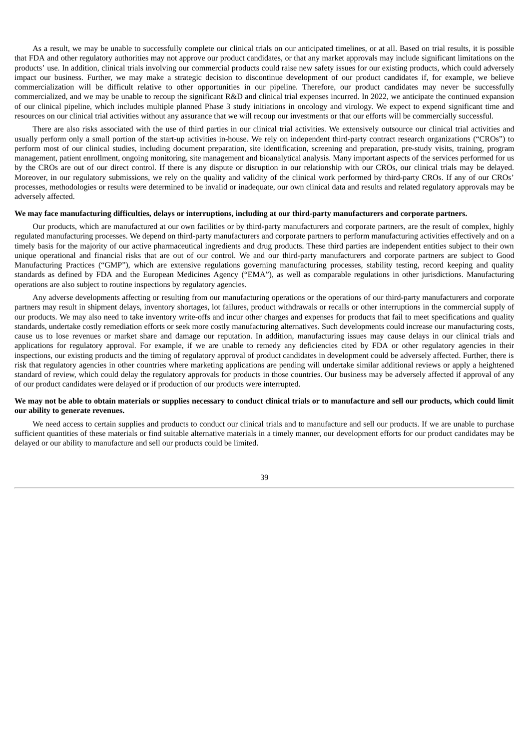As a result, we may be unable to successfully complete our clinical trials on our anticipated timelines, or at all. Based on trial results, it is possible that FDA and other regulatory authorities may not approve our product candidates, or that any market approvals may include significant limitations on the products' use. In addition, clinical trials involving our commercial products could raise new safety issues for our existing products, which could adversely impact our business. Further, we may make a strategic decision to discontinue development of our product candidates if, for example, we believe commercialization will be difficult relative to other opportunities in our pipeline. Therefore, our product candidates may never be successfully commercialized, and we may be unable to recoup the significant R&D and clinical trial expenses incurred. In 2022, we anticipate the continued expansion of our clinical pipeline, which includes multiple planned Phase 3 study initiations in oncology and virology. We expect to expend significant time and resources on our clinical trial activities without any assurance that we will recoup our investments or that our efforts will be commercially successful.

There are also risks associated with the use of third parties in our clinical trial activities. We extensively outsource our clinical trial activities and usually perform only a small portion of the start-up activities in-house. We rely on independent third-party contract research organizations ("CROs") to perform most of our clinical studies, including document preparation, site identification, screening and preparation, pre-study visits, training, program management, patient enrollment, ongoing monitoring, site management and bioanalytical analysis. Many important aspects of the services performed for us by the CROs are out of our direct control. If there is any dispute or disruption in our relationship with our CROs, our clinical trials may be delayed. Moreover, in our regulatory submissions, we rely on the quality and validity of the clinical work performed by third-party CROs. If any of our CROs' processes, methodologies or results were determined to be invalid or inadequate, our own clinical data and results and related regulatory approvals may be adversely affected.

### We may face manufacturing difficulties, delays or interruptions, including at our third-party manufacturers and corporate partners.

Our products, which are manufactured at our own facilities or by third-party manufacturers and corporate partners, are the result of complex, highly regulated manufacturing processes. We depend on third-party manufacturers and corporate partners to perform manufacturing activities effectively and on a timely basis for the majority of our active pharmaceutical ingredients and drug products. These third parties are independent entities subject to their own unique operational and financial risks that are out of our control. We and our third-party manufacturers and corporate partners are subject to Good Manufacturing Practices ("GMP"), which are extensive regulations governing manufacturing processes, stability testing, record keeping and quality standards as defined by FDA and the European Medicines Agency ("EMA"), as well as comparable regulations in other jurisdictions. Manufacturing operations are also subject to routine inspections by regulatory agencies.

Any adverse developments affecting or resulting from our manufacturing operations or the operations of our third-party manufacturers and corporate partners may result in shipment delays, inventory shortages, lot failures, product withdrawals or recalls or other interruptions in the commercial supply of our products. We may also need to take inventory write-offs and incur other charges and expenses for products that fail to meet specifications and quality standards, undertake costly remediation efforts or seek more costly manufacturing alternatives. Such developments could increase our manufacturing costs, cause us to lose revenues or market share and damage our reputation. In addition, manufacturing issues may cause delays in our clinical trials and applications for regulatory approval. For example, if we are unable to remedy any deficiencies cited by FDA or other regulatory agencies in their inspections, our existing products and the timing of regulatory approval of product candidates in development could be adversely affected. Further, there is risk that regulatory agencies in other countries where marketing applications are pending will undertake similar additional reviews or apply a heightened standard of review, which could delay the regulatory approvals for products in those countries. Our business may be adversely affected if approval of any of our product candidates were delayed or if production of our products were interrupted.

### We may not be able to obtain materials or supplies necessary to conduct clinical trials or to manufacture and sell our products, which could limit **our ability to generate revenues.**

We need access to certain supplies and products to conduct our clinical trials and to manufacture and sell our products. If we are unable to purchase sufficient quantities of these materials or find suitable alternative materials in a timely manner, our development efforts for our product candidates may be delayed or our ability to manufacture and sell our products could be limited.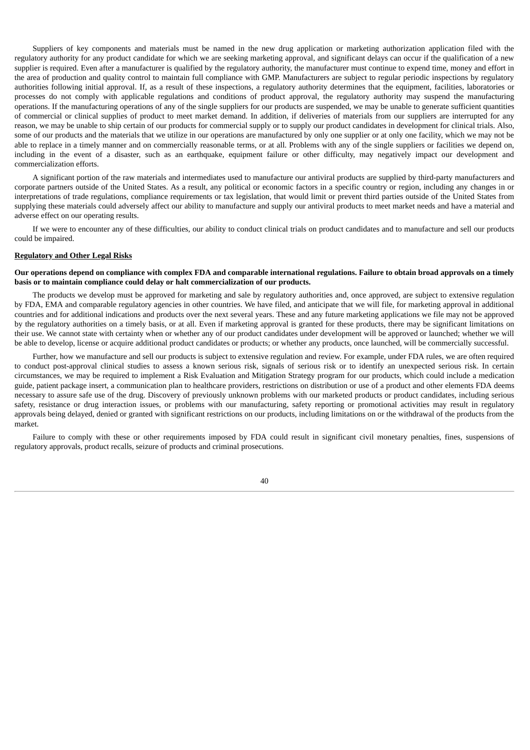Suppliers of key components and materials must be named in the new drug application or marketing authorization application filed with the regulatory authority for any product candidate for which we are seeking marketing approval, and significant delays can occur if the qualification of a new supplier is required. Even after a manufacturer is qualified by the regulatory authority, the manufacturer must continue to expend time, money and effort in the area of production and quality control to maintain full compliance with GMP. Manufacturers are subject to regular periodic inspections by regulatory authorities following initial approval. If, as a result of these inspections, a regulatory authority determines that the equipment, facilities, laboratories or processes do not comply with applicable regulations and conditions of product approval, the regulatory authority may suspend the manufacturing operations. If the manufacturing operations of any of the single suppliers for our products are suspended, we may be unable to generate sufficient quantities of commercial or clinical supplies of product to meet market demand. In addition, if deliveries of materials from our suppliers are interrupted for any reason, we may be unable to ship certain of our products for commercial supply or to supply our product candidates in development for clinical trials. Also, some of our products and the materials that we utilize in our operations are manufactured by only one supplier or at only one facility, which we may not be able to replace in a timely manner and on commercially reasonable terms, or at all. Problems with any of the single suppliers or facilities we depend on, including in the event of a disaster, such as an earthquake, equipment failure or other difficulty, may negatively impact our development and commercialization efforts.

A significant portion of the raw materials and intermediates used to manufacture our antiviral products are supplied by third-party manufacturers and corporate partners outside of the United States. As a result, any political or economic factors in a specific country or region, including any changes in or interpretations of trade regulations, compliance requirements or tax legislation, that would limit or prevent third parties outside of the United States from supplying these materials could adversely affect our ability to manufacture and supply our antiviral products to meet market needs and have a material and adverse effect on our operating results.

If we were to encounter any of these difficulties, our ability to conduct clinical trials on product candidates and to manufacture and sell our products could be impaired.

#### **Regulatory and Other Legal Risks**

#### Our operations depend on compliance with complex FDA and comparable international regulations. Failure to obtain broad approvals on a timely **basis or to maintain compliance could delay or halt commercialization of our products.**

The products we develop must be approved for marketing and sale by regulatory authorities and, once approved, are subject to extensive regulation by FDA, EMA and comparable regulatory agencies in other countries. We have filed, and anticipate that we will file, for marketing approval in additional countries and for additional indications and products over the next several years. These and any future marketing applications we file may not be approved by the regulatory authorities on a timely basis, or at all. Even if marketing approval is granted for these products, there may be significant limitations on their use. We cannot state with certainty when or whether any of our product candidates under development will be approved or launched; whether we will be able to develop, license or acquire additional product candidates or products; or whether any products, once launched, will be commercially successful.

Further, how we manufacture and sell our products is subject to extensive regulation and review. For example, under FDA rules, we are often required to conduct post-approval clinical studies to assess a known serious risk, signals of serious risk or to identify an unexpected serious risk. In certain circumstances, we may be required to implement a Risk Evaluation and Mitigation Strategy program for our products, which could include a medication guide, patient package insert, a communication plan to healthcare providers, restrictions on distribution or use of a product and other elements FDA deems necessary to assure safe use of the drug. Discovery of previously unknown problems with our marketed products or product candidates, including serious safety, resistance or drug interaction issues, or problems with our manufacturing, safety reporting or promotional activities may result in regulatory approvals being delayed, denied or granted with significant restrictions on our products, including limitations on or the withdrawal of the products from the market.

Failure to comply with these or other requirements imposed by FDA could result in significant civil monetary penalties, fines, suspensions of regulatory approvals, product recalls, seizure of products and criminal prosecutions.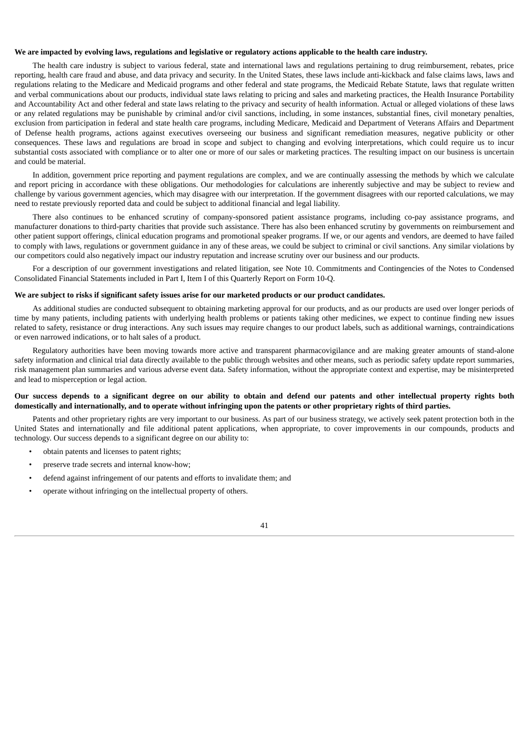#### We are impacted by evolving laws, regulations and legislative or regulatory actions applicable to the health care industry.

The health care industry is subject to various federal, state and international laws and regulations pertaining to drug reimbursement, rebates, price reporting, health care fraud and abuse, and data privacy and security. In the United States, these laws include anti-kickback and false claims laws, laws and regulations relating to the Medicare and Medicaid programs and other federal and state programs, the Medicaid Rebate Statute, laws that regulate written and verbal communications about our products, individual state laws relating to pricing and sales and marketing practices, the Health Insurance Portability and Accountability Act and other federal and state laws relating to the privacy and security of health information. Actual or alleged violations of these laws or any related regulations may be punishable by criminal and/or civil sanctions, including, in some instances, substantial fines, civil monetary penalties, exclusion from participation in federal and state health care programs, including Medicare, Medicaid and Department of Veterans Affairs and Department of Defense health programs, actions against executives overseeing our business and significant remediation measures, negative publicity or other consequences. These laws and regulations are broad in scope and subject to changing and evolving interpretations, which could require us to incur substantial costs associated with compliance or to alter one or more of our sales or marketing practices. The resulting impact on our business is uncertain and could be material.

In addition, government price reporting and payment regulations are complex, and we are continually assessing the methods by which we calculate and report pricing in accordance with these obligations. Our methodologies for calculations are inherently subjective and may be subject to review and challenge by various government agencies, which may disagree with our interpretation. If the government disagrees with our reported calculations, we may need to restate previously reported data and could be subject to additional financial and legal liability.

There also continues to be enhanced scrutiny of company-sponsored patient assistance programs, including co-pay assistance programs, and manufacturer donations to third-party charities that provide such assistance. There has also been enhanced scrutiny by governments on reimbursement and other patient support offerings, clinical education programs and promotional speaker programs. If we, or our agents and vendors, are deemed to have failed to comply with laws, regulations or government guidance in any of these areas, we could be subject to criminal or civil sanctions. Any similar violations by our competitors could also negatively impact our industry reputation and increase scrutiny over our business and our products.

For a description of our government investigations and related litigation, see Note 10. Commitments and Contingencies of the Notes to Condensed Consolidated Financial Statements included in Part I, Item I of this Quarterly Report on Form 10-Q.

#### We are subject to risks if significant safety issues arise for our marketed products or our product candidates.

As additional studies are conducted subsequent to obtaining marketing approval for our products, and as our products are used over longer periods of time by many patients, including patients with underlying health problems or patients taking other medicines, we expect to continue finding new issues related to safety, resistance or drug interactions. Any such issues may require changes to our product labels, such as additional warnings, contraindications or even narrowed indications, or to halt sales of a product.

Regulatory authorities have been moving towards more active and transparent pharmacovigilance and are making greater amounts of stand-alone safety information and clinical trial data directly available to the public through websites and other means, such as periodic safety update report summaries, risk management plan summaries and various adverse event data. Safety information, without the appropriate context and expertise, may be misinterpreted and lead to misperception or legal action.

### Our success depends to a significant degree on our ability to obtain and defend our patents and other intellectual property rights both domestically and internationally, and to operate without infringing upon the patents or other proprietary rights of third parties.

Patents and other proprietary rights are very important to our business. As part of our business strategy, we actively seek patent protection both in the United States and internationally and file additional patent applications, when appropriate, to cover improvements in our compounds, products and technology. Our success depends to a significant degree on our ability to:

- obtain patents and licenses to patent rights;
- preserve trade secrets and internal know-how;
- defend against infringement of our patents and efforts to invalidate them; and
- operate without infringing on the intellectual property of others.

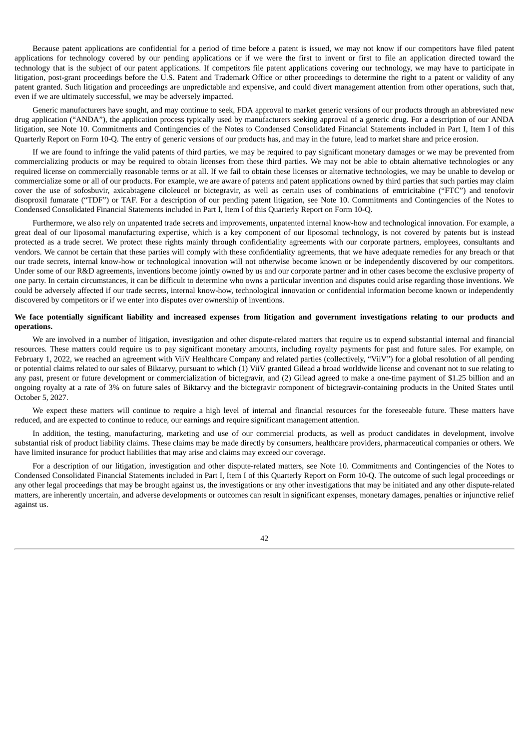Because patent applications are confidential for a period of time before a patent is issued, we may not know if our competitors have filed patent applications for technology covered by our pending applications or if we were the first to invent or first to file an application directed toward the technology that is the subject of our patent applications. If competitors file patent applications covering our technology, we may have to participate in litigation, post-grant proceedings before the U.S. Patent and Trademark Office or other proceedings to determine the right to a patent or validity of any patent granted. Such litigation and proceedings are unpredictable and expensive, and could divert management attention from other operations, such that, even if we are ultimately successful, we may be adversely impacted.

Generic manufacturers have sought, and may continue to seek, FDA approval to market generic versions of our products through an abbreviated new drug application ("ANDA"), the application process typically used by manufacturers seeking approval of a generic drug. For a description of our ANDA litigation, see Note 10. Commitments and Contingencies of the Notes to Condensed Consolidated Financial Statements included in Part I, Item I of this Quarterly Report on Form 10-Q. The entry of generic versions of our products has, and may in the future, lead to market share and price erosion.

If we are found to infringe the valid patents of third parties, we may be required to pay significant monetary damages or we may be prevented from commercializing products or may be required to obtain licenses from these third parties. We may not be able to obtain alternative technologies or any required license on commercially reasonable terms or at all. If we fail to obtain these licenses or alternative technologies, we may be unable to develop or commercialize some or all of our products. For example, we are aware of patents and patent applications owned by third parties that such parties may claim cover the use of sofosbuvir, axicabtagene ciloleucel or bictegravir, as well as certain uses of combinations of emtricitabine ("FTC") and tenofovir disoproxil fumarate ("TDF") or TAF. For a description of our pending patent litigation, see Note 10. Commitments and Contingencies of the Notes to Condensed Consolidated Financial Statements included in Part I, Item I of this Quarterly Report on Form 10-Q.

Furthermore, we also rely on unpatented trade secrets and improvements, unpatented internal know-how and technological innovation. For example, a great deal of our liposomal manufacturing expertise, which is a key component of our liposomal technology, is not covered by patents but is instead protected as a trade secret. We protect these rights mainly through confidentiality agreements with our corporate partners, employees, consultants and vendors. We cannot be certain that these parties will comply with these confidentiality agreements, that we have adequate remedies for any breach or that our trade secrets, internal know-how or technological innovation will not otherwise become known or be independently discovered by our competitors. Under some of our R&D agreements, inventions become jointly owned by us and our corporate partner and in other cases become the exclusive property of one party. In certain circumstances, it can be difficult to determine who owns a particular invention and disputes could arise regarding those inventions. We could be adversely affected if our trade secrets, internal know-how, technological innovation or confidential information become known or independently discovered by competitors or if we enter into disputes over ownership of inventions.

## We face potentially significant liability and increased expenses from litigation and government investigations relating to our products and **operations.**

We are involved in a number of litigation, investigation and other dispute-related matters that require us to expend substantial internal and financial resources. These matters could require us to pay significant monetary amounts, including royalty payments for past and future sales. For example, on February 1, 2022, we reached an agreement with ViiV Healthcare Company and related parties (collectively, "ViiV") for a global resolution of all pending or potential claims related to our sales of Biktarvy, pursuant to which (1) ViiV granted Gilead a broad worldwide license and covenant not to sue relating to any past, present or future development or commercialization of bictegravir, and (2) Gilead agreed to make a one-time payment of \$1.25 billion and an ongoing royalty at a rate of 3% on future sales of Biktarvy and the bictegravir component of bictegravir-containing products in the United States until October 5, 2027.

We expect these matters will continue to require a high level of internal and financial resources for the foreseeable future. These matters have reduced, and are expected to continue to reduce, our earnings and require significant management attention.

In addition, the testing, manufacturing, marketing and use of our commercial products, as well as product candidates in development, involve substantial risk of product liability claims. These claims may be made directly by consumers, healthcare providers, pharmaceutical companies or others. We have limited insurance for product liabilities that may arise and claims may exceed our coverage.

For a description of our litigation, investigation and other dispute-related matters, see Note 10. Commitments and Contingencies of the Notes to Condensed Consolidated Financial Statements included in Part I, Item I of this Quarterly Report on Form 10-Q. The outcome of such legal proceedings or any other legal proceedings that may be brought against us, the investigations or any other investigations that may be initiated and any other dispute-related matters, are inherently uncertain, and adverse developments or outcomes can result in significant expenses, monetary damages, penalties or injunctive relief against us.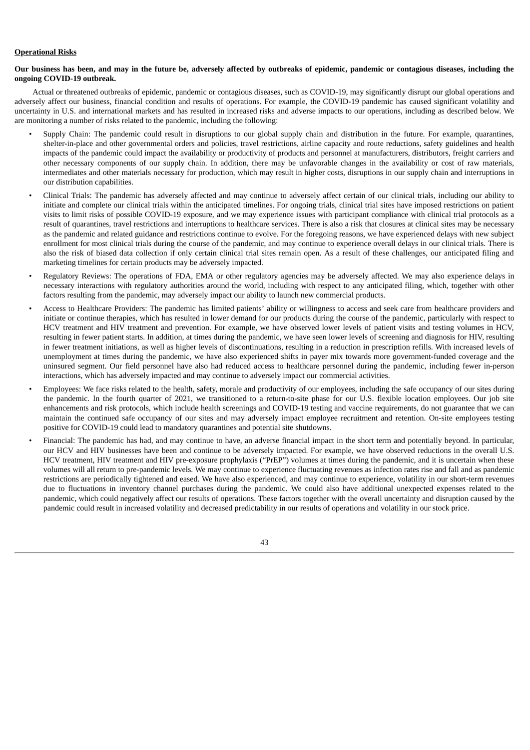## **Operational Risks**

### Our business has been, and may in the future be, adversely affected by outbreaks of epidemic, pandemic or contagious diseases, including the **ongoing COVID-19 outbreak.**

Actual or threatened outbreaks of epidemic, pandemic or contagious diseases, such as COVID-19, may significantly disrupt our global operations and adversely affect our business, financial condition and results of operations. For example, the COVID-19 pandemic has caused significant volatility and uncertainty in U.S. and international markets and has resulted in increased risks and adverse impacts to our operations, including as described below. We are monitoring a number of risks related to the pandemic, including the following:

- Supply Chain: The pandemic could result in disruptions to our global supply chain and distribution in the future. For example, quarantines, shelter-in-place and other governmental orders and policies, travel restrictions, airline capacity and route reductions, safety guidelines and health impacts of the pandemic could impact the availability or productivity of products and personnel at manufacturers, distributors, freight carriers and other necessary components of our supply chain. In addition, there may be unfavorable changes in the availability or cost of raw materials, intermediates and other materials necessary for production, which may result in higher costs, disruptions in our supply chain and interruptions in our distribution capabilities.
- Clinical Trials: The pandemic has adversely affected and may continue to adversely affect certain of our clinical trials, including our ability to initiate and complete our clinical trials within the anticipated timelines. For ongoing trials, clinical trial sites have imposed restrictions on patient visits to limit risks of possible COVID-19 exposure, and we may experience issues with participant compliance with clinical trial protocols as a result of quarantines, travel restrictions and interruptions to healthcare services. There is also a risk that closures at clinical sites may be necessary as the pandemic and related guidance and restrictions continue to evolve. For the foregoing reasons, we have experienced delays with new subject enrollment for most clinical trials during the course of the pandemic, and may continue to experience overall delays in our clinical trials. There is also the risk of biased data collection if only certain clinical trial sites remain open. As a result of these challenges, our anticipated filing and marketing timelines for certain products may be adversely impacted.
- Regulatory Reviews: The operations of FDA, EMA or other regulatory agencies may be adversely affected. We may also experience delays in necessary interactions with regulatory authorities around the world, including with respect to any anticipated filing, which, together with other factors resulting from the pandemic, may adversely impact our ability to launch new commercial products.
- Access to Healthcare Providers: The pandemic has limited patients' ability or willingness to access and seek care from healthcare providers and initiate or continue therapies, which has resulted in lower demand for our products during the course of the pandemic, particularly with respect to HCV treatment and HIV treatment and prevention. For example, we have observed lower levels of patient visits and testing volumes in HCV, resulting in fewer patient starts. In addition, at times during the pandemic, we have seen lower levels of screening and diagnosis for HIV, resulting in fewer treatment initiations, as well as higher levels of discontinuations, resulting in a reduction in prescription refills. With increased levels of unemployment at times during the pandemic, we have also experienced shifts in payer mix towards more government-funded coverage and the uninsured segment. Our field personnel have also had reduced access to healthcare personnel during the pandemic, including fewer in-person interactions, which has adversely impacted and may continue to adversely impact our commercial activities.
- Employees: We face risks related to the health, safety, morale and productivity of our employees, including the safe occupancy of our sites during the pandemic. In the fourth quarter of 2021, we transitioned to a return-to-site phase for our U.S. flexible location employees. Our job site enhancements and risk protocols, which include health screenings and COVID-19 testing and vaccine requirements, do not guarantee that we can maintain the continued safe occupancy of our sites and may adversely impact employee recruitment and retention. On-site employees testing positive for COVID-19 could lead to mandatory quarantines and potential site shutdowns.
- Financial: The pandemic has had, and may continue to have, an adverse financial impact in the short term and potentially beyond. In particular, our HCV and HIV businesses have been and continue to be adversely impacted. For example, we have observed reductions in the overall U.S. HCV treatment, HIV treatment and HIV pre-exposure prophylaxis ("PrEP") volumes at times during the pandemic, and it is uncertain when these volumes will all return to pre-pandemic levels. We may continue to experience fluctuating revenues as infection rates rise and fall and as pandemic restrictions are periodically tightened and eased. We have also experienced, and may continue to experience, volatility in our short-term revenues due to fluctuations in inventory channel purchases during the pandemic. We could also have additional unexpected expenses related to the pandemic, which could negatively affect our results of operations. These factors together with the overall uncertainty and disruption caused by the pandemic could result in increased volatility and decreased predictability in our results of operations and volatility in our stock price.

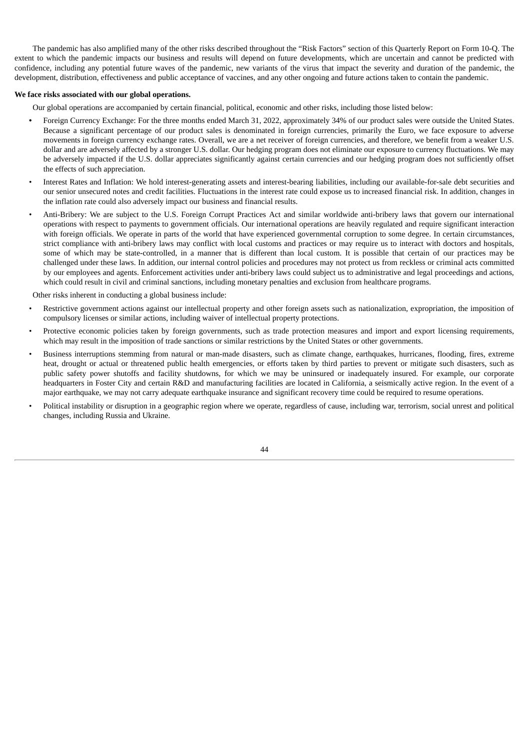The pandemic has also amplified many of the other risks described throughout the "Risk Factors" section of this Quarterly Report on Form 10-Q. The extent to which the pandemic impacts our business and results will depend on future developments, which are uncertain and cannot be predicted with confidence, including any potential future waves of the pandemic, new variants of the virus that impact the severity and duration of the pandemic, the development, distribution, effectiveness and public acceptance of vaccines, and any other ongoing and future actions taken to contain the pandemic.

#### **We face risks associated with our global operations.**

Our global operations are accompanied by certain financial, political, economic and other risks, including those listed below:

- **•** Foreign Currency Exchange: For the three months ended March 31, 2022, approximately 34% of our product sales were outside the United States. Because a significant percentage of our product sales is denominated in foreign currencies, primarily the Euro, we face exposure to adverse movements in foreign currency exchange rates. Overall, we are a net receiver of foreign currencies, and therefore, we benefit from a weaker U.S. dollar and are adversely affected by a stronger U.S. dollar. Our hedging program does not eliminate our exposure to currency fluctuations. We may be adversely impacted if the U.S. dollar appreciates significantly against certain currencies and our hedging program does not sufficiently offset the effects of such appreciation.
- Interest Rates and Inflation: We hold interest-generating assets and interest-bearing liabilities, including our available-for-sale debt securities and our senior unsecured notes and credit facilities. Fluctuations in the interest rate could expose us to increased financial risk. In addition, changes in the inflation rate could also adversely impact our business and financial results.
- Anti-Bribery: We are subject to the U.S. Foreign Corrupt Practices Act and similar worldwide anti-bribery laws that govern our international operations with respect to payments to government officials. Our international operations are heavily regulated and require significant interaction with foreign officials. We operate in parts of the world that have experienced governmental corruption to some degree. In certain circumstances, strict compliance with anti-bribery laws may conflict with local customs and practices or may require us to interact with doctors and hospitals, some of which may be state-controlled, in a manner that is different than local custom. It is possible that certain of our practices may be challenged under these laws. In addition, our internal control policies and procedures may not protect us from reckless or criminal acts committed by our employees and agents. Enforcement activities under anti-bribery laws could subject us to administrative and legal proceedings and actions, which could result in civil and criminal sanctions, including monetary penalties and exclusion from healthcare programs.

Other risks inherent in conducting a global business include:

- Restrictive government actions against our intellectual property and other foreign assets such as nationalization, expropriation, the imposition of compulsory licenses or similar actions, including waiver of intellectual property protections.
- Protective economic policies taken by foreign governments, such as trade protection measures and import and export licensing requirements, which may result in the imposition of trade sanctions or similar restrictions by the United States or other governments.
- Business interruptions stemming from natural or man-made disasters, such as climate change, earthquakes, hurricanes, flooding, fires, extreme heat, drought or actual or threatened public health emergencies, or efforts taken by third parties to prevent or mitigate such disasters, such as public safety power shutoffs and facility shutdowns, for which we may be uninsured or inadequately insured. For example, our corporate headquarters in Foster City and certain R&D and manufacturing facilities are located in California, a seismically active region. In the event of a major earthquake, we may not carry adequate earthquake insurance and significant recovery time could be required to resume operations.
- Political instability or disruption in a geographic region where we operate, regardless of cause, including war, terrorism, social unrest and political changes, including Russia and Ukraine.

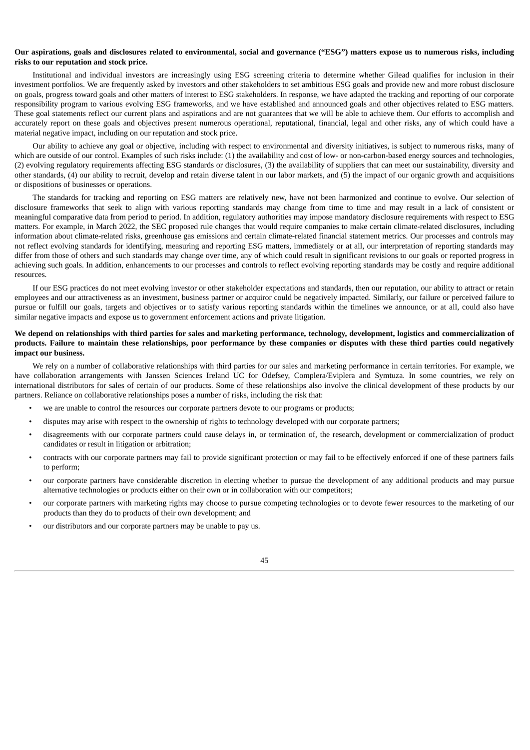### Our aspirations, goals and disclosures related to environmental, social and governance ("ESG") matters expose us to numerous risks, including **risks to our reputation and stock price.**

Institutional and individual investors are increasingly using ESG screening criteria to determine whether Gilead qualifies for inclusion in their investment portfolios. We are frequently asked by investors and other stakeholders to set ambitious ESG goals and provide new and more robust disclosure on goals, progress toward goals and other matters of interest to ESG stakeholders. In response, we have adapted the tracking and reporting of our corporate responsibility program to various evolving ESG frameworks, and we have established and announced goals and other objectives related to ESG matters. These goal statements reflect our current plans and aspirations and are not guarantees that we will be able to achieve them. Our efforts to accomplish and accurately report on these goals and objectives present numerous operational, reputational, financial, legal and other risks, any of which could have a material negative impact, including on our reputation and stock price.

Our ability to achieve any goal or objective, including with respect to environmental and diversity initiatives, is subject to numerous risks, many of which are outside of our control. Examples of such risks include: (1) the availability and cost of low- or non-carbon-based energy sources and technologies, (2) evolving regulatory requirements affecting ESG standards or disclosures, (3) the availability of suppliers that can meet our sustainability, diversity and other standards, (4) our ability to recruit, develop and retain diverse talent in our labor markets, and (5) the impact of our organic growth and acquisitions or dispositions of businesses or operations.

The standards for tracking and reporting on ESG matters are relatively new, have not been harmonized and continue to evolve. Our selection of disclosure frameworks that seek to align with various reporting standards may change from time to time and may result in a lack of consistent or meaningful comparative data from period to period. In addition, regulatory authorities may impose mandatory disclosure requirements with respect to ESG matters. For example, in March 2022, the SEC proposed rule changes that would require companies to make certain climate-related disclosures, including information about climate-related risks, greenhouse gas emissions and certain climate-related financial statement metrics. Our processes and controls may not reflect evolving standards for identifying, measuring and reporting ESG matters, immediately or at all, our interpretation of reporting standards may differ from those of others and such standards may change over time, any of which could result in significant revisions to our goals or reported progress in achieving such goals. In addition, enhancements to our processes and controls to reflect evolving reporting standards may be costly and require additional resources.

If our ESG practices do not meet evolving investor or other stakeholder expectations and standards, then our reputation, our ability to attract or retain employees and our attractiveness as an investment, business partner or acquiror could be negatively impacted. Similarly, our failure or perceived failure to pursue or fulfill our goals, targets and objectives or to satisfy various reporting standards within the timelines we announce, or at all, could also have similar negative impacts and expose us to government enforcement actions and private litigation.

### We depend on relationships with third parties for sales and marketing performance, technology, development, logistics and commercialization of products. Failure to maintain these relationships, poor performance by these companies or disputes with these third parties could negatively **impact our business.**

We rely on a number of collaborative relationships with third parties for our sales and marketing performance in certain territories. For example, we have collaboration arrangements with Janssen Sciences Ireland UC for Odefsey, Complera/Eviplera and Symtuza. In some countries, we rely on international distributors for sales of certain of our products. Some of these relationships also involve the clinical development of these products by our partners. Reliance on collaborative relationships poses a number of risks, including the risk that:

- we are unable to control the resources our corporate partners devote to our programs or products;
- disputes may arise with respect to the ownership of rights to technology developed with our corporate partners;
- disagreements with our corporate partners could cause delays in, or termination of, the research, development or commercialization of product candidates or result in litigation or arbitration;
- contracts with our corporate partners may fail to provide significant protection or may fail to be effectively enforced if one of these partners fails to perform;
- our corporate partners have considerable discretion in electing whether to pursue the development of any additional products and may pursue alternative technologies or products either on their own or in collaboration with our competitors;
- our corporate partners with marketing rights may choose to pursue competing technologies or to devote fewer resources to the marketing of our products than they do to products of their own development; and
- our distributors and our corporate partners may be unable to pay us.

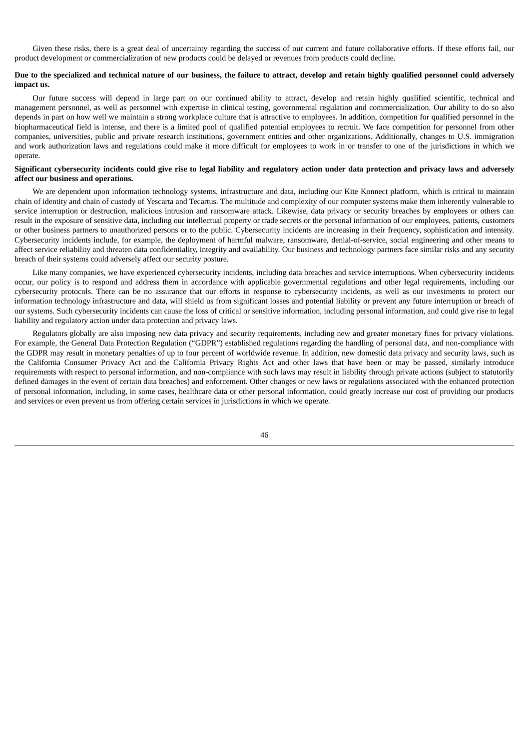Given these risks, there is a great deal of uncertainty regarding the success of our current and future collaborative efforts. If these efforts fail, our product development or commercialization of new products could be delayed or revenues from products could decline.

### Due to the specialized and technical nature of our business, the failure to attract, develop and retain highly qualified personnel could adversely **impact us.**

Our future success will depend in large part on our continued ability to attract, develop and retain highly qualified scientific, technical and management personnel, as well as personnel with expertise in clinical testing, governmental regulation and commercialization. Our ability to do so also depends in part on how well we maintain a strong workplace culture that is attractive to employees. In addition, competition for qualified personnel in the biopharmaceutical field is intense, and there is a limited pool of qualified potential employees to recruit. We face competition for personnel from other companies, universities, public and private research institutions, government entities and other organizations. Additionally, changes to U.S. immigration and work authorization laws and regulations could make it more difficult for employees to work in or transfer to one of the jurisdictions in which we operate.

### Significant cybersecurity incidents could give rise to legal liability and regulatory action under data protection and privacy laws and adversely **affect our business and operations.**

We are dependent upon information technology systems, infrastructure and data, including our Kite Konnect platform, which is critical to maintain chain of identity and chain of custody of Yescarta and Tecartus. The multitude and complexity of our computer systems make them inherently vulnerable to service interruption or destruction, malicious intrusion and ransomware attack. Likewise, data privacy or security breaches by employees or others can result in the exposure of sensitive data, including our intellectual property or trade secrets or the personal information of our employees, patients, customers or other business partners to unauthorized persons or to the public. Cybersecurity incidents are increasing in their frequency, sophistication and intensity. Cybersecurity incidents include, for example, the deployment of harmful malware, ransomware, denial-of-service, social engineering and other means to affect service reliability and threaten data confidentiality, integrity and availability. Our business and technology partners face similar risks and any security breach of their systems could adversely affect our security posture.

Like many companies, we have experienced cybersecurity incidents, including data breaches and service interruptions. When cybersecurity incidents occur, our policy is to respond and address them in accordance with applicable governmental regulations and other legal requirements, including our cybersecurity protocols. There can be no assurance that our efforts in response to cybersecurity incidents, as well as our investments to protect our information technology infrastructure and data, will shield us from significant losses and potential liability or prevent any future interruption or breach of our systems. Such cybersecurity incidents can cause the loss of critical or sensitive information, including personal information, and could give rise to legal liability and regulatory action under data protection and privacy laws.

Regulators globally are also imposing new data privacy and security requirements, including new and greater monetary fines for privacy violations. For example, the General Data Protection Regulation ("GDPR") established regulations regarding the handling of personal data, and non-compliance with the GDPR may result in monetary penalties of up to four percent of worldwide revenue. In addition, new domestic data privacy and security laws, such as the California Consumer Privacy Act and the California Privacy Rights Act and other laws that have been or may be passed, similarly introduce requirements with respect to personal information, and non-compliance with such laws may result in liability through private actions (subject to statutorily defined damages in the event of certain data breaches) and enforcement. Other changes or new laws or regulations associated with the enhanced protection of personal information, including, in some cases, healthcare data or other personal information, could greatly increase our cost of providing our products and services or even prevent us from offering certain services in jurisdictions in which we operate.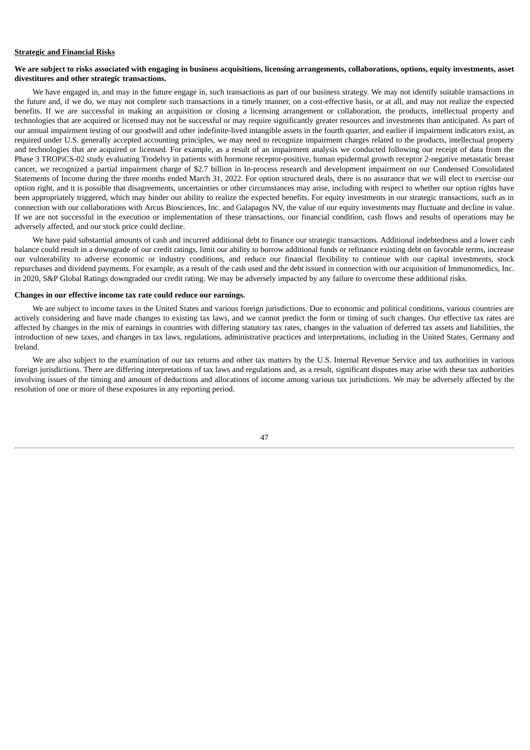### **Strategic and Financial Risks**

### We are subject to risks associated with engaging in business acquisitions, licensing arrangements, collaborations, options, equity investments, asset **divestitures and other strategic transactions.**

We have engaged in, and may in the future engage in, such transactions as part of our business strategy. We may not identify suitable transactions in the future and, if we do, we may not complete such transactions in a timely manner, on a cost-effective basis, or at all, and may not realize the expected benefits. If we are successful in making an acquisition or closing a licensing arrangement or collaboration, the products, intellectual property and technologies that are acquired or licensed may not be successful or may require significantly greater resources and investments than anticipated. As part of our annual impairment testing of our goodwill and other indefinite-lived intangible assets in the fourth quarter, and earlier if impairment indicators exist, as required under U.S. generally accepted accounting principles, we may need to recognize impairment charges related to the products, intellectual property and technologies that are acquired or licensed. For example, as a result of an impairment analysis we conducted following our receipt of data from the Phase 3 TROPiCS-02 study evaluating Trodelvy in patients with hormone receptor-positive, human epidermal growth receptor 2-negative metastatic breast cancer, we recognized a partial impairment charge of \$2.7 billion in In-process research and development impairment on our Condensed Consolidated Statements of Income during the three months ended March 31, 2022. For option structured deals, there is no assurance that we will elect to exercise our option right, and it is possible that disagreements, uncertainties or other circumstances may arise, including with respect to whether our option rights have been appropriately triggered, which may hinder our ability to realize the expected benefits. For equity investments in our strategic transactions, such as in connection with our collaborations with Arcus Biosciences, Inc. and Galapagos NV, the value of our equity investments may fluctuate and decline in value. If we are not successful in the execution or implementation of these transactions, our financial condition, cash flows and results of operations may be adversely affected, and our stock price could decline.

We have paid substantial amounts of cash and incurred additional debt to finance our strategic transactions. Additional indebtedness and a lower cash balance could result in a downgrade of our credit ratings, limit our ability to borrow additional funds or refinance existing debt on favorable terms, increase our vulnerability to adverse economic or industry conditions, and reduce our financial flexibility to continue with our capital investments, stock repurchases and dividend payments. For example, as a result of the cash used and the debt issued in connection with our acquisition of Immunomedics, Inc. in 2020, S&P Global Ratings downgraded our credit rating. We may be adversely impacted by any failure to overcome these additional risks.

#### **Changes in our effective income tax rate could reduce our earnings.**

We are subject to income taxes in the United States and various foreign jurisdictions. Due to economic and political conditions, various countries are actively considering and have made changes to existing tax laws, and we cannot predict the form or timing of such changes. Our effective tax rates are affected by changes in the mix of earnings in countries with differing statutory tax rates, changes in the valuation of deferred tax assets and liabilities, the introduction of new taxes, and changes in tax laws, regulations, administrative practices and interpretations, including in the United States, Germany and Ireland.

We are also subject to the examination of our tax returns and other tax matters by the U.S. Internal Revenue Service and tax authorities in various foreign jurisdictions. There are differing interpretations of tax laws and regulations and, as a result, significant disputes may arise with these tax authorities involving issues of the timing and amount of deductions and allocations of income among various tax jurisdictions. We may be adversely affected by the resolution of one or more of these exposures in any reporting period.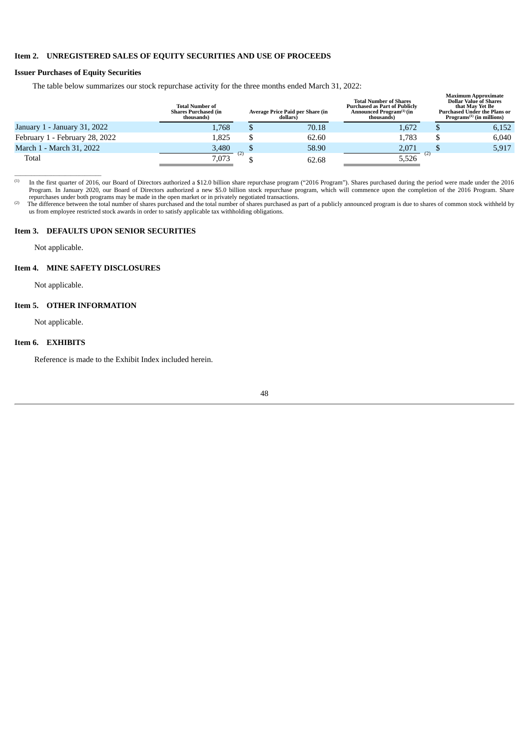## **Item 2. UNREGISTERED SALES OF EQUITY SECURITIES AND USE OF PROCEEDS**

### **Issuer Purchases of Equity Securities**

The table below summarizes our stock repurchase activity for the three months ended March 31, 2022:

| <b>Total Number of</b><br><b>Shares Purchased (in</b><br>thousands) | dollars) | <b>Total Number of Shares</b><br><b>Purchased as Part of Publicly</b><br>Announced Program <sup>(1)</sup> (in<br>thousands) |  |                                                                                                                                               |
|---------------------------------------------------------------------|----------|-----------------------------------------------------------------------------------------------------------------------------|--|-----------------------------------------------------------------------------------------------------------------------------------------------|
| 1,768                                                               | 70.18    | 1,672                                                                                                                       |  | 6,152                                                                                                                                         |
| 1.825                                                               | 62.60    | 1.783                                                                                                                       |  | 6,040                                                                                                                                         |
| 3,480                                                               | 58.90    | 2,071                                                                                                                       |  | 5,917                                                                                                                                         |
| 7,073                                                               | 62.68    | 5,526                                                                                                                       |  |                                                                                                                                               |
|                                                                     | (2)      | Average Price Paid per Share (in                                                                                            |  | <b>Maximum Approximate</b><br><b>Dollar Value of Shares</b><br>that May Yet Be<br>Purchased Under the Plans or<br>$Programs(1)$ (in millions) |

In the first quarter of 2016, our Board of Directors authorized a \$12.0 billion share repurchase program ("2016 Program"). Shares purchased during the period were made under the 2016 Program. In January 2020, our Board of Directors authorized a new \$5.0 billion stock repurchase program, which will commence upon the completion of the 2016 Program. Share repurchases under both programs may be made in the open market or in privately negotiated transactions. (1)

The difference between the total number of shares purchased and the total number of shares purchased as part of a publicly announced program is due to shares of common stock withheld by us from employee restricted stock awards in order to satisfy applicable tax withholding obligations. (2)

## **Item 3. DEFAULTS UPON SENIOR SECURITIES**

Not applicable.

\_\_\_\_\_\_\_\_\_\_\_\_\_\_\_\_\_\_\_\_\_\_\_\_\_\_\_\_\_\_\_

## **Item 4. MINE SAFETY DISCLOSURES**

Not applicable.

#### **Item 5. OTHER INFORMATION**

Not applicable.

### **Item 6. EXHIBITS**

Reference is made to the Exhibit Index included herein.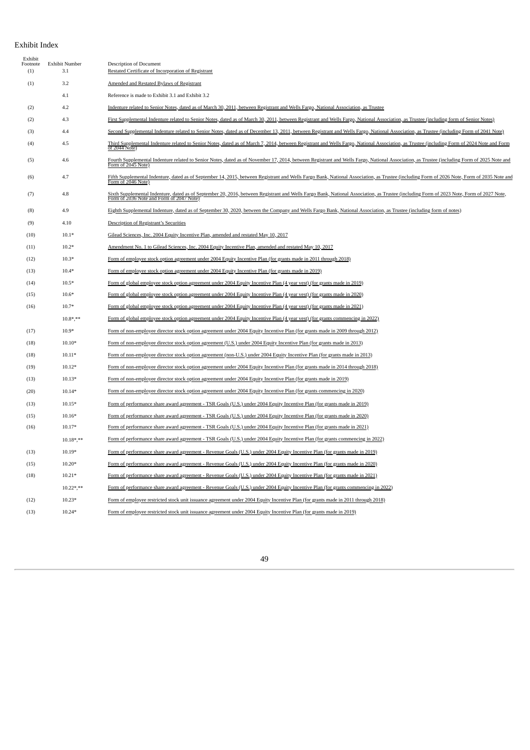## Exhibit Index

| Exhibit<br>Footnote | <b>Exhibit Number</b> | Description of Document                                                                                                                                                                                                           |
|---------------------|-----------------------|-----------------------------------------------------------------------------------------------------------------------------------------------------------------------------------------------------------------------------------|
| (1)                 | 3.1                   | Restated Certificate of Incorporation of Registrant                                                                                                                                                                               |
| (1)                 | 3.2                   | Amended and Restated Bylaws of Registrant                                                                                                                                                                                         |
|                     | 4.1                   | Reference is made to Exhibit 3.1 and Exhibit 3.2                                                                                                                                                                                  |
| (2)                 | 4.2                   | Indenture related to Senior Notes, dated as of March 30, 2011, between Registrant and Wells Fargo, National Association, as Trustee                                                                                               |
| (2)                 | 4.3                   | First Supplemental Indenture related to Senior Notes, dated as of March 30, 2011, between Registrant and Wells Fargo, National Association, as Trustee (including form of Senior Notes)                                           |
| (3)                 | 4.4                   | Second Supplemental Indenture related to Senior Notes, dated as of December 13, 2011, between Registrant and Wells Fargo, National Association, as Trustee (including Form of 2041 Note)                                          |
| (4)                 | 4.5                   | Third Supplemental Indenture related to Senior Notes, dated as of March 7, 2014, between Registrant and Wells Fargo, National Association, as Trustee (including Form of 2024 Note and Form                                       |
| (5)                 | 4.6                   | Fourth Supplemental Indenture related to Senior Notes, dated as of November 17, 2014, between Registrant and Wells Fargo, National Association, as Trustee (including Form of 2025 Note and<br>Form of 2045 Note)                 |
| (6)                 | 4.7                   | Fifth Supplemental Indenture, dated as of September 14, 2015, between Registrant and Wells Fargo Bank, National Association, as Trustee (including Form of 2026 Note, Form of 2035 Note and<br>Form of 2046 Note)                 |
| (7)                 | 4.8                   | Sixth Supplemental Indenture, dated as of September 20, 2016, between Registrant and Wells Fargo Bank, National Association, as Trustee (including Form of 2023 Note, Form of 2027 Note,<br>Form of 2036 Note and Form of 2047 No |
| (8)                 | 4.9                   | Eighth Supplemental Indenture, dated as of September 30, 2020, between the Company and Wells Fargo Bank, National Association, as Trustee (including form of notes)                                                               |
| (9)                 | 4.10                  | Description of Registrant's Securities                                                                                                                                                                                            |
| (10)                | $10.1*$               | Gilead Sciences, Inc. 2004 Equity Incentive Plan, amended and restated May 10, 2017                                                                                                                                               |
| (11)                | $10.2*$               | Amendment No. 1 to Gilead Sciences, Inc. 2004 Equity Incentive Plan, amended and restated May 10, 2017                                                                                                                            |
| (12)                | $10.3*$               | Form of employee stock option agreement under 2004 Equity Incentive Plan (for grants made in 2011 through 2018)                                                                                                                   |
| (13)                | $10.4*$               | Form of employee stock option agreement under 2004 Equity Incentive Plan (for grants made in 2019)                                                                                                                                |
| (14)                | $10.5*$               | Form of global employee stock option agreement under 2004 Equity Incentive Plan (4 year vest) (for grants made in 2019)                                                                                                           |
| (15)                | $10.6*$               | Form of global employee stock option agreement under 2004 Equity Incentive Plan (4 year vest) (for grants made in 2020)                                                                                                           |
| (16)                | $10.7*$               | Form of global employee stock option agreement under 2004 Equity Incentive Plan (4 year vest) (for grants made in 2021)                                                                                                           |
|                     | $10.8$ *,**           | Form of global employee stock option agreement under 2004 Equity Incentive Plan (4 year vest) (for grants commencing in 2022)                                                                                                     |
| (17)                | $10.9*$               | Form of non-employee director stock option agreement under 2004 Equity Incentive Plan (for grants made in 2009 through 2012)                                                                                                      |
| (18)                | $10.10*$              | Form of non-employee director stock option agreement (U.S.) under 2004 Equity Incentive Plan (for grants made in 2013)                                                                                                            |
| (18)                | $10.11*$              | Form of non-employee director stock option agreement (non-U.S.) under 2004 Equity Incentive Plan (for grants made in 2013)                                                                                                        |
| (19)                | $10.12*$              | Form of non-employee director stock option agreement under 2004 Equity Incentive Plan (for grants made in 2014 through 2018)                                                                                                      |
| (13)                | $10.13*$              | Form of non-employee director stock option agreement under 2004 Equity Incentive Plan (for grants made in 2019)                                                                                                                   |
| (20)                | $10.14*$              | Form of non-employee director stock option agreement under 2004 Equity Incentive Plan (for grants commencing in 2020)                                                                                                             |
| (13)                | $10.15*$              | Form of performance share award agreement - TSR Goals (U.S.) under 2004 Equity Incentive Plan (for grants made in 2019)                                                                                                           |
| (15)                | $10.16*$              | Form of performance share award agreement - TSR Goals (U.S.) under 2004 Equity Incentive Plan (for grants made in 2020)                                                                                                           |
| (16)                | $10.17*$              | Form of performance share award agreement - TSR Goals (U.S.) under 2004 Equity Incentive Plan (for grants made in 2021)                                                                                                           |
|                     | $10.18$ *,**          | Form of performance share award agreement - TSR Goals (U.S.) under 2004 Equity Incentive Plan (for grants commencing in 2022)                                                                                                     |
| (13)                | $10.19*$              | Form of performance share award agreement - Revenue Goals (U.S.) under 2004 Equity Incentive Plan (for grants made in 2019)                                                                                                       |
| (15)                | $10.20*$              | Form of performance share award agreement - Revenue Goals (U.S.) under 2004 Equity Incentive Plan (for grants made in 2020)                                                                                                       |
| (18)                | $10.21*$              | Form of performance share award agreement - Revenue Goals (U.S.) under 2004 Equity Incentive Plan (for grants made in 2021)                                                                                                       |
|                     | $10.22$ *,**          | Form of performance share award agreement - Revenue Goals (U.S.) under 2004 Equity Incentive Plan (for grants commencing in 2022)                                                                                                 |
| (12)                | $10.23*$              | Form of employee restricted stock unit issuance agreement under 2004 Equity Incentive Plan (for grants made in 2011 through 2018)                                                                                                 |
| (13)                | $10.24*$              | Form of employee restricted stock unit issuance agreement under 2004 Equity Incentive Plan (for grants made in 2019)                                                                                                              |
|                     |                       |                                                                                                                                                                                                                                   |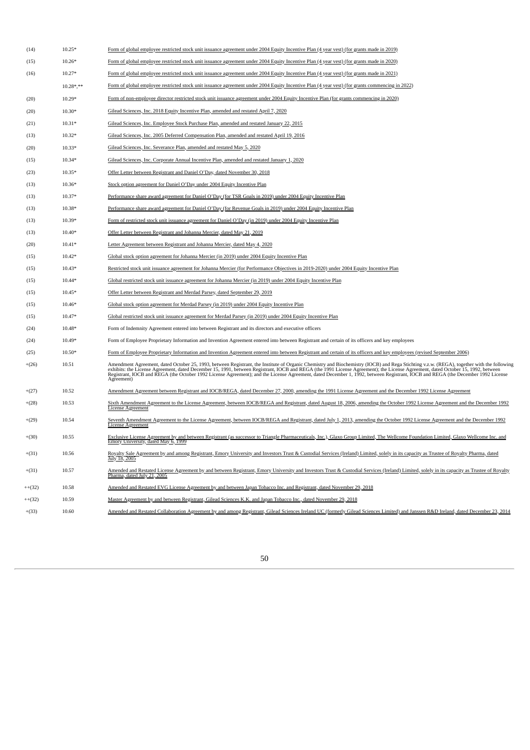| (14)        | $10.25*$     | Form of global employee restricted stock unit issuance agreement under 2004 Equity Incentive Plan (4 year vest) (for grants made in 2019)                                                                                                       |
|-------------|--------------|-------------------------------------------------------------------------------------------------------------------------------------------------------------------------------------------------------------------------------------------------|
| (15)        | 10.26*       | Form of global employee restricted stock unit issuance agreement under 2004 Equity Incentive Plan (4 year vest) (for grants made in 2020)                                                                                                       |
| (16)        | $10.27*$     | Form of global employee restricted stock unit issuance agreement under 2004 Equity Incentive Plan (4 year vest) (for grants made in 2021)                                                                                                       |
|             | $10.28$ *,** | Form of global employee restricted stock unit issuance agreement under 2004 Equity Incentive Plan (4 year vest) (for grants commencing in 2022)                                                                                                 |
| (20)        | $10.29*$     | Form of non-employee director restricted stock unit issuance agreement under 2004 Equity Incentive Plan (for grants commencing in 2020)                                                                                                         |
| (20)        | $10.30*$     | Gilead Sciences, Inc. 2018 Equity Incentive Plan, amended and restated April 7, 2020                                                                                                                                                            |
| (21)        | $10.31*$     | Gilead Sciences, Inc. Employee Stock Purchase Plan, amended and restated January 22, 2015                                                                                                                                                       |
| (13)        | $10.32*$     | Gilead Sciences, Inc. 2005 Deferred Compensation Plan, amended and restated April 19, 2016                                                                                                                                                      |
| (20)        | $10.33*$     | Gilead Sciences, Inc. Severance Plan, amended and restated May 5, 2020                                                                                                                                                                          |
| (15)        | 10.34*       | Gilead Sciences, Inc. Corporate Annual Incentive Plan, amended and restated January 1, 2020                                                                                                                                                     |
| (23)        | 10.35*       | Offer Letter between Registrant and Daniel O'Day, dated November 30, 2018                                                                                                                                                                       |
| (13)        | 10.36*       | Stock option agreement for Daniel O'Day under 2004 Equity Incentive Plan                                                                                                                                                                        |
| (13)        | 10.37*       | Performance share award agreement for Daniel O'Day (for TSR Goals in 2019) under 2004 Equity Incentive Plan                                                                                                                                     |
| (13)        | 10.38*       | Performance share award agreement for Daniel O'Day (for Revenue Goals in 2019) under 2004 Equity Incentive Plan                                                                                                                                 |
| (13)        | 10.39*       | Form of restricted stock unit issuance agreement for Daniel O'Day (in 2019) under 2004 Equity Incentive Plan                                                                                                                                    |
| (13)        | $10.40*$     | Offer Letter between Registrant and Johanna Mercier, dated May 21, 2019                                                                                                                                                                         |
| (20)        | $10.41*$     | Letter Agreement between Registrant and Johanna Mercier, dated May 4, 2020                                                                                                                                                                      |
| (15)        | $10.42*$     | Global stock option agreement for Johanna Mercier (in 2019) under 2004 Equity Incentive Plan                                                                                                                                                    |
| (15)        | $10.43*$     | Restricted stock unit issuance agreement for Johanna Mercier (for Performance Objectives in 2019-2020) under 2004 Equity Incentive Plan                                                                                                         |
| (15)        | $10.44*$     | Global restricted stock unit issuance agreement for Johanna Mercier (in 2019) under 2004 Equity Incentive Plan                                                                                                                                  |
| (15)        | $10.45*$     | Offer Letter between Registrant and Merdad Parsey, dated September 29, 2019                                                                                                                                                                     |
| (15)        | $10.46*$     | Global stock option agreement for Merdad Parsey (in 2019) under 2004 Equity Incentive Plan                                                                                                                                                      |
| (15)        | 10.47*       | Global restricted stock unit issuance agreement for Merdad Parsey (in 2019) under 2004 Equity Incentive Plan                                                                                                                                    |
| (24)        | 10.48*       | Form of Indemnity Agreement entered into between Registrant and its directors and executive officers                                                                                                                                            |
| (24)        | 10.49*       | Form of Employee Proprietary Information and Invention Agreement entered into between Registrant and certain of its officers and key employees                                                                                                  |
| (25)        | $10.50*$     | Form of Employee Proprietary Information and Invention Agreement entered into between Registrant and certain of its officers and key employees (revised September 2006)                                                                         |
| $+(26)$     | 10.51        | Amendment Agreement, dated October 25, 1993, between Registrant, the Institute of Organic Chemistry and Biochemistry (IOCB) and Rega Stichting v.z.w. (REGA), together with the following<br>exhibits: the License Agreement, dat<br>Agreement) |
| $+(27)$     | 10.52        | Amendment Agreement between Registrant and IOCB/REGA, dated December 27, 2000, amending the 1991 License Agreement and the December 1992 License Agreement                                                                                      |
| $+(28)$     | 10.53        | Sixth Amendment Agreement to the License Agreement, between IOCB/REGA and Registrant, dated August 18, 2006, amending the October 1992 License Agreement and the December 1992<br>License Agreement                                             |
| $+(29)$     | 10.54        | Seventh Amendment Agreement to the License Agreement, between IOCB/REGA and Registrant, dated July 1, 2013, amending the October 1992 License Agreement and the December 1992<br>License Agreement                                              |
| $+(30)$     | 10.55        | Exclusive License Agreement by and between Registrant (as successor to Triangle Pharmaceuticals, Inc.), Glaxo Group Limited, The Wellcome Foundation Limited, Glaxo Wellcome Inc. and<br>Emory University, dated May 6, 1999                    |
| $+(31)$     | 10.56        | Royalty Sale Agreement by and among Registrant, Emory University and Investors Trust & Custodial Services (Ireland) Limited, solely in its capacity as Trustee of Royalty Pharma, dated<br>July 18, 2005                                        |
| $+(31)$     | 10.57        | Amended and Restated License Agreement by and between Registrant, Emory University and Investors Trust & Custodial Services (Ireland) Limited, solely in its capacity as Trustee of Royalty<br>Pharma, dated July 21, 2005                      |
| $^{++(32)}$ | 10.58        | Amended and Restated EVG License Agreement by and between Japan Tobacco Inc. and Registrant, dated November 29, 2018                                                                                                                            |
| $^{++(32)}$ | 10.59        | Master Agreement by and between Registrant, Gilead Sciences K.K. and Japan Tobacco Inc., dated November 29, 2018                                                                                                                                |
| $+(33)$     | 10.60        | Amended and Restated Collaboration Agreement by and among Registrant, Gilead Sciences Ireland UC (formerly Gilead Sciences Limited) and Janssen R&D Ireland, dated December 23, 2014                                                            |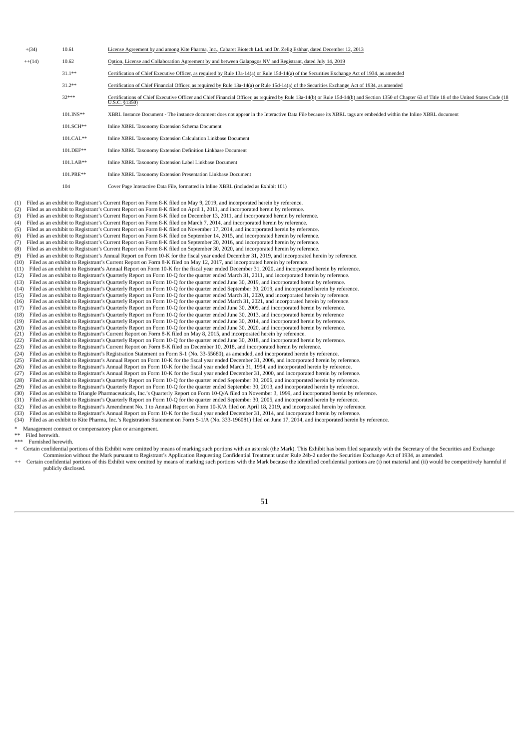<sup>+</sup>(34) 10.61 License [Agreement](http://www.sec.gov/Archives/edgar/data/1510580/000119312514239257/d705296dex1017.htm) by and among Kite Pharma, Inc., Cabaret Biotech Ltd. and Dr. Zelig Eshhar, dated Decemb

++(14) 10.62 Option, License and [Collaboration](http://www.sec.gov/Archives/edgar/data/882095/000088209519000027/gildq32019ex1050.htm) Agreement by and between Galapagos NV and Registrant, dated July 14, 2019

31.1\*\* [Certification](#page-146-0) of Chief Executive Officer, as required by Rule 13a-14(a) or Rule 15d-14(a) of the Securities Exchange Act of 1934, as amended

31.2\*\* [Certification](#page-147-0) of Chief Financial Officer, as required by Rule 13a-14(a) or Rule 15d-14(a) of the Securities Exchange Act of 1934, as an

32\*\*\* [Certifications](#page-148-0) of Chief Executive Officer and Chief Financial Officer, as required by Rule 13a-14(b) or Rule 15d-14(b) and Section 1350 of Chapter 63 of Title 18 of the United States Code (18 U.S.C. §1350)

101.INS\*\* XBRL Instance Document - The instance document does not appear in the Interactive Data File because its XBRL tags are embedded within the Inline XBRL document

101.SCH\*\* Inline XBRL Taxonomy Extension Schema Document

101.CAL\*\* Inline XBRL Taxonomy Extension Calculation Linkbase Document

101.DEF\*\* Inline XBRL Taxonomy Extension Definition Linkbase Document

101.LAB\*\* Inline XBRL Taxonomy Extension Label Linkbase Documen

101.PRE\*\* Inline XBRL Taxonomy Extension Presentation Linkbase Document

104 Cover Page Interactive Data File, formatted in Inline XBRL (included as Exhibit 101)

# (1) Filed as an exhibit to Registrant's Current Report on Form 8-K filed on May 9, 2019, and incorporated herein by reference.<br>(2) Filed as an exhibit to Registrant's Current Report on Form 8-K filed on April 1, 2011, and

Filed as an exhibit to Registrant's Current Report on Form 8-K filed on April 1, 2011, and incorporated herein by reference. (3) Filed as an exhibit to Registrant's Current Report on Form 8-K filed on December 13, 2011, and incorporated herein by reference.

- (4) Filed as an exhibit to Registrant's Current Report on Form 8-K filed on March 7, 2014, and incorporated herein by reference.
- (5) Filed as an exhibit to Registrant's Current Report on Form 8-K filed on November 17, 2014, and incorporated herein by reference.
- (6) Filed as an exhibit to Registrant's Current Report on Form 8-K filed on September 14, 2015, and incorporated herein by reference. (7) Filed as an exhibit to Registrant's Current Report on Form 8-K filed on September 20, 2016, and incorporated herein by reference.

(8) Filed as an exhibit to Registrant's Current Report on Form 8-K filed on September 30, 2020, and incorporated herein by reference.

(9) Filed as an exhibit to Registrant's Annual Report on Form 10-K for the fiscal year ended December 31, 2019, and incorporated herein by reference.

(10) Filed as an exhibit to Registrant's Current Report on Form 8-K filed on May 12, 2017, and incorporated herein by reference.<br>(11) Filed as an exhibit to Registrant's Annual Report on Form 10-K for the fiscal year ended

- (12) Filed as an exhibit to Registrant's Quarterly Report on Form 10-Q for the quarter ended March 31, 2011, and incorporated herein by reference.
- (13) Filed as an exhibit to Registrant's Quarterly Report on Form 10-Q for the quarter ended June 30, 2019, and incorporated herein by reference.<br>(14) Filed as an exhibit to Registrant's Quarterly Report on Form 10-Q for t

Filed as an exhibit to Registrant's Quarterly Report on Form 10-Q for the quarter ended September 30, 2019, and incorporated herein by reference.

(15) Filed as an exhibit to Registrant's Quarterly Report on Form 10-Q for the quarter ended March 31, 2020, and incorporated herein by reference.<br>(16) Filed as an exhibit to Registrant's Quarterly Report on Form 10-Q for

(17) Filed as an exhibit to Registrant's Quarterly Report on Form 10-Q for the quarter ended June 30, 2009, and incorporated herein by reference.<br>(18) Filed as an exhibit to Registrant's Quarterly Report on Form 10-Q for t

Filed as an exhibit to Registrant's Quarterly Report on Form 10-Q for the quarter ended June 30, 2013, and incorporated herein by reference (19) Filed as an exhibit to Registrant's Quarterly Report on Form 10-Q for the quarter ended June 30, 2014, and incorporated herein by reference.

(20) Filed as an exhibit to Registrant's Quarterly Report on Form 10-Q for the quarter ended June 30, 2020, and incorporated herein by reference.<br>(21) Filed as an exhibit to Registrant's Current Report on Form 8-K filed on

(21) Filed as an exhibit to Registrant's Current Report on Form 8-K filed on May 8, 2015, and incorporated herein by reference.<br>(22) Filed as an exhibit to Registrant's Quarterly Report on Form 10-Q for the quarter ended J

(23) Filed as an exhibit to Registrant's Current Report on Form 8-K filed on December 10, 2018, and incorporated herein by reference.<br>(24) Filed as an exhibit to Registrant's Registration Statement on Form S-1 (No. 33-5568

(24) Filed as an exhibit to Registrant's Registration Statement on Form S-1 (No. 33-55680), as amended, and incorporated herein by reference.

(25) Filed as an exhibit to Registrant's Annual Report on Form 10-K for the fiscal year ended December 31, 2006, and incorporated herein by reference<br>(26) Filed as an exhibit to Registrant's Annual Report on Form 10-K for

(26) Filed as an exhibit to Registrant's Annual Report on Form 10-K for the fiscal year ended March 31, 1994, and incorporated herein by reference.<br>(27) Filed as an exhibit to Registrant's Annual Report on Form 10-K for th

(28) Filed as an exhibit to Registrant's Quarterly Report on Form 10-Q for the quarter ended September 30, 2006, and incorporated herein by reference.<br>(29) Filed as an exhibit to Registrant's Quarterly Report on Form 10-Q Filed as an exhibit to Registrant's Quarterly Report on Form 10-Q for the quarter ended September 30, 2013, and incorporated herein by reference.

(30) Filed as an exhibit to Triangle Pharmaceuticals, Inc.'s Quarterly Report on Form 10-Q/A filed on November 3, 1999, and incorporated herein by reference.<br>(31) Filed as an exhibit to Registrant's Quarterly Report on For Filed as an exhibit to Registrant's Quarterly Report on Form 10-Q for the quarter ended September 30, 2005, and incorporated herein by reference.

(32) Filed as an exhibit to Registrant's Amendment No. 1 to Annual Report on Form 10-K/A filed on April 18, 2019, and incorporated herein by reference.

(33) Filed as an exhibit to Registrant's Annual Report on Form 10-K for the fiscal year ended December 31, 2014, and incorporated herein by reference.<br>(34) Filed as an exhibit to Kite Pharma, Inc.'s Registration Statement

\* Management contract or compensatory plan or arrangement.<br>\*\* Filed berguith

\*\* Filed herewith.

Furnished herewith.

+ Certain confidential portions of this Exhibit were omitted by means of marking such portions with an asterisk (the Mark). This Exhibit has been filed separately with the Secretary of the Securities and Exchange<br>Commissio

++ Certain confidential portions of this Exhibit were omitted by means of marking such portions with the Mark because the identified confidential portions are (i) not material and (ii) would be competitively harmful if publicly disclosed.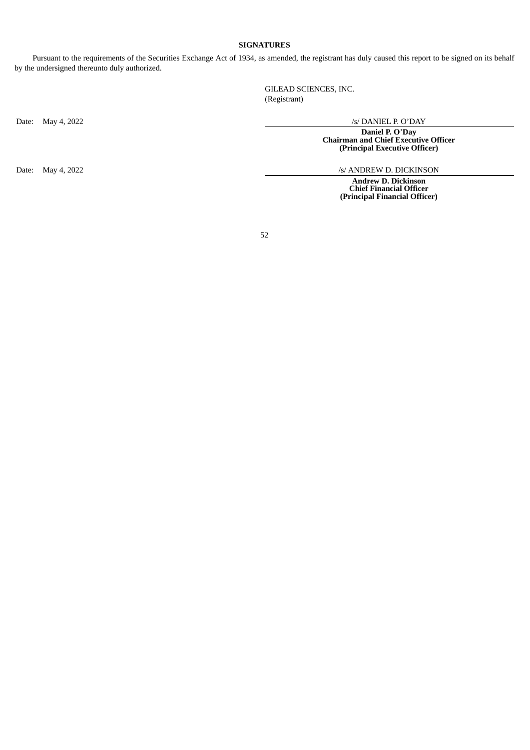## **SIGNATURES**

Pursuant to the requirements of the Securities Exchange Act of 1934, as amended, the registrant has duly caused this report to be signed on its behalf by the undersigned thereunto duly authorized.

> GILEAD SCIENCES, INC. (Registrant)

Date: May 4, 2022 /s/ DANIEL P. O'DAY

**Daniel P. O**'**Day**

**Chairman and Chief Executive Officer (Principal Executive Officer)**

Date: May 4, 2022 /s/ ANDREW D. DICKINSON

**Andrew D. Dickinson Chief Financial Officer (Principal Financial Officer)**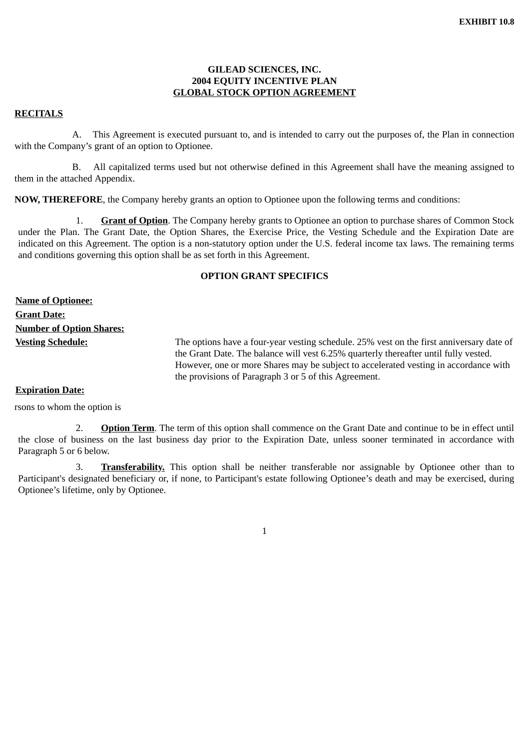## **GILEAD SCIENCES, INC. 2004 EQUITY INCENTIVE PLAN GLOBAL STOCK OPTION AGREEMENT**

## <span id="page-53-0"></span>**RECITALS**

A. This Agreement is executed pursuant to, and is intended to carry out the purposes of, the Plan in connection with the Company's grant of an option to Optionee.

B. All capitalized terms used but not otherwise defined in this Agreement shall have the meaning assigned to them in the attached Appendix.

**NOW, THEREFORE**, the Company hereby grants an option to Optionee upon the following terms and conditions:

1. **Grant of Option**. The Company hereby grants to Optionee an option to purchase shares of Common Stock under the Plan. The Grant Date, the Option Shares, the Exercise Price, the Vesting Schedule and the Expiration Date are indicated on this Agreement. The option is a non-statutory option under the U.S. federal income tax laws. The remaining terms and conditions governing this option shall be as set forth in this Agreement.

## **OPTION GRANT SPECIFICS**

**Name of Optionee: Grant Date: Number of Option Shares:**

**Vesting Schedule:** The options have a four-year vesting schedule. 25% vest on the first anniversary date of the Grant Date. The balance will vest 6.25% quarterly thereafter until fully vested. However, one or more Shares may be subject to accelerated vesting in accordance with the provisions of Paragraph 3 or 5 of this Agreement.

## **Expiration Date:**

rsons to whom the option is

2. **Option Term**. The term of this option shall commence on the Grant Date and continue to be in effect until the close of business on the last business day prior to the Expiration Date, unless sooner terminated in accordance with Paragraph 5 or 6 below.

3. **Transferability.** This option shall be neither transferable nor assignable by Optionee other than to Participant's designated beneficiary or, if none, to Participant's estate following Optionee's death and may be exercised, during Optionee's lifetime, only by Optionee.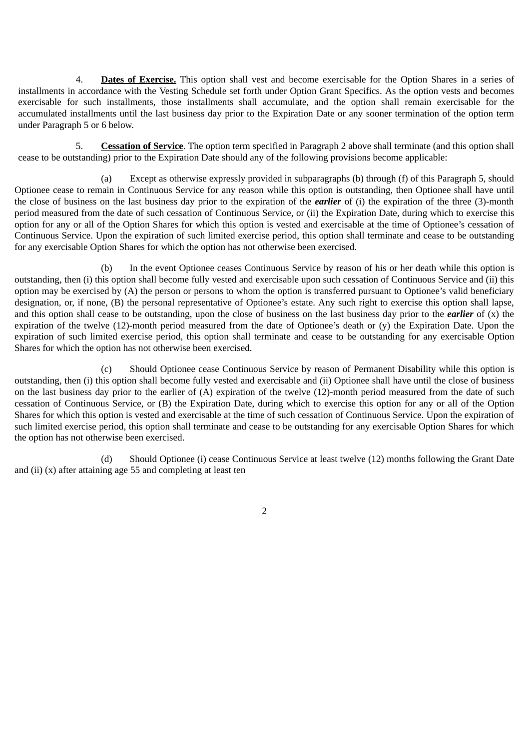4. **Dates of Exercise.** This option shall vest and become exercisable for the Option Shares in a series of installments in accordance with the Vesting Schedule set forth under Option Grant Specifics. As the option vests and becomes exercisable for such installments, those installments shall accumulate, and the option shall remain exercisable for the accumulated installments until the last business day prior to the Expiration Date or any sooner termination of the option term under Paragraph 5 or 6 below.

5. **Cessation of Service**. The option term specified in Paragraph 2 above shall terminate (and this option shall cease to be outstanding) prior to the Expiration Date should any of the following provisions become applicable:

(a) Except as otherwise expressly provided in subparagraphs (b) through (f) of this Paragraph 5, should Optionee cease to remain in Continuous Service for any reason while this option is outstanding, then Optionee shall have until the close of business on the last business day prior to the expiration of the *earlier* of (i) the expiration of the three (3)-month period measured from the date of such cessation of Continuous Service, or (ii) the Expiration Date, during which to exercise this option for any or all of the Option Shares for which this option is vested and exercisable at the time of Optionee's cessation of Continuous Service. Upon the expiration of such limited exercise period, this option shall terminate and cease to be outstanding for any exercisable Option Shares for which the option has not otherwise been exercised.

(b) In the event Optionee ceases Continuous Service by reason of his or her death while this option is outstanding, then (i) this option shall become fully vested and exercisable upon such cessation of Continuous Service and (ii) this option may be exercised by (A) the person or persons to whom the option is transferred pursuant to Optionee's valid beneficiary designation, or, if none, (B) the personal representative of Optionee's estate. Any such right to exercise this option shall lapse, and this option shall cease to be outstanding, upon the close of business on the last business day prior to the *earlier* of (x) the expiration of the twelve (12)-month period measured from the date of Optionee's death or (y) the Expiration Date. Upon the expiration of such limited exercise period, this option shall terminate and cease to be outstanding for any exercisable Option Shares for which the option has not otherwise been exercised.

(c) Should Optionee cease Continuous Service by reason of Permanent Disability while this option is outstanding, then (i) this option shall become fully vested and exercisable and (ii) Optionee shall have until the close of business on the last business day prior to the earlier of (A) expiration of the twelve (12)-month period measured from the date of such cessation of Continuous Service, or (B) the Expiration Date, during which to exercise this option for any or all of the Option Shares for which this option is vested and exercisable at the time of such cessation of Continuous Service. Upon the expiration of such limited exercise period, this option shall terminate and cease to be outstanding for any exercisable Option Shares for which the option has not otherwise been exercised.

(d) Should Optionee (i) cease Continuous Service at least twelve (12) months following the Grant Date and (ii) (x) after attaining age 55 and completing at least ten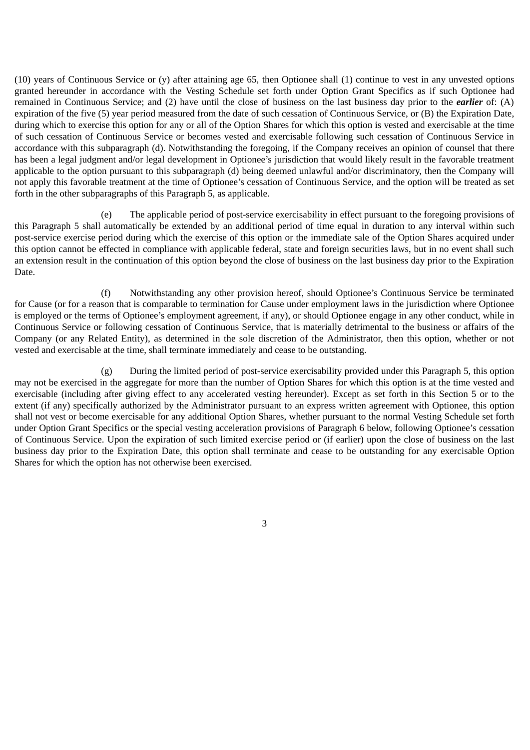(10) years of Continuous Service or (y) after attaining age 65, then Optionee shall (1) continue to vest in any unvested options granted hereunder in accordance with the Vesting Schedule set forth under Option Grant Specifics as if such Optionee had remained in Continuous Service; and (2) have until the close of business on the last business day prior to the *earlier* of: (A) expiration of the five (5) year period measured from the date of such cessation of Continuous Service, or (B) the Expiration Date, during which to exercise this option for any or all of the Option Shares for which this option is vested and exercisable at the time of such cessation of Continuous Service or becomes vested and exercisable following such cessation of Continuous Service in accordance with this subparagraph (d). Notwithstanding the foregoing, if the Company receives an opinion of counsel that there has been a legal judgment and/or legal development in Optionee's jurisdiction that would likely result in the favorable treatment applicable to the option pursuant to this subparagraph (d) being deemed unlawful and/or discriminatory, then the Company will not apply this favorable treatment at the time of Optionee's cessation of Continuous Service, and the option will be treated as set forth in the other subparagraphs of this Paragraph 5, as applicable.

(e) The applicable period of post-service exercisability in effect pursuant to the foregoing provisions of this Paragraph 5 shall automatically be extended by an additional period of time equal in duration to any interval within such post-service exercise period during which the exercise of this option or the immediate sale of the Option Shares acquired under this option cannot be effected in compliance with applicable federal, state and foreign securities laws, but in no event shall such an extension result in the continuation of this option beyond the close of business on the last business day prior to the Expiration Date.

(f) Notwithstanding any other provision hereof, should Optionee's Continuous Service be terminated for Cause (or for a reason that is comparable to termination for Cause under employment laws in the jurisdiction where Optionee is employed or the terms of Optionee's employment agreement, if any), or should Optionee engage in any other conduct, while in Continuous Service or following cessation of Continuous Service, that is materially detrimental to the business or affairs of the Company (or any Related Entity), as determined in the sole discretion of the Administrator, then this option, whether or not vested and exercisable at the time, shall terminate immediately and cease to be outstanding.

(g) During the limited period of post-service exercisability provided under this Paragraph 5, this option may not be exercised in the aggregate for more than the number of Option Shares for which this option is at the time vested and exercisable (including after giving effect to any accelerated vesting hereunder). Except as set forth in this Section 5 or to the extent (if any) specifically authorized by the Administrator pursuant to an express written agreement with Optionee, this option shall not vest or become exercisable for any additional Option Shares, whether pursuant to the normal Vesting Schedule set forth under Option Grant Specifics or the special vesting acceleration provisions of Paragraph 6 below, following Optionee's cessation of Continuous Service. Upon the expiration of such limited exercise period or (if earlier) upon the close of business on the last business day prior to the Expiration Date, this option shall terminate and cease to be outstanding for any exercisable Option Shares for which the option has not otherwise been exercised.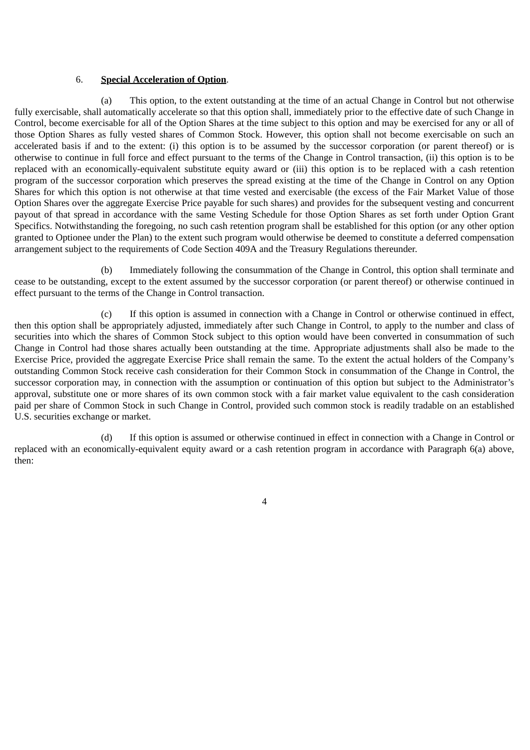## 6. **Special Acceleration of Option**.

(a) This option, to the extent outstanding at the time of an actual Change in Control but not otherwise fully exercisable, shall automatically accelerate so that this option shall, immediately prior to the effective date of such Change in Control, become exercisable for all of the Option Shares at the time subject to this option and may be exercised for any or all of those Option Shares as fully vested shares of Common Stock. However, this option shall not become exercisable on such an accelerated basis if and to the extent: (i) this option is to be assumed by the successor corporation (or parent thereof) or is otherwise to continue in full force and effect pursuant to the terms of the Change in Control transaction, (ii) this option is to be replaced with an economically-equivalent substitute equity award or (iii) this option is to be replaced with a cash retention program of the successor corporation which preserves the spread existing at the time of the Change in Control on any Option Shares for which this option is not otherwise at that time vested and exercisable (the excess of the Fair Market Value of those Option Shares over the aggregate Exercise Price payable for such shares) and provides for the subsequent vesting and concurrent payout of that spread in accordance with the same Vesting Schedule for those Option Shares as set forth under Option Grant Specifics. Notwithstanding the foregoing, no such cash retention program shall be established for this option (or any other option granted to Optionee under the Plan) to the extent such program would otherwise be deemed to constitute a deferred compensation arrangement subject to the requirements of Code Section 409A and the Treasury Regulations thereunder.

(b) Immediately following the consummation of the Change in Control, this option shall terminate and cease to be outstanding, except to the extent assumed by the successor corporation (or parent thereof) or otherwise continued in effect pursuant to the terms of the Change in Control transaction.

(c) If this option is assumed in connection with a Change in Control or otherwise continued in effect, then this option shall be appropriately adjusted, immediately after such Change in Control, to apply to the number and class of securities into which the shares of Common Stock subject to this option would have been converted in consummation of such Change in Control had those shares actually been outstanding at the time. Appropriate adjustments shall also be made to the Exercise Price, provided the aggregate Exercise Price shall remain the same. To the extent the actual holders of the Company's outstanding Common Stock receive cash consideration for their Common Stock in consummation of the Change in Control, the successor corporation may, in connection with the assumption or continuation of this option but subject to the Administrator's approval, substitute one or more shares of its own common stock with a fair market value equivalent to the cash consideration paid per share of Common Stock in such Change in Control, provided such common stock is readily tradable on an established U.S. securities exchange or market.

(d) If this option is assumed or otherwise continued in effect in connection with a Change in Control or replaced with an economically-equivalent equity award or a cash retention program in accordance with Paragraph 6(a) above, then: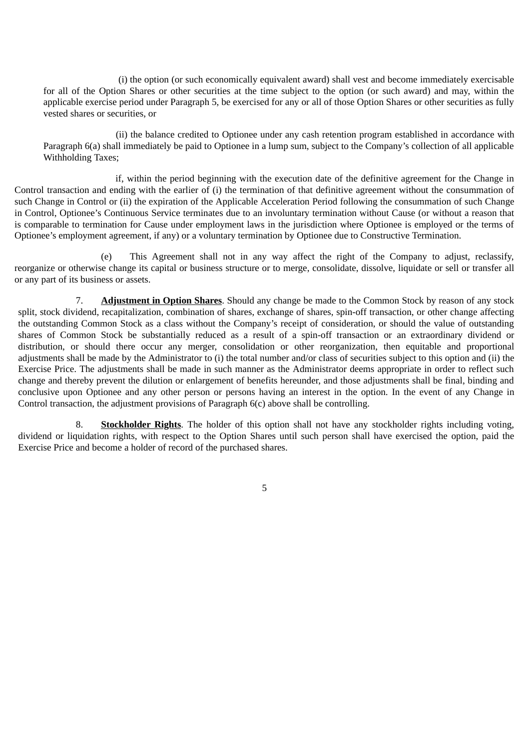(i) the option (or such economically equivalent award) shall vest and become immediately exercisable for all of the Option Shares or other securities at the time subject to the option (or such award) and may, within the applicable exercise period under Paragraph 5, be exercised for any or all of those Option Shares or other securities as fully vested shares or securities, or

(ii) the balance credited to Optionee under any cash retention program established in accordance with Paragraph 6(a) shall immediately be paid to Optionee in a lump sum, subject to the Company's collection of all applicable Withholding Taxes;

if, within the period beginning with the execution date of the definitive agreement for the Change in Control transaction and ending with the earlier of (i) the termination of that definitive agreement without the consummation of such Change in Control or (ii) the expiration of the Applicable Acceleration Period following the consummation of such Change in Control, Optionee's Continuous Service terminates due to an involuntary termination without Cause (or without a reason that is comparable to termination for Cause under employment laws in the jurisdiction where Optionee is employed or the terms of Optionee's employment agreement, if any) or a voluntary termination by Optionee due to Constructive Termination.

(e) This Agreement shall not in any way affect the right of the Company to adjust, reclassify, reorganize or otherwise change its capital or business structure or to merge, consolidate, dissolve, liquidate or sell or transfer all or any part of its business or assets.

7. **Adjustment in Option Shares**. Should any change be made to the Common Stock by reason of any stock split, stock dividend, recapitalization, combination of shares, exchange of shares, spin-off transaction, or other change affecting the outstanding Common Stock as a class without the Company's receipt of consideration, or should the value of outstanding shares of Common Stock be substantially reduced as a result of a spin-off transaction or an extraordinary dividend or distribution, or should there occur any merger, consolidation or other reorganization, then equitable and proportional adjustments shall be made by the Administrator to (i) the total number and/or class of securities subject to this option and (ii) the Exercise Price. The adjustments shall be made in such manner as the Administrator deems appropriate in order to reflect such change and thereby prevent the dilution or enlargement of benefits hereunder, and those adjustments shall be final, binding and conclusive upon Optionee and any other person or persons having an interest in the option. In the event of any Change in Control transaction, the adjustment provisions of Paragraph 6(c) above shall be controlling.

8. **Stockholder Rights**. The holder of this option shall not have any stockholder rights including voting, dividend or liquidation rights, with respect to the Option Shares until such person shall have exercised the option, paid the Exercise Price and become a holder of record of the purchased shares.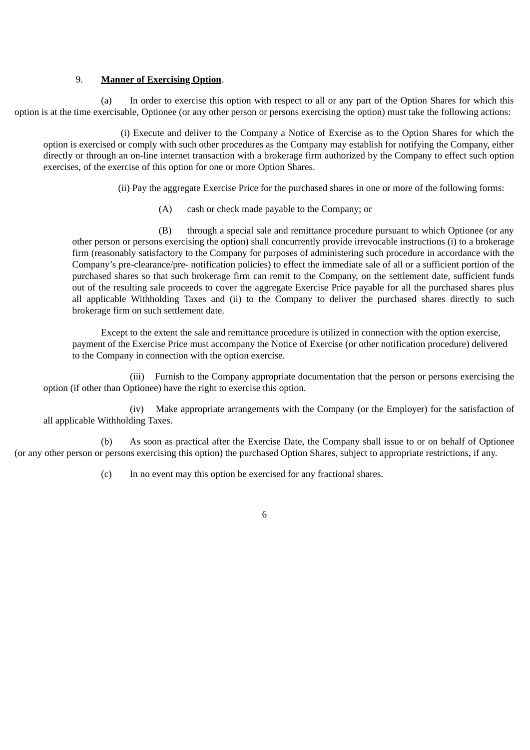## 9. **Manner of Exercising Option**.

(a) In order to exercise this option with respect to all or any part of the Option Shares for which this option is at the time exercisable, Optionee (or any other person or persons exercising the option) must take the following actions:

(i) Execute and deliver to the Company a Notice of Exercise as to the Option Shares for which the option is exercised or comply with such other procedures as the Company may establish for notifying the Company, either directly or through an on-line internet transaction with a brokerage firm authorized by the Company to effect such option exercises, of the exercise of this option for one or more Option Shares.

(ii) Pay the aggregate Exercise Price for the purchased shares in one or more of the following forms:

(A) cash or check made payable to the Company; or

(B) through a special sale and remittance procedure pursuant to which Optionee (or any other person or persons exercising the option) shall concurrently provide irrevocable instructions (i) to a brokerage firm (reasonably satisfactory to the Company for purposes of administering such procedure in accordance with the Company's pre-clearance/pre- notification policies) to effect the immediate sale of all or a sufficient portion of the purchased shares so that such brokerage firm can remit to the Company, on the settlement date, sufficient funds out of the resulting sale proceeds to cover the aggregate Exercise Price payable for all the purchased shares plus all applicable Withholding Taxes and (ii) to the Company to deliver the purchased shares directly to such brokerage firm on such settlement date.

Except to the extent the sale and remittance procedure is utilized in connection with the option exercise, payment of the Exercise Price must accompany the Notice of Exercise (or other notification procedure) delivered to the Company in connection with the option exercise.

(iii) Furnish to the Company appropriate documentation that the person or persons exercising the option (if other than Optionee) have the right to exercise this option.

(iv) Make appropriate arrangements with the Company (or the Employer) for the satisfaction of all applicable Withholding Taxes.

(b) As soon as practical after the Exercise Date, the Company shall issue to or on behalf of Optionee (or any other person or persons exercising this option) the purchased Option Shares, subject to appropriate restrictions, if any.

(c) In no event may this option be exercised for any fractional shares.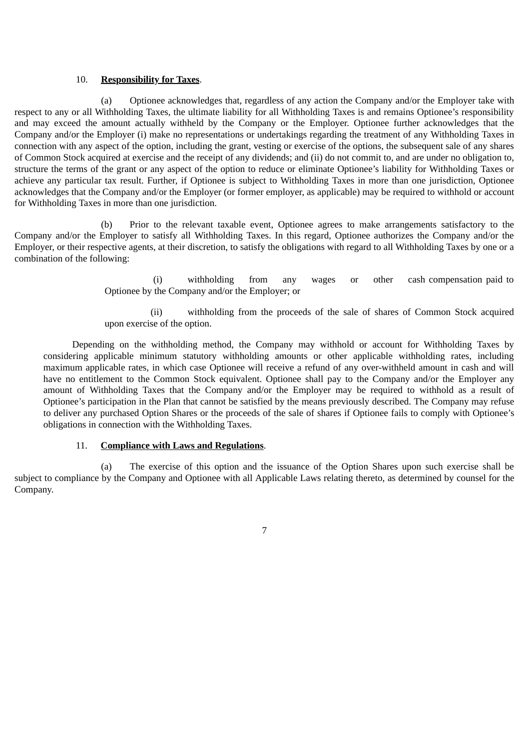## 10. **Responsibility for Taxes**.

(a) Optionee acknowledges that, regardless of any action the Company and/or the Employer take with respect to any or all Withholding Taxes, the ultimate liability for all Withholding Taxes is and remains Optionee's responsibility and may exceed the amount actually withheld by the Company or the Employer. Optionee further acknowledges that the Company and/or the Employer (i) make no representations or undertakings regarding the treatment of any Withholding Taxes in connection with any aspect of the option, including the grant, vesting or exercise of the options, the subsequent sale of any shares of Common Stock acquired at exercise and the receipt of any dividends; and (ii) do not commit to, and are under no obligation to, structure the terms of the grant or any aspect of the option to reduce or eliminate Optionee's liability for Withholding Taxes or achieve any particular tax result. Further, if Optionee is subject to Withholding Taxes in more than one jurisdiction, Optionee acknowledges that the Company and/or the Employer (or former employer, as applicable) may be required to withhold or account for Withholding Taxes in more than one jurisdiction.

(b) Prior to the relevant taxable event, Optionee agrees to make arrangements satisfactory to the Company and/or the Employer to satisfy all Withholding Taxes. In this regard, Optionee authorizes the Company and/or the Employer, or their respective agents, at their discretion, to satisfy the obligations with regard to all Withholding Taxes by one or a combination of the following:

> (i) withholding from any wages or other cash compensation paid to Optionee by the Company and/or the Employer; or

> (ii) withholding from the proceeds of the sale of shares of Common Stock acquired upon exercise of the option.

Depending on the withholding method, the Company may withhold or account for Withholding Taxes by considering applicable minimum statutory withholding amounts or other applicable withholding rates, including maximum applicable rates, in which case Optionee will receive a refund of any over-withheld amount in cash and will have no entitlement to the Common Stock equivalent. Optionee shall pay to the Company and/or the Employer any amount of Withholding Taxes that the Company and/or the Employer may be required to withhold as a result of Optionee's participation in the Plan that cannot be satisfied by the means previously described. The Company may refuse to deliver any purchased Option Shares or the proceeds of the sale of shares if Optionee fails to comply with Optionee's obligations in connection with the Withholding Taxes.

## 11. **Compliance with Laws and Regulations**.

(a) The exercise of this option and the issuance of the Option Shares upon such exercise shall be subject to compliance by the Company and Optionee with all Applicable Laws relating thereto, as determined by counsel for the Company.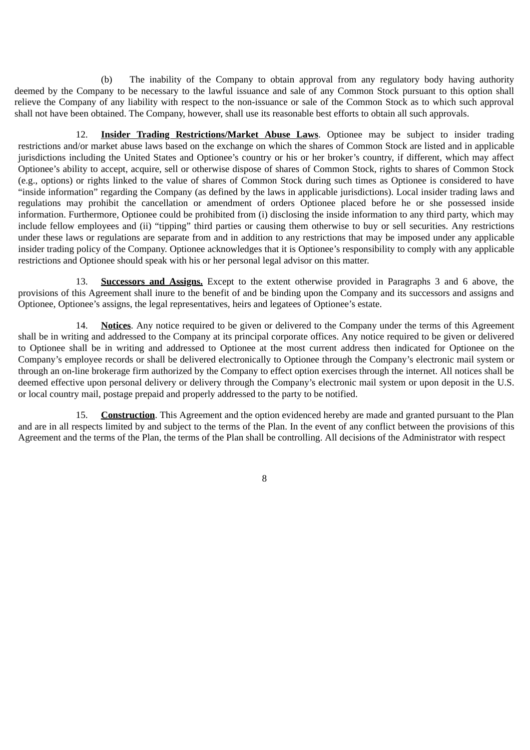(b) The inability of the Company to obtain approval from any regulatory body having authority deemed by the Company to be necessary to the lawful issuance and sale of any Common Stock pursuant to this option shall relieve the Company of any liability with respect to the non-issuance or sale of the Common Stock as to which such approval shall not have been obtained. The Company, however, shall use its reasonable best efforts to obtain all such approvals.

12. **Insider Trading Restrictions/Market Abuse Laws**. Optionee may be subject to insider trading restrictions and/or market abuse laws based on the exchange on which the shares of Common Stock are listed and in applicable jurisdictions including the United States and Optionee's country or his or her broker's country, if different, which may affect Optionee's ability to accept, acquire, sell or otherwise dispose of shares of Common Stock, rights to shares of Common Stock (e.g., options) or rights linked to the value of shares of Common Stock during such times as Optionee is considered to have "inside information" regarding the Company (as defined by the laws in applicable jurisdictions). Local insider trading laws and regulations may prohibit the cancellation or amendment of orders Optionee placed before he or she possessed inside information. Furthermore, Optionee could be prohibited from (i) disclosing the inside information to any third party, which may include fellow employees and (ii) "tipping" third parties or causing them otherwise to buy or sell securities. Any restrictions under these laws or regulations are separate from and in addition to any restrictions that may be imposed under any applicable insider trading policy of the Company. Optionee acknowledges that it is Optionee's responsibility to comply with any applicable restrictions and Optionee should speak with his or her personal legal advisor on this matter.

13. **Successors and Assigns.** Except to the extent otherwise provided in Paragraphs 3 and 6 above, the provisions of this Agreement shall inure to the benefit of and be binding upon the Company and its successors and assigns and Optionee, Optionee's assigns, the legal representatives, heirs and legatees of Optionee's estate.

14. **Notices**. Any notice required to be given or delivered to the Company under the terms of this Agreement shall be in writing and addressed to the Company at its principal corporate offices. Any notice required to be given or delivered to Optionee shall be in writing and addressed to Optionee at the most current address then indicated for Optionee on the Company's employee records or shall be delivered electronically to Optionee through the Company's electronic mail system or through an on-line brokerage firm authorized by the Company to effect option exercises through the internet. All notices shall be deemed effective upon personal delivery or delivery through the Company's electronic mail system or upon deposit in the U.S. or local country mail, postage prepaid and properly addressed to the party to be notified.

15. **Construction**. This Agreement and the option evidenced hereby are made and granted pursuant to the Plan and are in all respects limited by and subject to the terms of the Plan. In the event of any conflict between the provisions of this Agreement and the terms of the Plan, the terms of the Plan shall be controlling. All decisions of the Administrator with respect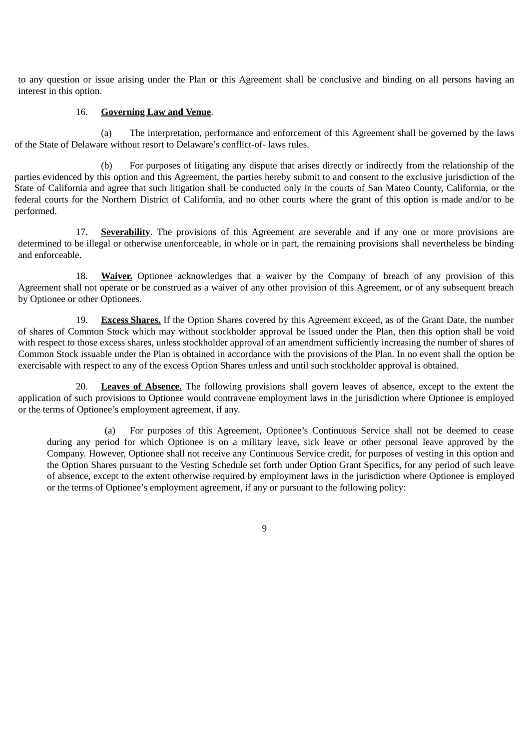to any question or issue arising under the Plan or this Agreement shall be conclusive and binding on all persons having an interest in this option.

## 16. **Governing Law and Venue**.

(a) The interpretation, performance and enforcement of this Agreement shall be governed by the laws of the State of Delaware without resort to Delaware's conflict-of- laws rules.

(b) For purposes of litigating any dispute that arises directly or indirectly from the relationship of the parties evidenced by this option and this Agreement, the parties hereby submit to and consent to the exclusive jurisdiction of the State of California and agree that such litigation shall be conducted only in the courts of San Mateo County, California, or the federal courts for the Northern District of California, and no other courts where the grant of this option is made and/or to be performed.

17. **Severability**. The provisions of this Agreement are severable and if any one or more provisions are determined to be illegal or otherwise unenforceable, in whole or in part, the remaining provisions shall nevertheless be binding and enforceable.

18. **Waiver.** Optionee acknowledges that a waiver by the Company of breach of any provision of this Agreement shall not operate or be construed as a waiver of any other provision of this Agreement, or of any subsequent breach by Optionee or other Optionees.

19. **Excess Shares.** If the Option Shares covered by this Agreement exceed, as of the Grant Date, the number of shares of Common Stock which may without stockholder approval be issued under the Plan, then this option shall be void with respect to those excess shares, unless stockholder approval of an amendment sufficiently increasing the number of shares of Common Stock issuable under the Plan is obtained in accordance with the provisions of the Plan. In no event shall the option be exercisable with respect to any of the excess Option Shares unless and until such stockholder approval is obtained.

20. **Leaves of Absence.** The following provisions shall govern leaves of absence, except to the extent the application of such provisions to Optionee would contravene employment laws in the jurisdiction where Optionee is employed or the terms of Optionee's employment agreement, if any.

(a) For purposes of this Agreement, Optionee's Continuous Service shall not be deemed to cease during any period for which Optionee is on a military leave, sick leave or other personal leave approved by the Company. However, Optionee shall not receive any Continuous Service credit, for purposes of vesting in this option and the Option Shares pursuant to the Vesting Schedule set forth under Option Grant Specifics, for any period of such leave of absence, except to the extent otherwise required by employment laws in the jurisdiction where Optionee is employed or the terms of Optionee's employment agreement, if any or pursuant to the following policy: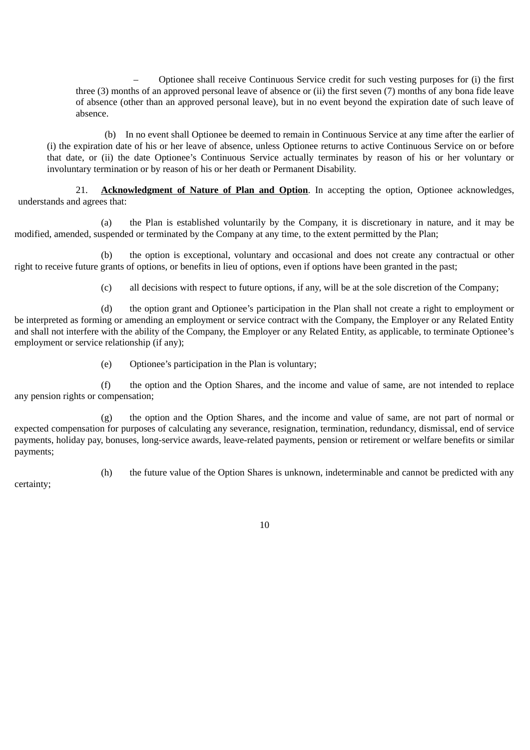– Optionee shall receive Continuous Service credit for such vesting purposes for (i) the first three (3) months of an approved personal leave of absence or (ii) the first seven (7) months of any bona fide leave of absence (other than an approved personal leave), but in no event beyond the expiration date of such leave of absence.

(b) In no event shall Optionee be deemed to remain in Continuous Service at any time after the earlier of (i) the expiration date of his or her leave of absence, unless Optionee returns to active Continuous Service on or before that date, or (ii) the date Optionee's Continuous Service actually terminates by reason of his or her voluntary or involuntary termination or by reason of his or her death or Permanent Disability.

21. **Acknowledgment of Nature of Plan and Option**. In accepting the option, Optionee acknowledges, understands and agrees that:

(a) the Plan is established voluntarily by the Company, it is discretionary in nature, and it may be modified, amended, suspended or terminated by the Company at any time, to the extent permitted by the Plan;

(b) the option is exceptional, voluntary and occasional and does not create any contractual or other right to receive future grants of options, or benefits in lieu of options, even if options have been granted in the past;

(c) all decisions with respect to future options, if any, will be at the sole discretion of the Company;

(d) the option grant and Optionee's participation in the Plan shall not create a right to employment or be interpreted as forming or amending an employment or service contract with the Company, the Employer or any Related Entity and shall not interfere with the ability of the Company, the Employer or any Related Entity, as applicable, to terminate Optionee's employment or service relationship (if any);

(e) Optionee's participation in the Plan is voluntary;

(f) the option and the Option Shares, and the income and value of same, are not intended to replace any pension rights or compensation;

(g) the option and the Option Shares, and the income and value of same, are not part of normal or expected compensation for purposes of calculating any severance, resignation, termination, redundancy, dismissal, end of service payments, holiday pay, bonuses, long-service awards, leave-related payments, pension or retirement or welfare benefits or similar payments;

(h) the future value of the Option Shares is unknown, indeterminable and cannot be predicted with any

certainty;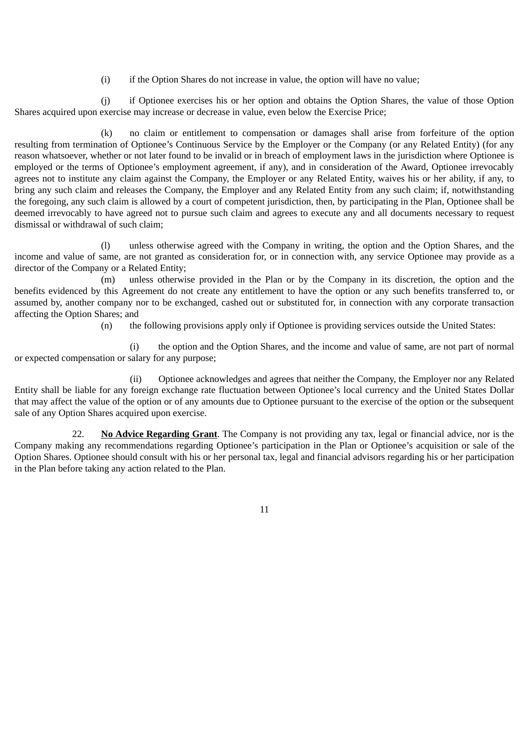(i) if the Option Shares do not increase in value, the option will have no value;

(j) if Optionee exercises his or her option and obtains the Option Shares, the value of those Option Shares acquired upon exercise may increase or decrease in value, even below the Exercise Price;

(k) no claim or entitlement to compensation or damages shall arise from forfeiture of the option resulting from termination of Optionee's Continuous Service by the Employer or the Company (or any Related Entity) (for any reason whatsoever, whether or not later found to be invalid or in breach of employment laws in the jurisdiction where Optionee is employed or the terms of Optionee's employment agreement, if any), and in consideration of the Award, Optionee irrevocably agrees not to institute any claim against the Company, the Employer or any Related Entity, waives his or her ability, if any, to bring any such claim and releases the Company, the Employer and any Related Entity from any such claim; if, notwithstanding the foregoing, any such claim is allowed by a court of competent jurisdiction, then, by participating in the Plan, Optionee shall be deemed irrevocably to have agreed not to pursue such claim and agrees to execute any and all documents necessary to request dismissal or withdrawal of such claim;

(l) unless otherwise agreed with the Company in writing, the option and the Option Shares, and the income and value of same, are not granted as consideration for, or in connection with, any service Optionee may provide as a director of the Company or a Related Entity;

(m) unless otherwise provided in the Plan or by the Company in its discretion, the option and the benefits evidenced by this Agreement do not create any entitlement to have the option or any such benefits transferred to, or assumed by, another company nor to be exchanged, cashed out or substituted for, in connection with any corporate transaction affecting the Option Shares; and

(n) the following provisions apply only if Optionee is providing services outside the United States:

(i) the option and the Option Shares, and the income and value of same, are not part of normal or expected compensation or salary for any purpose;

(ii) Optionee acknowledges and agrees that neither the Company, the Employer nor any Related Entity shall be liable for any foreign exchange rate fluctuation between Optionee's local currency and the United States Dollar that may affect the value of the option or of any amounts due to Optionee pursuant to the exercise of the option or the subsequent sale of any Option Shares acquired upon exercise.

22. **No Advice Regarding Grant**. The Company is not providing any tax, legal or financial advice, nor is the Company making any recommendations regarding Optionee's participation in the Plan or Optionee's acquisition or sale of the Option Shares. Optionee should consult with his or her personal tax, legal and financial advisors regarding his or her participation in the Plan before taking any action related to the Plan.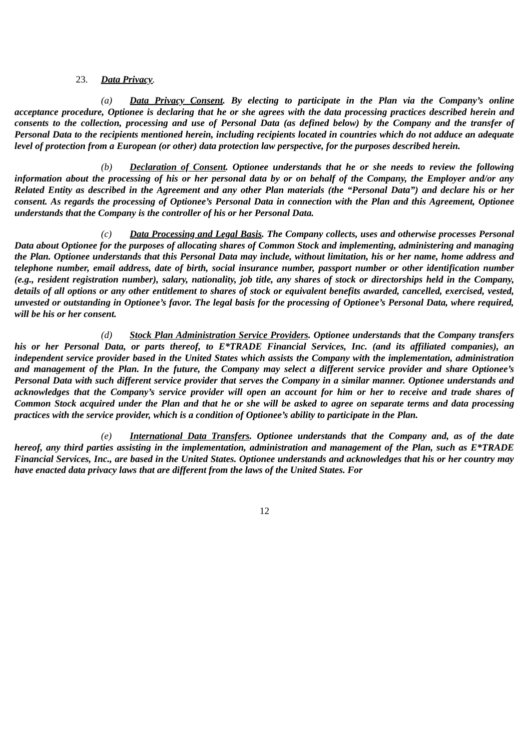## 23. *Data Privacy.*

*(a) Data Privacy Consent. By electing to participate in the Plan via the Company's online acceptance procedure, Optionee is declaring that he or she agrees with the data processing practices described herein and consents to the collection, processing and use of Personal Data (as defined below) by the Company and the transfer of Personal Data to the recipients mentioned herein, including recipients located in countries which do not adduce an adequate level of protection from a European (or other) data protection law perspective, for the purposes described herein.*

*(b) Declaration of Consent. Optionee understands that he or she needs to review the following information about the processing of his or her personal data by or on behalf of the Company, the Employer and/or any Related Entity as described in the Agreement and any other Plan materials (the "Personal Data") and declare his or her consent. As regards the processing of Optionee's Personal Data in connection with the Plan and this Agreement, Optionee understands that the Company is the controller of his or her Personal Data.*

*(c) Data Processing and Legal Basis. The Company collects, uses and otherwise processes Personal Data about Optionee for the purposes of allocating shares of Common Stock and implementing, administering and managing the Plan. Optionee understands that this Personal Data may include, without limitation, his or her name, home address and telephone number, email address, date of birth, social insurance number, passport number or other identification number (e.g., resident registration number), salary, nationality, job title, any shares of stock or directorships held in the Company, details of all options or any other entitlement to shares of stock or equivalent benefits awarded, cancelled, exercised, vested, unvested or outstanding in Optionee's favor. The legal basis for the processing of Optionee's Personal Data, where required, will be his or her consent.*

*(d) Stock Plan Administration Service Providers. Optionee understands that the Company transfers his or her Personal Data, or parts thereof, to E\*TRADE Financial Services, Inc. (and its affiliated companies), an independent service provider based in the United States which assists the Company with the implementation, administration and management of the Plan. In the future, the Company may select a different service provider and share Optionee's Personal Data with such different service provider that serves the Company in a similar manner. Optionee understands and acknowledges that the Company's service provider will open an account for him or her to receive and trade shares of Common Stock acquired under the Plan and that he or she will be asked to agree on separate terms and data processing practices with the service provider, which is a condition of Optionee's ability to participate in the Plan.*

*(e) International Data Transfers. Optionee understands that the Company and, as of the date hereof, any third parties assisting in the implementation, administration and management of the Plan, such as E\*TRADE Financial Services, Inc., are based in the United States. Optionee understands and acknowledges that his or her country may have enacted data privacy laws that are different from the laws of the United States. For*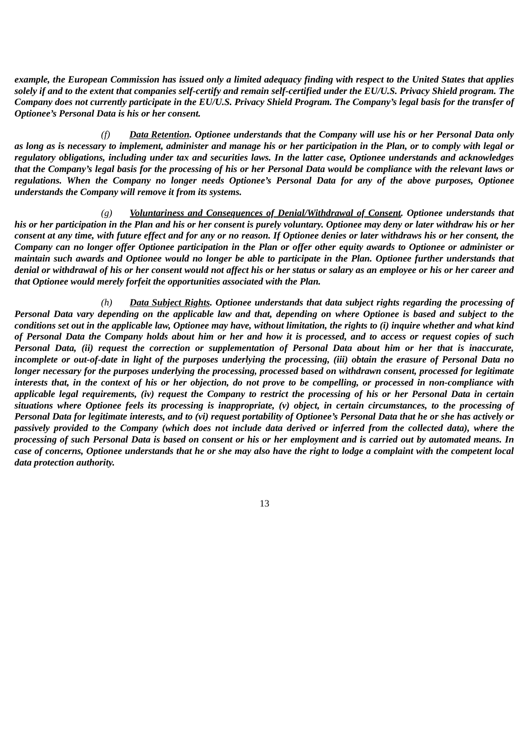*example, the European Commission has issued only a limited adequacy finding with respect to the United States that applies solely if and to the extent that companies self-certify and remain self-certified under the EU/U.S. Privacy Shield program. The Company does not currently participate in the EU/U.S. Privacy Shield Program. The Company's legal basis for the transfer of Optionee's Personal Data is his or her consent.*

*(f) Data Retention. Optionee understands that the Company will use his or her Personal Data only as long as is necessary to implement, administer and manage his or her participation in the Plan, or to comply with legal or regulatory obligations, including under tax and securities laws. In the latter case, Optionee understands and acknowledges that the Company's legal basis for the processing of his or her Personal Data would be compliance with the relevant laws or regulations. When the Company no longer needs Optionee's Personal Data for any of the above purposes, Optionee understands the Company will remove it from its systems.*

*(g) Voluntariness and Consequences of Denial/Withdrawal of Consent. Optionee understands that his or her participation in the Plan and his or her consent is purely voluntary. Optionee may deny or later withdraw his or her consent at any time, with future effect and for any or no reason. If Optionee denies or later withdraws his or her consent, the Company can no longer offer Optionee participation in the Plan or offer other equity awards to Optionee or administer or maintain such awards and Optionee would no longer be able to participate in the Plan. Optionee further understands that denial or withdrawal of his or her consent would not affect his or her status or salary as an employee or his or her career and that Optionee would merely forfeit the opportunities associated with the Plan.*

*(h) Data Subject Rights. Optionee understands that data subject rights regarding the processing of Personal Data vary depending on the applicable law and that, depending on where Optionee is based and subject to the conditions set out in the applicable law, Optionee may have, without limitation, the rights to (i) inquire whether and what kind of Personal Data the Company holds about him or her and how it is processed, and to access or request copies of such Personal Data, (ii) request the correction or supplementation of Personal Data about him or her that is inaccurate, incomplete or out-of-date in light of the purposes underlying the processing, (iii) obtain the erasure of Personal Data no longer necessary for the purposes underlying the processing, processed based on withdrawn consent, processed for legitimate interests that, in the context of his or her objection, do not prove to be compelling, or processed in non-compliance with applicable legal requirements, (iv) request the Company to restrict the processing of his or her Personal Data in certain situations where Optionee feels its processing is inappropriate, (v) object, in certain circumstances, to the processing of Personal Data for legitimate interests, and to (vi) request portability of Optionee's Personal Data that he or she has actively or passively provided to the Company (which does not include data derived or inferred from the collected data), where the processing of such Personal Data is based on consent or his or her employment and is carried out by automated means. In case of concerns, Optionee understands that he or she may also have the right to lodge a complaint with the competent local data protection authority.*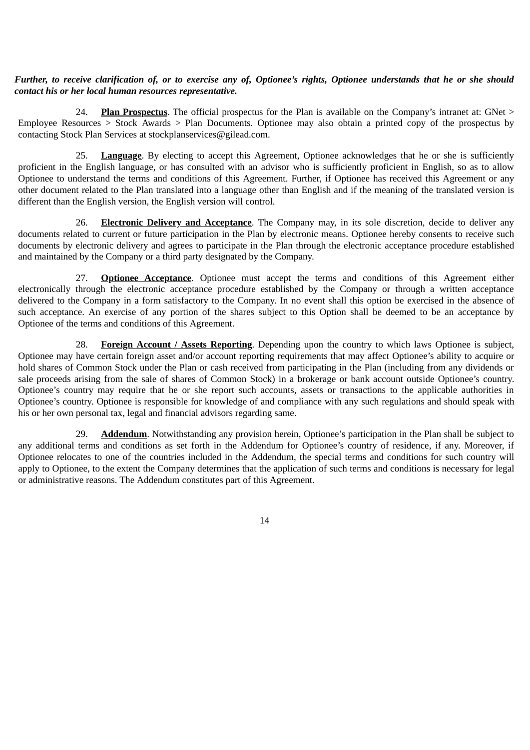## *Further, to receive clarification of, or to exercise any of, Optionee's rights, Optionee understands that he or she should contact his or her local human resources representative.*

24. **Plan Prospectus**. The official prospectus for the Plan is available on the Company's intranet at: GNet > Employee Resources > Stock Awards > Plan Documents. Optionee may also obtain a printed copy of the prospectus by contacting Stock Plan Services at stockplanservices@gilead.com.

25. **Language**. By electing to accept this Agreement, Optionee acknowledges that he or she is sufficiently proficient in the English language, or has consulted with an advisor who is sufficiently proficient in English, so as to allow Optionee to understand the terms and conditions of this Agreement. Further, if Optionee has received this Agreement or any other document related to the Plan translated into a language other than English and if the meaning of the translated version is different than the English version, the English version will control.

26. **Electronic Delivery and Acceptance**. The Company may, in its sole discretion, decide to deliver any documents related to current or future participation in the Plan by electronic means. Optionee hereby consents to receive such documents by electronic delivery and agrees to participate in the Plan through the electronic acceptance procedure established and maintained by the Company or a third party designated by the Company.

27. **Optionee Acceptance**. Optionee must accept the terms and conditions of this Agreement either electronically through the electronic acceptance procedure established by the Company or through a written acceptance delivered to the Company in a form satisfactory to the Company. In no event shall this option be exercised in the absence of such acceptance. An exercise of any portion of the shares subject to this Option shall be deemed to be an acceptance by Optionee of the terms and conditions of this Agreement.

28. **Foreign Account / Assets Reporting**. Depending upon the country to which laws Optionee is subject, Optionee may have certain foreign asset and/or account reporting requirements that may affect Optionee's ability to acquire or hold shares of Common Stock under the Plan or cash received from participating in the Plan (including from any dividends or sale proceeds arising from the sale of shares of Common Stock) in a brokerage or bank account outside Optionee's country. Optionee's country may require that he or she report such accounts, assets or transactions to the applicable authorities in Optionee's country. Optionee is responsible for knowledge of and compliance with any such regulations and should speak with his or her own personal tax, legal and financial advisors regarding same.

29. **Addendum**. Notwithstanding any provision herein, Optionee's participation in the Plan shall be subject to any additional terms and conditions as set forth in the Addendum for Optionee's country of residence, if any. Moreover, if Optionee relocates to one of the countries included in the Addendum, the special terms and conditions for such country will apply to Optionee, to the extent the Company determines that the application of such terms and conditions is necessary for legal or administrative reasons. The Addendum constitutes part of this Agreement.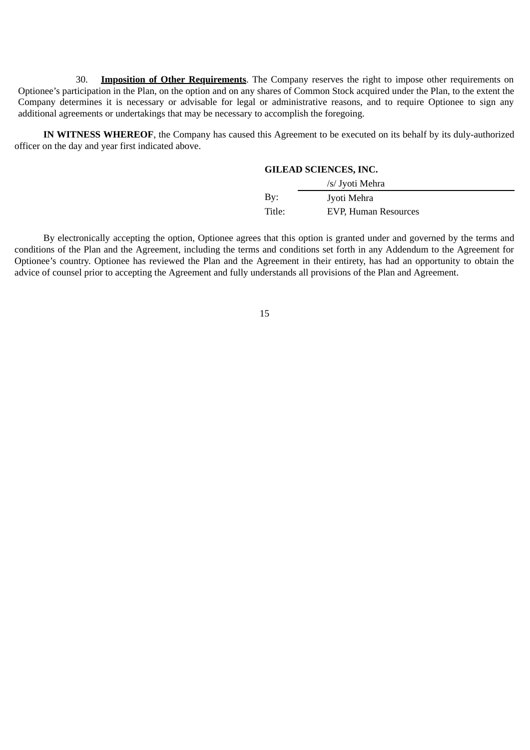30. **Imposition of Other Requirements**. The Company reserves the right to impose other requirements on Optionee's participation in the Plan, on the option and on any shares of Common Stock acquired under the Plan, to the extent the Company determines it is necessary or advisable for legal or administrative reasons, and to require Optionee to sign any additional agreements or undertakings that may be necessary to accomplish the foregoing.

**IN WITNESS WHEREOF**, the Company has caused this Agreement to be executed on its behalf by its duly-authorized officer on the day and year first indicated above.

## **GILEAD SCIENCES, INC.**

|        | /s/ Jyoti Mehra      |  |
|--------|----------------------|--|
| By:    | Jyoti Mehra          |  |
| Title: | EVP, Human Resources |  |

By electronically accepting the option, Optionee agrees that this option is granted under and governed by the terms and conditions of the Plan and the Agreement, including the terms and conditions set forth in any Addendum to the Agreement for Optionee's country. Optionee has reviewed the Plan and the Agreement in their entirety, has had an opportunity to obtain the advice of counsel prior to accepting the Agreement and fully understands all provisions of the Plan and Agreement.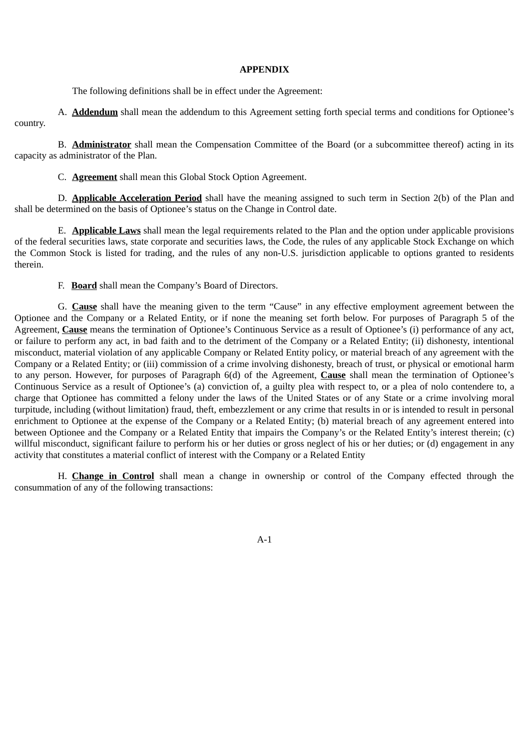## **APPENDIX**

The following definitions shall be in effect under the Agreement:

A. **Addendum** shall mean the addendum to this Agreement setting forth special terms and conditions for Optionee's country.

B. **Administrator** shall mean the Compensation Committee of the Board (or a subcommittee thereof) acting in its capacity as administrator of the Plan.

C. **Agreement** shall mean this Global Stock Option Agreement.

D. **Applicable Acceleration Period** shall have the meaning assigned to such term in Section 2(b) of the Plan and shall be determined on the basis of Optionee's status on the Change in Control date.

E. **Applicable Laws** shall mean the legal requirements related to the Plan and the option under applicable provisions of the federal securities laws, state corporate and securities laws, the Code, the rules of any applicable Stock Exchange on which the Common Stock is listed for trading, and the rules of any non-U.S. jurisdiction applicable to options granted to residents therein.

F. **Board** shall mean the Company's Board of Directors.

G. **Cause** shall have the meaning given to the term "Cause" in any effective employment agreement between the Optionee and the Company or a Related Entity, or if none the meaning set forth below. For purposes of Paragraph 5 of the Agreement, **Cause** means the termination of Optionee's Continuous Service as a result of Optionee's (i) performance of any act, or failure to perform any act, in bad faith and to the detriment of the Company or a Related Entity; (ii) dishonesty, intentional misconduct, material violation of any applicable Company or Related Entity policy, or material breach of any agreement with the Company or a Related Entity; or (iii) commission of a crime involving dishonesty, breach of trust, or physical or emotional harm to any person. However, for purposes of Paragraph 6(d) of the Agreement, **Cause** shall mean the termination of Optionee's Continuous Service as a result of Optionee's (a) conviction of, a guilty plea with respect to, or a plea of nolo contendere to, a charge that Optionee has committed a felony under the laws of the United States or of any State or a crime involving moral turpitude, including (without limitation) fraud, theft, embezzlement or any crime that results in or is intended to result in personal enrichment to Optionee at the expense of the Company or a Related Entity; (b) material breach of any agreement entered into between Optionee and the Company or a Related Entity that impairs the Company's or the Related Entity's interest therein; (c) willful misconduct, significant failure to perform his or her duties or gross neglect of his or her duties; or (d) engagement in any activity that constitutes a material conflict of interest with the Company or a Related Entity

H. **Change in Control** shall mean a change in ownership or control of the Company effected through the consummation of any of the following transactions: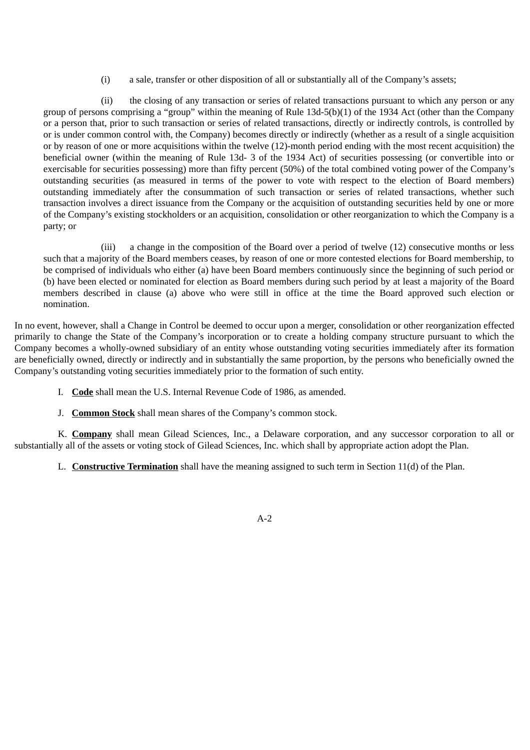(i) a sale, transfer or other disposition of all or substantially all of the Company's assets;

(ii) the closing of any transaction or series of related transactions pursuant to which any person or any group of persons comprising a "group" within the meaning of Rule 13d-5(b)(1) of the 1934 Act (other than the Company or a person that, prior to such transaction or series of related transactions, directly or indirectly controls, is controlled by or is under common control with, the Company) becomes directly or indirectly (whether as a result of a single acquisition or by reason of one or more acquisitions within the twelve (12)-month period ending with the most recent acquisition) the beneficial owner (within the meaning of Rule 13d- 3 of the 1934 Act) of securities possessing (or convertible into or exercisable for securities possessing) more than fifty percent (50%) of the total combined voting power of the Company's outstanding securities (as measured in terms of the power to vote with respect to the election of Board members) outstanding immediately after the consummation of such transaction or series of related transactions, whether such transaction involves a direct issuance from the Company or the acquisition of outstanding securities held by one or more of the Company's existing stockholders or an acquisition, consolidation or other reorganization to which the Company is a party; or

(iii) a change in the composition of the Board over a period of twelve (12) consecutive months or less such that a majority of the Board members ceases, by reason of one or more contested elections for Board membership, to be comprised of individuals who either (a) have been Board members continuously since the beginning of such period or (b) have been elected or nominated for election as Board members during such period by at least a majority of the Board members described in clause (a) above who were still in office at the time the Board approved such election or nomination.

In no event, however, shall a Change in Control be deemed to occur upon a merger, consolidation or other reorganization effected primarily to change the State of the Company's incorporation or to create a holding company structure pursuant to which the Company becomes a wholly-owned subsidiary of an entity whose outstanding voting securities immediately after its formation are beneficially owned, directly or indirectly and in substantially the same proportion, by the persons who beneficially owned the Company's outstanding voting securities immediately prior to the formation of such entity.

- I. **Code** shall mean the U.S. Internal Revenue Code of 1986, as amended.
- J. **Common Stock** shall mean shares of the Company's common stock.

K. **Company** shall mean Gilead Sciences, Inc., a Delaware corporation, and any successor corporation to all or substantially all of the assets or voting stock of Gilead Sciences, Inc. which shall by appropriate action adopt the Plan.

L. **Constructive Termination** shall have the meaning assigned to such term in Section 11(d) of the Plan.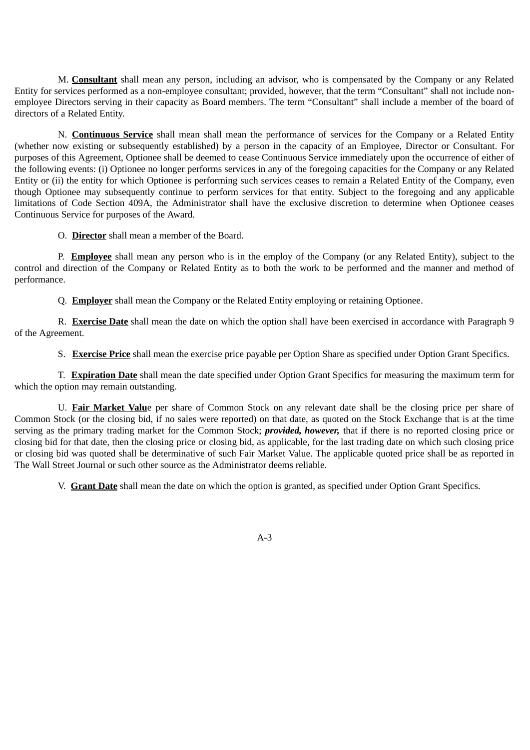M. **Consultant** shall mean any person, including an advisor, who is compensated by the Company or any Related Entity for services performed as a non-employee consultant; provided, however, that the term "Consultant" shall not include nonemployee Directors serving in their capacity as Board members. The term "Consultant" shall include a member of the board of directors of a Related Entity.

N. **Continuous Service** shall mean shall mean the performance of services for the Company or a Related Entity (whether now existing or subsequently established) by a person in the capacity of an Employee, Director or Consultant. For purposes of this Agreement, Optionee shall be deemed to cease Continuous Service immediately upon the occurrence of either of the following events: (i) Optionee no longer performs services in any of the foregoing capacities for the Company or any Related Entity or (ii) the entity for which Optionee is performing such services ceases to remain a Related Entity of the Company, even though Optionee may subsequently continue to perform services for that entity. Subject to the foregoing and any applicable limitations of Code Section 409A, the Administrator shall have the exclusive discretion to determine when Optionee ceases Continuous Service for purposes of the Award.

O. **Director** shall mean a member of the Board.

P. **Employee** shall mean any person who is in the employ of the Company (or any Related Entity), subject to the control and direction of the Company or Related Entity as to both the work to be performed and the manner and method of performance.

Q. **Employer** shall mean the Company or the Related Entity employing or retaining Optionee.

R. **Exercise Date** shall mean the date on which the option shall have been exercised in accordance with Paragraph 9 of the Agreement.

S. **Exercise Price** shall mean the exercise price payable per Option Share as specified under Option Grant Specifics.

T. **Expiration Date** shall mean the date specified under Option Grant Specifics for measuring the maximum term for which the option may remain outstanding.

U. **Fair Market Valu**e per share of Common Stock on any relevant date shall be the closing price per share of Common Stock (or the closing bid, if no sales were reported) on that date, as quoted on the Stock Exchange that is at the time serving as the primary trading market for the Common Stock; *provided, however,* that if there is no reported closing price or closing bid for that date, then the closing price or closing bid, as applicable, for the last trading date on which such closing price or closing bid was quoted shall be determinative of such Fair Market Value. The applicable quoted price shall be as reported in The Wall Street Journal or such other source as the Administrator deems reliable.

V. **Grant Date** shall mean the date on which the option is granted, as specified under Option Grant Specifics.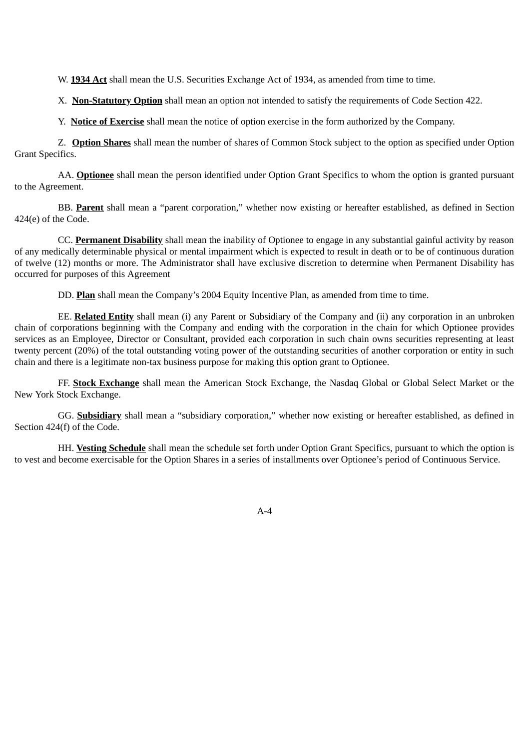W. **1934 Act** shall mean the U.S. Securities Exchange Act of 1934, as amended from time to time.

X. **Non-Statutory Option** shall mean an option not intended to satisfy the requirements of Code Section 422.

Y. **Notice of Exercise** shall mean the notice of option exercise in the form authorized by the Company.

Z. **Option Shares** shall mean the number of shares of Common Stock subject to the option as specified under Option Grant Specifics.

AA. **Optionee** shall mean the person identified under Option Grant Specifics to whom the option is granted pursuant to the Agreement.

BB. **Parent** shall mean a "parent corporation," whether now existing or hereafter established, as defined in Section 424(e) of the Code.

CC. **Permanent Disability** shall mean the inability of Optionee to engage in any substantial gainful activity by reason of any medically determinable physical or mental impairment which is expected to result in death or to be of continuous duration of twelve (12) months or more. The Administrator shall have exclusive discretion to determine when Permanent Disability has occurred for purposes of this Agreement

DD. **Plan** shall mean the Company's 2004 Equity Incentive Plan, as amended from time to time.

EE. **Related Entity** shall mean (i) any Parent or Subsidiary of the Company and (ii) any corporation in an unbroken chain of corporations beginning with the Company and ending with the corporation in the chain for which Optionee provides services as an Employee, Director or Consultant, provided each corporation in such chain owns securities representing at least twenty percent (20%) of the total outstanding voting power of the outstanding securities of another corporation or entity in such chain and there is a legitimate non-tax business purpose for making this option grant to Optionee.

FF. **Stock Exchange** shall mean the American Stock Exchange, the Nasdaq Global or Global Select Market or the New York Stock Exchange.

GG. **Subsidiary** shall mean a "subsidiary corporation," whether now existing or hereafter established, as defined in Section 424(f) of the Code.

HH. **Vesting Schedule** shall mean the schedule set forth under Option Grant Specifics, pursuant to which the option is to vest and become exercisable for the Option Shares in a series of installments over Optionee's period of Continuous Service.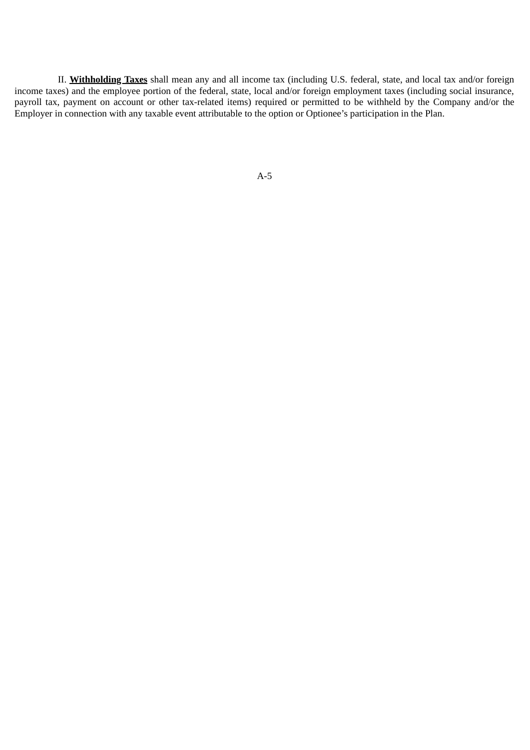II. **Withholding Taxes** shall mean any and all income tax (including U.S. federal, state, and local tax and/or foreign income taxes) and the employee portion of the federal, state, local and/or foreign employment taxes (including social insurance, payroll tax, payment on account or other tax-related items) required or permitted to be withheld by the Company and/or the Employer in connection with any taxable event attributable to the option or Optionee's participation in the Plan.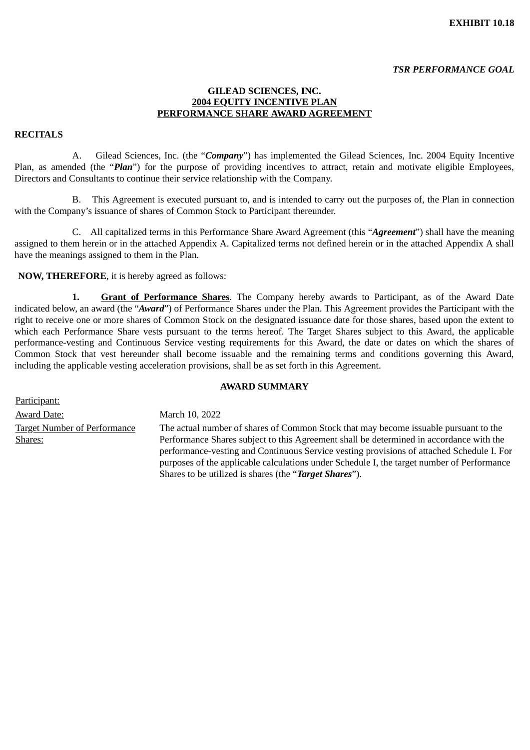## *TSR PERFORMANCE GOAL*

## **GILEAD SCIENCES, INC. 2004 EQUITY INCENTIVE PLAN PERFORMANCE SHARE AWARD AGREEMENT**

# **RECITALS**

A. Gilead Sciences, Inc. (the "*Company*") has implemented the Gilead Sciences, Inc. 2004 Equity Incentive Plan, as amended (the "*Plan*") for the purpose of providing incentives to attract, retain and motivate eligible Employees, Directors and Consultants to continue their service relationship with the Company.

B. This Agreement is executed pursuant to, and is intended to carry out the purposes of, the Plan in connection with the Company's issuance of shares of Common Stock to Participant thereunder.

C. All capitalized terms in this Performance Share Award Agreement (this "*Agreement*") shall have the meaning assigned to them herein or in the attached Appendix A. Capitalized terms not defined herein or in the attached Appendix A shall have the meanings assigned to them in the Plan.

**NOW, THEREFORE**, it is hereby agreed as follows:

**1. Grant of Performance Shares**. The Company hereby awards to Participant, as of the Award Date indicated below, an award (the "*Award*") of Performance Shares under the Plan. This Agreement provides the Participant with the right to receive one or more shares of Common Stock on the designated issuance date for those shares, based upon the extent to which each Performance Share vests pursuant to the terms hereof. The Target Shares subject to this Award, the applicable performance-vesting and Continuous Service vesting requirements for this Award, the date or dates on which the shares of Common Stock that vest hereunder shall become issuable and the remaining terms and conditions governing this Award, including the applicable vesting acceleration provisions, shall be as set forth in this Agreement.

#### **AWARD SUMMARY**

Participant: Award Date: March 10, 2022 Target Number of Performance Shares:

The actual number of shares of Common Stock that may become issuable pursuant to the Performance Shares subject to this Agreement shall be determined in accordance with the performance-vesting and Continuous Service vesting provisions of attached Schedule I. For purposes of the applicable calculations under Schedule I, the target number of Performance Shares to be utilized is shares (the "*Target Shares*").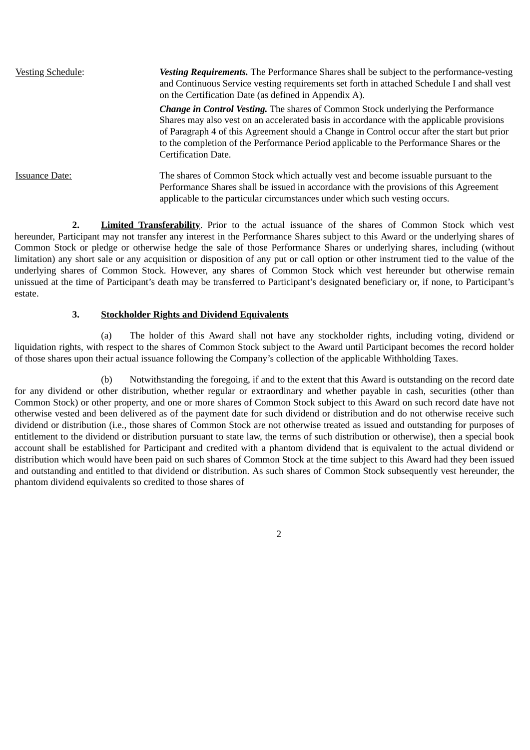| <b>Vesting Schedule:</b> | <b>Vesting Requirements.</b> The Performance Shares shall be subject to the performance-vesting<br>and Continuous Service vesting requirements set forth in attached Schedule I and shall vest<br>on the Certification Date (as defined in Appendix A).                                                                                                                                               |
|--------------------------|-------------------------------------------------------------------------------------------------------------------------------------------------------------------------------------------------------------------------------------------------------------------------------------------------------------------------------------------------------------------------------------------------------|
|                          | <b>Change in Control Vesting.</b> The shares of Common Stock underlying the Performance<br>Shares may also vest on an accelerated basis in accordance with the applicable provisions<br>of Paragraph 4 of this Agreement should a Change in Control occur after the start but prior<br>to the completion of the Performance Period applicable to the Performance Shares or the<br>Certification Date. |
| <b>Issuance Date:</b>    | The shares of Common Stock which actually vest and become issuable pursuant to the<br>Performance Shares shall be issued in accordance with the provisions of this Agreement<br>applicable to the particular circumstances under which such vesting occurs.                                                                                                                                           |

**2. Limited Transferability**. Prior to the actual issuance of the shares of Common Stock which vest hereunder, Participant may not transfer any interest in the Performance Shares subject to this Award or the underlying shares of Common Stock or pledge or otherwise hedge the sale of those Performance Shares or underlying shares, including (without limitation) any short sale or any acquisition or disposition of any put or call option or other instrument tied to the value of the underlying shares of Common Stock. However, any shares of Common Stock which vest hereunder but otherwise remain unissued at the time of Participant's death may be transferred to Participant's designated beneficiary or, if none, to Participant's estate.

# **3. Stockholder Rights and Dividend Equivalents**

(a) The holder of this Award shall not have any stockholder rights, including voting, dividend or liquidation rights, with respect to the shares of Common Stock subject to the Award until Participant becomes the record holder of those shares upon their actual issuance following the Company's collection of the applicable Withholding Taxes.

(b) Notwithstanding the foregoing, if and to the extent that this Award is outstanding on the record date for any dividend or other distribution, whether regular or extraordinary and whether payable in cash, securities (other than Common Stock) or other property, and one or more shares of Common Stock subject to this Award on such record date have not otherwise vested and been delivered as of the payment date for such dividend or distribution and do not otherwise receive such dividend or distribution (i.e., those shares of Common Stock are not otherwise treated as issued and outstanding for purposes of entitlement to the dividend or distribution pursuant to state law, the terms of such distribution or otherwise), then a special book account shall be established for Participant and credited with a phantom dividend that is equivalent to the actual dividend or distribution which would have been paid on such shares of Common Stock at the time subject to this Award had they been issued and outstanding and entitled to that dividend or distribution. As such shares of Common Stock subsequently vest hereunder, the phantom dividend equivalents so credited to those shares of

 $\overline{2}$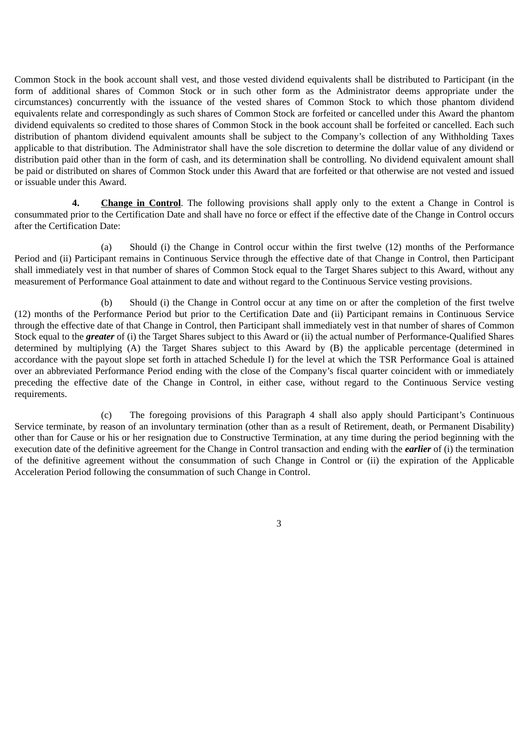Common Stock in the book account shall vest, and those vested dividend equivalents shall be distributed to Participant (in the form of additional shares of Common Stock or in such other form as the Administrator deems appropriate under the circumstances) concurrently with the issuance of the vested shares of Common Stock to which those phantom dividend equivalents relate and correspondingly as such shares of Common Stock are forfeited or cancelled under this Award the phantom dividend equivalents so credited to those shares of Common Stock in the book account shall be forfeited or cancelled. Each such distribution of phantom dividend equivalent amounts shall be subject to the Company's collection of any Withholding Taxes applicable to that distribution. The Administrator shall have the sole discretion to determine the dollar value of any dividend or distribution paid other than in the form of cash, and its determination shall be controlling. No dividend equivalent amount shall be paid or distributed on shares of Common Stock under this Award that are forfeited or that otherwise are not vested and issued or issuable under this Award.

**4. Change in Control**. The following provisions shall apply only to the extent a Change in Control is consummated prior to the Certification Date and shall have no force or effect if the effective date of the Change in Control occurs after the Certification Date:

(a) Should (i) the Change in Control occur within the first twelve (12) months of the Performance Period and (ii) Participant remains in Continuous Service through the effective date of that Change in Control, then Participant shall immediately vest in that number of shares of Common Stock equal to the Target Shares subject to this Award, without any measurement of Performance Goal attainment to date and without regard to the Continuous Service vesting provisions.

(b) Should (i) the Change in Control occur at any time on or after the completion of the first twelve (12) months of the Performance Period but prior to the Certification Date and (ii) Participant remains in Continuous Service through the effective date of that Change in Control, then Participant shall immediately vest in that number of shares of Common Stock equal to the *greater* of (i) the Target Shares subject to this Award or (ii) the actual number of Performance-Qualified Shares determined by multiplying (A) the Target Shares subject to this Award by (B) the applicable percentage (determined in accordance with the payout slope set forth in attached Schedule I) for the level at which the TSR Performance Goal is attained over an abbreviated Performance Period ending with the close of the Company's fiscal quarter coincident with or immediately preceding the effective date of the Change in Control, in either case, without regard to the Continuous Service vesting requirements.

(c) The foregoing provisions of this Paragraph 4 shall also apply should Participant's Continuous Service terminate, by reason of an involuntary termination (other than as a result of Retirement, death, or Permanent Disability) other than for Cause or his or her resignation due to Constructive Termination, at any time during the period beginning with the execution date of the definitive agreement for the Change in Control transaction and ending with the *earlier* of (i) the termination of the definitive agreement without the consummation of such Change in Control or (ii) the expiration of the Applicable Acceleration Period following the consummation of such Change in Control.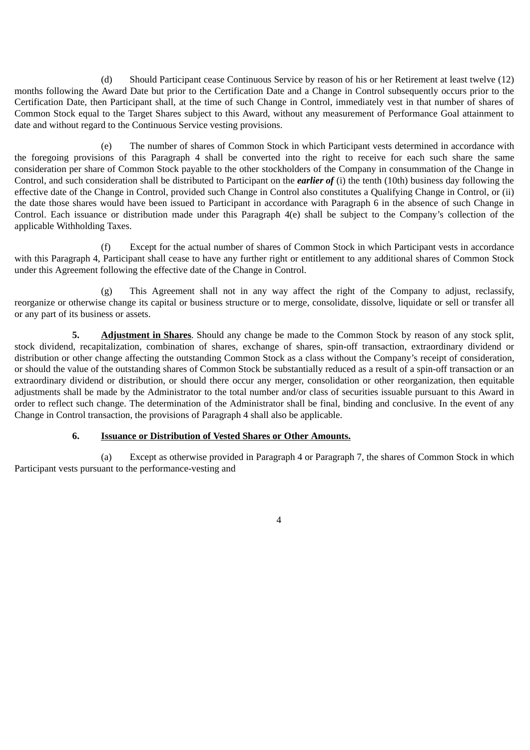(d) Should Participant cease Continuous Service by reason of his or her Retirement at least twelve (12) months following the Award Date but prior to the Certification Date and a Change in Control subsequently occurs prior to the Certification Date, then Participant shall, at the time of such Change in Control, immediately vest in that number of shares of Common Stock equal to the Target Shares subject to this Award, without any measurement of Performance Goal attainment to date and without regard to the Continuous Service vesting provisions.

(e) The number of shares of Common Stock in which Participant vests determined in accordance with the foregoing provisions of this Paragraph 4 shall be converted into the right to receive for each such share the same consideration per share of Common Stock payable to the other stockholders of the Company in consummation of the Change in Control, and such consideration shall be distributed to Participant on the *earlier of* (i) the tenth (10th) business day following the effective date of the Change in Control, provided such Change in Control also constitutes a Qualifying Change in Control, or (ii) the date those shares would have been issued to Participant in accordance with Paragraph 6 in the absence of such Change in Control. Each issuance or distribution made under this Paragraph 4(e) shall be subject to the Company's collection of the applicable Withholding Taxes.

(f) Except for the actual number of shares of Common Stock in which Participant vests in accordance with this Paragraph 4, Participant shall cease to have any further right or entitlement to any additional shares of Common Stock under this Agreement following the effective date of the Change in Control.

(g) This Agreement shall not in any way affect the right of the Company to adjust, reclassify, reorganize or otherwise change its capital or business structure or to merge, consolidate, dissolve, liquidate or sell or transfer all or any part of its business or assets.

**5. Adjustment in Shares**. Should any change be made to the Common Stock by reason of any stock split, stock dividend, recapitalization, combination of shares, exchange of shares, spin-off transaction, extraordinary dividend or distribution or other change affecting the outstanding Common Stock as a class without the Company's receipt of consideration, or should the value of the outstanding shares of Common Stock be substantially reduced as a result of a spin-off transaction or an extraordinary dividend or distribution, or should there occur any merger, consolidation or other reorganization, then equitable adjustments shall be made by the Administrator to the total number and/or class of securities issuable pursuant to this Award in order to reflect such change. The determination of the Administrator shall be final, binding and conclusive. In the event of any Change in Control transaction, the provisions of Paragraph 4 shall also be applicable.

## **6. Issuance or Distribution of Vested Shares or Other Amounts.**

(a) Except as otherwise provided in Paragraph 4 or Paragraph 7, the shares of Common Stock in which Participant vests pursuant to the performance-vesting and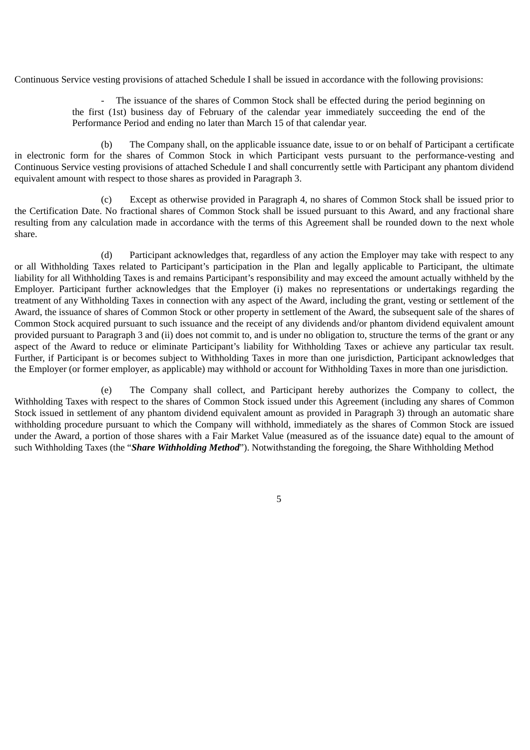Continuous Service vesting provisions of attached Schedule I shall be issued in accordance with the following provisions:

The issuance of the shares of Common Stock shall be effected during the period beginning on the first (1st) business day of February of the calendar year immediately succeeding the end of the Performance Period and ending no later than March 15 of that calendar year.

(b) The Company shall, on the applicable issuance date, issue to or on behalf of Participant a certificate in electronic form for the shares of Common Stock in which Participant vests pursuant to the performance-vesting and Continuous Service vesting provisions of attached Schedule I and shall concurrently settle with Participant any phantom dividend equivalent amount with respect to those shares as provided in Paragraph 3.

(c) Except as otherwise provided in Paragraph 4, no shares of Common Stock shall be issued prior to the Certification Date. No fractional shares of Common Stock shall be issued pursuant to this Award, and any fractional share resulting from any calculation made in accordance with the terms of this Agreement shall be rounded down to the next whole share.

(d) Participant acknowledges that, regardless of any action the Employer may take with respect to any or all Withholding Taxes related to Participant's participation in the Plan and legally applicable to Participant, the ultimate liability for all Withholding Taxes is and remains Participant's responsibility and may exceed the amount actually withheld by the Employer. Participant further acknowledges that the Employer (i) makes no representations or undertakings regarding the treatment of any Withholding Taxes in connection with any aspect of the Award, including the grant, vesting or settlement of the Award, the issuance of shares of Common Stock or other property in settlement of the Award, the subsequent sale of the shares of Common Stock acquired pursuant to such issuance and the receipt of any dividends and/or phantom dividend equivalent amount provided pursuant to Paragraph 3 and (ii) does not commit to, and is under no obligation to, structure the terms of the grant or any aspect of the Award to reduce or eliminate Participant's liability for Withholding Taxes or achieve any particular tax result. Further, if Participant is or becomes subject to Withholding Taxes in more than one jurisdiction, Participant acknowledges that the Employer (or former employer, as applicable) may withhold or account for Withholding Taxes in more than one jurisdiction.

(e) The Company shall collect, and Participant hereby authorizes the Company to collect, the Withholding Taxes with respect to the shares of Common Stock issued under this Agreement (including any shares of Common Stock issued in settlement of any phantom dividend equivalent amount as provided in Paragraph 3) through an automatic share withholding procedure pursuant to which the Company will withhold, immediately as the shares of Common Stock are issued under the Award, a portion of those shares with a Fair Market Value (measured as of the issuance date) equal to the amount of such Withholding Taxes (the "*Share Withholding Method*"). Notwithstanding the foregoing, the Share Withholding Method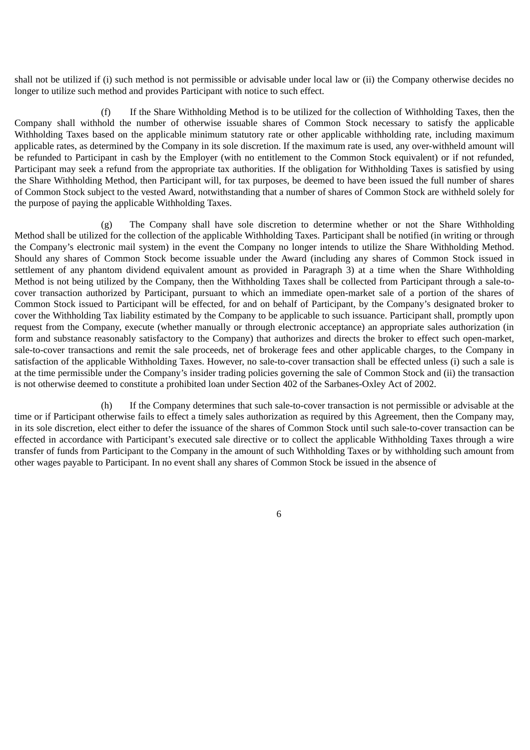shall not be utilized if (i) such method is not permissible or advisable under local law or (ii) the Company otherwise decides no longer to utilize such method and provides Participant with notice to such effect.

(f) If the Share Withholding Method is to be utilized for the collection of Withholding Taxes, then the Company shall withhold the number of otherwise issuable shares of Common Stock necessary to satisfy the applicable Withholding Taxes based on the applicable minimum statutory rate or other applicable withholding rate, including maximum applicable rates, as determined by the Company in its sole discretion. If the maximum rate is used, any over-withheld amount will be refunded to Participant in cash by the Employer (with no entitlement to the Common Stock equivalent) or if not refunded, Participant may seek a refund from the appropriate tax authorities. If the obligation for Withholding Taxes is satisfied by using the Share Withholding Method, then Participant will, for tax purposes, be deemed to have been issued the full number of shares of Common Stock subject to the vested Award, notwithstanding that a number of shares of Common Stock are withheld solely for the purpose of paying the applicable Withholding Taxes.

(g) The Company shall have sole discretion to determine whether or not the Share Withholding Method shall be utilized for the collection of the applicable Withholding Taxes. Participant shall be notified (in writing or through the Company's electronic mail system) in the event the Company no longer intends to utilize the Share Withholding Method. Should any shares of Common Stock become issuable under the Award (including any shares of Common Stock issued in settlement of any phantom dividend equivalent amount as provided in Paragraph 3) at a time when the Share Withholding Method is not being utilized by the Company, then the Withholding Taxes shall be collected from Participant through a sale-tocover transaction authorized by Participant, pursuant to which an immediate open-market sale of a portion of the shares of Common Stock issued to Participant will be effected, for and on behalf of Participant, by the Company's designated broker to cover the Withholding Tax liability estimated by the Company to be applicable to such issuance. Participant shall, promptly upon request from the Company, execute (whether manually or through electronic acceptance) an appropriate sales authorization (in form and substance reasonably satisfactory to the Company) that authorizes and directs the broker to effect such open-market, sale-to-cover transactions and remit the sale proceeds, net of brokerage fees and other applicable charges, to the Company in satisfaction of the applicable Withholding Taxes. However, no sale-to-cover transaction shall be effected unless (i) such a sale is at the time permissible under the Company's insider trading policies governing the sale of Common Stock and (ii) the transaction is not otherwise deemed to constitute a prohibited loan under Section 402 of the Sarbanes-Oxley Act of 2002.

(h) If the Company determines that such sale-to-cover transaction is not permissible or advisable at the time or if Participant otherwise fails to effect a timely sales authorization as required by this Agreement, then the Company may, in its sole discretion, elect either to defer the issuance of the shares of Common Stock until such sale-to-cover transaction can be effected in accordance with Participant's executed sale directive or to collect the applicable Withholding Taxes through a wire transfer of funds from Participant to the Company in the amount of such Withholding Taxes or by withholding such amount from other wages payable to Participant. In no event shall any shares of Common Stock be issued in the absence of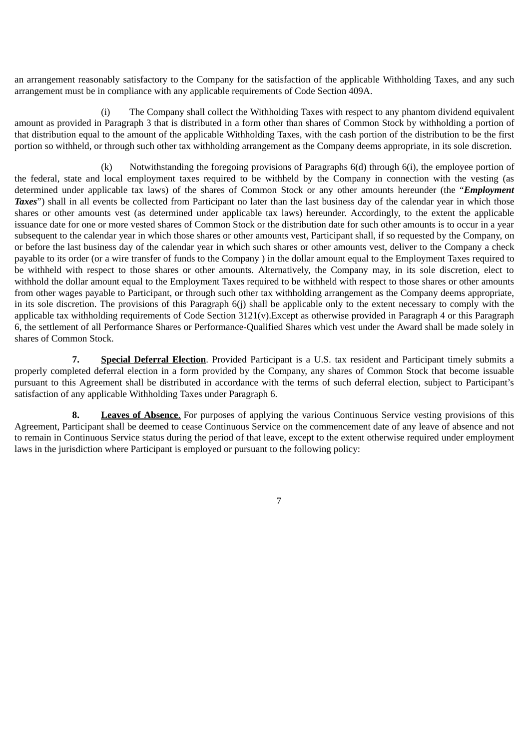an arrangement reasonably satisfactory to the Company for the satisfaction of the applicable Withholding Taxes, and any such arrangement must be in compliance with any applicable requirements of Code Section 409A.

(i) The Company shall collect the Withholding Taxes with respect to any phantom dividend equivalent amount as provided in Paragraph 3 that is distributed in a form other than shares of Common Stock by withholding a portion of that distribution equal to the amount of the applicable Withholding Taxes, with the cash portion of the distribution to be the first portion so withheld, or through such other tax withholding arrangement as the Company deems appropriate, in its sole discretion.

(k) Notwithstanding the foregoing provisions of Paragraphs 6(d) through 6(i), the employee portion of the federal, state and local employment taxes required to be withheld by the Company in connection with the vesting (as determined under applicable tax laws) of the shares of Common Stock or any other amounts hereunder (the "*Employment Taxes*") shall in all events be collected from Participant no later than the last business day of the calendar year in which those shares or other amounts vest (as determined under applicable tax laws) hereunder. Accordingly, to the extent the applicable issuance date for one or more vested shares of Common Stock or the distribution date for such other amounts is to occur in a year subsequent to the calendar year in which those shares or other amounts vest, Participant shall, if so requested by the Company, on or before the last business day of the calendar year in which such shares or other amounts vest, deliver to the Company a check payable to its order (or a wire transfer of funds to the Company ) in the dollar amount equal to the Employment Taxes required to be withheld with respect to those shares or other amounts. Alternatively, the Company may, in its sole discretion, elect to withhold the dollar amount equal to the Employment Taxes required to be withheld with respect to those shares or other amounts from other wages payable to Participant, or through such other tax withholding arrangement as the Company deems appropriate, in its sole discretion. The provisions of this Paragraph 6(j) shall be applicable only to the extent necessary to comply with the applicable tax withholding requirements of Code Section 3121(v).Except as otherwise provided in Paragraph 4 or this Paragraph 6, the settlement of all Performance Shares or Performance-Qualified Shares which vest under the Award shall be made solely in shares of Common Stock.

**7. Special Deferral Election**. Provided Participant is a U.S. tax resident and Participant timely submits a properly completed deferral election in a form provided by the Company, any shares of Common Stock that become issuable pursuant to this Agreement shall be distributed in accordance with the terms of such deferral election, subject to Participant's satisfaction of any applicable Withholding Taxes under Paragraph 6.

**8. Leaves of Absence**. For purposes of applying the various Continuous Service vesting provisions of this Agreement, Participant shall be deemed to cease Continuous Service on the commencement date of any leave of absence and not to remain in Continuous Service status during the period of that leave, except to the extent otherwise required under employment laws in the jurisdiction where Participant is employed or pursuant to the following policy: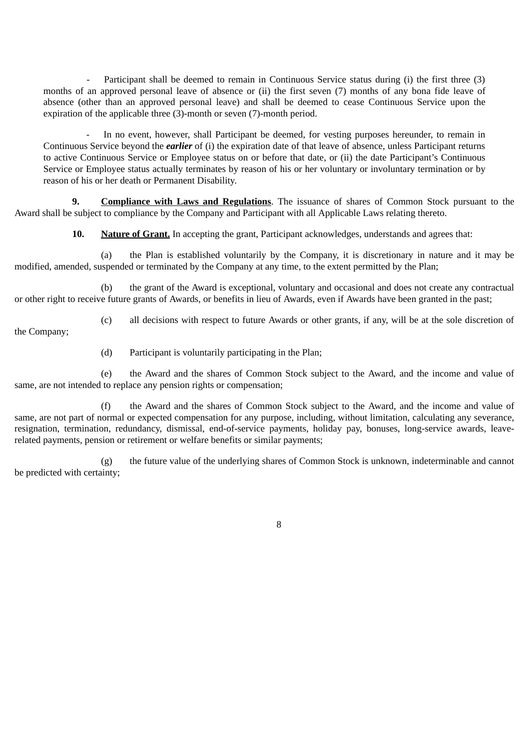Participant shall be deemed to remain in Continuous Service status during (i) the first three (3) months of an approved personal leave of absence or (ii) the first seven (7) months of any bona fide leave of absence (other than an approved personal leave) and shall be deemed to cease Continuous Service upon the expiration of the applicable three (3)-month or seven (7)-month period.

In no event, however, shall Participant be deemed, for vesting purposes hereunder, to remain in Continuous Service beyond the *earlier* of (i) the expiration date of that leave of absence, unless Participant returns to active Continuous Service or Employee status on or before that date, or (ii) the date Participant's Continuous Service or Employee status actually terminates by reason of his or her voluntary or involuntary termination or by reason of his or her death or Permanent Disability.

**9. Compliance with Laws and Regulations**. The issuance of shares of Common Stock pursuant to the Award shall be subject to compliance by the Company and Participant with all Applicable Laws relating thereto.

**10. Nature of Grant.** In accepting the grant, Participant acknowledges, understands and agrees that:

(a) the Plan is established voluntarily by the Company, it is discretionary in nature and it may be modified, amended, suspended or terminated by the Company at any time, to the extent permitted by the Plan;

(b) the grant of the Award is exceptional, voluntary and occasional and does not create any contractual or other right to receive future grants of Awards, or benefits in lieu of Awards, even if Awards have been granted in the past;

the Company;

- (c) all decisions with respect to future Awards or other grants, if any, will be at the sole discretion of
- (d) Participant is voluntarily participating in the Plan;

(e) the Award and the shares of Common Stock subject to the Award, and the income and value of same, are not intended to replace any pension rights or compensation;

(f) the Award and the shares of Common Stock subject to the Award, and the income and value of same, are not part of normal or expected compensation for any purpose, including, without limitation, calculating any severance, resignation, termination, redundancy, dismissal, end-of-service payments, holiday pay, bonuses, long-service awards, leaverelated payments, pension or retirement or welfare benefits or similar payments;

(g) the future value of the underlying shares of Common Stock is unknown, indeterminable and cannot be predicted with certainty;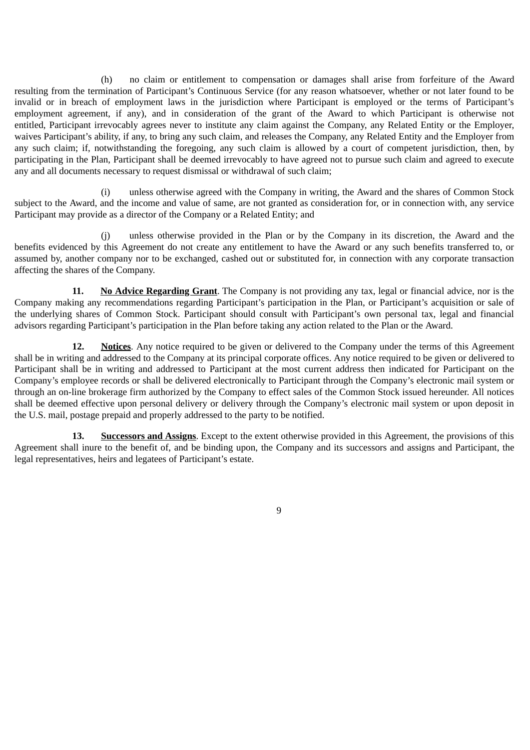(h) no claim or entitlement to compensation or damages shall arise from forfeiture of the Award resulting from the termination of Participant's Continuous Service (for any reason whatsoever, whether or not later found to be invalid or in breach of employment laws in the jurisdiction where Participant is employed or the terms of Participant's employment agreement, if any), and in consideration of the grant of the Award to which Participant is otherwise not entitled, Participant irrevocably agrees never to institute any claim against the Company, any Related Entity or the Employer, waives Participant's ability, if any, to bring any such claim, and releases the Company, any Related Entity and the Employer from any such claim; if, notwithstanding the foregoing, any such claim is allowed by a court of competent jurisdiction, then, by participating in the Plan, Participant shall be deemed irrevocably to have agreed not to pursue such claim and agreed to execute any and all documents necessary to request dismissal or withdrawal of such claim;

(i) unless otherwise agreed with the Company in writing, the Award and the shares of Common Stock subject to the Award, and the income and value of same, are not granted as consideration for, or in connection with, any service Participant may provide as a director of the Company or a Related Entity; and

(j) unless otherwise provided in the Plan or by the Company in its discretion, the Award and the benefits evidenced by this Agreement do not create any entitlement to have the Award or any such benefits transferred to, or assumed by, another company nor to be exchanged, cashed out or substituted for, in connection with any corporate transaction affecting the shares of the Company.

**11. No Advice Regarding Grant**. The Company is not providing any tax, legal or financial advice, nor is the Company making any recommendations regarding Participant's participation in the Plan, or Participant's acquisition or sale of the underlying shares of Common Stock. Participant should consult with Participant's own personal tax, legal and financial advisors regarding Participant's participation in the Plan before taking any action related to the Plan or the Award.

**12. Notices**. Any notice required to be given or delivered to the Company under the terms of this Agreement shall be in writing and addressed to the Company at its principal corporate offices. Any notice required to be given or delivered to Participant shall be in writing and addressed to Participant at the most current address then indicated for Participant on the Company's employee records or shall be delivered electronically to Participant through the Company's electronic mail system or through an on-line brokerage firm authorized by the Company to effect sales of the Common Stock issued hereunder. All notices shall be deemed effective upon personal delivery or delivery through the Company's electronic mail system or upon deposit in the U.S. mail, postage prepaid and properly addressed to the party to be notified.

**13. Successors and Assigns**. Except to the extent otherwise provided in this Agreement, the provisions of this Agreement shall inure to the benefit of, and be binding upon, the Company and its successors and assigns and Participant, the legal representatives, heirs and legatees of Participant's estate.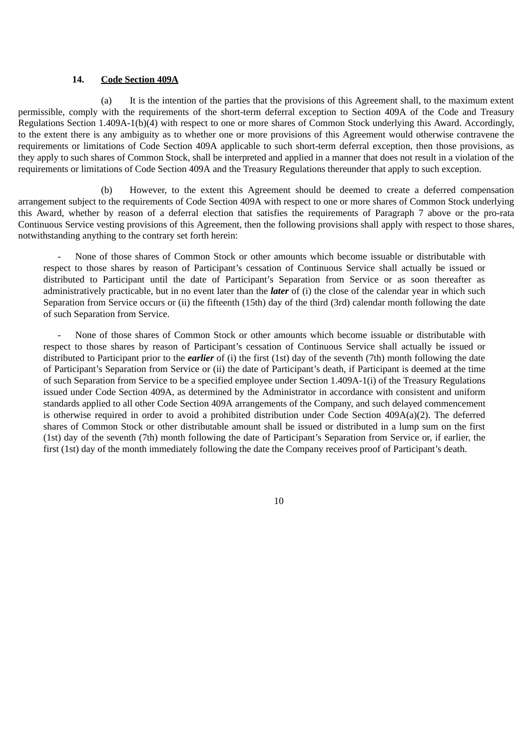#### **14. Code Section 409A**

(a) It is the intention of the parties that the provisions of this Agreement shall, to the maximum extent permissible, comply with the requirements of the short-term deferral exception to Section 409A of the Code and Treasury Regulations Section 1.409A-1(b)(4) with respect to one or more shares of Common Stock underlying this Award. Accordingly, to the extent there is any ambiguity as to whether one or more provisions of this Agreement would otherwise contravene the requirements or limitations of Code Section 409A applicable to such short-term deferral exception, then those provisions, as they apply to such shares of Common Stock, shall be interpreted and applied in a manner that does not result in a violation of the requirements or limitations of Code Section 409A and the Treasury Regulations thereunder that apply to such exception.

(b) However, to the extent this Agreement should be deemed to create a deferred compensation arrangement subject to the requirements of Code Section 409A with respect to one or more shares of Common Stock underlying this Award, whether by reason of a deferral election that satisfies the requirements of Paragraph 7 above or the pro-rata Continuous Service vesting provisions of this Agreement, then the following provisions shall apply with respect to those shares, notwithstanding anything to the contrary set forth herein:

None of those shares of Common Stock or other amounts which become issuable or distributable with respect to those shares by reason of Participant's cessation of Continuous Service shall actually be issued or distributed to Participant until the date of Participant's Separation from Service or as soon thereafter as administratively practicable, but in no event later than the *later* of (i) the close of the calendar year in which such Separation from Service occurs or (ii) the fifteenth (15th) day of the third (3rd) calendar month following the date of such Separation from Service.

None of those shares of Common Stock or other amounts which become issuable or distributable with respect to those shares by reason of Participant's cessation of Continuous Service shall actually be issued or distributed to Participant prior to the *earlier* of (i) the first (1st) day of the seventh (7th) month following the date of Participant's Separation from Service or (ii) the date of Participant's death, if Participant is deemed at the time of such Separation from Service to be a specified employee under Section 1.409A-1(i) of the Treasury Regulations issued under Code Section 409A, as determined by the Administrator in accordance with consistent and uniform standards applied to all other Code Section 409A arrangements of the Company, and such delayed commencement is otherwise required in order to avoid a prohibited distribution under Code Section 409A(a)(2). The deferred shares of Common Stock or other distributable amount shall be issued or distributed in a lump sum on the first (1st) day of the seventh (7th) month following the date of Participant's Separation from Service or, if earlier, the first (1st) day of the month immediately following the date the Company receives proof of Participant's death.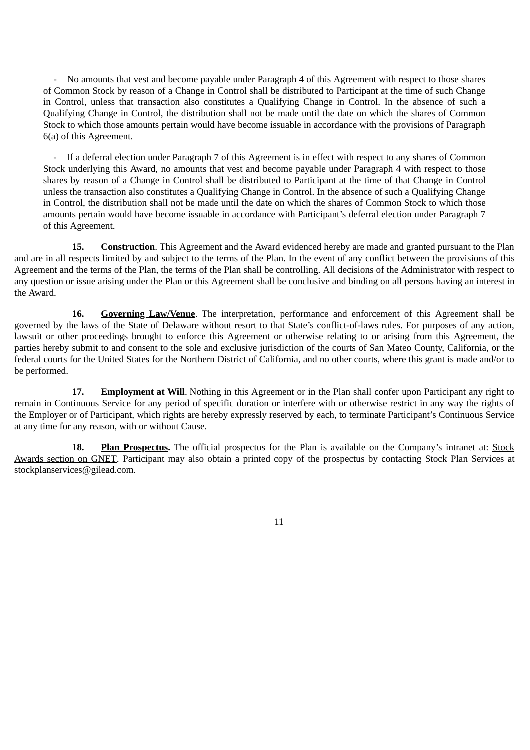- No amounts that vest and become payable under Paragraph 4 of this Agreement with respect to those shares of Common Stock by reason of a Change in Control shall be distributed to Participant at the time of such Change in Control, unless that transaction also constitutes a Qualifying Change in Control. In the absence of such a Qualifying Change in Control, the distribution shall not be made until the date on which the shares of Common Stock to which those amounts pertain would have become issuable in accordance with the provisions of Paragraph 6(a) of this Agreement.

- If a deferral election under Paragraph 7 of this Agreement is in effect with respect to any shares of Common Stock underlying this Award, no amounts that vest and become payable under Paragraph 4 with respect to those shares by reason of a Change in Control shall be distributed to Participant at the time of that Change in Control unless the transaction also constitutes a Qualifying Change in Control. In the absence of such a Qualifying Change in Control, the distribution shall not be made until the date on which the shares of Common Stock to which those amounts pertain would have become issuable in accordance with Participant's deferral election under Paragraph 7 of this Agreement.

**15. Construction**. This Agreement and the Award evidenced hereby are made and granted pursuant to the Plan and are in all respects limited by and subject to the terms of the Plan. In the event of any conflict between the provisions of this Agreement and the terms of the Plan, the terms of the Plan shall be controlling. All decisions of the Administrator with respect to any question or issue arising under the Plan or this Agreement shall be conclusive and binding on all persons having an interest in the Award.

**16. Governing Law/Venue**. The interpretation, performance and enforcement of this Agreement shall be governed by the laws of the State of Delaware without resort to that State's conflict-of-laws rules. For purposes of any action, lawsuit or other proceedings brought to enforce this Agreement or otherwise relating to or arising from this Agreement, the parties hereby submit to and consent to the sole and exclusive jurisdiction of the courts of San Mateo County, California, or the federal courts for the United States for the Northern District of California, and no other courts, where this grant is made and/or to be performed.

**17. Employment at Will**. Nothing in this Agreement or in the Plan shall confer upon Participant any right to remain in Continuous Service for any period of specific duration or interfere with or otherwise restrict in any way the rights of the Employer or of Participant, which rights are hereby expressly reserved by each, to terminate Participant's Continuous Service at any time for any reason, with or without Cause.

**18. Plan Prospectus.** The official prospectus for the Plan is available on the Company's intranet at: Stock Awards section on GNET. Participant may also obtain a printed copy of the prospectus by contacting Stock Plan Services at stockplanservices@gilead.com.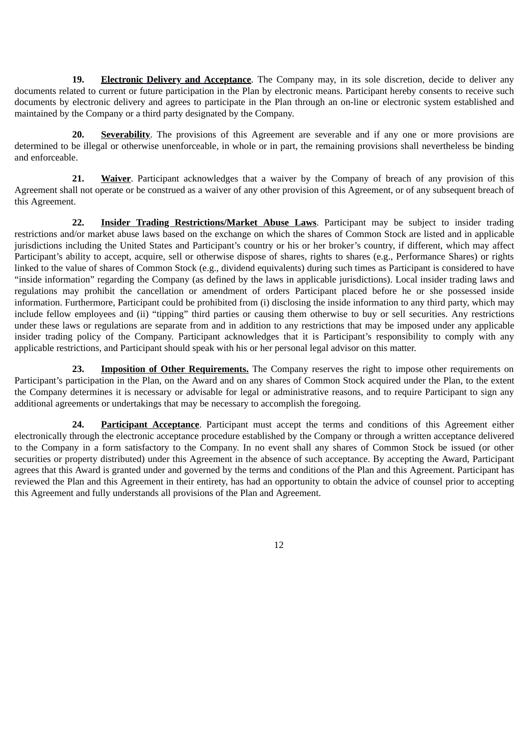**19. Electronic Delivery and Acceptance**. The Company may, in its sole discretion, decide to deliver any documents related to current or future participation in the Plan by electronic means. Participant hereby consents to receive such documents by electronic delivery and agrees to participate in the Plan through an on-line or electronic system established and maintained by the Company or a third party designated by the Company.

**20. Severability**. The provisions of this Agreement are severable and if any one or more provisions are determined to be illegal or otherwise unenforceable, in whole or in part, the remaining provisions shall nevertheless be binding and enforceable.

**21. Waiver**. Participant acknowledges that a waiver by the Company of breach of any provision of this Agreement shall not operate or be construed as a waiver of any other provision of this Agreement, or of any subsequent breach of this Agreement.

**22. Insider Trading Restrictions/Market Abuse Laws**. Participant may be subject to insider trading restrictions and/or market abuse laws based on the exchange on which the shares of Common Stock are listed and in applicable jurisdictions including the United States and Participant's country or his or her broker's country, if different, which may affect Participant's ability to accept, acquire, sell or otherwise dispose of shares, rights to shares (e.g., Performance Shares) or rights linked to the value of shares of Common Stock (e.g., dividend equivalents) during such times as Participant is considered to have "inside information" regarding the Company (as defined by the laws in applicable jurisdictions). Local insider trading laws and regulations may prohibit the cancellation or amendment of orders Participant placed before he or she possessed inside information. Furthermore, Participant could be prohibited from (i) disclosing the inside information to any third party, which may include fellow employees and (ii) "tipping" third parties or causing them otherwise to buy or sell securities. Any restrictions under these laws or regulations are separate from and in addition to any restrictions that may be imposed under any applicable insider trading policy of the Company. Participant acknowledges that it is Participant's responsibility to comply with any applicable restrictions, and Participant should speak with his or her personal legal advisor on this matter.

**23. Imposition of Other Requirements.** The Company reserves the right to impose other requirements on Participant's participation in the Plan, on the Award and on any shares of Common Stock acquired under the Plan, to the extent the Company determines it is necessary or advisable for legal or administrative reasons, and to require Participant to sign any additional agreements or undertakings that may be necessary to accomplish the foregoing.

**24. Participant Acceptance**. Participant must accept the terms and conditions of this Agreement either electronically through the electronic acceptance procedure established by the Company or through a written acceptance delivered to the Company in a form satisfactory to the Company. In no event shall any shares of Common Stock be issued (or other securities or property distributed) under this Agreement in the absence of such acceptance. By accepting the Award, Participant agrees that this Award is granted under and governed by the terms and conditions of the Plan and this Agreement. Participant has reviewed the Plan and this Agreement in their entirety, has had an opportunity to obtain the advice of counsel prior to accepting this Agreement and fully understands all provisions of the Plan and Agreement.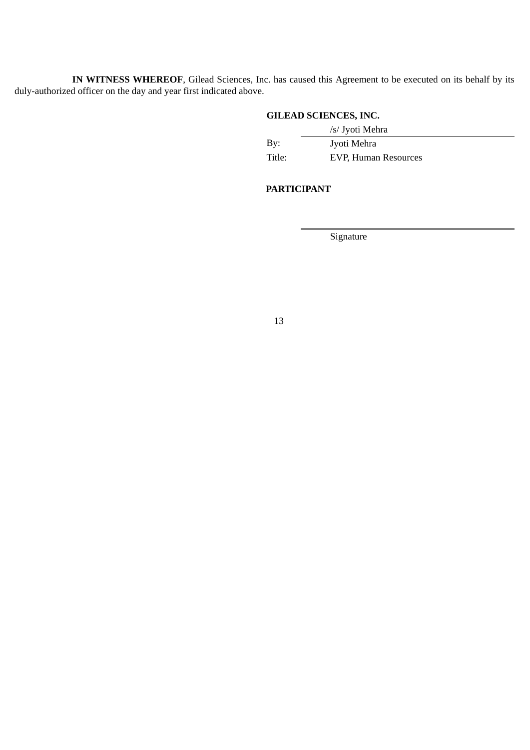**IN WITNESS WHEREOF**, Gilead Sciences, Inc. has caused this Agreement to be executed on its behalf by its duly-authorized officer on the day and year first indicated above.

# **GILEAD SCIENCES, INC.**

|        | /s/ Jyoti Mehra      |  |
|--------|----------------------|--|
| By:    | Jyoti Mehra          |  |
| Title: | EVP, Human Resources |  |

# **PARTICIPANT**

Signature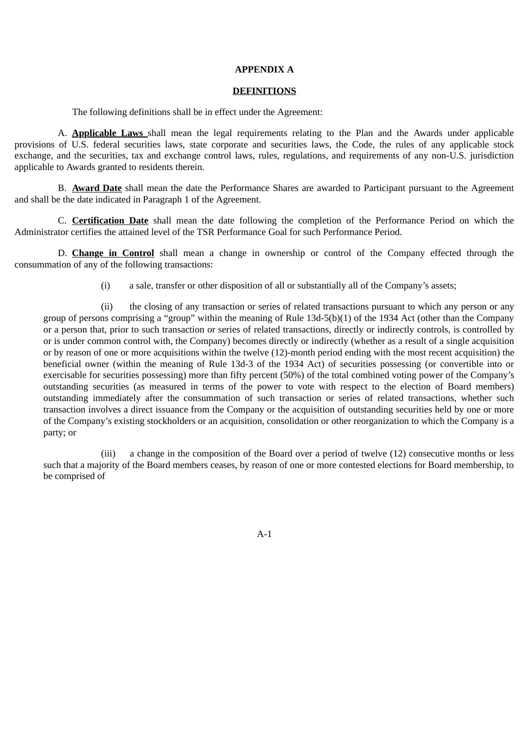#### **APPENDIX A**

#### **DEFINITIONS**

The following definitions shall be in effect under the Agreement:

A. **Applicable Laws** shall mean the legal requirements relating to the Plan and the Awards under applicable provisions of U.S. federal securities laws, state corporate and securities laws, the Code, the rules of any applicable stock exchange, and the securities, tax and exchange control laws, rules, regulations, and requirements of any non-U.S. jurisdiction applicable to Awards granted to residents therein.

B. **Award Date** shall mean the date the Performance Shares are awarded to Participant pursuant to the Agreement and shall be the date indicated in Paragraph 1 of the Agreement.

C. **Certification Date** shall mean the date following the completion of the Performance Period on which the Administrator certifies the attained level of the TSR Performance Goal for such Performance Period.

D. **Change in Control** shall mean a change in ownership or control of the Company effected through the consummation of any of the following transactions:

(i) a sale, transfer or other disposition of all or substantially all of the Company's assets;

(ii) the closing of any transaction or series of related transactions pursuant to which any person or any group of persons comprising a "group" within the meaning of Rule 13d-5(b)(1) of the 1934 Act (other than the Company or a person that, prior to such transaction or series of related transactions, directly or indirectly controls, is controlled by or is under common control with, the Company) becomes directly or indirectly (whether as a result of a single acquisition or by reason of one or more acquisitions within the twelve (12)-month period ending with the most recent acquisition) the beneficial owner (within the meaning of Rule 13d-3 of the 1934 Act) of securities possessing (or convertible into or exercisable for securities possessing) more than fifty percent (50%) of the total combined voting power of the Company's outstanding securities (as measured in terms of the power to vote with respect to the election of Board members) outstanding immediately after the consummation of such transaction or series of related transactions, whether such transaction involves a direct issuance from the Company or the acquisition of outstanding securities held by one or more of the Company's existing stockholders or an acquisition, consolidation or other reorganization to which the Company is a party; or

(iii) a change in the composition of the Board over a period of twelve (12) consecutive months or less such that a majority of the Board members ceases, by reason of one or more contested elections for Board membership, to be comprised of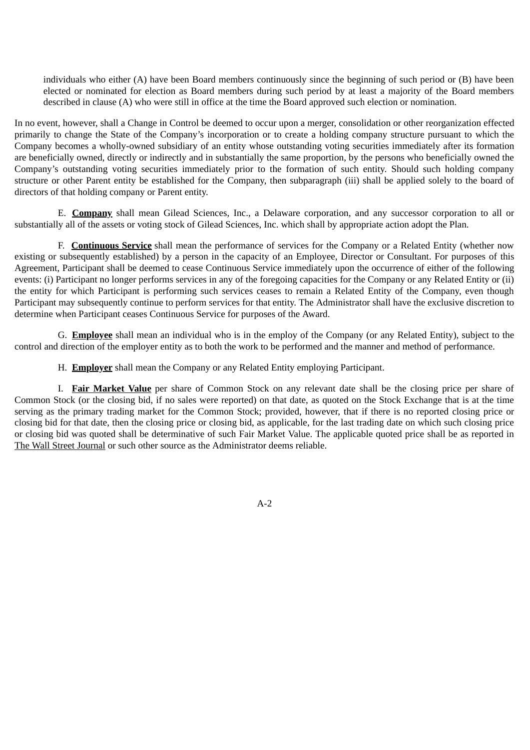individuals who either (A) have been Board members continuously since the beginning of such period or (B) have been elected or nominated for election as Board members during such period by at least a majority of the Board members described in clause (A) who were still in office at the time the Board approved such election or nomination.

In no event, however, shall a Change in Control be deemed to occur upon a merger, consolidation or other reorganization effected primarily to change the State of the Company's incorporation or to create a holding company structure pursuant to which the Company becomes a wholly-owned subsidiary of an entity whose outstanding voting securities immediately after its formation are beneficially owned, directly or indirectly and in substantially the same proportion, by the persons who beneficially owned the Company's outstanding voting securities immediately prior to the formation of such entity. Should such holding company structure or other Parent entity be established for the Company, then subparagraph (iii) shall be applied solely to the board of directors of that holding company or Parent entity.

E. **Company** shall mean Gilead Sciences, Inc., a Delaware corporation, and any successor corporation to all or substantially all of the assets or voting stock of Gilead Sciences, Inc. which shall by appropriate action adopt the Plan.

F. **Continuous Service** shall mean the performance of services for the Company or a Related Entity (whether now existing or subsequently established) by a person in the capacity of an Employee, Director or Consultant. For purposes of this Agreement, Participant shall be deemed to cease Continuous Service immediately upon the occurrence of either of the following events: (i) Participant no longer performs services in any of the foregoing capacities for the Company or any Related Entity or (ii) the entity for which Participant is performing such services ceases to remain a Related Entity of the Company, even though Participant may subsequently continue to perform services for that entity. The Administrator shall have the exclusive discretion to determine when Participant ceases Continuous Service for purposes of the Award.

G. **Employee** shall mean an individual who is in the employ of the Company (or any Related Entity), subject to the control and direction of the employer entity as to both the work to be performed and the manner and method of performance.

H. **Employer** shall mean the Company or any Related Entity employing Participant.

I. **Fair Market Value** per share of Common Stock on any relevant date shall be the closing price per share of Common Stock (or the closing bid, if no sales were reported) on that date, as quoted on the Stock Exchange that is at the time serving as the primary trading market for the Common Stock; provided, however, that if there is no reported closing price or closing bid for that date, then the closing price or closing bid, as applicable, for the last trading date on which such closing price or closing bid was quoted shall be determinative of such Fair Market Value. The applicable quoted price shall be as reported in The Wall Street Journal or such other source as the Administrator deems reliable.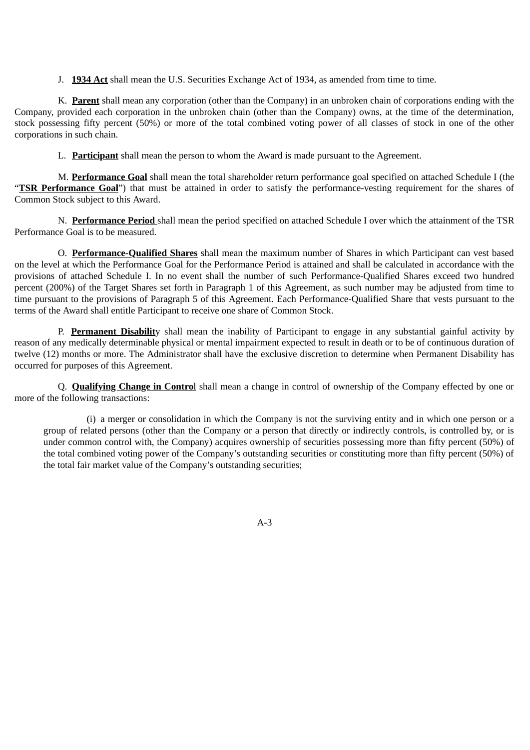J. **1934 Act** shall mean the U.S. Securities Exchange Act of 1934, as amended from time to time.

K. **Parent** shall mean any corporation (other than the Company) in an unbroken chain of corporations ending with the Company, provided each corporation in the unbroken chain (other than the Company) owns, at the time of the determination, stock possessing fifty percent (50%) or more of the total combined voting power of all classes of stock in one of the other corporations in such chain.

L. **Participant** shall mean the person to whom the Award is made pursuant to the Agreement.

M. **Performance Goal** shall mean the total shareholder return performance goal specified on attached Schedule I (the "TSR Performance Goal") that must be attained in order to satisfy the performance-vesting requirement for the shares of Common Stock subject to this Award.

N. **Performance Period** shall mean the period specified on attached Schedule I over which the attainment of the TSR Performance Goal is to be measured.

O. **Performance-Qualified Shares** shall mean the maximum number of Shares in which Participant can vest based on the level at which the Performance Goal for the Performance Period is attained and shall be calculated in accordance with the provisions of attached Schedule I. In no event shall the number of such Performance-Qualified Shares exceed two hundred percent (200%) of the Target Shares set forth in Paragraph 1 of this Agreement, as such number may be adjusted from time to time pursuant to the provisions of Paragraph 5 of this Agreement. Each Performance-Qualified Share that vests pursuant to the terms of the Award shall entitle Participant to receive one share of Common Stock.

P. **Permanent Disabilit**y shall mean the inability of Participant to engage in any substantial gainful activity by reason of any medically determinable physical or mental impairment expected to result in death or to be of continuous duration of twelve (12) months or more. The Administrator shall have the exclusive discretion to determine when Permanent Disability has occurred for purposes of this Agreement.

Q. **Qualifying Change in Contro**l shall mean a change in control of ownership of the Company effected by one or more of the following transactions:

(i) a merger or consolidation in which the Company is not the surviving entity and in which one person or a group of related persons (other than the Company or a person that directly or indirectly controls, is controlled by, or is under common control with, the Company) acquires ownership of securities possessing more than fifty percent (50%) of the total combined voting power of the Company's outstanding securities or constituting more than fifty percent (50%) of the total fair market value of the Company's outstanding securities;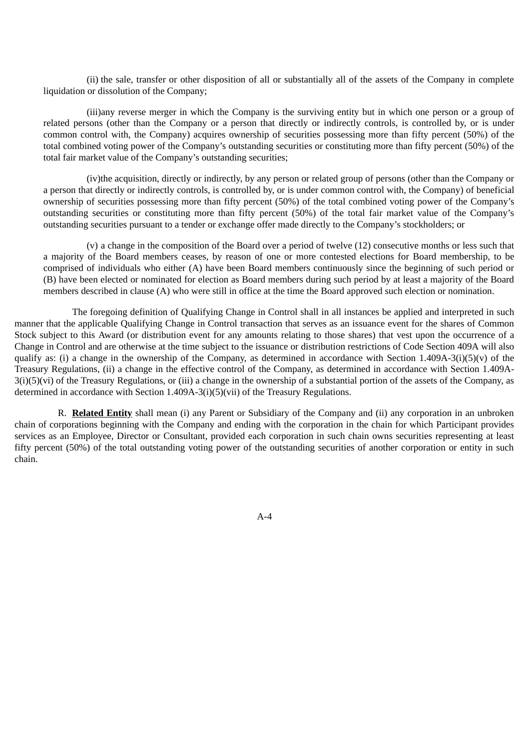(ii) the sale, transfer or other disposition of all or substantially all of the assets of the Company in complete liquidation or dissolution of the Company;

(iii)any reverse merger in which the Company is the surviving entity but in which one person or a group of related persons (other than the Company or a person that directly or indirectly controls, is controlled by, or is under common control with, the Company) acquires ownership of securities possessing more than fifty percent (50%) of the total combined voting power of the Company's outstanding securities or constituting more than fifty percent (50%) of the total fair market value of the Company's outstanding securities;

(iv)the acquisition, directly or indirectly, by any person or related group of persons (other than the Company or a person that directly or indirectly controls, is controlled by, or is under common control with, the Company) of beneficial ownership of securities possessing more than fifty percent (50%) of the total combined voting power of the Company's outstanding securities or constituting more than fifty percent (50%) of the total fair market value of the Company's outstanding securities pursuant to a tender or exchange offer made directly to the Company's stockholders; or

(v) a change in the composition of the Board over a period of twelve (12) consecutive months or less such that a majority of the Board members ceases, by reason of one or more contested elections for Board membership, to be comprised of individuals who either (A) have been Board members continuously since the beginning of such period or (B) have been elected or nominated for election as Board members during such period by at least a majority of the Board members described in clause (A) who were still in office at the time the Board approved such election or nomination.

The foregoing definition of Qualifying Change in Control shall in all instances be applied and interpreted in such manner that the applicable Qualifying Change in Control transaction that serves as an issuance event for the shares of Common Stock subject to this Award (or distribution event for any amounts relating to those shares) that vest upon the occurrence of a Change in Control and are otherwise at the time subject to the issuance or distribution restrictions of Code Section 409A will also qualify as: (i) a change in the ownership of the Company, as determined in accordance with Section 1.409A-3(i)(5)(v) of the Treasury Regulations, (ii) a change in the effective control of the Company, as determined in accordance with Section 1.409A-3(i)(5)(vi) of the Treasury Regulations, or (iii) a change in the ownership of a substantial portion of the assets of the Company, as determined in accordance with Section 1.409A-3(i)(5)(vii) of the Treasury Regulations.

R. **Related Entity** shall mean (i) any Parent or Subsidiary of the Company and (ii) any corporation in an unbroken chain of corporations beginning with the Company and ending with the corporation in the chain for which Participant provides services as an Employee, Director or Consultant, provided each corporation in such chain owns securities representing at least fifty percent (50%) of the total outstanding voting power of the outstanding securities of another corporation or entity in such chain.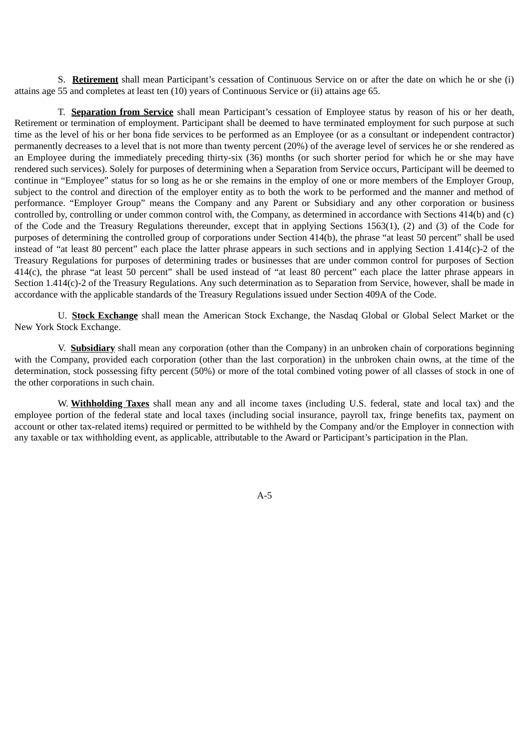S. **Retirement** shall mean Participant's cessation of Continuous Service on or after the date on which he or she (i) attains age 55 and completes at least ten (10) years of Continuous Service or (ii) attains age 65.

T. **Separation from Service** shall mean Participant's cessation of Employee status by reason of his or her death, Retirement or termination of employment. Participant shall be deemed to have terminated employment for such purpose at such time as the level of his or her bona fide services to be performed as an Employee (or as a consultant or independent contractor) permanently decreases to a level that is not more than twenty percent (20%) of the average level of services he or she rendered as an Employee during the immediately preceding thirty-six (36) months (or such shorter period for which he or she may have rendered such services). Solely for purposes of determining when a Separation from Service occurs, Participant will be deemed to continue in "Employee" status for so long as he or she remains in the employ of one or more members of the Employer Group, subject to the control and direction of the employer entity as to both the work to be performed and the manner and method of performance. "Employer Group" means the Company and any Parent or Subsidiary and any other corporation or business controlled by, controlling or under common control with, the Company, as determined in accordance with Sections 414(b) and (c) of the Code and the Treasury Regulations thereunder, except that in applying Sections 1563(1), (2) and (3) of the Code for purposes of determining the controlled group of corporations under Section 414(b), the phrase "at least 50 percent" shall be used instead of "at least 80 percent" each place the latter phrase appears in such sections and in applying Section 1.414(c)-2 of the Treasury Regulations for purposes of determining trades or businesses that are under common control for purposes of Section 414(c), the phrase "at least 50 percent" shall be used instead of "at least 80 percent" each place the latter phrase appears in Section 1.414(c)-2 of the Treasury Regulations. Any such determination as to Separation from Service, however, shall be made in accordance with the applicable standards of the Treasury Regulations issued under Section 409A of the Code.

U. **Stock Exchange** shall mean the American Stock Exchange, the Nasdaq Global or Global Select Market or the New York Stock Exchange.

V. **Subsidiary** shall mean any corporation (other than the Company) in an unbroken chain of corporations beginning with the Company, provided each corporation (other than the last corporation) in the unbroken chain owns, at the time of the determination, stock possessing fifty percent (50%) or more of the total combined voting power of all classes of stock in one of the other corporations in such chain.

W. **Withholding Taxes** shall mean any and all income taxes (including U.S. federal, state and local tax) and the employee portion of the federal state and local taxes (including social insurance, payroll tax, fringe benefits tax, payment on account or other tax-related items) required or permitted to be withheld by the Company and/or the Employer in connection with any taxable or tax withholding event, as applicable, attributable to the Award or Participant's participation in the Plan.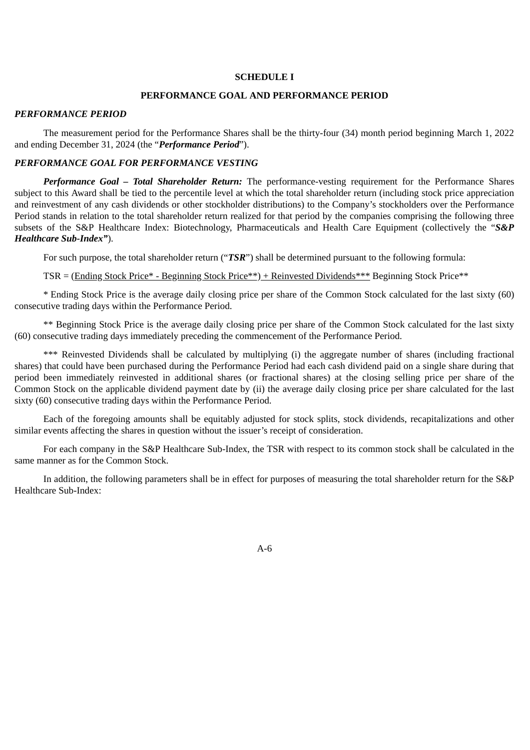#### **SCHEDULE I**

#### **PERFORMANCE GOAL AND PERFORMANCE PERIOD**

#### *PERFORMANCE PERIOD*

The measurement period for the Performance Shares shall be the thirty-four (34) month period beginning March 1, 2022 and ending December 31, 2024 (the "*Performance Period*").

#### *PERFORMANCE GOAL FOR PERFORMANCE VESTING*

*Performance Goal – Total Shareholder Return:* The performance-vesting requirement for the Performance Shares subject to this Award shall be tied to the percentile level at which the total shareholder return (including stock price appreciation and reinvestment of any cash dividends or other stockholder distributions) to the Company's stockholders over the Performance Period stands in relation to the total shareholder return realized for that period by the companies comprising the following three subsets of the S&P Healthcare Index: Biotechnology, Pharmaceuticals and Health Care Equipment (collectively the "*S&P Healthcare Sub-Index"*).

For such purpose, the total shareholder return ("*TSR*") shall be determined pursuant to the following formula:

TSR = (Ending Stock Price\* - Beginning Stock Price\*\*) + Reinvested Dividends\*\*\* Beginning Stock Price\*\*

\* Ending Stock Price is the average daily closing price per share of the Common Stock calculated for the last sixty (60) consecutive trading days within the Performance Period.

\*\* Beginning Stock Price is the average daily closing price per share of the Common Stock calculated for the last sixty (60) consecutive trading days immediately preceding the commencement of the Performance Period.

\*\*\* Reinvested Dividends shall be calculated by multiplying (i) the aggregate number of shares (including fractional shares) that could have been purchased during the Performance Period had each cash dividend paid on a single share during that period been immediately reinvested in additional shares (or fractional shares) at the closing selling price per share of the Common Stock on the applicable dividend payment date by (ii) the average daily closing price per share calculated for the last sixty (60) consecutive trading days within the Performance Period.

Each of the foregoing amounts shall be equitably adjusted for stock splits, stock dividends, recapitalizations and other similar events affecting the shares in question without the issuer's receipt of consideration.

For each company in the S&P Healthcare Sub-Index, the TSR with respect to its common stock shall be calculated in the same manner as for the Common Stock.

In addition, the following parameters shall be in effect for purposes of measuring the total shareholder return for the S&P Healthcare Sub-Index: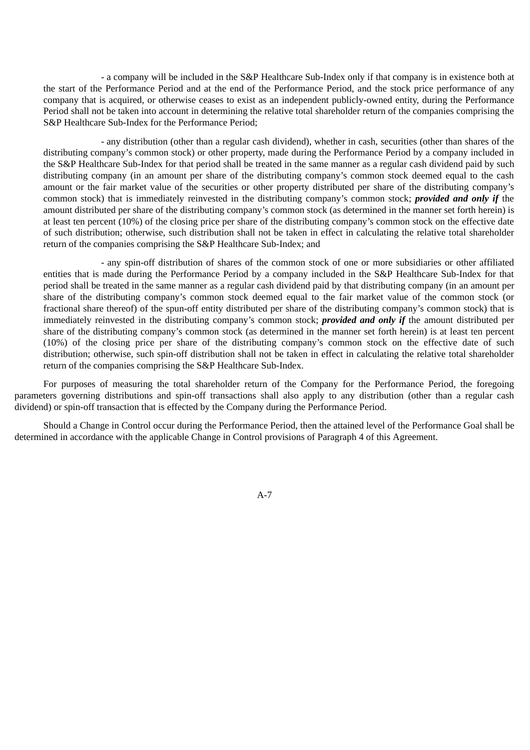- a company will be included in the S&P Healthcare Sub-Index only if that company is in existence both at the start of the Performance Period and at the end of the Performance Period, and the stock price performance of any company that is acquired, or otherwise ceases to exist as an independent publicly-owned entity, during the Performance Period shall not be taken into account in determining the relative total shareholder return of the companies comprising the S&P Healthcare Sub-Index for the Performance Period;

- any distribution (other than a regular cash dividend), whether in cash, securities (other than shares of the distributing company's common stock) or other property, made during the Performance Period by a company included in the S&P Healthcare Sub-Index for that period shall be treated in the same manner as a regular cash dividend paid by such distributing company (in an amount per share of the distributing company's common stock deemed equal to the cash amount or the fair market value of the securities or other property distributed per share of the distributing company's common stock) that is immediately reinvested in the distributing company's common stock; *provided and only if* the amount distributed per share of the distributing company's common stock (as determined in the manner set forth herein) is at least ten percent (10%) of the closing price per share of the distributing company's common stock on the effective date of such distribution; otherwise, such distribution shall not be taken in effect in calculating the relative total shareholder return of the companies comprising the S&P Healthcare Sub-Index; and

- any spin-off distribution of shares of the common stock of one or more subsidiaries or other affiliated entities that is made during the Performance Period by a company included in the S&P Healthcare Sub-Index for that period shall be treated in the same manner as a regular cash dividend paid by that distributing company (in an amount per share of the distributing company's common stock deemed equal to the fair market value of the common stock (or fractional share thereof) of the spun-off entity distributed per share of the distributing company's common stock) that is immediately reinvested in the distributing company's common stock; *provided and only if* the amount distributed per share of the distributing company's common stock (as determined in the manner set forth herein) is at least ten percent (10%) of the closing price per share of the distributing company's common stock on the effective date of such distribution; otherwise, such spin-off distribution shall not be taken in effect in calculating the relative total shareholder return of the companies comprising the S&P Healthcare Sub-Index.

For purposes of measuring the total shareholder return of the Company for the Performance Period, the foregoing parameters governing distributions and spin-off transactions shall also apply to any distribution (other than a regular cash dividend) or spin-off transaction that is effected by the Company during the Performance Period.

Should a Change in Control occur during the Performance Period, then the attained level of the Performance Goal shall be determined in accordance with the applicable Change in Control provisions of Paragraph 4 of this Agreement.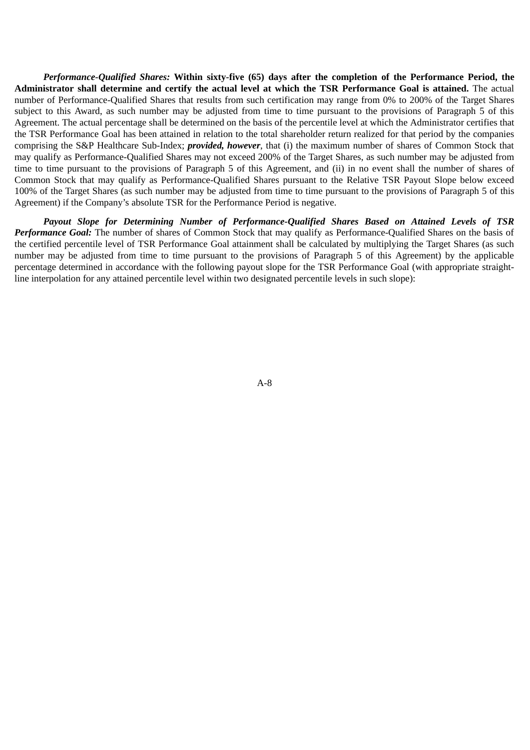*Performance-Qualified Shares:* **Within sixty-five (65) days after the completion of the Performance Period, the Administrator shall determine and certify the actual level at which the TSR Performance Goal is attained.** The actual number of Performance-Qualified Shares that results from such certification may range from 0% to 200% of the Target Shares subject to this Award, as such number may be adjusted from time to time pursuant to the provisions of Paragraph 5 of this Agreement. The actual percentage shall be determined on the basis of the percentile level at which the Administrator certifies that the TSR Performance Goal has been attained in relation to the total shareholder return realized for that period by the companies comprising the S&P Healthcare Sub-Index; *provided, however*, that (i) the maximum number of shares of Common Stock that may qualify as Performance-Qualified Shares may not exceed 200% of the Target Shares, as such number may be adjusted from time to time pursuant to the provisions of Paragraph 5 of this Agreement, and (ii) in no event shall the number of shares of Common Stock that may qualify as Performance-Qualified Shares pursuant to the Relative TSR Payout Slope below exceed 100% of the Target Shares (as such number may be adjusted from time to time pursuant to the provisions of Paragraph 5 of this Agreement) if the Company's absolute TSR for the Performance Period is negative.

*Payout Slope for Determining Number of Performance-Qualified Shares Based on Attained Levels of TSR Performance Goal:* The number of shares of Common Stock that may qualify as Performance-Qualified Shares on the basis of the certified percentile level of TSR Performance Goal attainment shall be calculated by multiplying the Target Shares (as such number may be adjusted from time to time pursuant to the provisions of Paragraph 5 of this Agreement) by the applicable percentage determined in accordance with the following payout slope for the TSR Performance Goal (with appropriate straightline interpolation for any attained percentile level within two designated percentile levels in such slope):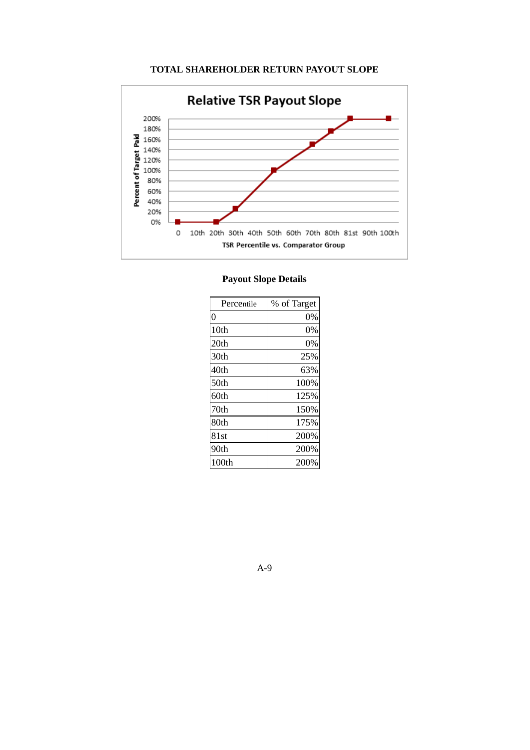# **TOTAL SHAREHOLDER RETURN PAYOUT SLOPE**



# **Payout Slope Details**

| Percentile       | % of Target |
|------------------|-------------|
| 0                | 0%          |
| 10 <sub>th</sub> | 0%          |
| 20th             | 0%          |
| 30th             | 25%         |
| 40th             | 63%         |
| 50 <sub>th</sub> | 100%        |
| 60th             | 125%        |
| 70th             | 150%        |
| 80th             | 175%        |
| 81st             | 200%        |
| 90th             | 200%        |
| 100th            | 200%        |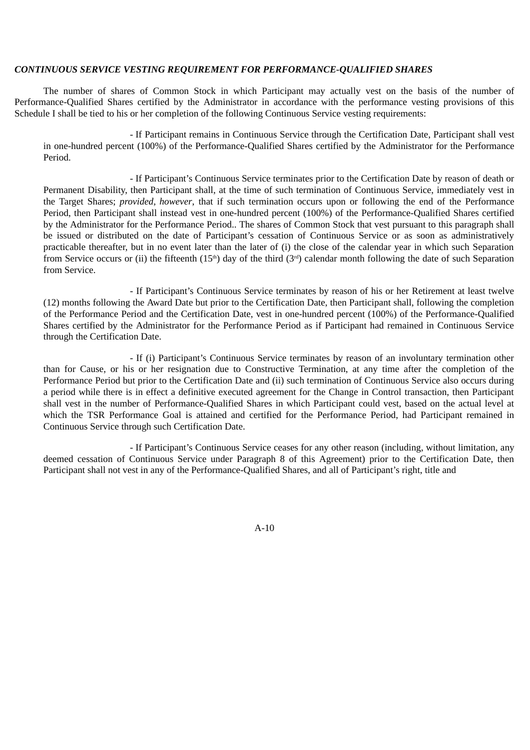#### *CONTINUOUS SERVICE VESTING REQUIREMENT FOR PERFORMANCE-QUALIFIED SHARES*

The number of shares of Common Stock in which Participant may actually vest on the basis of the number of Performance-Qualified Shares certified by the Administrator in accordance with the performance vesting provisions of this Schedule I shall be tied to his or her completion of the following Continuous Service vesting requirements:

- If Participant remains in Continuous Service through the Certification Date, Participant shall vest in one-hundred percent (100%) of the Performance-Qualified Shares certified by the Administrator for the Performance Period.

- If Participant's Continuous Service terminates prior to the Certification Date by reason of death or Permanent Disability, then Participant shall, at the time of such termination of Continuous Service, immediately vest in the Target Shares; *provided, however*, that if such termination occurs upon or following the end of the Performance Period, then Participant shall instead vest in one-hundred percent (100%) of the Performance-Qualified Shares certified by the Administrator for the Performance Period.. The shares of Common Stock that vest pursuant to this paragraph shall be issued or distributed on the date of Participant's cessation of Continuous Service or as soon as administratively practicable thereafter, but in no event later than the later of (i) the close of the calendar year in which such Separation from Service occurs or (ii) the fifteenth  $(15<sup>th</sup>)$  day of the third  $(3<sup>rd</sup>)$  calendar month following the date of such Separation from Service.

- If Participant's Continuous Service terminates by reason of his or her Retirement at least twelve (12) months following the Award Date but prior to the Certification Date, then Participant shall, following the completion of the Performance Period and the Certification Date, vest in one-hundred percent (100%) of the Performance-Qualified Shares certified by the Administrator for the Performance Period as if Participant had remained in Continuous Service through the Certification Date.

- If (i) Participant's Continuous Service terminates by reason of an involuntary termination other than for Cause, or his or her resignation due to Constructive Termination, at any time after the completion of the Performance Period but prior to the Certification Date and (ii) such termination of Continuous Service also occurs during a period while there is in effect a definitive executed agreement for the Change in Control transaction, then Participant shall vest in the number of Performance-Qualified Shares in which Participant could vest, based on the actual level at which the TSR Performance Goal is attained and certified for the Performance Period, had Participant remained in Continuous Service through such Certification Date.

- If Participant's Continuous Service ceases for any other reason (including, without limitation, any deemed cessation of Continuous Service under Paragraph 8 of this Agreement) prior to the Certification Date, then Participant shall not vest in any of the Performance-Qualified Shares, and all of Participant's right, title and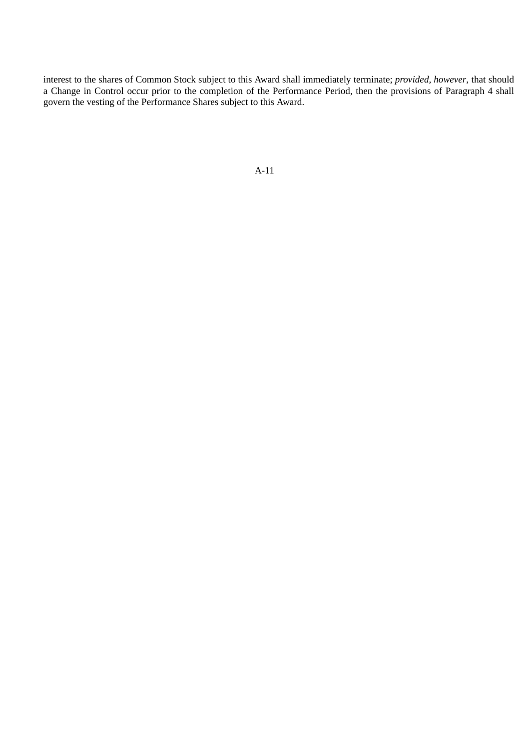interest to the shares of Common Stock subject to this Award shall immediately terminate; *provided, however*, that should a Change in Control occur prior to the completion of the Performance Period, then the provisions of Paragraph 4 shall govern the vesting of the Performance Shares subject to this Award.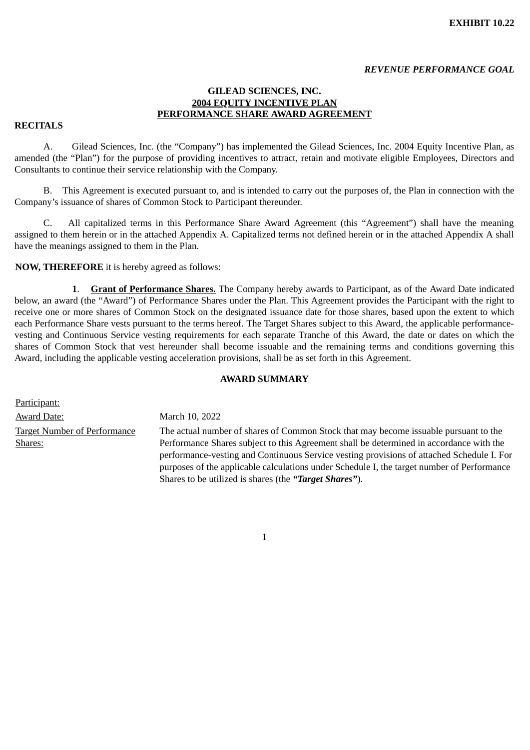#### *REVENUE PERFORMANCE GOAL*

## **GILEAD SCIENCES, INC. 2004 EQUITY INCENTIVE PLAN PERFORMANCE SHARE AWARD AGREEMENT**

## **RECITALS**

A. Gilead Sciences, Inc. (the "Company") has implemented the Gilead Sciences, Inc. 2004 Equity Incentive Plan, as amended (the "Plan") for the purpose of providing incentives to attract, retain and motivate eligible Employees, Directors and Consultants to continue their service relationship with the Company.

B. This Agreement is executed pursuant to, and is intended to carry out the purposes of, the Plan in connection with the Company's issuance of shares of Common Stock to Participant thereunder.

C. All capitalized terms in this Performance Share Award Agreement (this "Agreement") shall have the meaning assigned to them herein or in the attached Appendix A. Capitalized terms not defined herein or in the attached Appendix A shall have the meanings assigned to them in the Plan.

**NOW, THEREFORE** it is hereby agreed as follows:

**1**. **Grant of Performance Shares.** The Company hereby awards to Participant, as of the Award Date indicated below, an award (the "Award") of Performance Shares under the Plan. This Agreement provides the Participant with the right to receive one or more shares of Common Stock on the designated issuance date for those shares, based upon the extent to which each Performance Share vests pursuant to the terms hereof. The Target Shares subject to this Award, the applicable performancevesting and Continuous Service vesting requirements for each separate Tranche of this Award, the date or dates on which the shares of Common Stock that vest hereunder shall become issuable and the remaining terms and conditions governing this Award, including the applicable vesting acceleration provisions, shall be as set forth in this Agreement.

## **AWARD SUMMARY**

1

Participant: Award Date: March 10, 2022 Target Number of Performance Shares:

The actual number of shares of Common Stock that may become issuable pursuant to the Performance Shares subject to this Agreement shall be determined in accordance with the performance-vesting and Continuous Service vesting provisions of attached Schedule I. For purposes of the applicable calculations under Schedule I, the target number of Performance Shares to be utilized is shares (the *"Target Shares"*).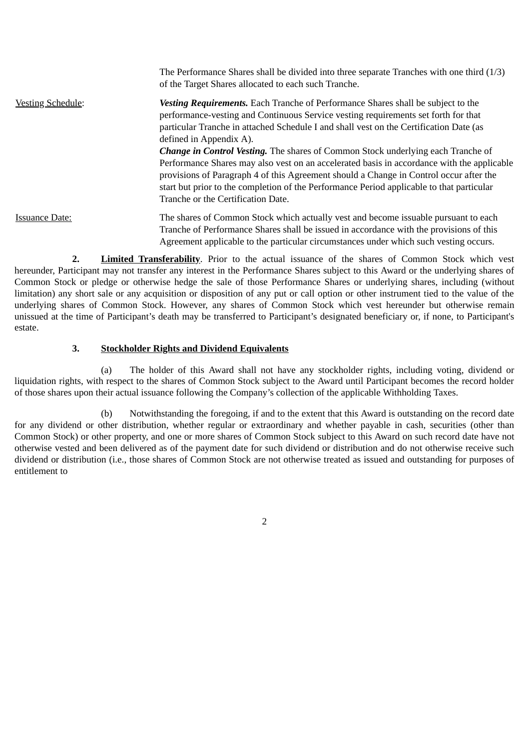|                          | The Performance Shares shall be divided into three separate Tranches with one third (1/3)<br>of the Target Shares allocated to each such Tranche.                                                                                                                                                                                                                                                                                                                                                                                                                                                                                                                                                                        |
|--------------------------|--------------------------------------------------------------------------------------------------------------------------------------------------------------------------------------------------------------------------------------------------------------------------------------------------------------------------------------------------------------------------------------------------------------------------------------------------------------------------------------------------------------------------------------------------------------------------------------------------------------------------------------------------------------------------------------------------------------------------|
| <b>Vesting Schedule:</b> | <b>Vesting Requirements.</b> Each Tranche of Performance Shares shall be subject to the<br>performance-vesting and Continuous Service vesting requirements set forth for that<br>particular Tranche in attached Schedule I and shall vest on the Certification Date (as<br>defined in Appendix A).<br><b>Change in Control Vesting.</b> The shares of Common Stock underlying each Tranche of<br>Performance Shares may also vest on an accelerated basis in accordance with the applicable<br>provisions of Paragraph 4 of this Agreement should a Change in Control occur after the<br>start but prior to the completion of the Performance Period applicable to that particular<br>Tranche or the Certification Date. |
| <b>Issuance Date:</b>    | The shares of Common Stock which actually vest and become issuable pursuant to each<br>Tranche of Performance Shares shall be issued in accordance with the provisions of this<br>Agreement applicable to the particular circumstances under which such vesting occurs.                                                                                                                                                                                                                                                                                                                                                                                                                                                  |

**2. Limited Transferability**. Prior to the actual issuance of the shares of Common Stock which vest hereunder, Participant may not transfer any interest in the Performance Shares subject to this Award or the underlying shares of Common Stock or pledge or otherwise hedge the sale of those Performance Shares or underlying shares, including (without limitation) any short sale or any acquisition or disposition of any put or call option or other instrument tied to the value of the underlying shares of Common Stock. However, any shares of Common Stock which vest hereunder but otherwise remain unissued at the time of Participant's death may be transferred to Participant's designated beneficiary or, if none, to Participant's estate.

# **3. Stockholder Rights and Dividend Equivalents**

(a) The holder of this Award shall not have any stockholder rights, including voting, dividend or liquidation rights, with respect to the shares of Common Stock subject to the Award until Participant becomes the record holder of those shares upon their actual issuance following the Company's collection of the applicable Withholding Taxes.

(b) Notwithstanding the foregoing, if and to the extent that this Award is outstanding on the record date for any dividend or other distribution, whether regular or extraordinary and whether payable in cash, securities (other than Common Stock) or other property, and one or more shares of Common Stock subject to this Award on such record date have not otherwise vested and been delivered as of the payment date for such dividend or distribution and do not otherwise receive such dividend or distribution (i.e., those shares of Common Stock are not otherwise treated as issued and outstanding for purposes of entitlement to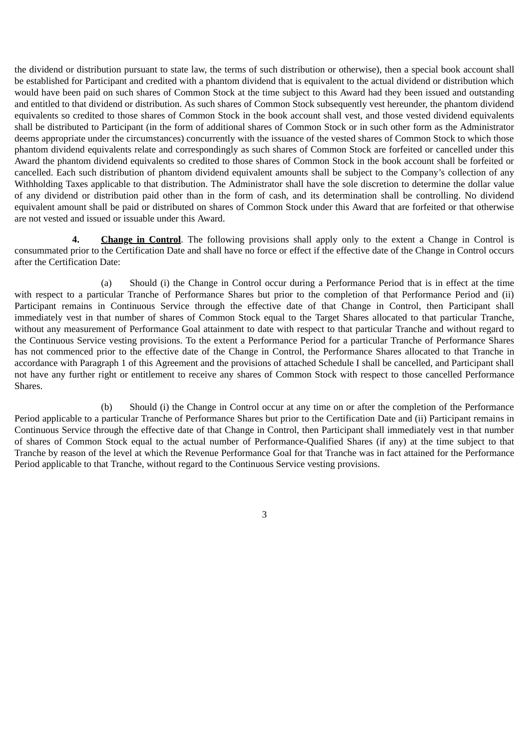the dividend or distribution pursuant to state law, the terms of such distribution or otherwise), then a special book account shall be established for Participant and credited with a phantom dividend that is equivalent to the actual dividend or distribution which would have been paid on such shares of Common Stock at the time subject to this Award had they been issued and outstanding and entitled to that dividend or distribution. As such shares of Common Stock subsequently vest hereunder, the phantom dividend equivalents so credited to those shares of Common Stock in the book account shall vest, and those vested dividend equivalents shall be distributed to Participant (in the form of additional shares of Common Stock or in such other form as the Administrator deems appropriate under the circumstances) concurrently with the issuance of the vested shares of Common Stock to which those phantom dividend equivalents relate and correspondingly as such shares of Common Stock are forfeited or cancelled under this Award the phantom dividend equivalents so credited to those shares of Common Stock in the book account shall be forfeited or cancelled. Each such distribution of phantom dividend equivalent amounts shall be subject to the Company's collection of any Withholding Taxes applicable to that distribution. The Administrator shall have the sole discretion to determine the dollar value of any dividend or distribution paid other than in the form of cash, and its determination shall be controlling. No dividend equivalent amount shall be paid or distributed on shares of Common Stock under this Award that are forfeited or that otherwise are not vested and issued or issuable under this Award.

**4. Change in Control**. The following provisions shall apply only to the extent a Change in Control is consummated prior to the Certification Date and shall have no force or effect if the effective date of the Change in Control occurs after the Certification Date:

(a) Should (i) the Change in Control occur during a Performance Period that is in effect at the time with respect to a particular Tranche of Performance Shares but prior to the completion of that Performance Period and (ii) Participant remains in Continuous Service through the effective date of that Change in Control, then Participant shall immediately vest in that number of shares of Common Stock equal to the Target Shares allocated to that particular Tranche, without any measurement of Performance Goal attainment to date with respect to that particular Tranche and without regard to the Continuous Service vesting provisions. To the extent a Performance Period for a particular Tranche of Performance Shares has not commenced prior to the effective date of the Change in Control, the Performance Shares allocated to that Tranche in accordance with Paragraph 1 of this Agreement and the provisions of attached Schedule I shall be cancelled, and Participant shall not have any further right or entitlement to receive any shares of Common Stock with respect to those cancelled Performance Shares.

(b) Should (i) the Change in Control occur at any time on or after the completion of the Performance Period applicable to a particular Tranche of Performance Shares but prior to the Certification Date and (ii) Participant remains in Continuous Service through the effective date of that Change in Control, then Participant shall immediately vest in that number of shares of Common Stock equal to the actual number of Performance-Qualified Shares (if any) at the time subject to that Tranche by reason of the level at which the Revenue Performance Goal for that Tranche was in fact attained for the Performance Period applicable to that Tranche, without regard to the Continuous Service vesting provisions.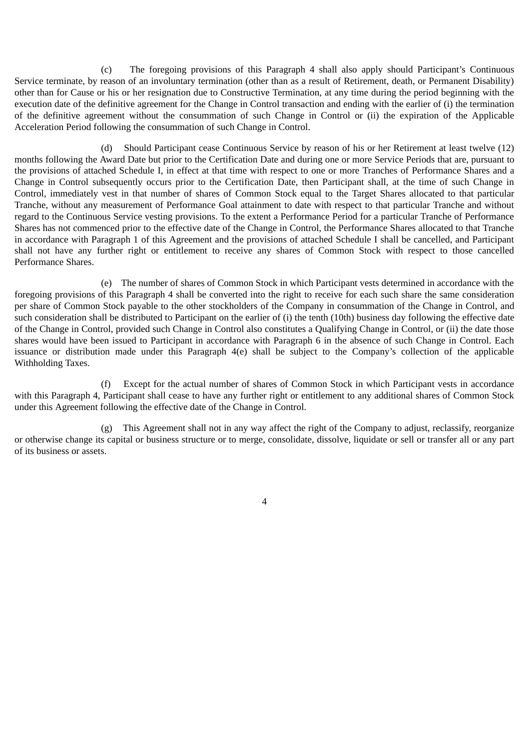(c) The foregoing provisions of this Paragraph 4 shall also apply should Participant's Continuous Service terminate, by reason of an involuntary termination (other than as a result of Retirement, death, or Permanent Disability) other than for Cause or his or her resignation due to Constructive Termination, at any time during the period beginning with the execution date of the definitive agreement for the Change in Control transaction and ending with the earlier of (i) the termination of the definitive agreement without the consummation of such Change in Control or (ii) the expiration of the Applicable Acceleration Period following the consummation of such Change in Control.

(d) Should Participant cease Continuous Service by reason of his or her Retirement at least twelve (12) months following the Award Date but prior to the Certification Date and during one or more Service Periods that are, pursuant to the provisions of attached Schedule I, in effect at that time with respect to one or more Tranches of Performance Shares and a Change in Control subsequently occurs prior to the Certification Date, then Participant shall, at the time of such Change in Control, immediately vest in that number of shares of Common Stock equal to the Target Shares allocated to that particular Tranche, without any measurement of Performance Goal attainment to date with respect to that particular Tranche and without regard to the Continuous Service vesting provisions. To the extent a Performance Period for a particular Tranche of Performance Shares has not commenced prior to the effective date of the Change in Control, the Performance Shares allocated to that Tranche in accordance with Paragraph 1 of this Agreement and the provisions of attached Schedule I shall be cancelled, and Participant shall not have any further right or entitlement to receive any shares of Common Stock with respect to those cancelled Performance Shares.

(e) The number of shares of Common Stock in which Participant vests determined in accordance with the foregoing provisions of this Paragraph 4 shall be converted into the right to receive for each such share the same consideration per share of Common Stock payable to the other stockholders of the Company in consummation of the Change in Control, and such consideration shall be distributed to Participant on the earlier of (i) the tenth (10th) business day following the effective date of the Change in Control, provided such Change in Control also constitutes a Qualifying Change in Control, or (ii) the date those shares would have been issued to Participant in accordance with Paragraph 6 in the absence of such Change in Control. Each issuance or distribution made under this Paragraph 4(e) shall be subject to the Company's collection of the applicable Withholding Taxes.

(f) Except for the actual number of shares of Common Stock in which Participant vests in accordance with this Paragraph 4, Participant shall cease to have any further right or entitlement to any additional shares of Common Stock under this Agreement following the effective date of the Change in Control.

(g) This Agreement shall not in any way affect the right of the Company to adjust, reclassify, reorganize or otherwise change its capital or business structure or to merge, consolidate, dissolve, liquidate or sell or transfer all or any part of its business or assets.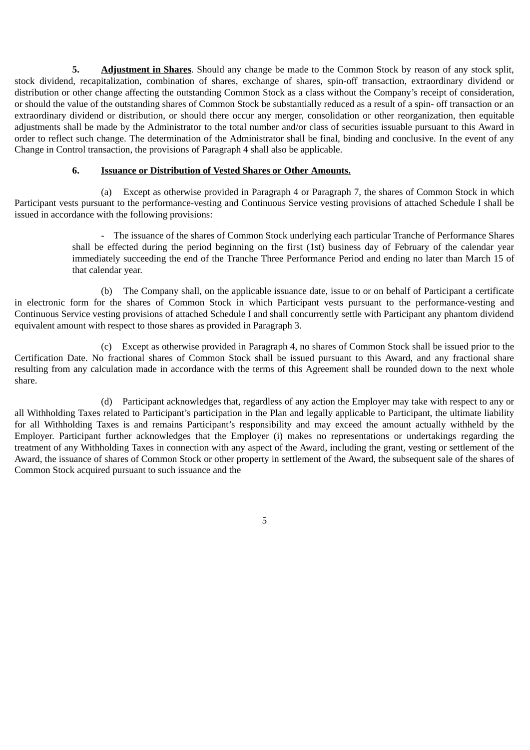**5. Adjustment in Shares**. Should any change be made to the Common Stock by reason of any stock split, stock dividend, recapitalization, combination of shares, exchange of shares, spin-off transaction, extraordinary dividend or distribution or other change affecting the outstanding Common Stock as a class without the Company's receipt of consideration, or should the value of the outstanding shares of Common Stock be substantially reduced as a result of a spin- off transaction or an extraordinary dividend or distribution, or should there occur any merger, consolidation or other reorganization, then equitable adjustments shall be made by the Administrator to the total number and/or class of securities issuable pursuant to this Award in order to reflect such change. The determination of the Administrator shall be final, binding and conclusive. In the event of any Change in Control transaction, the provisions of Paragraph 4 shall also be applicable.

## **6. Issuance or Distribution of Vested Shares or Other Amounts.**

(a) Except as otherwise provided in Paragraph 4 or Paragraph 7, the shares of Common Stock in which Participant vests pursuant to the performance-vesting and Continuous Service vesting provisions of attached Schedule I shall be issued in accordance with the following provisions:

> - The issuance of the shares of Common Stock underlying each particular Tranche of Performance Shares shall be effected during the period beginning on the first (1st) business day of February of the calendar year immediately succeeding the end of the Tranche Three Performance Period and ending no later than March 15 of that calendar year.

(b) The Company shall, on the applicable issuance date, issue to or on behalf of Participant a certificate in electronic form for the shares of Common Stock in which Participant vests pursuant to the performance-vesting and Continuous Service vesting provisions of attached Schedule I and shall concurrently settle with Participant any phantom dividend equivalent amount with respect to those shares as provided in Paragraph 3.

(c) Except as otherwise provided in Paragraph 4, no shares of Common Stock shall be issued prior to the Certification Date. No fractional shares of Common Stock shall be issued pursuant to this Award, and any fractional share resulting from any calculation made in accordance with the terms of this Agreement shall be rounded down to the next whole share.

(d) Participant acknowledges that, regardless of any action the Employer may take with respect to any or all Withholding Taxes related to Participant's participation in the Plan and legally applicable to Participant, the ultimate liability for all Withholding Taxes is and remains Participant's responsibility and may exceed the amount actually withheld by the Employer. Participant further acknowledges that the Employer (i) makes no representations or undertakings regarding the treatment of any Withholding Taxes in connection with any aspect of the Award, including the grant, vesting or settlement of the Award, the issuance of shares of Common Stock or other property in settlement of the Award, the subsequent sale of the shares of Common Stock acquired pursuant to such issuance and the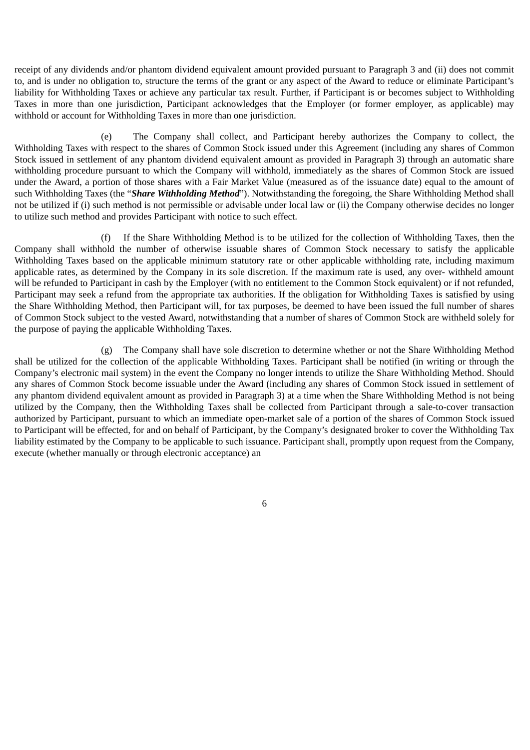receipt of any dividends and/or phantom dividend equivalent amount provided pursuant to Paragraph 3 and (ii) does not commit to, and is under no obligation to, structure the terms of the grant or any aspect of the Award to reduce or eliminate Participant's liability for Withholding Taxes or achieve any particular tax result. Further, if Participant is or becomes subject to Withholding Taxes in more than one jurisdiction, Participant acknowledges that the Employer (or former employer, as applicable) may withhold or account for Withholding Taxes in more than one jurisdiction.

(e) The Company shall collect, and Participant hereby authorizes the Company to collect, the Withholding Taxes with respect to the shares of Common Stock issued under this Agreement (including any shares of Common Stock issued in settlement of any phantom dividend equivalent amount as provided in Paragraph 3) through an automatic share withholding procedure pursuant to which the Company will withhold, immediately as the shares of Common Stock are issued under the Award, a portion of those shares with a Fair Market Value (measured as of the issuance date) equal to the amount of such Withholding Taxes (the "*Share Withholding Method*"). Notwithstanding the foregoing, the Share Withholding Method shall not be utilized if (i) such method is not permissible or advisable under local law or (ii) the Company otherwise decides no longer to utilize such method and provides Participant with notice to such effect.

(f) If the Share Withholding Method is to be utilized for the collection of Withholding Taxes, then the Company shall withhold the number of otherwise issuable shares of Common Stock necessary to satisfy the applicable Withholding Taxes based on the applicable minimum statutory rate or other applicable withholding rate, including maximum applicable rates, as determined by the Company in its sole discretion. If the maximum rate is used, any over- withheld amount will be refunded to Participant in cash by the Employer (with no entitlement to the Common Stock equivalent) or if not refunded, Participant may seek a refund from the appropriate tax authorities. If the obligation for Withholding Taxes is satisfied by using the Share Withholding Method, then Participant will, for tax purposes, be deemed to have been issued the full number of shares of Common Stock subject to the vested Award, notwithstanding that a number of shares of Common Stock are withheld solely for the purpose of paying the applicable Withholding Taxes.

(g) The Company shall have sole discretion to determine whether or not the Share Withholding Method shall be utilized for the collection of the applicable Withholding Taxes. Participant shall be notified (in writing or through the Company's electronic mail system) in the event the Company no longer intends to utilize the Share Withholding Method. Should any shares of Common Stock become issuable under the Award (including any shares of Common Stock issued in settlement of any phantom dividend equivalent amount as provided in Paragraph 3) at a time when the Share Withholding Method is not being utilized by the Company, then the Withholding Taxes shall be collected from Participant through a sale-to-cover transaction authorized by Participant, pursuant to which an immediate open-market sale of a portion of the shares of Common Stock issued to Participant will be effected, for and on behalf of Participant, by the Company's designated broker to cover the Withholding Tax liability estimated by the Company to be applicable to such issuance. Participant shall, promptly upon request from the Company, execute (whether manually or through electronic acceptance) an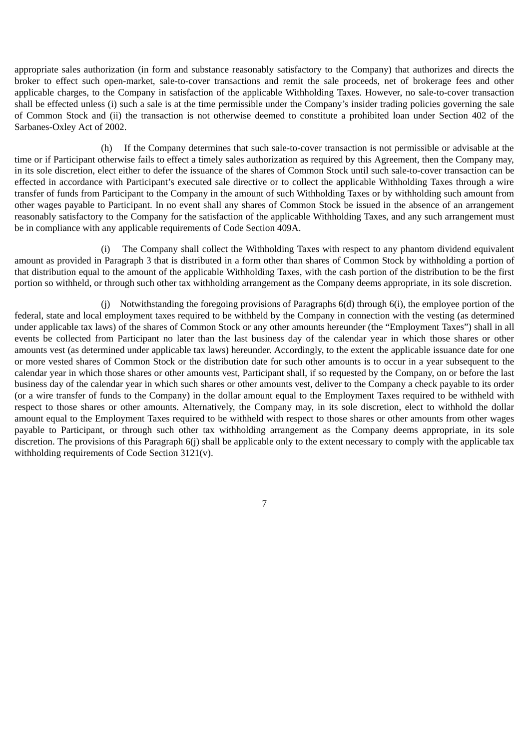appropriate sales authorization (in form and substance reasonably satisfactory to the Company) that authorizes and directs the broker to effect such open-market, sale-to-cover transactions and remit the sale proceeds, net of brokerage fees and other applicable charges, to the Company in satisfaction of the applicable Withholding Taxes. However, no sale-to-cover transaction shall be effected unless (i) such a sale is at the time permissible under the Company's insider trading policies governing the sale of Common Stock and (ii) the transaction is not otherwise deemed to constitute a prohibited loan under Section 402 of the Sarbanes-Oxley Act of 2002.

(h) If the Company determines that such sale-to-cover transaction is not permissible or advisable at the time or if Participant otherwise fails to effect a timely sales authorization as required by this Agreement, then the Company may, in its sole discretion, elect either to defer the issuance of the shares of Common Stock until such sale-to-cover transaction can be effected in accordance with Participant's executed sale directive or to collect the applicable Withholding Taxes through a wire transfer of funds from Participant to the Company in the amount of such Withholding Taxes or by withholding such amount from other wages payable to Participant. In no event shall any shares of Common Stock be issued in the absence of an arrangement reasonably satisfactory to the Company for the satisfaction of the applicable Withholding Taxes, and any such arrangement must be in compliance with any applicable requirements of Code Section 409A.

(i) The Company shall collect the Withholding Taxes with respect to any phantom dividend equivalent amount as provided in Paragraph 3 that is distributed in a form other than shares of Common Stock by withholding a portion of that distribution equal to the amount of the applicable Withholding Taxes, with the cash portion of the distribution to be the first portion so withheld, or through such other tax withholding arrangement as the Company deems appropriate, in its sole discretion.

(j) Notwithstanding the foregoing provisions of Paragraphs 6(d) through 6(i), the employee portion of the federal, state and local employment taxes required to be withheld by the Company in connection with the vesting (as determined under applicable tax laws) of the shares of Common Stock or any other amounts hereunder (the "Employment Taxes") shall in all events be collected from Participant no later than the last business day of the calendar year in which those shares or other amounts vest (as determined under applicable tax laws) hereunder. Accordingly, to the extent the applicable issuance date for one or more vested shares of Common Stock or the distribution date for such other amounts is to occur in a year subsequent to the calendar year in which those shares or other amounts vest, Participant shall, if so requested by the Company, on or before the last business day of the calendar year in which such shares or other amounts vest, deliver to the Company a check payable to its order (or a wire transfer of funds to the Company) in the dollar amount equal to the Employment Taxes required to be withheld with respect to those shares or other amounts. Alternatively, the Company may, in its sole discretion, elect to withhold the dollar amount equal to the Employment Taxes required to be withheld with respect to those shares or other amounts from other wages payable to Participant, or through such other tax withholding arrangement as the Company deems appropriate, in its sole discretion. The provisions of this Paragraph 6(j) shall be applicable only to the extent necessary to comply with the applicable tax withholding requirements of Code Section 3121(v).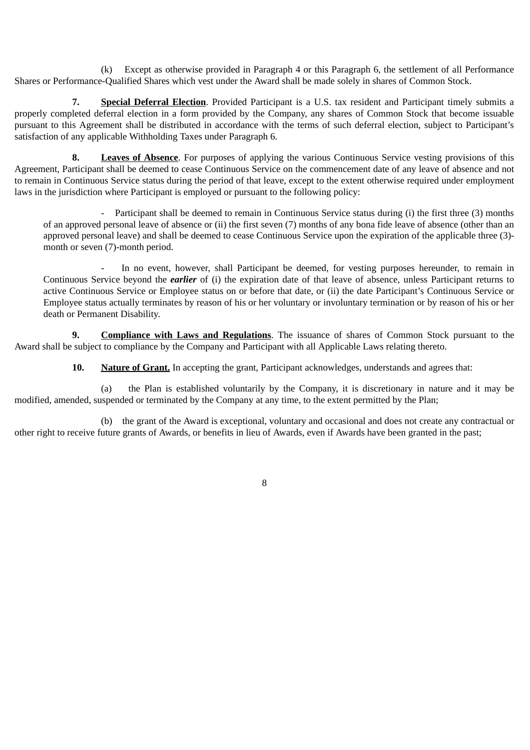(k) Except as otherwise provided in Paragraph 4 or this Paragraph 6, the settlement of all Performance Shares or Performance-Qualified Shares which vest under the Award shall be made solely in shares of Common Stock.

**7. Special Deferral Election**. Provided Participant is a U.S. tax resident and Participant timely submits a properly completed deferral election in a form provided by the Company, any shares of Common Stock that become issuable pursuant to this Agreement shall be distributed in accordance with the terms of such deferral election, subject to Participant's satisfaction of any applicable Withholding Taxes under Paragraph 6.

**8. Leaves of Absence**. For purposes of applying the various Continuous Service vesting provisions of this Agreement, Participant shall be deemed to cease Continuous Service on the commencement date of any leave of absence and not to remain in Continuous Service status during the period of that leave, except to the extent otherwise required under employment laws in the jurisdiction where Participant is employed or pursuant to the following policy:

- Participant shall be deemed to remain in Continuous Service status during (i) the first three (3) months of an approved personal leave of absence or (ii) the first seven (7) months of any bona fide leave of absence (other than an approved personal leave) and shall be deemed to cease Continuous Service upon the expiration of the applicable three (3) month or seven (7)-month period.

In no event, however, shall Participant be deemed, for vesting purposes hereunder, to remain in Continuous Service beyond the *earlier* of (i) the expiration date of that leave of absence, unless Participant returns to active Continuous Service or Employee status on or before that date, or (ii) the date Participant's Continuous Service or Employee status actually terminates by reason of his or her voluntary or involuntary termination or by reason of his or her death or Permanent Disability.

**9. Compliance with Laws and Regulations**. The issuance of shares of Common Stock pursuant to the Award shall be subject to compliance by the Company and Participant with all Applicable Laws relating thereto.

**10. Nature of Grant.** In accepting the grant, Participant acknowledges, understands and agrees that:

(a) the Plan is established voluntarily by the Company, it is discretionary in nature and it may be modified, amended, suspended or terminated by the Company at any time, to the extent permitted by the Plan;

(b) the grant of the Award is exceptional, voluntary and occasional and does not create any contractual or other right to receive future grants of Awards, or benefits in lieu of Awards, even if Awards have been granted in the past;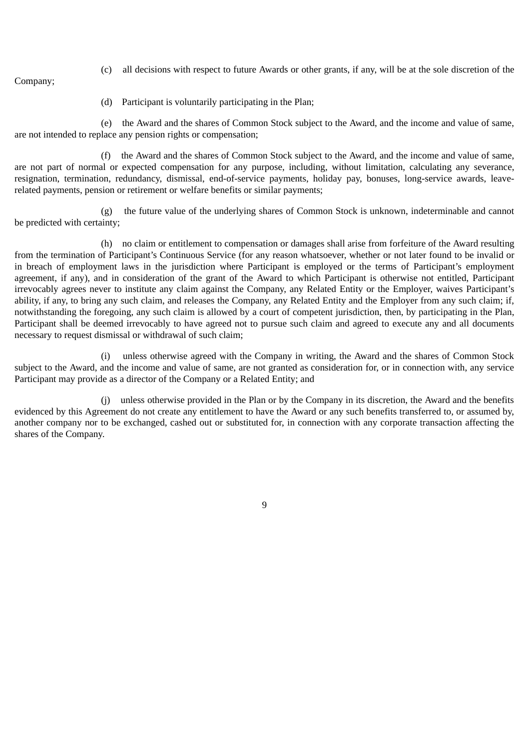Company;

- (c) all decisions with respect to future Awards or other grants, if any, will be at the sole discretion of the
- (d) Participant is voluntarily participating in the Plan;

(e) the Award and the shares of Common Stock subject to the Award, and the income and value of same, are not intended to replace any pension rights or compensation;

(f) the Award and the shares of Common Stock subject to the Award, and the income and value of same, are not part of normal or expected compensation for any purpose, including, without limitation, calculating any severance, resignation, termination, redundancy, dismissal, end-of-service payments, holiday pay, bonuses, long-service awards, leaverelated payments, pension or retirement or welfare benefits or similar payments;

(g) the future value of the underlying shares of Common Stock is unknown, indeterminable and cannot be predicted with certainty;

(h) no claim or entitlement to compensation or damages shall arise from forfeiture of the Award resulting from the termination of Participant's Continuous Service (for any reason whatsoever, whether or not later found to be invalid or in breach of employment laws in the jurisdiction where Participant is employed or the terms of Participant's employment agreement, if any), and in consideration of the grant of the Award to which Participant is otherwise not entitled, Participant irrevocably agrees never to institute any claim against the Company, any Related Entity or the Employer, waives Participant's ability, if any, to bring any such claim, and releases the Company, any Related Entity and the Employer from any such claim; if, notwithstanding the foregoing, any such claim is allowed by a court of competent jurisdiction, then, by participating in the Plan, Participant shall be deemed irrevocably to have agreed not to pursue such claim and agreed to execute any and all documents necessary to request dismissal or withdrawal of such claim;

(i) unless otherwise agreed with the Company in writing, the Award and the shares of Common Stock subject to the Award, and the income and value of same, are not granted as consideration for, or in connection with, any service Participant may provide as a director of the Company or a Related Entity; and

(j) unless otherwise provided in the Plan or by the Company in its discretion, the Award and the benefits evidenced by this Agreement do not create any entitlement to have the Award or any such benefits transferred to, or assumed by, another company nor to be exchanged, cashed out or substituted for, in connection with any corporate transaction affecting the shares of the Company.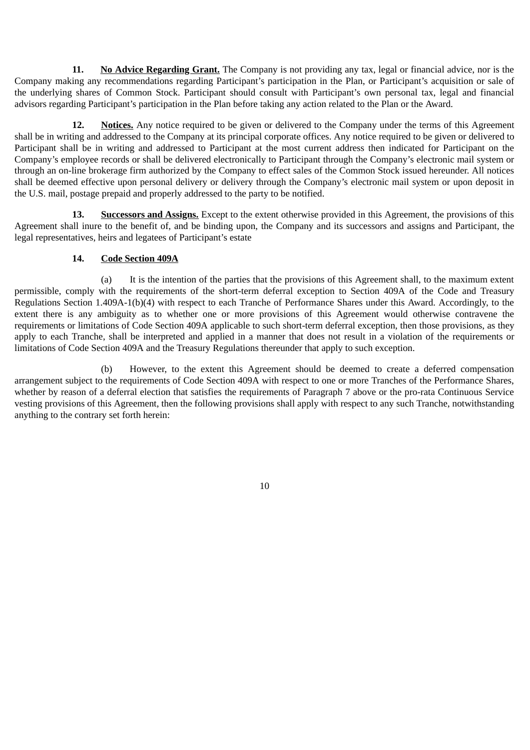**11. No Advice Regarding Grant.** The Company is not providing any tax, legal or financial advice, nor is the Company making any recommendations regarding Participant's participation in the Plan, or Participant's acquisition or sale of the underlying shares of Common Stock. Participant should consult with Participant's own personal tax, legal and financial advisors regarding Participant's participation in the Plan before taking any action related to the Plan or the Award.

**12. Notices.** Any notice required to be given or delivered to the Company under the terms of this Agreement shall be in writing and addressed to the Company at its principal corporate offices. Any notice required to be given or delivered to Participant shall be in writing and addressed to Participant at the most current address then indicated for Participant on the Company's employee records or shall be delivered electronically to Participant through the Company's electronic mail system or through an on-line brokerage firm authorized by the Company to effect sales of the Common Stock issued hereunder. All notices shall be deemed effective upon personal delivery or delivery through the Company's electronic mail system or upon deposit in the U.S. mail, postage prepaid and properly addressed to the party to be notified.

**13. Successors and Assigns.** Except to the extent otherwise provided in this Agreement, the provisions of this Agreement shall inure to the benefit of, and be binding upon, the Company and its successors and assigns and Participant, the legal representatives, heirs and legatees of Participant's estate

# **14. Code Section 409A**

(a) It is the intention of the parties that the provisions of this Agreement shall, to the maximum extent permissible, comply with the requirements of the short-term deferral exception to Section 409A of the Code and Treasury Regulations Section 1.409A-1(b)(4) with respect to each Tranche of Performance Shares under this Award. Accordingly, to the extent there is any ambiguity as to whether one or more provisions of this Agreement would otherwise contravene the requirements or limitations of Code Section 409A applicable to such short-term deferral exception, then those provisions, as they apply to each Tranche, shall be interpreted and applied in a manner that does not result in a violation of the requirements or limitations of Code Section 409A and the Treasury Regulations thereunder that apply to such exception.

(b) However, to the extent this Agreement should be deemed to create a deferred compensation arrangement subject to the requirements of Code Section 409A with respect to one or more Tranches of the Performance Shares, whether by reason of a deferral election that satisfies the requirements of Paragraph 7 above or the pro-rata Continuous Service vesting provisions of this Agreement, then the following provisions shall apply with respect to any such Tranche, notwithstanding anything to the contrary set forth herein: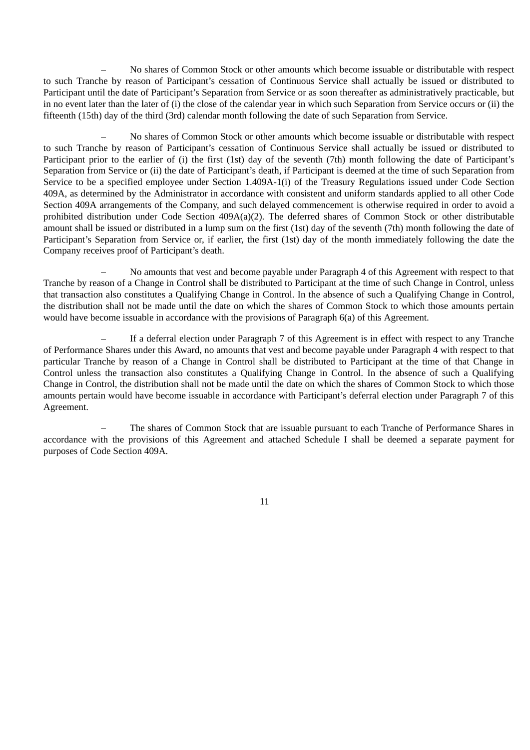– No shares of Common Stock or other amounts which become issuable or distributable with respect to such Tranche by reason of Participant's cessation of Continuous Service shall actually be issued or distributed to Participant until the date of Participant's Separation from Service or as soon thereafter as administratively practicable, but in no event later than the later of (i) the close of the calendar year in which such Separation from Service occurs or (ii) the fifteenth (15th) day of the third (3rd) calendar month following the date of such Separation from Service.

– No shares of Common Stock or other amounts which become issuable or distributable with respect to such Tranche by reason of Participant's cessation of Continuous Service shall actually be issued or distributed to Participant prior to the earlier of (i) the first (1st) day of the seventh (7th) month following the date of Participant's Separation from Service or (ii) the date of Participant's death, if Participant is deemed at the time of such Separation from Service to be a specified employee under Section 1.409A-1(i) of the Treasury Regulations issued under Code Section 409A, as determined by the Administrator in accordance with consistent and uniform standards applied to all other Code Section 409A arrangements of the Company, and such delayed commencement is otherwise required in order to avoid a prohibited distribution under Code Section 409A(a)(2). The deferred shares of Common Stock or other distributable amount shall be issued or distributed in a lump sum on the first (1st) day of the seventh (7th) month following the date of Participant's Separation from Service or, if earlier, the first (1st) day of the month immediately following the date the Company receives proof of Participant's death.

– No amounts that vest and become payable under Paragraph 4 of this Agreement with respect to that Tranche by reason of a Change in Control shall be distributed to Participant at the time of such Change in Control, unless that transaction also constitutes a Qualifying Change in Control. In the absence of such a Qualifying Change in Control, the distribution shall not be made until the date on which the shares of Common Stock to which those amounts pertain would have become issuable in accordance with the provisions of Paragraph 6(a) of this Agreement.

If a deferral election under Paragraph 7 of this Agreement is in effect with respect to any Tranche of Performance Shares under this Award, no amounts that vest and become payable under Paragraph 4 with respect to that particular Tranche by reason of a Change in Control shall be distributed to Participant at the time of that Change in Control unless the transaction also constitutes a Qualifying Change in Control. In the absence of such a Qualifying Change in Control, the distribution shall not be made until the date on which the shares of Common Stock to which those amounts pertain would have become issuable in accordance with Participant's deferral election under Paragraph 7 of this Agreement.

– The shares of Common Stock that are issuable pursuant to each Tranche of Performance Shares in accordance with the provisions of this Agreement and attached Schedule I shall be deemed a separate payment for purposes of Code Section 409A.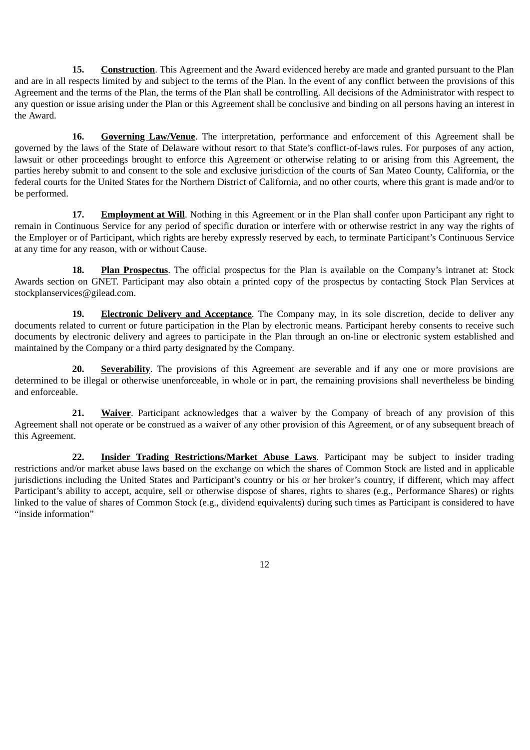**15. Construction**. This Agreement and the Award evidenced hereby are made and granted pursuant to the Plan and are in all respects limited by and subject to the terms of the Plan. In the event of any conflict between the provisions of this Agreement and the terms of the Plan, the terms of the Plan shall be controlling. All decisions of the Administrator with respect to any question or issue arising under the Plan or this Agreement shall be conclusive and binding on all persons having an interest in the Award.

**16. Governing Law/Venue**. The interpretation, performance and enforcement of this Agreement shall be governed by the laws of the State of Delaware without resort to that State's conflict-of-laws rules. For purposes of any action, lawsuit or other proceedings brought to enforce this Agreement or otherwise relating to or arising from this Agreement, the parties hereby submit to and consent to the sole and exclusive jurisdiction of the courts of San Mateo County, California, or the federal courts for the United States for the Northern District of California, and no other courts, where this grant is made and/or to be performed.

**17. Employment at Will**. Nothing in this Agreement or in the Plan shall confer upon Participant any right to remain in Continuous Service for any period of specific duration or interfere with or otherwise restrict in any way the rights of the Employer or of Participant, which rights are hereby expressly reserved by each, to terminate Participant's Continuous Service at any time for any reason, with or without Cause.

**18. Plan Prospectus**. The official prospectus for the Plan is available on the Company's intranet at: Stock Awards section on GNET. Participant may also obtain a printed copy of the prospectus by contacting Stock Plan Services at stockplanservices@gilead.com.

**19. Electronic Delivery and Acceptance**. The Company may, in its sole discretion, decide to deliver any documents related to current or future participation in the Plan by electronic means. Participant hereby consents to receive such documents by electronic delivery and agrees to participate in the Plan through an on-line or electronic system established and maintained by the Company or a third party designated by the Company.

**20. Severability**. The provisions of this Agreement are severable and if any one or more provisions are determined to be illegal or otherwise unenforceable, in whole or in part, the remaining provisions shall nevertheless be binding and enforceable.

**21. Waiver**. Participant acknowledges that a waiver by the Company of breach of any provision of this Agreement shall not operate or be construed as a waiver of any other provision of this Agreement, or of any subsequent breach of this Agreement.

**22. Insider Trading Restrictions/Market Abuse Laws**. Participant may be subject to insider trading restrictions and/or market abuse laws based on the exchange on which the shares of Common Stock are listed and in applicable jurisdictions including the United States and Participant's country or his or her broker's country, if different, which may affect Participant's ability to accept, acquire, sell or otherwise dispose of shares, rights to shares (e.g., Performance Shares) or rights linked to the value of shares of Common Stock (e.g., dividend equivalents) during such times as Participant is considered to have "inside information"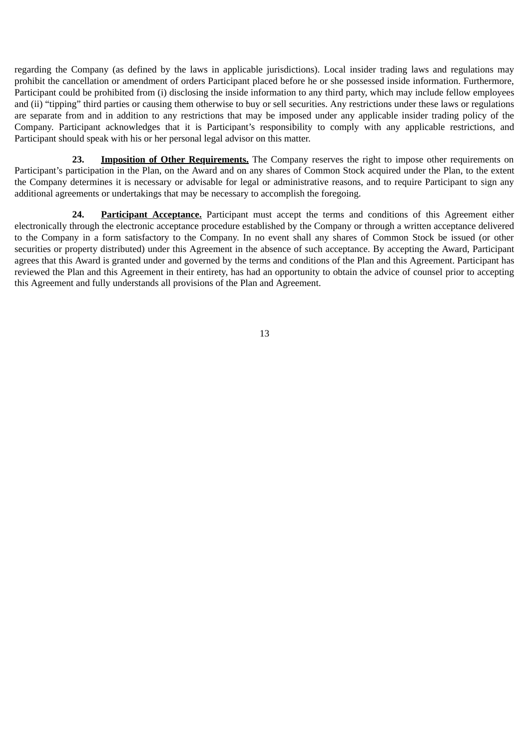regarding the Company (as defined by the laws in applicable jurisdictions). Local insider trading laws and regulations may prohibit the cancellation or amendment of orders Participant placed before he or she possessed inside information. Furthermore, Participant could be prohibited from (i) disclosing the inside information to any third party, which may include fellow employees and (ii) "tipping" third parties or causing them otherwise to buy or sell securities. Any restrictions under these laws or regulations are separate from and in addition to any restrictions that may be imposed under any applicable insider trading policy of the Company. Participant acknowledges that it is Participant's responsibility to comply with any applicable restrictions, and Participant should speak with his or her personal legal advisor on this matter.

**23. Imposition of Other Requirements.** The Company reserves the right to impose other requirements on Participant's participation in the Plan, on the Award and on any shares of Common Stock acquired under the Plan, to the extent the Company determines it is necessary or advisable for legal or administrative reasons, and to require Participant to sign any additional agreements or undertakings that may be necessary to accomplish the foregoing.

**24. Participant Acceptance.** Participant must accept the terms and conditions of this Agreement either electronically through the electronic acceptance procedure established by the Company or through a written acceptance delivered to the Company in a form satisfactory to the Company. In no event shall any shares of Common Stock be issued (or other securities or property distributed) under this Agreement in the absence of such acceptance. By accepting the Award, Participant agrees that this Award is granted under and governed by the terms and conditions of the Plan and this Agreement. Participant has reviewed the Plan and this Agreement in their entirety, has had an opportunity to obtain the advice of counsel prior to accepting this Agreement and fully understands all provisions of the Plan and Agreement.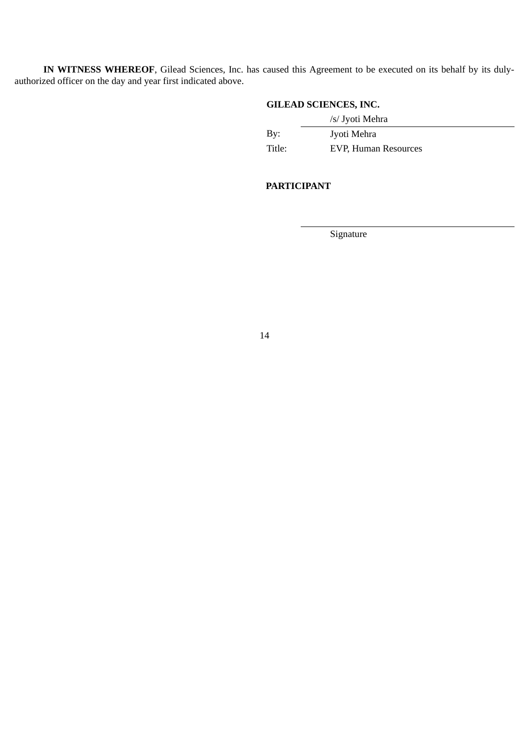**IN WITNESS WHEREOF**, Gilead Sciences, Inc. has caused this Agreement to be executed on its behalf by its dulyauthorized officer on the day and year first indicated above.

# **GILEAD SCIENCES, INC.**

/s/ Jyoti Mehra By: Jyoti Mehra Title: EVP, Human Resources

# **PARTICIPANT**

Signature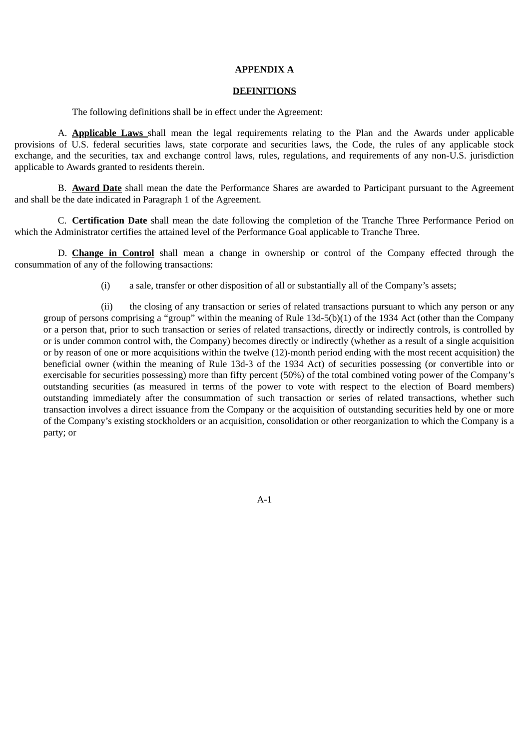#### **APPENDIX A**

#### **DEFINITIONS**

The following definitions shall be in effect under the Agreement:

A. **Applicable Laws** shall mean the legal requirements relating to the Plan and the Awards under applicable provisions of U.S. federal securities laws, state corporate and securities laws, the Code, the rules of any applicable stock exchange, and the securities, tax and exchange control laws, rules, regulations, and requirements of any non-U.S. jurisdiction applicable to Awards granted to residents therein.

B. **Award Date** shall mean the date the Performance Shares are awarded to Participant pursuant to the Agreement and shall be the date indicated in Paragraph 1 of the Agreement.

C. **Certification Date** shall mean the date following the completion of the Tranche Three Performance Period on which the Administrator certifies the attained level of the Performance Goal applicable to Tranche Three.

D. **Change in Control** shall mean a change in ownership or control of the Company effected through the consummation of any of the following transactions:

(i) a sale, transfer or other disposition of all or substantially all of the Company's assets;

(ii) the closing of any transaction or series of related transactions pursuant to which any person or any group of persons comprising a "group" within the meaning of Rule 13d-5(b)(1) of the 1934 Act (other than the Company or a person that, prior to such transaction or series of related transactions, directly or indirectly controls, is controlled by or is under common control with, the Company) becomes directly or indirectly (whether as a result of a single acquisition or by reason of one or more acquisitions within the twelve (12)-month period ending with the most recent acquisition) the beneficial owner (within the meaning of Rule 13d-3 of the 1934 Act) of securities possessing (or convertible into or exercisable for securities possessing) more than fifty percent (50%) of the total combined voting power of the Company's outstanding securities (as measured in terms of the power to vote with respect to the election of Board members) outstanding immediately after the consummation of such transaction or series of related transactions, whether such transaction involves a direct issuance from the Company or the acquisition of outstanding securities held by one or more of the Company's existing stockholders or an acquisition, consolidation or other reorganization to which the Company is a party; or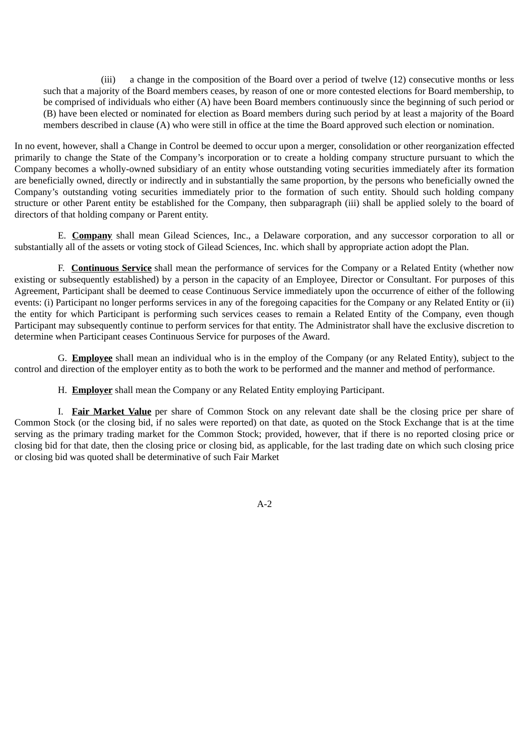(iii) a change in the composition of the Board over a period of twelve (12) consecutive months or less such that a majority of the Board members ceases, by reason of one or more contested elections for Board membership, to be comprised of individuals who either (A) have been Board members continuously since the beginning of such period or (B) have been elected or nominated for election as Board members during such period by at least a majority of the Board members described in clause (A) who were still in office at the time the Board approved such election or nomination.

In no event, however, shall a Change in Control be deemed to occur upon a merger, consolidation or other reorganization effected primarily to change the State of the Company's incorporation or to create a holding company structure pursuant to which the Company becomes a wholly-owned subsidiary of an entity whose outstanding voting securities immediately after its formation are beneficially owned, directly or indirectly and in substantially the same proportion, by the persons who beneficially owned the Company's outstanding voting securities immediately prior to the formation of such entity. Should such holding company structure or other Parent entity be established for the Company, then subparagraph (iii) shall be applied solely to the board of directors of that holding company or Parent entity.

E. **Company** shall mean Gilead Sciences, Inc., a Delaware corporation, and any successor corporation to all or substantially all of the assets or voting stock of Gilead Sciences, Inc. which shall by appropriate action adopt the Plan.

F. **Continuous Service** shall mean the performance of services for the Company or a Related Entity (whether now existing or subsequently established) by a person in the capacity of an Employee, Director or Consultant. For purposes of this Agreement, Participant shall be deemed to cease Continuous Service immediately upon the occurrence of either of the following events: (i) Participant no longer performs services in any of the foregoing capacities for the Company or any Related Entity or (ii) the entity for which Participant is performing such services ceases to remain a Related Entity of the Company, even though Participant may subsequently continue to perform services for that entity. The Administrator shall have the exclusive discretion to determine when Participant ceases Continuous Service for purposes of the Award.

G. **Employee** shall mean an individual who is in the employ of the Company (or any Related Entity), subject to the control and direction of the employer entity as to both the work to be performed and the manner and method of performance.

H. **Employer** shall mean the Company or any Related Entity employing Participant.

I. **Fair Market Value** per share of Common Stock on any relevant date shall be the closing price per share of Common Stock (or the closing bid, if no sales were reported) on that date, as quoted on the Stock Exchange that is at the time serving as the primary trading market for the Common Stock; provided, however, that if there is no reported closing price or closing bid for that date, then the closing price or closing bid, as applicable, for the last trading date on which such closing price or closing bid was quoted shall be determinative of such Fair Market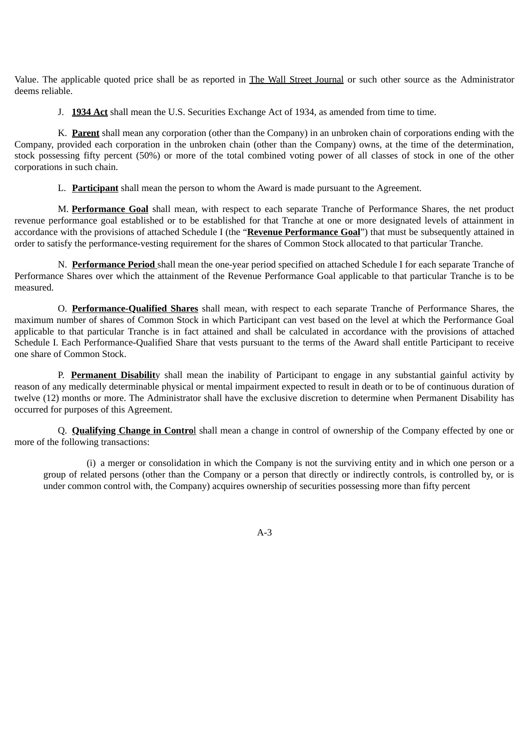Value. The applicable quoted price shall be as reported in The Wall Street Journal or such other source as the Administrator deems reliable.

J. **1934 Act** shall mean the U.S. Securities Exchange Act of 1934, as amended from time to time.

K. **Parent** shall mean any corporation (other than the Company) in an unbroken chain of corporations ending with the Company, provided each corporation in the unbroken chain (other than the Company) owns, at the time of the determination, stock possessing fifty percent (50%) or more of the total combined voting power of all classes of stock in one of the other corporations in such chain.

L. **Participant** shall mean the person to whom the Award is made pursuant to the Agreement.

M. **Performance Goal** shall mean, with respect to each separate Tranche of Performance Shares, the net product revenue performance goal established or to be established for that Tranche at one or more designated levels of attainment in accordance with the provisions of attached Schedule I (the "**Revenue Performance Goal**") that must be subsequently attained in order to satisfy the performance-vesting requirement for the shares of Common Stock allocated to that particular Tranche.

N. **Performance Period** shall mean the one-year period specified on attached Schedule I for each separate Tranche of Performance Shares over which the attainment of the Revenue Performance Goal applicable to that particular Tranche is to be measured.

O. **Performance-Qualified Shares** shall mean, with respect to each separate Tranche of Performance Shares, the maximum number of shares of Common Stock in which Participant can vest based on the level at which the Performance Goal applicable to that particular Tranche is in fact attained and shall be calculated in accordance with the provisions of attached Schedule I. Each Performance-Qualified Share that vests pursuant to the terms of the Award shall entitle Participant to receive one share of Common Stock.

P. **Permanent Disabilit**y shall mean the inability of Participant to engage in any substantial gainful activity by reason of any medically determinable physical or mental impairment expected to result in death or to be of continuous duration of twelve (12) months or more. The Administrator shall have the exclusive discretion to determine when Permanent Disability has occurred for purposes of this Agreement.

Q. **Qualifying Change in Contro**l shall mean a change in control of ownership of the Company effected by one or more of the following transactions:

(i) a merger or consolidation in which the Company is not the surviving entity and in which one person or a group of related persons (other than the Company or a person that directly or indirectly controls, is controlled by, or is under common control with, the Company) acquires ownership of securities possessing more than fifty percent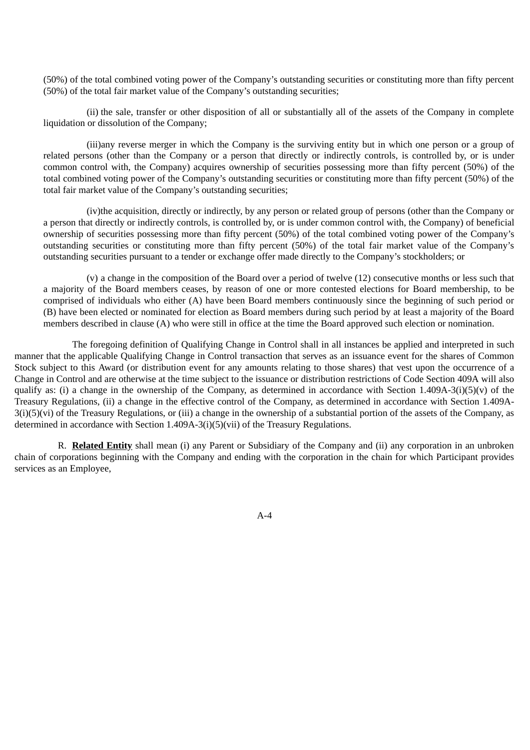(50%) of the total combined voting power of the Company's outstanding securities or constituting more than fifty percent (50%) of the total fair market value of the Company's outstanding securities;

(ii) the sale, transfer or other disposition of all or substantially all of the assets of the Company in complete liquidation or dissolution of the Company;

(iii)any reverse merger in which the Company is the surviving entity but in which one person or a group of related persons (other than the Company or a person that directly or indirectly controls, is controlled by, or is under common control with, the Company) acquires ownership of securities possessing more than fifty percent (50%) of the total combined voting power of the Company's outstanding securities or constituting more than fifty percent (50%) of the total fair market value of the Company's outstanding securities;

(iv)the acquisition, directly or indirectly, by any person or related group of persons (other than the Company or a person that directly or indirectly controls, is controlled by, or is under common control with, the Company) of beneficial ownership of securities possessing more than fifty percent (50%) of the total combined voting power of the Company's outstanding securities or constituting more than fifty percent (50%) of the total fair market value of the Company's outstanding securities pursuant to a tender or exchange offer made directly to the Company's stockholders; or

(v) a change in the composition of the Board over a period of twelve (12) consecutive months or less such that a majority of the Board members ceases, by reason of one or more contested elections for Board membership, to be comprised of individuals who either (A) have been Board members continuously since the beginning of such period or (B) have been elected or nominated for election as Board members during such period by at least a majority of the Board members described in clause (A) who were still in office at the time the Board approved such election or nomination.

The foregoing definition of Qualifying Change in Control shall in all instances be applied and interpreted in such manner that the applicable Qualifying Change in Control transaction that serves as an issuance event for the shares of Common Stock subject to this Award (or distribution event for any amounts relating to those shares) that vest upon the occurrence of a Change in Control and are otherwise at the time subject to the issuance or distribution restrictions of Code Section 409A will also qualify as: (i) a change in the ownership of the Company, as determined in accordance with Section 1.409A-3(i)(5)(y) of the Treasury Regulations, (ii) a change in the effective control of the Company, as determined in accordance with Section 1.409A- $3(i)(5)(vi)$  of the Treasury Regulations, or (iii) a change in the ownership of a substantial portion of the assets of the Company, as determined in accordance with Section 1.409A-3(i)(5)(vii) of the Treasury Regulations.

R. **Related Entity** shall mean (i) any Parent or Subsidiary of the Company and (ii) any corporation in an unbroken chain of corporations beginning with the Company and ending with the corporation in the chain for which Participant provides services as an Employee,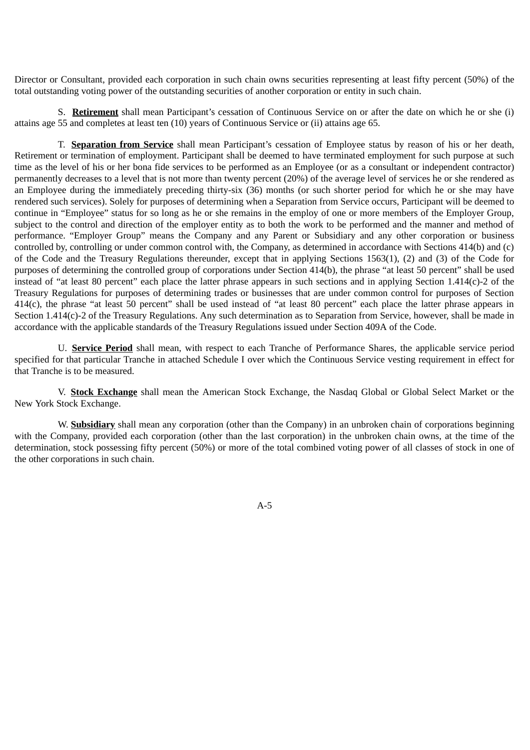Director or Consultant, provided each corporation in such chain owns securities representing at least fifty percent (50%) of the total outstanding voting power of the outstanding securities of another corporation or entity in such chain.

S. **Retirement** shall mean Participant's cessation of Continuous Service on or after the date on which he or she (i) attains age 55 and completes at least ten (10) years of Continuous Service or (ii) attains age 65.

T. **Separation from Service** shall mean Participant's cessation of Employee status by reason of his or her death, Retirement or termination of employment. Participant shall be deemed to have terminated employment for such purpose at such time as the level of his or her bona fide services to be performed as an Employee (or as a consultant or independent contractor) permanently decreases to a level that is not more than twenty percent (20%) of the average level of services he or she rendered as an Employee during the immediately preceding thirty-six (36) months (or such shorter period for which he or she may have rendered such services). Solely for purposes of determining when a Separation from Service occurs, Participant will be deemed to continue in "Employee" status for so long as he or she remains in the employ of one or more members of the Employer Group, subject to the control and direction of the employer entity as to both the work to be performed and the manner and method of performance. "Employer Group" means the Company and any Parent or Subsidiary and any other corporation or business controlled by, controlling or under common control with, the Company, as determined in accordance with Sections 414(b) and (c) of the Code and the Treasury Regulations thereunder, except that in applying Sections 1563(1), (2) and (3) of the Code for purposes of determining the controlled group of corporations under Section 414(b), the phrase "at least 50 percent" shall be used instead of "at least 80 percent" each place the latter phrase appears in such sections and in applying Section 1.414(c)-2 of the Treasury Regulations for purposes of determining trades or businesses that are under common control for purposes of Section 414(c), the phrase "at least 50 percent" shall be used instead of "at least 80 percent" each place the latter phrase appears in Section 1.414(c)-2 of the Treasury Regulations. Any such determination as to Separation from Service, however, shall be made in accordance with the applicable standards of the Treasury Regulations issued under Section 409A of the Code.

U. **Service Period** shall mean, with respect to each Tranche of Performance Shares, the applicable service period specified for that particular Tranche in attached Schedule I over which the Continuous Service vesting requirement in effect for that Tranche is to be measured.

V. **Stock Exchange** shall mean the American Stock Exchange, the Nasdaq Global or Global Select Market or the New York Stock Exchange.

W. **Subsidiary** shall mean any corporation (other than the Company) in an unbroken chain of corporations beginning with the Company, provided each corporation (other than the last corporation) in the unbroken chain owns, at the time of the determination, stock possessing fifty percent (50%) or more of the total combined voting power of all classes of stock in one of the other corporations in such chain.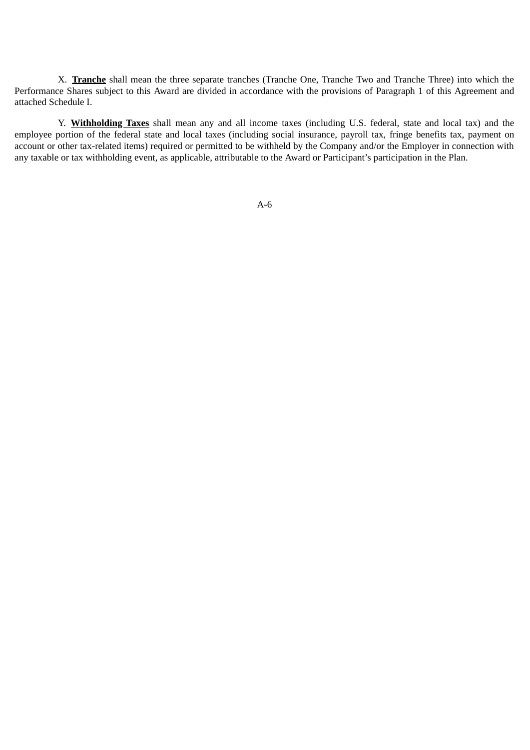X. **Tranche** shall mean the three separate tranches (Tranche One, Tranche Two and Tranche Three) into which the Performance Shares subject to this Award are divided in accordance with the provisions of Paragraph 1 of this Agreement and attached Schedule I.

Y. **Withholding Taxes** shall mean any and all income taxes (including U.S. federal, state and local tax) and the employee portion of the federal state and local taxes (including social insurance, payroll tax, fringe benefits tax, payment on account or other tax-related items) required or permitted to be withheld by the Company and/or the Employer in connection with any taxable or tax withholding event, as applicable, attributable to the Award or Participant's participation in the Plan.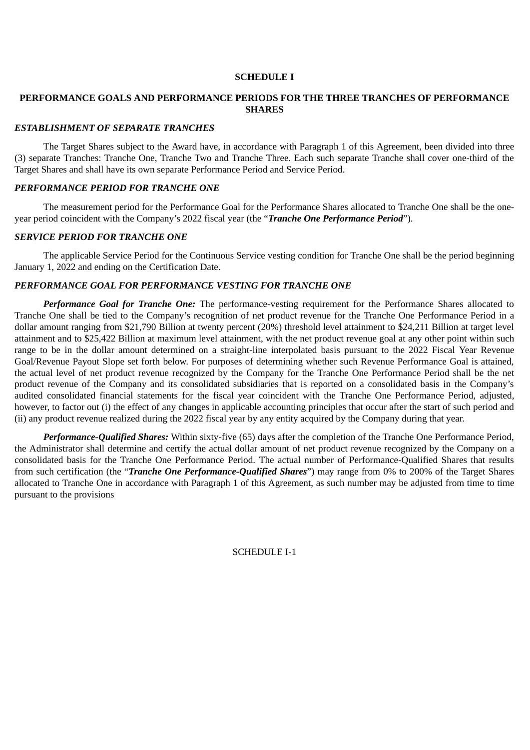#### **SCHEDULE I**

# **PERFORMANCE GOALS AND PERFORMANCE PERIODS FOR THE THREE TRANCHES OF PERFORMANCE SHARES**

#### *ESTABLISHMENT OF SEPARATE TRANCHES*

The Target Shares subject to the Award have, in accordance with Paragraph 1 of this Agreement, been divided into three (3) separate Tranches: Tranche One, Tranche Two and Tranche Three. Each such separate Tranche shall cover one-third of the Target Shares and shall have its own separate Performance Period and Service Period.

#### *PERFORMANCE PERIOD FOR TRANCHE ONE*

The measurement period for the Performance Goal for the Performance Shares allocated to Tranche One shall be the oneyear period coincident with the Company's 2022 fiscal year (the "*Tranche One Performance Period*").

#### *SERVICE PERIOD FOR TRANCHE ONE*

The applicable Service Period for the Continuous Service vesting condition for Tranche One shall be the period beginning January 1, 2022 and ending on the Certification Date.

#### *PERFORMANCE GOAL FOR PERFORMANCE VESTING FOR TRANCHE ONE*

*Performance Goal for Tranche One:* The performance-vesting requirement for the Performance Shares allocated to Tranche One shall be tied to the Company's recognition of net product revenue for the Tranche One Performance Period in a dollar amount ranging from \$21,790 Billion at twenty percent (20%) threshold level attainment to \$24,211 Billion at target level attainment and to \$25,422 Billion at maximum level attainment, with the net product revenue goal at any other point within such range to be in the dollar amount determined on a straight-line interpolated basis pursuant to the 2022 Fiscal Year Revenue Goal/Revenue Payout Slope set forth below. For purposes of determining whether such Revenue Performance Goal is attained, the actual level of net product revenue recognized by the Company for the Tranche One Performance Period shall be the net product revenue of the Company and its consolidated subsidiaries that is reported on a consolidated basis in the Company's audited consolidated financial statements for the fiscal year coincident with the Tranche One Performance Period, adjusted, however, to factor out (i) the effect of any changes in applicable accounting principles that occur after the start of such period and (ii) any product revenue realized during the 2022 fiscal year by any entity acquired by the Company during that year.

*Performance-Qualified Shares:* Within sixty-five (65) days after the completion of the Tranche One Performance Period, the Administrator shall determine and certify the actual dollar amount of net product revenue recognized by the Company on a consolidated basis for the Tranche One Performance Period. The actual number of Performance-Qualified Shares that results from such certification (the "*Tranche One Performance-Qualified Shares*") may range from 0% to 200% of the Target Shares allocated to Tranche One in accordance with Paragraph 1 of this Agreement, as such number may be adjusted from time to time pursuant to the provisions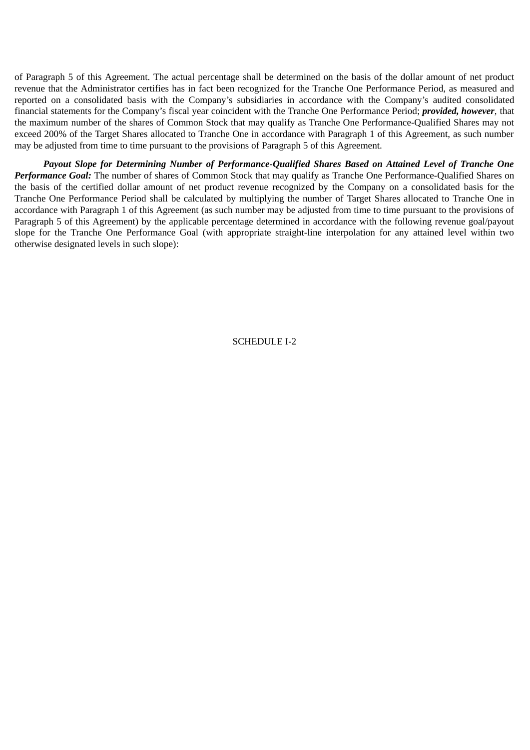of Paragraph 5 of this Agreement. The actual percentage shall be determined on the basis of the dollar amount of net product revenue that the Administrator certifies has in fact been recognized for the Tranche One Performance Period, as measured and reported on a consolidated basis with the Company's subsidiaries in accordance with the Company's audited consolidated financial statements for the Company's fiscal year coincident with the Tranche One Performance Period; *provided, however*, that the maximum number of the shares of Common Stock that may qualify as Tranche One Performance-Qualified Shares may not exceed 200% of the Target Shares allocated to Tranche One in accordance with Paragraph 1 of this Agreement, as such number may be adjusted from time to time pursuant to the provisions of Paragraph 5 of this Agreement.

*Payout Slope for Determining Number of Performance-Qualified Shares Based on Attained Level of Tranche One Performance Goal:* The number of shares of Common Stock that may qualify as Tranche One Performance-Qualified Shares on the basis of the certified dollar amount of net product revenue recognized by the Company on a consolidated basis for the Tranche One Performance Period shall be calculated by multiplying the number of Target Shares allocated to Tranche One in accordance with Paragraph 1 of this Agreement (as such number may be adjusted from time to time pursuant to the provisions of Paragraph 5 of this Agreement) by the applicable percentage determined in accordance with the following revenue goal/payout slope for the Tranche One Performance Goal (with appropriate straight-line interpolation for any attained level within two otherwise designated levels in such slope):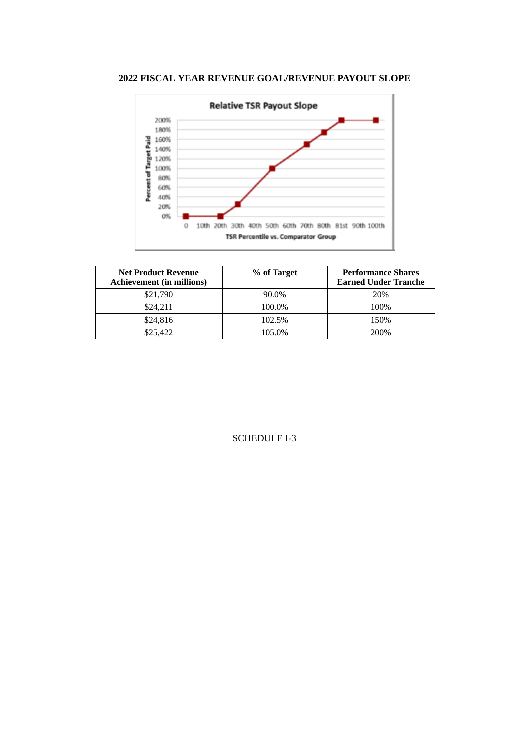

### **2022 FISCAL YEAR REVENUE GOAL/REVENUE PAYOUT SLOPE**

| <b>Net Product Revenue</b><br><b>Achievement (in millions)</b> | % of Target | <b>Performance Shares</b><br><b>Earned Under Tranche</b> |
|----------------------------------------------------------------|-------------|----------------------------------------------------------|
| \$21,790                                                       | 90.0%       | <b>20%</b>                                               |
| \$24,211                                                       | 100.0%      | 100%                                                     |
| \$24,816                                                       | 102.5%      | 150%                                                     |
| \$25,422                                                       | 105.0%      | 200%                                                     |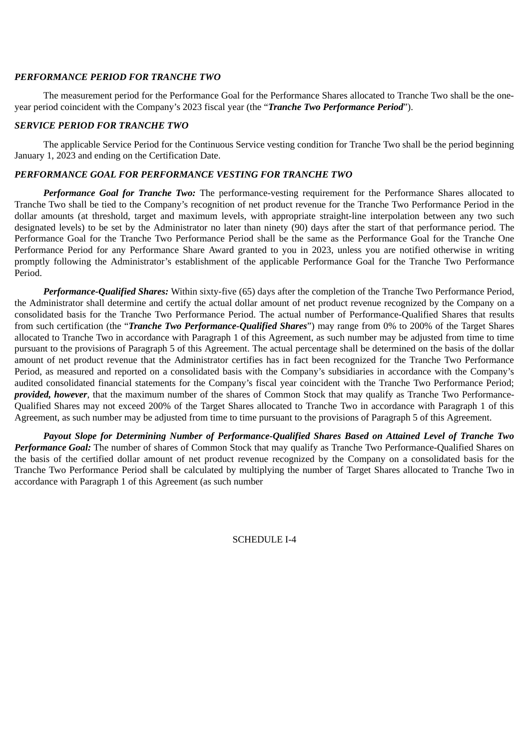#### *PERFORMANCE PERIOD FOR TRANCHE TWO*

The measurement period for the Performance Goal for the Performance Shares allocated to Tranche Two shall be the oneyear period coincident with the Company's 2023 fiscal year (the "*Tranche Two Performance Period*").

## *SERVICE PERIOD FOR TRANCHE TWO*

The applicable Service Period for the Continuous Service vesting condition for Tranche Two shall be the period beginning January 1, 2023 and ending on the Certification Date.

## *PERFORMANCE GOAL FOR PERFORMANCE VESTING FOR TRANCHE TWO*

*Performance Goal for Tranche Two:* The performance-vesting requirement for the Performance Shares allocated to Tranche Two shall be tied to the Company's recognition of net product revenue for the Tranche Two Performance Period in the dollar amounts (at threshold, target and maximum levels, with appropriate straight-line interpolation between any two such designated levels) to be set by the Administrator no later than ninety (90) days after the start of that performance period. The Performance Goal for the Tranche Two Performance Period shall be the same as the Performance Goal for the Tranche One Performance Period for any Performance Share Award granted to you in 2023, unless you are notified otherwise in writing promptly following the Administrator's establishment of the applicable Performance Goal for the Tranche Two Performance Period.

*Performance-Qualified Shares:* Within sixty-five (65) days after the completion of the Tranche Two Performance Period, the Administrator shall determine and certify the actual dollar amount of net product revenue recognized by the Company on a consolidated basis for the Tranche Two Performance Period. The actual number of Performance-Qualified Shares that results from such certification (the "*Tranche Two Performance-Qualified Shares*") may range from 0% to 200% of the Target Shares allocated to Tranche Two in accordance with Paragraph 1 of this Agreement, as such number may be adjusted from time to time pursuant to the provisions of Paragraph 5 of this Agreement. The actual percentage shall be determined on the basis of the dollar amount of net product revenue that the Administrator certifies has in fact been recognized for the Tranche Two Performance Period, as measured and reported on a consolidated basis with the Company's subsidiaries in accordance with the Company's audited consolidated financial statements for the Company's fiscal year coincident with the Tranche Two Performance Period; *provided, however*, that the maximum number of the shares of Common Stock that may qualify as Tranche Two Performance-Qualified Shares may not exceed 200% of the Target Shares allocated to Tranche Two in accordance with Paragraph 1 of this Agreement, as such number may be adjusted from time to time pursuant to the provisions of Paragraph 5 of this Agreement.

*Payout Slope for Determining Number of Performance-Qualified Shares Based on Attained Level of Tranche Two Performance Goal:* The number of shares of Common Stock that may qualify as Tranche Two Performance-Qualified Shares on the basis of the certified dollar amount of net product revenue recognized by the Company on a consolidated basis for the Tranche Two Performance Period shall be calculated by multiplying the number of Target Shares allocated to Tranche Two in accordance with Paragraph 1 of this Agreement (as such number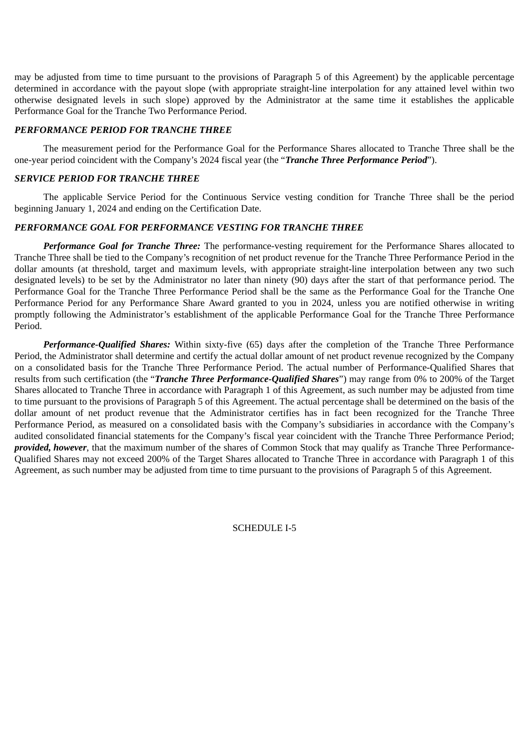may be adjusted from time to time pursuant to the provisions of Paragraph 5 of this Agreement) by the applicable percentage determined in accordance with the payout slope (with appropriate straight-line interpolation for any attained level within two otherwise designated levels in such slope) approved by the Administrator at the same time it establishes the applicable Performance Goal for the Tranche Two Performance Period.

#### *PERFORMANCE PERIOD FOR TRANCHE THREE*

The measurement period for the Performance Goal for the Performance Shares allocated to Tranche Three shall be the one-year period coincident with the Company's 2024 fiscal year (the "*Tranche Three Performance Period*").

### *SERVICE PERIOD FOR TRANCHE THREE*

The applicable Service Period for the Continuous Service vesting condition for Tranche Three shall be the period beginning January 1, 2024 and ending on the Certification Date.

## *PERFORMANCE GOAL FOR PERFORMANCE VESTING FOR TRANCHE THREE*

*Performance Goal for Tranche Three:* The performance-vesting requirement for the Performance Shares allocated to Tranche Three shall be tied to the Company's recognition of net product revenue for the Tranche Three Performance Period in the dollar amounts (at threshold, target and maximum levels, with appropriate straight-line interpolation between any two such designated levels) to be set by the Administrator no later than ninety (90) days after the start of that performance period. The Performance Goal for the Tranche Three Performance Period shall be the same as the Performance Goal for the Tranche One Performance Period for any Performance Share Award granted to you in 2024, unless you are notified otherwise in writing promptly following the Administrator's establishment of the applicable Performance Goal for the Tranche Three Performance Period.

*Performance-Qualified Shares:* Within sixty-five (65) days after the completion of the Tranche Three Performance Period, the Administrator shall determine and certify the actual dollar amount of net product revenue recognized by the Company on a consolidated basis for the Tranche Three Performance Period. The actual number of Performance-Qualified Shares that results from such certification (the "*Tranche Three Performance-Qualified Shares*") may range from 0% to 200% of the Target Shares allocated to Tranche Three in accordance with Paragraph 1 of this Agreement, as such number may be adjusted from time to time pursuant to the provisions of Paragraph 5 of this Agreement. The actual percentage shall be determined on the basis of the dollar amount of net product revenue that the Administrator certifies has in fact been recognized for the Tranche Three Performance Period, as measured on a consolidated basis with the Company's subsidiaries in accordance with the Company's audited consolidated financial statements for the Company's fiscal year coincident with the Tranche Three Performance Period; *provided, however*, that the maximum number of the shares of Common Stock that may qualify as Tranche Three Performance-Qualified Shares may not exceed 200% of the Target Shares allocated to Tranche Three in accordance with Paragraph 1 of this Agreement, as such number may be adjusted from time to time pursuant to the provisions of Paragraph 5 of this Agreement.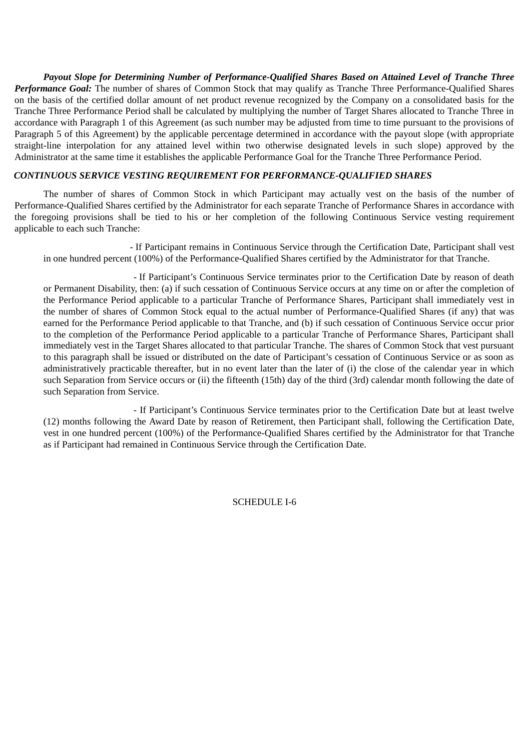*Payout Slope for Determining Number of Performance-Qualified Shares Based on Attained Level of Tranche Three Performance Goal:* The number of shares of Common Stock that may qualify as Tranche Three Performance-Qualified Shares on the basis of the certified dollar amount of net product revenue recognized by the Company on a consolidated basis for the Tranche Three Performance Period shall be calculated by multiplying the number of Target Shares allocated to Tranche Three in accordance with Paragraph 1 of this Agreement (as such number may be adjusted from time to time pursuant to the provisions of Paragraph 5 of this Agreement) by the applicable percentage determined in accordance with the payout slope (with appropriate straight-line interpolation for any attained level within two otherwise designated levels in such slope) approved by the Administrator at the same time it establishes the applicable Performance Goal for the Tranche Three Performance Period.

#### *CONTINUOUS SERVICE VESTING REQUIREMENT FOR PERFORMANCE-QUALIFIED SHARES*

The number of shares of Common Stock in which Participant may actually vest on the basis of the number of Performance-Qualified Shares certified by the Administrator for each separate Tranche of Performance Shares in accordance with the foregoing provisions shall be tied to his or her completion of the following Continuous Service vesting requirement applicable to each such Tranche:

- If Participant remains in Continuous Service through the Certification Date, Participant shall vest in one hundred percent (100%) of the Performance-Qualified Shares certified by the Administrator for that Tranche.

- If Participant's Continuous Service terminates prior to the Certification Date by reason of death or Permanent Disability, then: (a) if such cessation of Continuous Service occurs at any time on or after the completion of the Performance Period applicable to a particular Tranche of Performance Shares, Participant shall immediately vest in the number of shares of Common Stock equal to the actual number of Performance-Qualified Shares (if any) that was earned for the Performance Period applicable to that Tranche, and (b) if such cessation of Continuous Service occur prior to the completion of the Performance Period applicable to a particular Tranche of Performance Shares, Participant shall immediately vest in the Target Shares allocated to that particular Tranche. The shares of Common Stock that vest pursuant to this paragraph shall be issued or distributed on the date of Participant's cessation of Continuous Service or as soon as administratively practicable thereafter, but in no event later than the later of (i) the close of the calendar year in which such Separation from Service occurs or (ii) the fifteenth (15th) day of the third (3rd) calendar month following the date of such Separation from Service.

- If Participant's Continuous Service terminates prior to the Certification Date but at least twelve (12) months following the Award Date by reason of Retirement, then Participant shall, following the Certification Date, vest in one hundred percent (100%) of the Performance-Qualified Shares certified by the Administrator for that Tranche as if Participant had remained in Continuous Service through the Certification Date.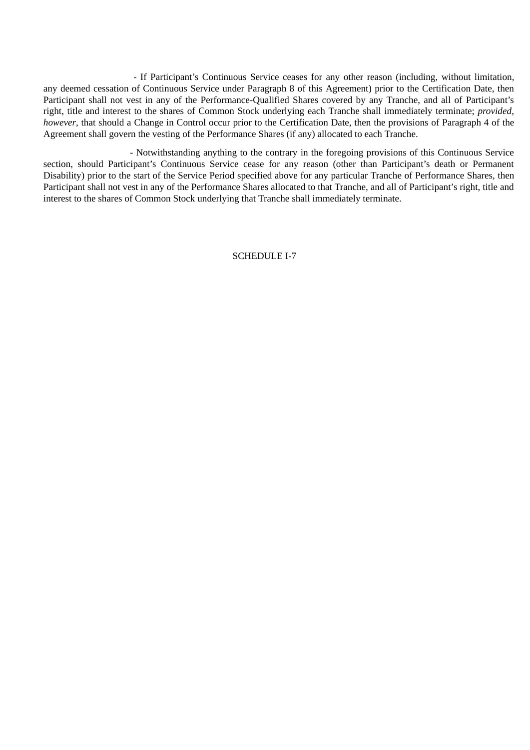- If Participant's Continuous Service ceases for any other reason (including, without limitation, any deemed cessation of Continuous Service under Paragraph 8 of this Agreement) prior to the Certification Date, then Participant shall not vest in any of the Performance-Qualified Shares covered by any Tranche, and all of Participant's right, title and interest to the shares of Common Stock underlying each Tranche shall immediately terminate; *provided, however*, that should a Change in Control occur prior to the Certification Date, then the provisions of Paragraph 4 of the Agreement shall govern the vesting of the Performance Shares (if any) allocated to each Tranche.

- Notwithstanding anything to the contrary in the foregoing provisions of this Continuous Service section, should Participant's Continuous Service cease for any reason (other than Participant's death or Permanent Disability) prior to the start of the Service Period specified above for any particular Tranche of Performance Shares, then Participant shall not vest in any of the Performance Shares allocated to that Tranche, and all of Participant's right, title and interest to the shares of Common Stock underlying that Tranche shall immediately terminate.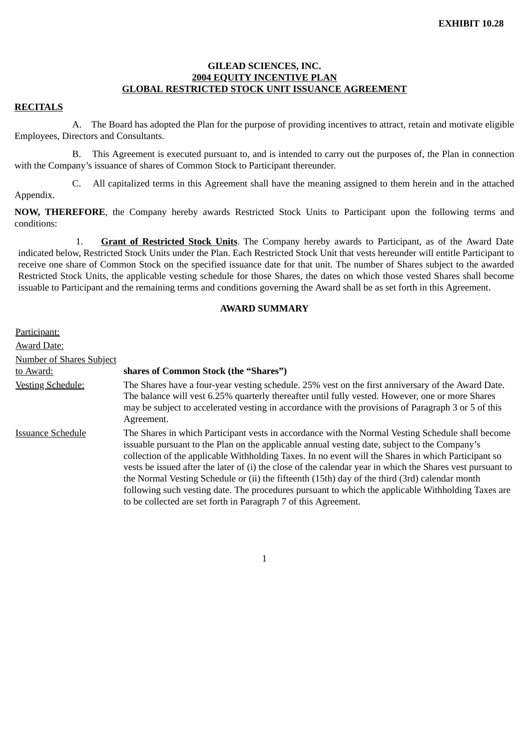# **GILEAD SCIENCES, INC. 2004 EQUITY INCENTIVE PLAN GLOBAL RESTRICTED STOCK UNIT ISSUANCE AGREEMENT**

#### **RECITALS**

A. The Board has adopted the Plan for the purpose of providing incentives to attract, retain and motivate eligible Employees, Directors and Consultants.

B. This Agreement is executed pursuant to, and is intended to carry out the purposes of, the Plan in connection with the Company's issuance of shares of Common Stock to Participant thereunder.

C. All capitalized terms in this Agreement shall have the meaning assigned to them herein and in the attached

Appendix.

**NOW, THEREFORE**, the Company hereby awards Restricted Stock Units to Participant upon the following terms and conditions:

1. **Grant of Restricted Stock Units**. The Company hereby awards to Participant, as of the Award Date indicated below, Restricted Stock Units under the Plan. Each Restricted Stock Unit that vests hereunder will entitle Participant to receive one share of Common Stock on the specified issuance date for that unit. The number of Shares subject to the awarded Restricted Stock Units, the applicable vesting schedule for those Shares, the dates on which those vested Shares shall become issuable to Participant and the remaining terms and conditions governing the Award shall be as set forth in this Agreement.

### **AWARD SUMMARY**

| Participant:                    |                                                                                                                                                                                                                                                                                                                                                                                                                                                                                                                                                                                                                                                                                                    |
|---------------------------------|----------------------------------------------------------------------------------------------------------------------------------------------------------------------------------------------------------------------------------------------------------------------------------------------------------------------------------------------------------------------------------------------------------------------------------------------------------------------------------------------------------------------------------------------------------------------------------------------------------------------------------------------------------------------------------------------------|
| <b>Award Date:</b>              |                                                                                                                                                                                                                                                                                                                                                                                                                                                                                                                                                                                                                                                                                                    |
| <b>Number of Shares Subject</b> |                                                                                                                                                                                                                                                                                                                                                                                                                                                                                                                                                                                                                                                                                                    |
| to Award:                       | shares of Common Stock (the "Shares")                                                                                                                                                                                                                                                                                                                                                                                                                                                                                                                                                                                                                                                              |
| <b>Vesting Schedule:</b>        | The Shares have a four-year vesting schedule. 25% vest on the first anniversary of the Award Date.<br>The balance will vest 6.25% quarterly thereafter until fully vested. However, one or more Shares<br>may be subject to accelerated vesting in accordance with the provisions of Paragraph 3 or 5 of this<br>Agreement.                                                                                                                                                                                                                                                                                                                                                                        |
| <b>Issuance Schedule</b>        | The Shares in which Participant vests in accordance with the Normal Vesting Schedule shall become<br>issuable pursuant to the Plan on the applicable annual vesting date, subject to the Company's<br>collection of the applicable Withholding Taxes. In no event will the Shares in which Participant so<br>vests be issued after the later of (i) the close of the calendar year in which the Shares yest pursuant to<br>the Normal Vesting Schedule or (ii) the fifteenth (15th) day of the third (3rd) calendar month<br>following such vesting date. The procedures pursuant to which the applicable Withholding Taxes are<br>to be collected are set forth in Paragraph 7 of this Agreement. |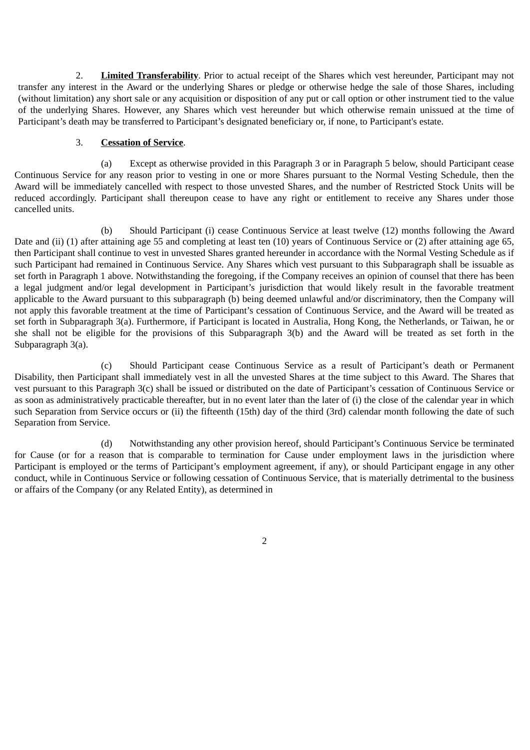2. **Limited Transferability**. Prior to actual receipt of the Shares which vest hereunder, Participant may not transfer any interest in the Award or the underlying Shares or pledge or otherwise hedge the sale of those Shares, including (without limitation) any short sale or any acquisition or disposition of any put or call option or other instrument tied to the value of the underlying Shares. However, any Shares which vest hereunder but which otherwise remain unissued at the time of Participant's death may be transferred to Participant's designated beneficiary or, if none, to Participant's estate.

# 3. **Cessation of Service**.

(a) Except as otherwise provided in this Paragraph 3 or in Paragraph 5 below, should Participant cease Continuous Service for any reason prior to vesting in one or more Shares pursuant to the Normal Vesting Schedule, then the Award will be immediately cancelled with respect to those unvested Shares, and the number of Restricted Stock Units will be reduced accordingly. Participant shall thereupon cease to have any right or entitlement to receive any Shares under those cancelled units.

(b) Should Participant (i) cease Continuous Service at least twelve (12) months following the Award Date and (ii) (1) after attaining age 55 and completing at least ten (10) years of Continuous Service or (2) after attaining age 65, then Participant shall continue to vest in unvested Shares granted hereunder in accordance with the Normal Vesting Schedule as if such Participant had remained in Continuous Service. Any Shares which vest pursuant to this Subparagraph shall be issuable as set forth in Paragraph 1 above. Notwithstanding the foregoing, if the Company receives an opinion of counsel that there has been a legal judgment and/or legal development in Participant's jurisdiction that would likely result in the favorable treatment applicable to the Award pursuant to this subparagraph (b) being deemed unlawful and/or discriminatory, then the Company will not apply this favorable treatment at the time of Participant's cessation of Continuous Service, and the Award will be treated as set forth in Subparagraph 3(a). Furthermore, if Participant is located in Australia, Hong Kong, the Netherlands, or Taiwan, he or she shall not be eligible for the provisions of this Subparagraph 3(b) and the Award will be treated as set forth in the Subparagraph 3(a).

(c) Should Participant cease Continuous Service as a result of Participant's death or Permanent Disability, then Participant shall immediately vest in all the unvested Shares at the time subject to this Award. The Shares that vest pursuant to this Paragraph 3(c) shall be issued or distributed on the date of Participant's cessation of Continuous Service or as soon as administratively practicable thereafter, but in no event later than the later of (i) the close of the calendar year in which such Separation from Service occurs or (ii) the fifteenth (15th) day of the third (3rd) calendar month following the date of such Separation from Service.

(d) Notwithstanding any other provision hereof, should Participant's Continuous Service be terminated for Cause (or for a reason that is comparable to termination for Cause under employment laws in the jurisdiction where Participant is employed or the terms of Participant's employment agreement, if any), or should Participant engage in any other conduct, while in Continuous Service or following cessation of Continuous Service, that is materially detrimental to the business or affairs of the Company (or any Related Entity), as determined in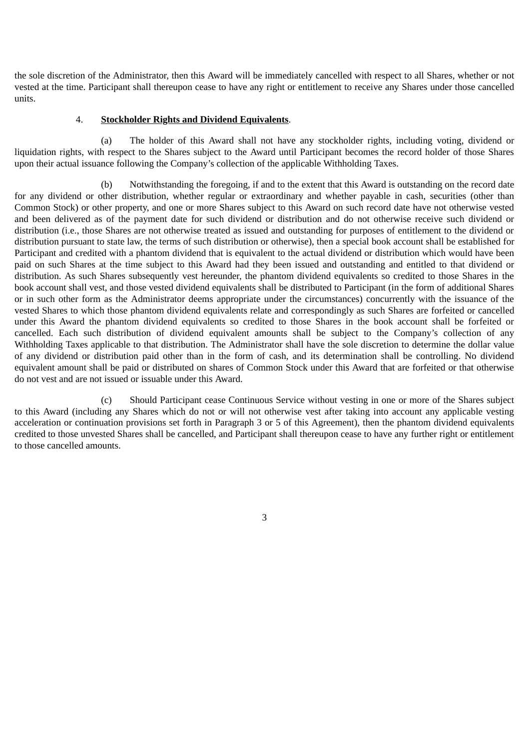the sole discretion of the Administrator, then this Award will be immediately cancelled with respect to all Shares, whether or not vested at the time. Participant shall thereupon cease to have any right or entitlement to receive any Shares under those cancelled units.

#### 4. **Stockholder Rights and Dividend Equivalents**.

(a) The holder of this Award shall not have any stockholder rights, including voting, dividend or liquidation rights, with respect to the Shares subject to the Award until Participant becomes the record holder of those Shares upon their actual issuance following the Company's collection of the applicable Withholding Taxes.

(b) Notwithstanding the foregoing, if and to the extent that this Award is outstanding on the record date for any dividend or other distribution, whether regular or extraordinary and whether payable in cash, securities (other than Common Stock) or other property, and one or more Shares subject to this Award on such record date have not otherwise vested and been delivered as of the payment date for such dividend or distribution and do not otherwise receive such dividend or distribution (i.e., those Shares are not otherwise treated as issued and outstanding for purposes of entitlement to the dividend or distribution pursuant to state law, the terms of such distribution or otherwise), then a special book account shall be established for Participant and credited with a phantom dividend that is equivalent to the actual dividend or distribution which would have been paid on such Shares at the time subject to this Award had they been issued and outstanding and entitled to that dividend or distribution. As such Shares subsequently vest hereunder, the phantom dividend equivalents so credited to those Shares in the book account shall vest, and those vested dividend equivalents shall be distributed to Participant (in the form of additional Shares or in such other form as the Administrator deems appropriate under the circumstances) concurrently with the issuance of the vested Shares to which those phantom dividend equivalents relate and correspondingly as such Shares are forfeited or cancelled under this Award the phantom dividend equivalents so credited to those Shares in the book account shall be forfeited or cancelled. Each such distribution of dividend equivalent amounts shall be subject to the Company's collection of any Withholding Taxes applicable to that distribution. The Administrator shall have the sole discretion to determine the dollar value of any dividend or distribution paid other than in the form of cash, and its determination shall be controlling. No dividend equivalent amount shall be paid or distributed on shares of Common Stock under this Award that are forfeited or that otherwise do not vest and are not issued or issuable under this Award.

(c) Should Participant cease Continuous Service without vesting in one or more of the Shares subject to this Award (including any Shares which do not or will not otherwise vest after taking into account any applicable vesting acceleration or continuation provisions set forth in Paragraph 3 or 5 of this Agreement), then the phantom dividend equivalents credited to those unvested Shares shall be cancelled, and Participant shall thereupon cease to have any further right or entitlement to those cancelled amounts.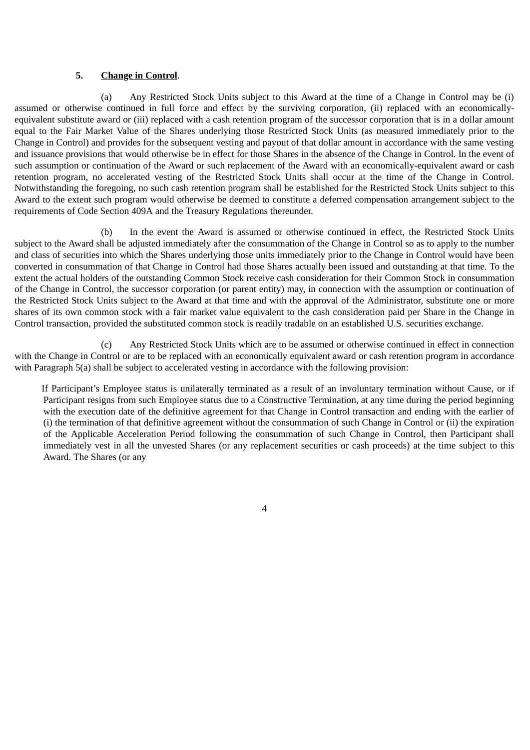#### **5. Change in Control**.

(a) Any Restricted Stock Units subject to this Award at the time of a Change in Control may be (i) assumed or otherwise continued in full force and effect by the surviving corporation, (ii) replaced with an economicallyequivalent substitute award or (iii) replaced with a cash retention program of the successor corporation that is in a dollar amount equal to the Fair Market Value of the Shares underlying those Restricted Stock Units (as measured immediately prior to the Change in Control) and provides for the subsequent vesting and payout of that dollar amount in accordance with the same vesting and issuance provisions that would otherwise be in effect for those Shares in the absence of the Change in Control. In the event of such assumption or continuation of the Award or such replacement of the Award with an economically-equivalent award or cash retention program, no accelerated vesting of the Restricted Stock Units shall occur at the time of the Change in Control. Notwithstanding the foregoing, no such cash retention program shall be established for the Restricted Stock Units subject to this Award to the extent such program would otherwise be deemed to constitute a deferred compensation arrangement subject to the requirements of Code Section 409A and the Treasury Regulations thereunder.

(b) In the event the Award is assumed or otherwise continued in effect, the Restricted Stock Units subject to the Award shall be adjusted immediately after the consummation of the Change in Control so as to apply to the number and class of securities into which the Shares underlying those units immediately prior to the Change in Control would have been converted in consummation of that Change in Control had those Shares actually been issued and outstanding at that time. To the extent the actual holders of the outstanding Common Stock receive cash consideration for their Common Stock in consummation of the Change in Control, the successor corporation (or parent entity) may, in connection with the assumption or continuation of the Restricted Stock Units subject to the Award at that time and with the approval of the Administrator, substitute one or more shares of its own common stock with a fair market value equivalent to the cash consideration paid per Share in the Change in Control transaction, provided the substituted common stock is readily tradable on an established U.S. securities exchange.

(c) Any Restricted Stock Units which are to be assumed or otherwise continued in effect in connection with the Change in Control or are to be replaced with an economically equivalent award or cash retention program in accordance with Paragraph 5(a) shall be subject to accelerated vesting in accordance with the following provision:

If Participant's Employee status is unilaterally terminated as a result of an involuntary termination without Cause, or if Participant resigns from such Employee status due to a Constructive Termination, at any time during the period beginning with the execution date of the definitive agreement for that Change in Control transaction and ending with the earlier of (i) the termination of that definitive agreement without the consummation of such Change in Control or (ii) the expiration of the Applicable Acceleration Period following the consummation of such Change in Control, then Participant shall immediately vest in all the unvested Shares (or any replacement securities or cash proceeds) at the time subject to this Award. The Shares (or any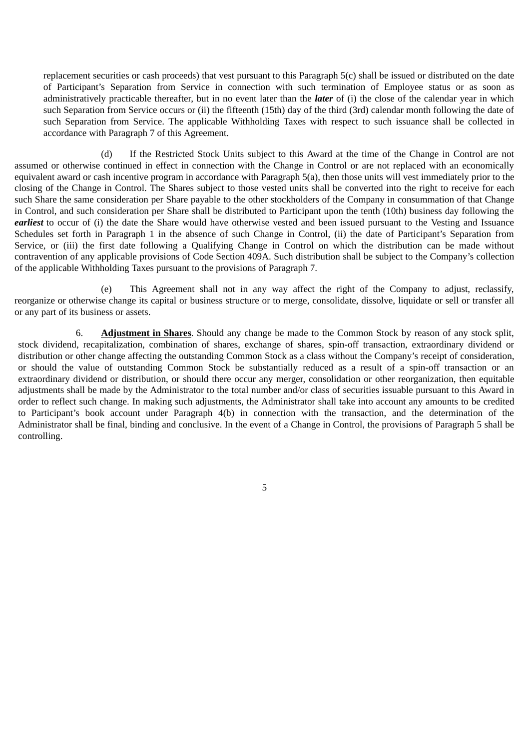replacement securities or cash proceeds) that vest pursuant to this Paragraph 5(c) shall be issued or distributed on the date of Participant's Separation from Service in connection with such termination of Employee status or as soon as administratively practicable thereafter, but in no event later than the *later* of (i) the close of the calendar year in which such Separation from Service occurs or (ii) the fifteenth (15th) day of the third (3rd) calendar month following the date of such Separation from Service. The applicable Withholding Taxes with respect to such issuance shall be collected in accordance with Paragraph 7 of this Agreement.

(d) If the Restricted Stock Units subject to this Award at the time of the Change in Control are not assumed or otherwise continued in effect in connection with the Change in Control or are not replaced with an economically equivalent award or cash incentive program in accordance with Paragraph 5(a), then those units will vest immediately prior to the closing of the Change in Control. The Shares subject to those vested units shall be converted into the right to receive for each such Share the same consideration per Share payable to the other stockholders of the Company in consummation of that Change in Control, and such consideration per Share shall be distributed to Participant upon the tenth (10th) business day following the *earliest* to occur of (i) the date the Share would have otherwise vested and been issued pursuant to the Vesting and Issuance Schedules set forth in Paragraph 1 in the absence of such Change in Control, (ii) the date of Participant's Separation from Service, or (iii) the first date following a Qualifying Change in Control on which the distribution can be made without contravention of any applicable provisions of Code Section 409A. Such distribution shall be subject to the Company's collection of the applicable Withholding Taxes pursuant to the provisions of Paragraph 7.

(e) This Agreement shall not in any way affect the right of the Company to adjust, reclassify, reorganize or otherwise change its capital or business structure or to merge, consolidate, dissolve, liquidate or sell or transfer all or any part of its business or assets.

6. **Adjustment in Shares**. Should any change be made to the Common Stock by reason of any stock split, stock dividend, recapitalization, combination of shares, exchange of shares, spin-off transaction, extraordinary dividend or distribution or other change affecting the outstanding Common Stock as a class without the Company's receipt of consideration, or should the value of outstanding Common Stock be substantially reduced as a result of a spin-off transaction or an extraordinary dividend or distribution, or should there occur any merger, consolidation or other reorganization, then equitable adjustments shall be made by the Administrator to the total number and/or class of securities issuable pursuant to this Award in order to reflect such change. In making such adjustments, the Administrator shall take into account any amounts to be credited to Participant's book account under Paragraph 4(b) in connection with the transaction, and the determination of the Administrator shall be final, binding and conclusive. In the event of a Change in Control, the provisions of Paragraph 5 shall be controlling.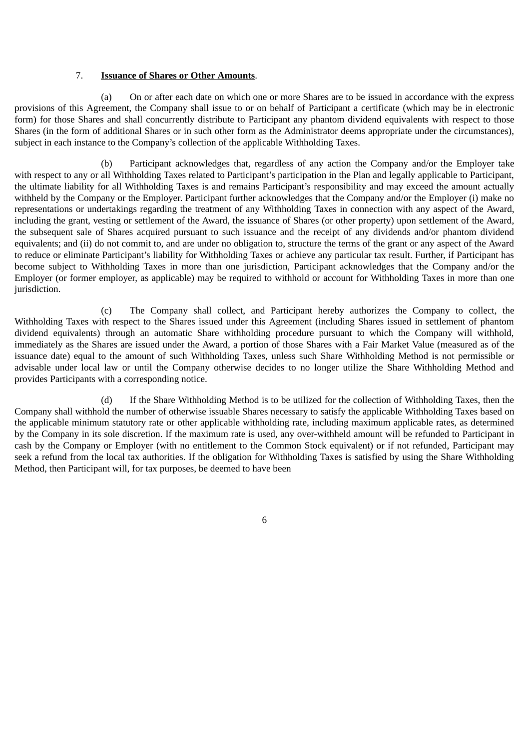## 7. **Issuance of Shares or Other Amounts**.

(a) On or after each date on which one or more Shares are to be issued in accordance with the express provisions of this Agreement, the Company shall issue to or on behalf of Participant a certificate (which may be in electronic form) for those Shares and shall concurrently distribute to Participant any phantom dividend equivalents with respect to those Shares (in the form of additional Shares or in such other form as the Administrator deems appropriate under the circumstances), subject in each instance to the Company's collection of the applicable Withholding Taxes.

(b) Participant acknowledges that, regardless of any action the Company and/or the Employer take with respect to any or all Withholding Taxes related to Participant's participation in the Plan and legally applicable to Participant, the ultimate liability for all Withholding Taxes is and remains Participant's responsibility and may exceed the amount actually withheld by the Company or the Employer. Participant further acknowledges that the Company and/or the Employer (i) make no representations or undertakings regarding the treatment of any Withholding Taxes in connection with any aspect of the Award, including the grant, vesting or settlement of the Award, the issuance of Shares (or other property) upon settlement of the Award, the subsequent sale of Shares acquired pursuant to such issuance and the receipt of any dividends and/or phantom dividend equivalents; and (ii) do not commit to, and are under no obligation to, structure the terms of the grant or any aspect of the Award to reduce or eliminate Participant's liability for Withholding Taxes or achieve any particular tax result. Further, if Participant has become subject to Withholding Taxes in more than one jurisdiction, Participant acknowledges that the Company and/or the Employer (or former employer, as applicable) may be required to withhold or account for Withholding Taxes in more than one jurisdiction.

(c) The Company shall collect, and Participant hereby authorizes the Company to collect, the Withholding Taxes with respect to the Shares issued under this Agreement (including Shares issued in settlement of phantom dividend equivalents) through an automatic Share withholding procedure pursuant to which the Company will withhold, immediately as the Shares are issued under the Award, a portion of those Shares with a Fair Market Value (measured as of the issuance date) equal to the amount of such Withholding Taxes, unless such Share Withholding Method is not permissible or advisable under local law or until the Company otherwise decides to no longer utilize the Share Withholding Method and provides Participants with a corresponding notice.

(d) If the Share Withholding Method is to be utilized for the collection of Withholding Taxes, then the Company shall withhold the number of otherwise issuable Shares necessary to satisfy the applicable Withholding Taxes based on the applicable minimum statutory rate or other applicable withholding rate, including maximum applicable rates, as determined by the Company in its sole discretion. If the maximum rate is used, any over-withheld amount will be refunded to Participant in cash by the Company or Employer (with no entitlement to the Common Stock equivalent) or if not refunded, Participant may seek a refund from the local tax authorities. If the obligation for Withholding Taxes is satisfied by using the Share Withholding Method, then Participant will, for tax purposes, be deemed to have been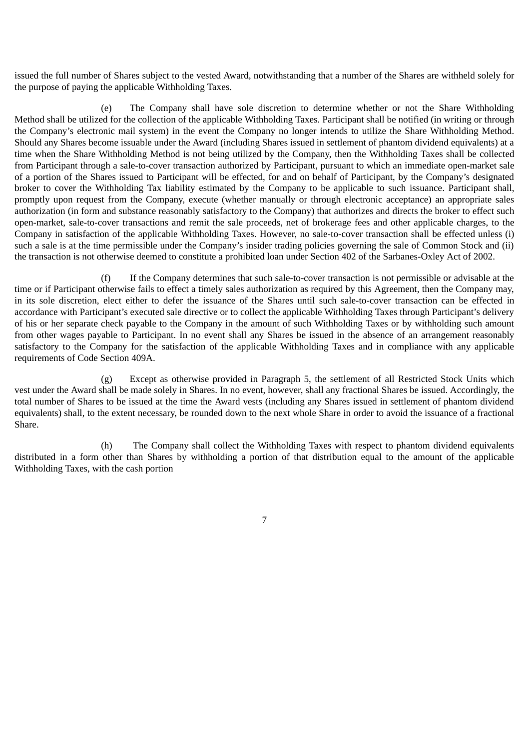issued the full number of Shares subject to the vested Award, notwithstanding that a number of the Shares are withheld solely for the purpose of paying the applicable Withholding Taxes.

(e) The Company shall have sole discretion to determine whether or not the Share Withholding Method shall be utilized for the collection of the applicable Withholding Taxes. Participant shall be notified (in writing or through the Company's electronic mail system) in the event the Company no longer intends to utilize the Share Withholding Method. Should any Shares become issuable under the Award (including Shares issued in settlement of phantom dividend equivalents) at a time when the Share Withholding Method is not being utilized by the Company, then the Withholding Taxes shall be collected from Participant through a sale-to-cover transaction authorized by Participant, pursuant to which an immediate open-market sale of a portion of the Shares issued to Participant will be effected, for and on behalf of Participant, by the Company's designated broker to cover the Withholding Tax liability estimated by the Company to be applicable to such issuance. Participant shall, promptly upon request from the Company, execute (whether manually or through electronic acceptance) an appropriate sales authorization (in form and substance reasonably satisfactory to the Company) that authorizes and directs the broker to effect such open-market, sale-to-cover transactions and remit the sale proceeds, net of brokerage fees and other applicable charges, to the Company in satisfaction of the applicable Withholding Taxes. However, no sale-to-cover transaction shall be effected unless (i) such a sale is at the time permissible under the Company's insider trading policies governing the sale of Common Stock and (ii) the transaction is not otherwise deemed to constitute a prohibited loan under Section 402 of the Sarbanes-Oxley Act of 2002.

(f) If the Company determines that such sale-to-cover transaction is not permissible or advisable at the time or if Participant otherwise fails to effect a timely sales authorization as required by this Agreement, then the Company may, in its sole discretion, elect either to defer the issuance of the Shares until such sale-to-cover transaction can be effected in accordance with Participant's executed sale directive or to collect the applicable Withholding Taxes through Participant's delivery of his or her separate check payable to the Company in the amount of such Withholding Taxes or by withholding such amount from other wages payable to Participant. In no event shall any Shares be issued in the absence of an arrangement reasonably satisfactory to the Company for the satisfaction of the applicable Withholding Taxes and in compliance with any applicable requirements of Code Section 409A.

(g) Except as otherwise provided in Paragraph 5, the settlement of all Restricted Stock Units which vest under the Award shall be made solely in Shares. In no event, however, shall any fractional Shares be issued. Accordingly, the total number of Shares to be issued at the time the Award vests (including any Shares issued in settlement of phantom dividend equivalents) shall, to the extent necessary, be rounded down to the next whole Share in order to avoid the issuance of a fractional Share.

(h) The Company shall collect the Withholding Taxes with respect to phantom dividend equivalents distributed in a form other than Shares by withholding a portion of that distribution equal to the amount of the applicable Withholding Taxes, with the cash portion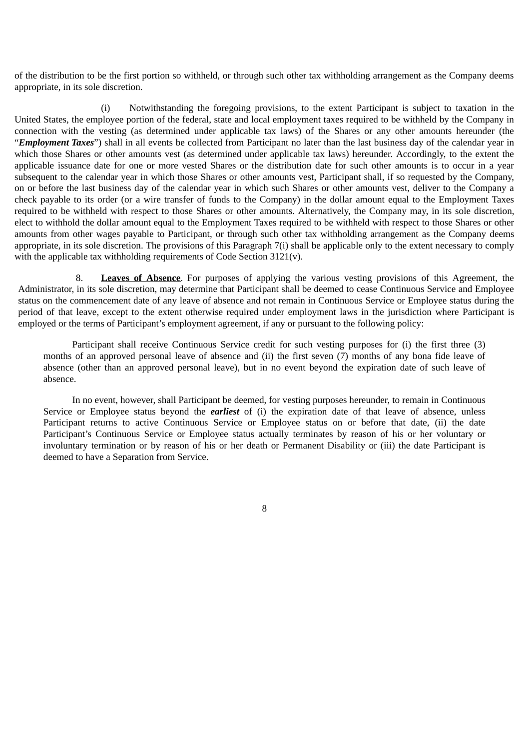of the distribution to be the first portion so withheld, or through such other tax withholding arrangement as the Company deems appropriate, in its sole discretion.

(i) Notwithstanding the foregoing provisions, to the extent Participant is subject to taxation in the United States, the employee portion of the federal, state and local employment taxes required to be withheld by the Company in connection with the vesting (as determined under applicable tax laws) of the Shares or any other amounts hereunder (the "*Employment Taxes*") shall in all events be collected from Participant no later than the last business day of the calendar year in which those Shares or other amounts vest (as determined under applicable tax laws) hereunder. Accordingly, to the extent the applicable issuance date for one or more vested Shares or the distribution date for such other amounts is to occur in a year subsequent to the calendar year in which those Shares or other amounts vest, Participant shall, if so requested by the Company, on or before the last business day of the calendar year in which such Shares or other amounts vest, deliver to the Company a check payable to its order (or a wire transfer of funds to the Company) in the dollar amount equal to the Employment Taxes required to be withheld with respect to those Shares or other amounts. Alternatively, the Company may, in its sole discretion, elect to withhold the dollar amount equal to the Employment Taxes required to be withheld with respect to those Shares or other amounts from other wages payable to Participant, or through such other tax withholding arrangement as the Company deems appropriate, in its sole discretion. The provisions of this Paragraph 7(i) shall be applicable only to the extent necessary to comply with the applicable tax withholding requirements of Code Section 3121(v).

8. **Leaves of Absence**. For purposes of applying the various vesting provisions of this Agreement, the Administrator, in its sole discretion, may determine that Participant shall be deemed to cease Continuous Service and Employee status on the commencement date of any leave of absence and not remain in Continuous Service or Employee status during the period of that leave, except to the extent otherwise required under employment laws in the jurisdiction where Participant is employed or the terms of Participant's employment agreement, if any or pursuant to the following policy:

Participant shall receive Continuous Service credit for such vesting purposes for (i) the first three (3) months of an approved personal leave of absence and (ii) the first seven (7) months of any bona fide leave of absence (other than an approved personal leave), but in no event beyond the expiration date of such leave of absence.

In no event, however, shall Participant be deemed, for vesting purposes hereunder, to remain in Continuous Service or Employee status beyond the *earliest* of (i) the expiration date of that leave of absence, unless Participant returns to active Continuous Service or Employee status on or before that date, (ii) the date Participant's Continuous Service or Employee status actually terminates by reason of his or her voluntary or involuntary termination or by reason of his or her death or Permanent Disability or (iii) the date Participant is deemed to have a Separation from Service.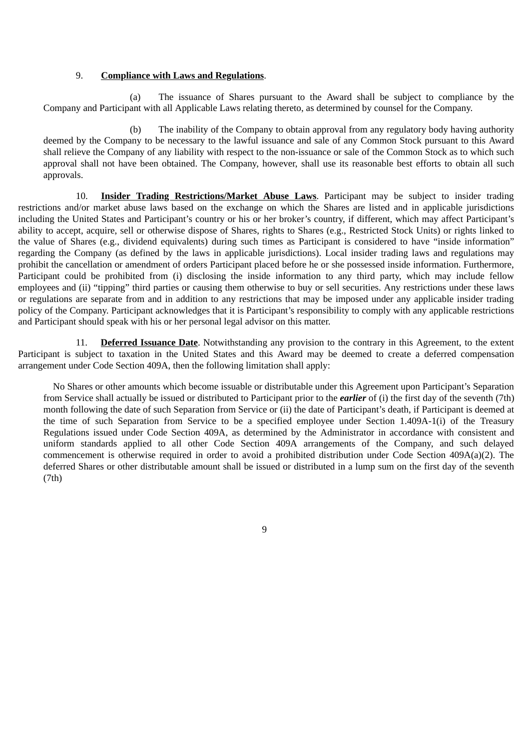### 9. **Compliance with Laws and Regulations**.

The issuance of Shares pursuant to the Award shall be subject to compliance by the Company and Participant with all Applicable Laws relating thereto, as determined by counsel for the Company.

(b) The inability of the Company to obtain approval from any regulatory body having authority deemed by the Company to be necessary to the lawful issuance and sale of any Common Stock pursuant to this Award shall relieve the Company of any liability with respect to the non-issuance or sale of the Common Stock as to which such approval shall not have been obtained. The Company, however, shall use its reasonable best efforts to obtain all such approvals.

10. **Insider Trading Restrictions/Market Abuse Laws**. Participant may be subject to insider trading restrictions and/or market abuse laws based on the exchange on which the Shares are listed and in applicable jurisdictions including the United States and Participant's country or his or her broker's country, if different, which may affect Participant's ability to accept, acquire, sell or otherwise dispose of Shares, rights to Shares (e.g., Restricted Stock Units) or rights linked to the value of Shares (e.g., dividend equivalents) during such times as Participant is considered to have "inside information" regarding the Company (as defined by the laws in applicable jurisdictions). Local insider trading laws and regulations may prohibit the cancellation or amendment of orders Participant placed before he or she possessed inside information. Furthermore, Participant could be prohibited from (i) disclosing the inside information to any third party, which may include fellow employees and (ii) "tipping" third parties or causing them otherwise to buy or sell securities. Any restrictions under these laws or regulations are separate from and in addition to any restrictions that may be imposed under any applicable insider trading policy of the Company. Participant acknowledges that it is Participant's responsibility to comply with any applicable restrictions and Participant should speak with his or her personal legal advisor on this matter.

11. **Deferred Issuance Date**. Notwithstanding any provision to the contrary in this Agreement, to the extent Participant is subject to taxation in the United States and this Award may be deemed to create a deferred compensation arrangement under Code Section 409A, then the following limitation shall apply:

 No Shares or other amounts which become issuable or distributable under this Agreement upon Participant's Separation from Service shall actually be issued or distributed to Participant prior to the *earlier* of (i) the first day of the seventh (7th) month following the date of such Separation from Service or (ii) the date of Participant's death, if Participant is deemed at the time of such Separation from Service to be a specified employee under Section 1.409A-1(i) of the Treasury Regulations issued under Code Section 409A, as determined by the Administrator in accordance with consistent and uniform standards applied to all other Code Section 409A arrangements of the Company, and such delayed commencement is otherwise required in order to avoid a prohibited distribution under Code Section 409A(a)(2). The deferred Shares or other distributable amount shall be issued or distributed in a lump sum on the first day of the seventh (7th)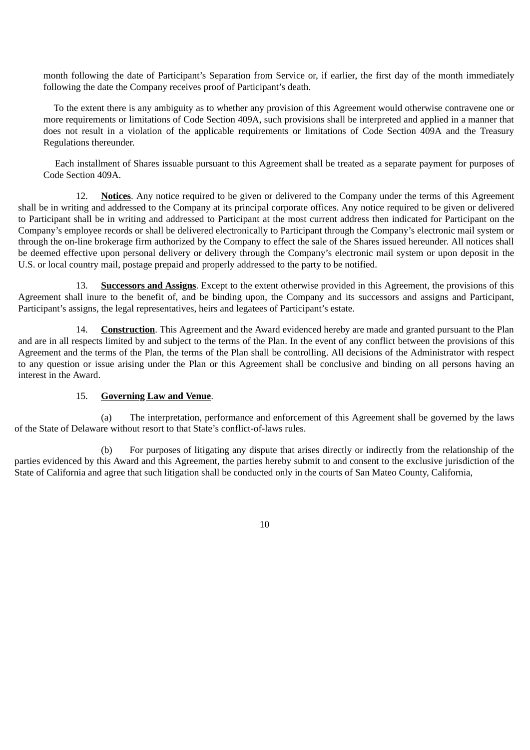month following the date of Participant's Separation from Service or, if earlier, the first day of the month immediately following the date the Company receives proof of Participant's death.

To the extent there is any ambiguity as to whether any provision of this Agreement would otherwise contravene one or more requirements or limitations of Code Section 409A, such provisions shall be interpreted and applied in a manner that does not result in a violation of the applicable requirements or limitations of Code Section 409A and the Treasury Regulations thereunder.

Each installment of Shares issuable pursuant to this Agreement shall be treated as a separate payment for purposes of Code Section 409A.

12. **Notices**. Any notice required to be given or delivered to the Company under the terms of this Agreement shall be in writing and addressed to the Company at its principal corporate offices. Any notice required to be given or delivered to Participant shall be in writing and addressed to Participant at the most current address then indicated for Participant on the Company's employee records or shall be delivered electronically to Participant through the Company's electronic mail system or through the on-line brokerage firm authorized by the Company to effect the sale of the Shares issued hereunder. All notices shall be deemed effective upon personal delivery or delivery through the Company's electronic mail system or upon deposit in the U.S. or local country mail, postage prepaid and properly addressed to the party to be notified.

13. **Successors and Assigns**. Except to the extent otherwise provided in this Agreement, the provisions of this Agreement shall inure to the benefit of, and be binding upon, the Company and its successors and assigns and Participant, Participant's assigns, the legal representatives, heirs and legatees of Participant's estate.

14. **Construction**. This Agreement and the Award evidenced hereby are made and granted pursuant to the Plan and are in all respects limited by and subject to the terms of the Plan. In the event of any conflict between the provisions of this Agreement and the terms of the Plan, the terms of the Plan shall be controlling. All decisions of the Administrator with respect to any question or issue arising under the Plan or this Agreement shall be conclusive and binding on all persons having an interest in the Award.

#### 15. **Governing Law and Venue**.

(a) The interpretation, performance and enforcement of this Agreement shall be governed by the laws of the State of Delaware without resort to that State's conflict-of-laws rules.

(b) For purposes of litigating any dispute that arises directly or indirectly from the relationship of the parties evidenced by this Award and this Agreement, the parties hereby submit to and consent to the exclusive jurisdiction of the State of California and agree that such litigation shall be conducted only in the courts of San Mateo County, California,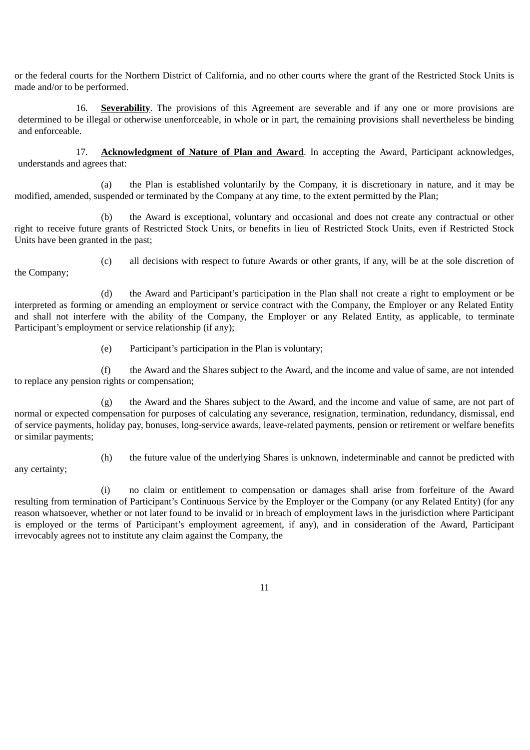or the federal courts for the Northern District of California, and no other courts where the grant of the Restricted Stock Units is made and/or to be performed.

16. **Severability**. The provisions of this Agreement are severable and if any one or more provisions are determined to be illegal or otherwise unenforceable, in whole or in part, the remaining provisions shall nevertheless be binding and enforceable.

17. **Acknowledgment of Nature of Plan and Award**. In accepting the Award, Participant acknowledges, understands and agrees that:

(a) the Plan is established voluntarily by the Company, it is discretionary in nature, and it may be modified, amended, suspended or terminated by the Company at any time, to the extent permitted by the Plan;

(b) the Award is exceptional, voluntary and occasional and does not create any contractual or other right to receive future grants of Restricted Stock Units, or benefits in lieu of Restricted Stock Units, even if Restricted Stock Units have been granted in the past;

the Company;

(c) all decisions with respect to future Awards or other grants, if any, will be at the sole discretion of

(d) the Award and Participant's participation in the Plan shall not create a right to employment or be interpreted as forming or amending an employment or service contract with the Company, the Employer or any Related Entity and shall not interfere with the ability of the Company, the Employer or any Related Entity, as applicable, to terminate Participant's employment or service relationship (if any);

(e) Participant's participation in the Plan is voluntary;

(f) the Award and the Shares subject to the Award, and the income and value of same, are not intended to replace any pension rights or compensation;

(g) the Award and the Shares subject to the Award, and the income and value of same, are not part of normal or expected compensation for purposes of calculating any severance, resignation, termination, redundancy, dismissal, end of service payments, holiday pay, bonuses, long-service awards, leave-related payments, pension or retirement or welfare benefits or similar payments;

any certainty;

(h) the future value of the underlying Shares is unknown, indeterminable and cannot be predicted with

(i) no claim or entitlement to compensation or damages shall arise from forfeiture of the Award resulting from termination of Participant's Continuous Service by the Employer or the Company (or any Related Entity) (for any reason whatsoever, whether or not later found to be invalid or in breach of employment laws in the jurisdiction where Participant is employed or the terms of Participant's employment agreement, if any), and in consideration of the Award, Participant irrevocably agrees not to institute any claim against the Company, the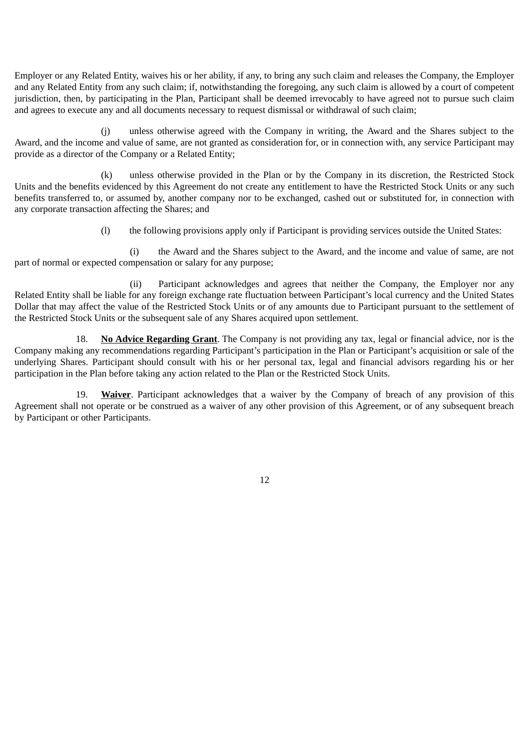Employer or any Related Entity, waives his or her ability, if any, to bring any such claim and releases the Company, the Employer and any Related Entity from any such claim; if, notwithstanding the foregoing, any such claim is allowed by a court of competent jurisdiction, then, by participating in the Plan, Participant shall be deemed irrevocably to have agreed not to pursue such claim and agrees to execute any and all documents necessary to request dismissal or withdrawal of such claim;

(j) unless otherwise agreed with the Company in writing, the Award and the Shares subject to the Award, and the income and value of same, are not granted as consideration for, or in connection with, any service Participant may provide as a director of the Company or a Related Entity;

(k) unless otherwise provided in the Plan or by the Company in its discretion, the Restricted Stock Units and the benefits evidenced by this Agreement do not create any entitlement to have the Restricted Stock Units or any such benefits transferred to, or assumed by, another company nor to be exchanged, cashed out or substituted for, in connection with any corporate transaction affecting the Shares; and

(l) the following provisions apply only if Participant is providing services outside the United States:

(i) the Award and the Shares subject to the Award, and the income and value of same, are not part of normal or expected compensation or salary for any purpose;

(ii) Participant acknowledges and agrees that neither the Company, the Employer nor any Related Entity shall be liable for any foreign exchange rate fluctuation between Participant's local currency and the United States Dollar that may affect the value of the Restricted Stock Units or of any amounts due to Participant pursuant to the settlement of the Restricted Stock Units or the subsequent sale of any Shares acquired upon settlement.

18. **No Advice Regarding Grant**. The Company is not providing any tax, legal or financial advice, nor is the Company making any recommendations regarding Participant's participation in the Plan or Participant's acquisition or sale of the underlying Shares. Participant should consult with his or her personal tax, legal and financial advisors regarding his or her participation in the Plan before taking any action related to the Plan or the Restricted Stock Units.

19. **Waiver**. Participant acknowledges that a waiver by the Company of breach of any provision of this Agreement shall not operate or be construed as a waiver of any other provision of this Agreement, or of any subsequent breach by Participant or other Participants.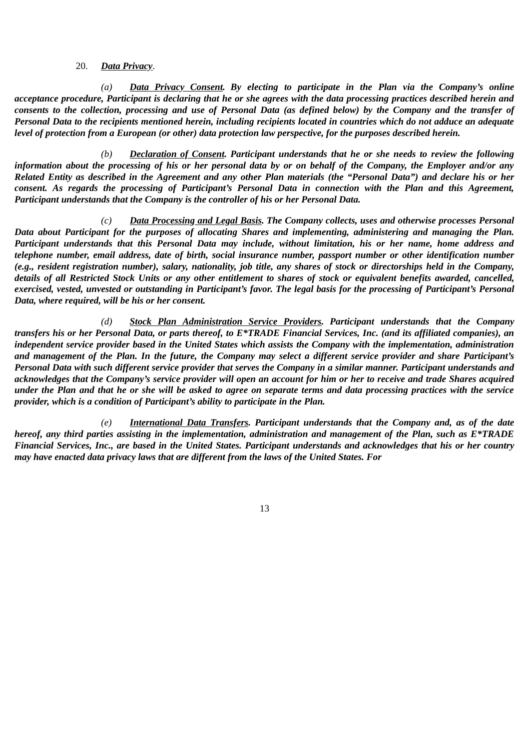### 20. *Data Privacy*.

*(a) Data Privacy Consent. By electing to participate in the Plan via the Company's online acceptance procedure, Participant is declaring that he or she agrees with the data processing practices described herein and consents to the collection, processing and use of Personal Data (as defined below) by the Company and the transfer of Personal Data to the recipients mentioned herein, including recipients located in countries which do not adduce an adequate level of protection from a European (or other) data protection law perspective, for the purposes described herein.*

*(b) Declaration of Consent. Participant understands that he or she needs to review the following information about the processing of his or her personal data by or on behalf of the Company, the Employer and/or any Related Entity as described in the Agreement and any other Plan materials (the "Personal Data") and declare his or her consent. As regards the processing of Participant's Personal Data in connection with the Plan and this Agreement, Participant understands that the Company is the controller of his or her Personal Data.*

*(c) Data Processing and Legal Basis. The Company collects, uses and otherwise processes Personal Data about Participant for the purposes of allocating Shares and implementing, administering and managing the Plan. Participant understands that this Personal Data may include, without limitation, his or her name, home address and telephone number, email address, date of birth, social insurance number, passport number or other identification number (e.g., resident registration number), salary, nationality, job title, any shares of stock or directorships held in the Company, details of all Restricted Stock Units or any other entitlement to shares of stock or equivalent benefits awarded, cancelled, exercised, vested, unvested or outstanding in Participant's favor. The legal basis for the processing of Participant's Personal Data, where required, will be his or her consent.*

*(d) Stock Plan Administration Service Providers. Participant understands that the Company transfers his or her Personal Data, or parts thereof, to E\*TRADE Financial Services, Inc. (and its affiliated companies), an independent service provider based in the United States which assists the Company with the implementation, administration and management of the Plan. In the future, the Company may select a different service provider and share Participant's Personal Data with such different service provider that serves the Company in a similar manner. Participant understands and acknowledges that the Company's service provider will open an account for him or her to receive and trade Shares acquired under the Plan and that he or she will be asked to agree on separate terms and data processing practices with the service provider, which is a condition of Participant's ability to participate in the Plan.*

*(e) International Data Transfers. Participant understands that the Company and, as of the date hereof, any third parties assisting in the implementation, administration and management of the Plan, such as E\*TRADE Financial Services, Inc., are based in the United States. Participant understands and acknowledges that his or her country may have enacted data privacy laws that are different from the laws of the United States. For*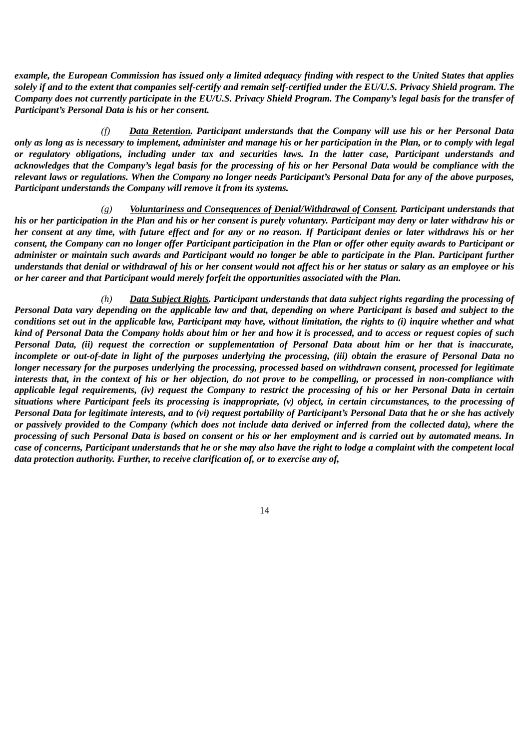*example, the European Commission has issued only a limited adequacy finding with respect to the United States that applies solely if and to the extent that companies self-certify and remain self-certified under the EU/U.S. Privacy Shield program. The Company does not currently participate in the EU/U.S. Privacy Shield Program. The Company's legal basis for the transfer of Participant's Personal Data is his or her consent.*

*(f) Data Retention. Participant understands that the Company will use his or her Personal Data only as long as is necessary to implement, administer and manage his or her participation in the Plan, or to comply with legal or regulatory obligations, including under tax and securities laws. In the latter case, Participant understands and acknowledges that the Company's legal basis for the processing of his or her Personal Data would be compliance with the relevant laws or regulations. When the Company no longer needs Participant's Personal Data for any of the above purposes, Participant understands the Company will remove it from its systems.*

*(g) Voluntariness and Consequences of Denial/Withdrawal of Consent. Participant understands that his or her participation in the Plan and his or her consent is purely voluntary. Participant may deny or later withdraw his or her consent at any time, with future effect and for any or no reason. If Participant denies or later withdraws his or her consent, the Company can no longer offer Participant participation in the Plan or offer other equity awards to Participant or administer or maintain such awards and Participant would no longer be able to participate in the Plan. Participant further understands that denial or withdrawal of his or her consent would not affect his or her status or salary as an employee or his or her career and that Participant would merely forfeit the opportunities associated with the Plan.*

*(h) Data Subject Rights. Participant understands that data subject rights regarding the processing of Personal Data vary depending on the applicable law and that, depending on where Participant is based and subject to the conditions set out in the applicable law, Participant may have, without limitation, the rights to (i) inquire whether and what kind of Personal Data the Company holds about him or her and how it is processed, and to access or request copies of such Personal Data, (ii) request the correction or supplementation of Personal Data about him or her that is inaccurate, incomplete or out-of-date in light of the purposes underlying the processing, (iii) obtain the erasure of Personal Data no longer necessary for the purposes underlying the processing, processed based on withdrawn consent, processed for legitimate interests that, in the context of his or her objection, do not prove to be compelling, or processed in non-compliance with applicable legal requirements, (iv) request the Company to restrict the processing of his or her Personal Data in certain situations where Participant feels its processing is inappropriate, (v) object, in certain circumstances, to the processing of Personal Data for legitimate interests, and to (vi) request portability of Participant's Personal Data that he or she has actively or passively provided to the Company (which does not include data derived or inferred from the collected data), where the processing of such Personal Data is based on consent or his or her employment and is carried out by automated means. In case of concerns, Participant understands that he or she may also have the right to lodge a complaint with the competent local data protection authority. Further, to receive clarification of, or to exercise any of,*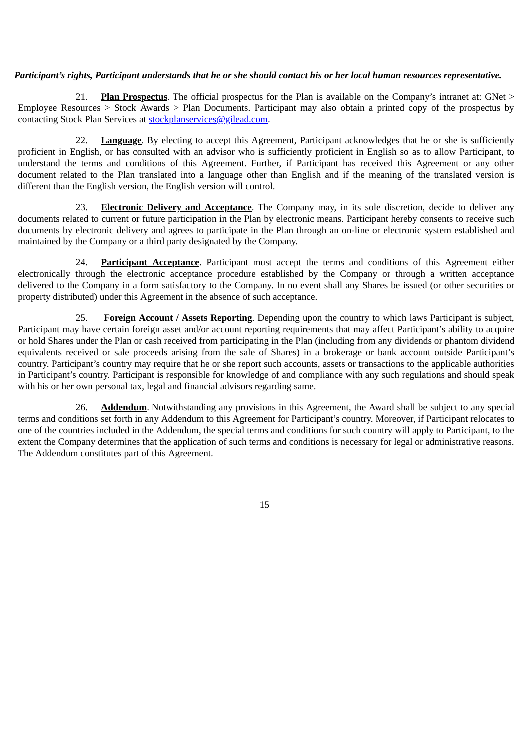### *Participant's rights, Participant understands that he or she should contact his or her local human resources representative.*

21. **Plan Prospectus**. The official prospectus for the Plan is available on the Company's intranet at: GNet > Employee Resources > Stock Awards > Plan Documents. Participant may also obtain a printed copy of the prospectus by contacting Stock Plan Services at stockplanservices@gilead.com.

22. **Language**. By electing to accept this Agreement, Participant acknowledges that he or she is sufficiently proficient in English, or has consulted with an advisor who is sufficiently proficient in English so as to allow Participant, to understand the terms and conditions of this Agreement. Further, if Participant has received this Agreement or any other document related to the Plan translated into a language other than English and if the meaning of the translated version is different than the English version, the English version will control.

23. **Electronic Delivery and Acceptance**. The Company may, in its sole discretion, decide to deliver any documents related to current or future participation in the Plan by electronic means. Participant hereby consents to receive such documents by electronic delivery and agrees to participate in the Plan through an on-line or electronic system established and maintained by the Company or a third party designated by the Company.

24. **Participant Acceptance**. Participant must accept the terms and conditions of this Agreement either electronically through the electronic acceptance procedure established by the Company or through a written acceptance delivered to the Company in a form satisfactory to the Company. In no event shall any Shares be issued (or other securities or property distributed) under this Agreement in the absence of such acceptance.

25. **Foreign Account / Assets Reporting**. Depending upon the country to which laws Participant is subject, Participant may have certain foreign asset and/or account reporting requirements that may affect Participant's ability to acquire or hold Shares under the Plan or cash received from participating in the Plan (including from any dividends or phantom dividend equivalents received or sale proceeds arising from the sale of Shares) in a brokerage or bank account outside Participant's country. Participant's country may require that he or she report such accounts, assets or transactions to the applicable authorities in Participant's country. Participant is responsible for knowledge of and compliance with any such regulations and should speak with his or her own personal tax, legal and financial advisors regarding same.

26. **Addendum**. Notwithstanding any provisions in this Agreement, the Award shall be subject to any special terms and conditions set forth in any Addendum to this Agreement for Participant's country. Moreover, if Participant relocates to one of the countries included in the Addendum, the special terms and conditions for such country will apply to Participant, to the extent the Company determines that the application of such terms and conditions is necessary for legal or administrative reasons. The Addendum constitutes part of this Agreement.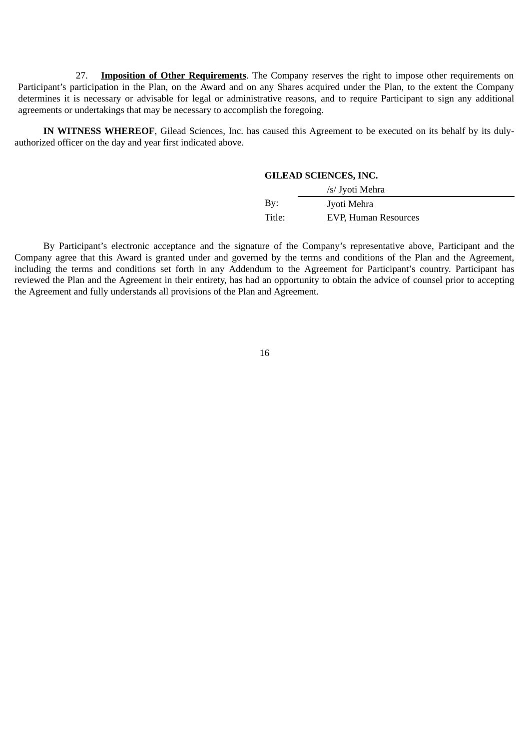27. **Imposition of Other Requirements**. The Company reserves the right to impose other requirements on Participant's participation in the Plan, on the Award and on any Shares acquired under the Plan, to the extent the Company determines it is necessary or advisable for legal or administrative reasons, and to require Participant to sign any additional agreements or undertakings that may be necessary to accomplish the foregoing.

**IN WITNESS WHEREOF**, Gilead Sciences, Inc. has caused this Agreement to be executed on its behalf by its dulyauthorized officer on the day and year first indicated above.

#### **GILEAD SCIENCES, INC.**

|        | /s/ Jyoti Mehra      |  |
|--------|----------------------|--|
| By:    | Jyoti Mehra          |  |
| Title: | EVP, Human Resources |  |

By Participant's electronic acceptance and the signature of the Company's representative above, Participant and the Company agree that this Award is granted under and governed by the terms and conditions of the Plan and the Agreement, including the terms and conditions set forth in any Addendum to the Agreement for Participant's country. Participant has reviewed the Plan and the Agreement in their entirety, has had an opportunity to obtain the advice of counsel prior to accepting the Agreement and fully understands all provisions of the Plan and Agreement.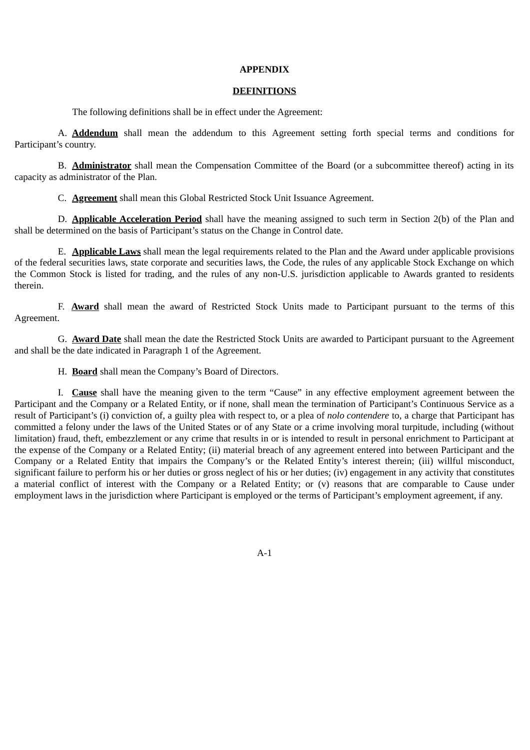#### **APPENDIX**

#### **DEFINITIONS**

The following definitions shall be in effect under the Agreement:

A. **Addendum** shall mean the addendum to this Agreement setting forth special terms and conditions for Participant's country.

B. **Administrator** shall mean the Compensation Committee of the Board (or a subcommittee thereof) acting in its capacity as administrator of the Plan.

C. **Agreement** shall mean this Global Restricted Stock Unit Issuance Agreement.

D. **Applicable Acceleration Period** shall have the meaning assigned to such term in Section 2(b) of the Plan and shall be determined on the basis of Participant's status on the Change in Control date.

E. **Applicable Laws** shall mean the legal requirements related to the Plan and the Award under applicable provisions of the federal securities laws, state corporate and securities laws, the Code, the rules of any applicable Stock Exchange on which the Common Stock is listed for trading, and the rules of any non-U.S. jurisdiction applicable to Awards granted to residents therein.

F. **Award** shall mean the award of Restricted Stock Units made to Participant pursuant to the terms of this Agreement.

G. **Award Date** shall mean the date the Restricted Stock Units are awarded to Participant pursuant to the Agreement and shall be the date indicated in Paragraph 1 of the Agreement.

H. **Board** shall mean the Company's Board of Directors.

I. **Cause** shall have the meaning given to the term "Cause" in any effective employment agreement between the Participant and the Company or a Related Entity, or if none, shall mean the termination of Participant's Continuous Service as a result of Participant's (i) conviction of, a guilty plea with respect to, or a plea of *nolo contendere* to, a charge that Participant has committed a felony under the laws of the United States or of any State or a crime involving moral turpitude, including (without limitation) fraud, theft, embezzlement or any crime that results in or is intended to result in personal enrichment to Participant at the expense of the Company or a Related Entity; (ii) material breach of any agreement entered into between Participant and the Company or a Related Entity that impairs the Company's or the Related Entity's interest therein; (iii) willful misconduct, significant failure to perform his or her duties or gross neglect of his or her duties; (iv) engagement in any activity that constitutes a material conflict of interest with the Company or a Related Entity; or (v) reasons that are comparable to Cause under employment laws in the jurisdiction where Participant is employed or the terms of Participant's employment agreement, if any.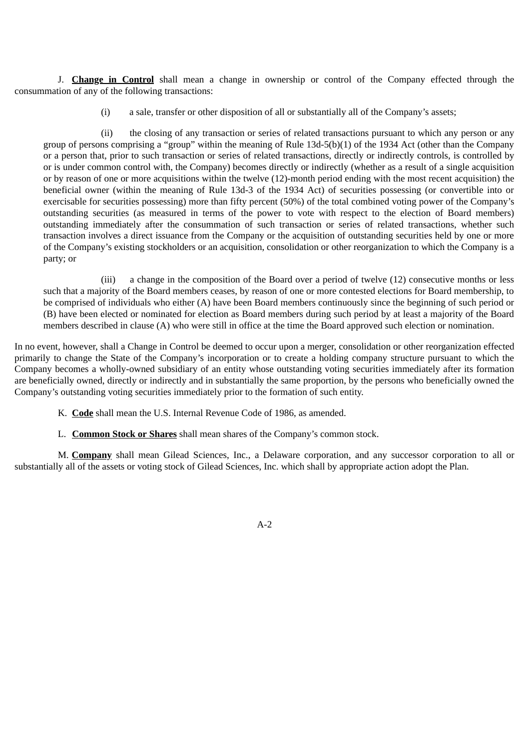J. **Change in Control** shall mean a change in ownership or control of the Company effected through the consummation of any of the following transactions:

(i) a sale, transfer or other disposition of all or substantially all of the Company's assets;

(ii) the closing of any transaction or series of related transactions pursuant to which any person or any group of persons comprising a "group" within the meaning of Rule 13d-5(b)(1) of the 1934 Act (other than the Company or a person that, prior to such transaction or series of related transactions, directly or indirectly controls, is controlled by or is under common control with, the Company) becomes directly or indirectly (whether as a result of a single acquisition or by reason of one or more acquisitions within the twelve (12)-month period ending with the most recent acquisition) the beneficial owner (within the meaning of Rule 13d-3 of the 1934 Act) of securities possessing (or convertible into or exercisable for securities possessing) more than fifty percent (50%) of the total combined voting power of the Company's outstanding securities (as measured in terms of the power to vote with respect to the election of Board members) outstanding immediately after the consummation of such transaction or series of related transactions, whether such transaction involves a direct issuance from the Company or the acquisition of outstanding securities held by one or more of the Company's existing stockholders or an acquisition, consolidation or other reorganization to which the Company is a party; or

(iii) a change in the composition of the Board over a period of twelve (12) consecutive months or less such that a majority of the Board members ceases, by reason of one or more contested elections for Board membership, to be comprised of individuals who either (A) have been Board members continuously since the beginning of such period or (B) have been elected or nominated for election as Board members during such period by at least a majority of the Board members described in clause (A) who were still in office at the time the Board approved such election or nomination.

In no event, however, shall a Change in Control be deemed to occur upon a merger, consolidation or other reorganization effected primarily to change the State of the Company's incorporation or to create a holding company structure pursuant to which the Company becomes a wholly-owned subsidiary of an entity whose outstanding voting securities immediately after its formation are beneficially owned, directly or indirectly and in substantially the same proportion, by the persons who beneficially owned the Company's outstanding voting securities immediately prior to the formation of such entity.

K. **Code** shall mean the U.S. Internal Revenue Code of 1986, as amended.

L. **Common Stock or Shares** shall mean shares of the Company's common stock.

M. **Company** shall mean Gilead Sciences, Inc., a Delaware corporation, and any successor corporation to all or substantially all of the assets or voting stock of Gilead Sciences, Inc. which shall by appropriate action adopt the Plan.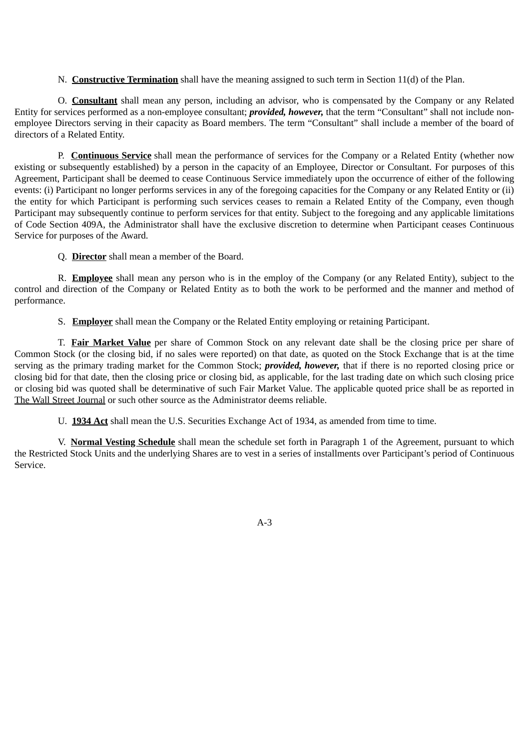N. **Constructive Termination** shall have the meaning assigned to such term in Section 11(d) of the Plan.

O. **Consultant** shall mean any person, including an advisor, who is compensated by the Company or any Related Entity for services performed as a non-employee consultant; *provided, however,* that the term "Consultant" shall not include nonemployee Directors serving in their capacity as Board members. The term "Consultant" shall include a member of the board of directors of a Related Entity.

P. **Continuous Service** shall mean the performance of services for the Company or a Related Entity (whether now existing or subsequently established) by a person in the capacity of an Employee, Director or Consultant. For purposes of this Agreement, Participant shall be deemed to cease Continuous Service immediately upon the occurrence of either of the following events: (i) Participant no longer performs services in any of the foregoing capacities for the Company or any Related Entity or (ii) the entity for which Participant is performing such services ceases to remain a Related Entity of the Company, even though Participant may subsequently continue to perform services for that entity. Subject to the foregoing and any applicable limitations of Code Section 409A, the Administrator shall have the exclusive discretion to determine when Participant ceases Continuous Service for purposes of the Award.

Q. **Director** shall mean a member of the Board.

R. **Employee** shall mean any person who is in the employ of the Company (or any Related Entity), subject to the control and direction of the Company or Related Entity as to both the work to be performed and the manner and method of performance.

S. **Employer** shall mean the Company or the Related Entity employing or retaining Participant.

T. **Fair Market Value** per share of Common Stock on any relevant date shall be the closing price per share of Common Stock (or the closing bid, if no sales were reported) on that date, as quoted on the Stock Exchange that is at the time serving as the primary trading market for the Common Stock; *provided, however,* that if there is no reported closing price or closing bid for that date, then the closing price or closing bid, as applicable, for the last trading date on which such closing price or closing bid was quoted shall be determinative of such Fair Market Value. The applicable quoted price shall be as reported in The Wall Street Journal or such other source as the Administrator deems reliable.

U. **1934 Act** shall mean the U.S. Securities Exchange Act of 1934, as amended from time to time.

V. **Normal Vesting Schedule** shall mean the schedule set forth in Paragraph 1 of the Agreement, pursuant to which the Restricted Stock Units and the underlying Shares are to vest in a series of installments over Participant's period of Continuous Service.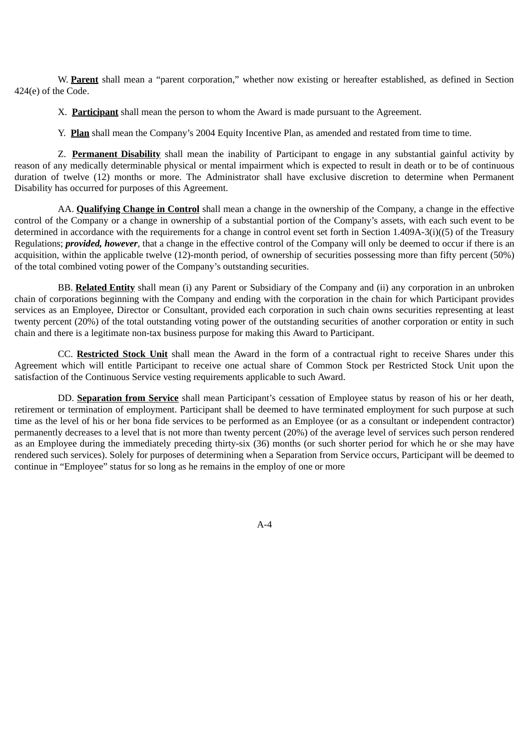W. **Parent** shall mean a "parent corporation," whether now existing or hereafter established, as defined in Section 424(e) of the Code.

X. **Participant** shall mean the person to whom the Award is made pursuant to the Agreement.

Y. **Plan** shall mean the Company's 2004 Equity Incentive Plan, as amended and restated from time to time.

Z. **Permanent Disability** shall mean the inability of Participant to engage in any substantial gainful activity by reason of any medically determinable physical or mental impairment which is expected to result in death or to be of continuous duration of twelve (12) months or more. The Administrator shall have exclusive discretion to determine when Permanent Disability has occurred for purposes of this Agreement.

AA. **Qualifying Change in Control** shall mean a change in the ownership of the Company, a change in the effective control of the Company or a change in ownership of a substantial portion of the Company's assets, with each such event to be determined in accordance with the requirements for a change in control event set forth in Section 1.409A-3(i)((5) of the Treasury Regulations; *provided, however*, that a change in the effective control of the Company will only be deemed to occur if there is an acquisition, within the applicable twelve (12)-month period, of ownership of securities possessing more than fifty percent (50%) of the total combined voting power of the Company's outstanding securities.

BB. **Related Entity** shall mean (i) any Parent or Subsidiary of the Company and (ii) any corporation in an unbroken chain of corporations beginning with the Company and ending with the corporation in the chain for which Participant provides services as an Employee, Director or Consultant, provided each corporation in such chain owns securities representing at least twenty percent (20%) of the total outstanding voting power of the outstanding securities of another corporation or entity in such chain and there is a legitimate non-tax business purpose for making this Award to Participant.

CC. **Restricted Stock Unit** shall mean the Award in the form of a contractual right to receive Shares under this Agreement which will entitle Participant to receive one actual share of Common Stock per Restricted Stock Unit upon the satisfaction of the Continuous Service vesting requirements applicable to such Award.

DD. **Separation from Service** shall mean Participant's cessation of Employee status by reason of his or her death, retirement or termination of employment. Participant shall be deemed to have terminated employment for such purpose at such time as the level of his or her bona fide services to be performed as an Employee (or as a consultant or independent contractor) permanently decreases to a level that is not more than twenty percent (20%) of the average level of services such person rendered as an Employee during the immediately preceding thirty-six (36) months (or such shorter period for which he or she may have rendered such services). Solely for purposes of determining when a Separation from Service occurs, Participant will be deemed to continue in "Employee" status for so long as he remains in the employ of one or more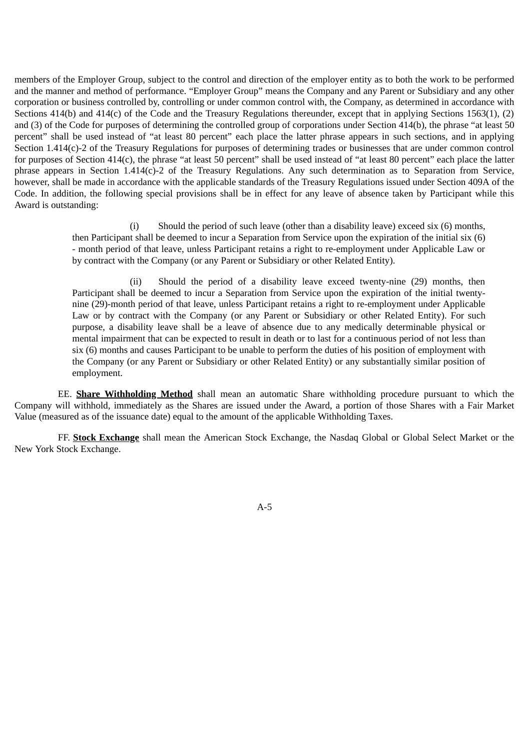members of the Employer Group, subject to the control and direction of the employer entity as to both the work to be performed and the manner and method of performance. "Employer Group" means the Company and any Parent or Subsidiary and any other corporation or business controlled by, controlling or under common control with, the Company, as determined in accordance with Sections 414(b) and 414(c) of the Code and the Treasury Regulations thereunder, except that in applying Sections 1563(1), (2) and (3) of the Code for purposes of determining the controlled group of corporations under Section 414(b), the phrase "at least 50 percent" shall be used instead of "at least 80 percent" each place the latter phrase appears in such sections, and in applying Section 1.414(c)-2 of the Treasury Regulations for purposes of determining trades or businesses that are under common control for purposes of Section 414(c), the phrase "at least 50 percent" shall be used instead of "at least 80 percent" each place the latter phrase appears in Section 1.414(c)-2 of the Treasury Regulations. Any such determination as to Separation from Service, however, shall be made in accordance with the applicable standards of the Treasury Regulations issued under Section 409A of the Code. In addition, the following special provisions shall be in effect for any leave of absence taken by Participant while this Award is outstanding:

> (i) Should the period of such leave (other than a disability leave) exceed six (6) months, then Participant shall be deemed to incur a Separation from Service upon the expiration of the initial six (6) - month period of that leave, unless Participant retains a right to re-employment under Applicable Law or by contract with the Company (or any Parent or Subsidiary or other Related Entity).

> (ii) Should the period of a disability leave exceed twenty-nine (29) months, then Participant shall be deemed to incur a Separation from Service upon the expiration of the initial twentynine (29)-month period of that leave, unless Participant retains a right to re-employment under Applicable Law or by contract with the Company (or any Parent or Subsidiary or other Related Entity). For such purpose, a disability leave shall be a leave of absence due to any medically determinable physical or mental impairment that can be expected to result in death or to last for a continuous period of not less than six (6) months and causes Participant to be unable to perform the duties of his position of employment with the Company (or any Parent or Subsidiary or other Related Entity) or any substantially similar position of employment.

EE. **Share Withholding Method** shall mean an automatic Share withholding procedure pursuant to which the Company will withhold, immediately as the Shares are issued under the Award, a portion of those Shares with a Fair Market Value (measured as of the issuance date) equal to the amount of the applicable Withholding Taxes.

FF. **Stock Exchange** shall mean the American Stock Exchange, the Nasdaq Global or Global Select Market or the New York Stock Exchange.

A-5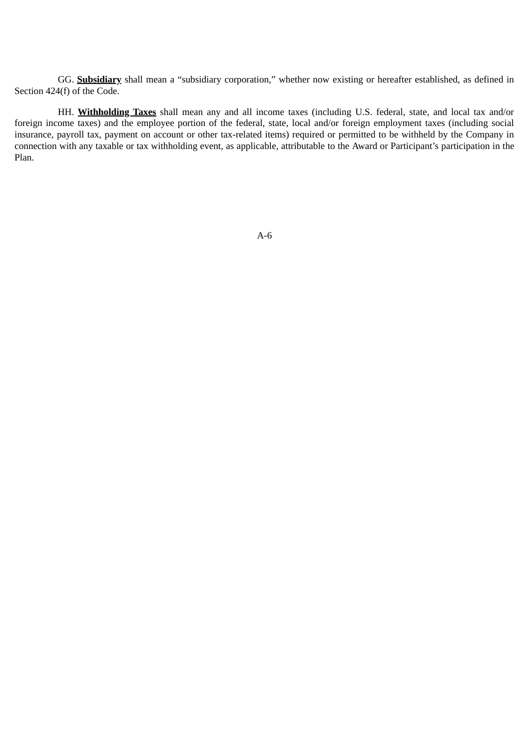GG. **Subsidiary** shall mean a "subsidiary corporation," whether now existing or hereafter established, as defined in Section 424(f) of the Code.

HH. **Withholding Taxes** shall mean any and all income taxes (including U.S. federal, state, and local tax and/or foreign income taxes) and the employee portion of the federal, state, local and/or foreign employment taxes (including social insurance, payroll tax, payment on account or other tax-related items) required or permitted to be withheld by the Company in connection with any taxable or tax withholding event, as applicable, attributable to the Award or Participant's participation in the Plan.

A-6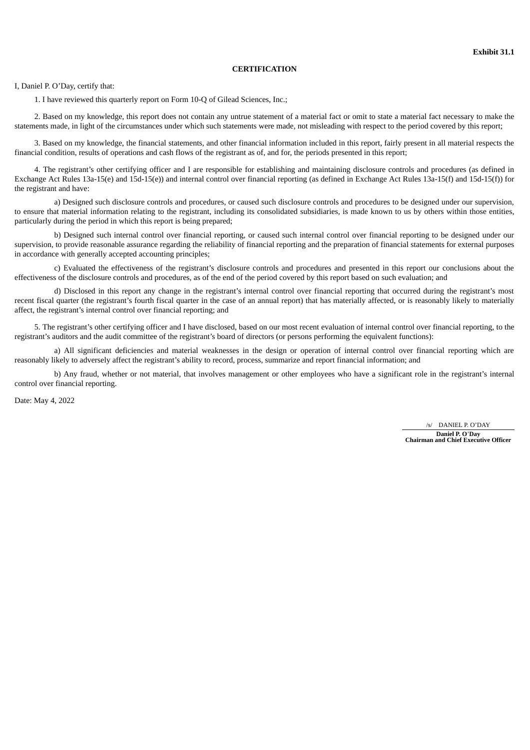## **CERTIFICATION**

I, Daniel P. O'Day, certify that:

1. I have reviewed this quarterly report on Form 10-Q of Gilead Sciences, Inc.;

2. Based on my knowledge, this report does not contain any untrue statement of a material fact or omit to state a material fact necessary to make the statements made, in light of the circumstances under which such statements were made, not misleading with respect to the period covered by this report;

3. Based on my knowledge, the financial statements, and other financial information included in this report, fairly present in all material respects the financial condition, results of operations and cash flows of the registrant as of, and for, the periods presented in this report;

4. The registrant's other certifying officer and I are responsible for establishing and maintaining disclosure controls and procedures (as defined in Exchange Act Rules 13a-15(e) and 15d-15(e)) and internal control over financial reporting (as defined in Exchange Act Rules 13a-15(f) and 15d-15(f)) for the registrant and have:

a) Designed such disclosure controls and procedures, or caused such disclosure controls and procedures to be designed under our supervision, to ensure that material information relating to the registrant, including its consolidated subsidiaries, is made known to us by others within those entities, particularly during the period in which this report is being prepared;

b) Designed such internal control over financial reporting, or caused such internal control over financial reporting to be designed under our supervision, to provide reasonable assurance regarding the reliability of financial reporting and the preparation of financial statements for external purposes in accordance with generally accepted accounting principles;

c) Evaluated the effectiveness of the registrant's disclosure controls and procedures and presented in this report our conclusions about the effectiveness of the disclosure controls and procedures, as of the end of the period covered by this report based on such evaluation; and

d) Disclosed in this report any change in the registrant's internal control over financial reporting that occurred during the registrant's most recent fiscal quarter (the registrant's fourth fiscal quarter in the case of an annual report) that has materially affected, or is reasonably likely to materially affect, the registrant's internal control over financial reporting; and

5. The registrant's other certifying officer and I have disclosed, based on our most recent evaluation of internal control over financial reporting, to the registrant's auditors and the audit committee of the registrant's board of directors (or persons performing the equivalent functions):

a) All significant deficiencies and material weaknesses in the design or operation of internal control over financial reporting which are reasonably likely to adversely affect the registrant's ability to record, process, summarize and report financial information; and

b) Any fraud, whether or not material, that involves management or other employees who have a significant role in the registrant's internal control over financial reporting.

Date: May 4, 2022

DANIEL P. O'DAY **Daniel P. O**'**Day Chairman and Chief Executive Officer**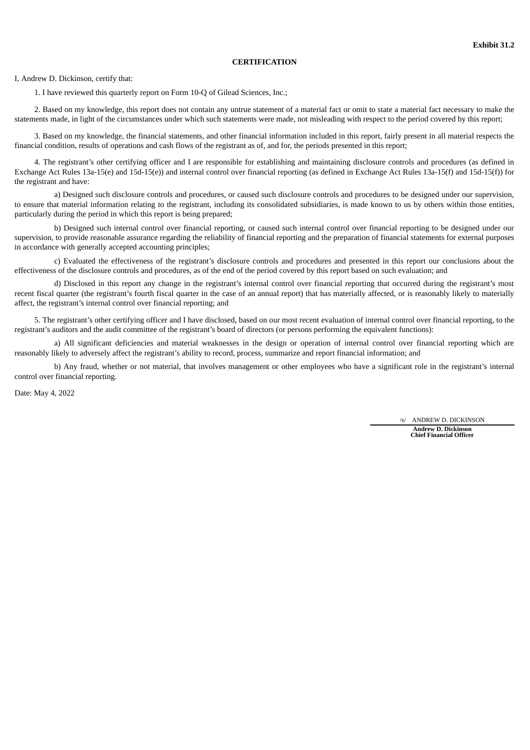## **CERTIFICATION**

I, Andrew D. Dickinson, certify that:

1. I have reviewed this quarterly report on Form 10-Q of Gilead Sciences, Inc.;

2. Based on my knowledge, this report does not contain any untrue statement of a material fact or omit to state a material fact necessary to make the statements made, in light of the circumstances under which such statements were made, not misleading with respect to the period covered by this report;

3. Based on my knowledge, the financial statements, and other financial information included in this report, fairly present in all material respects the financial condition, results of operations and cash flows of the registrant as of, and for, the periods presented in this report;

4. The registrant's other certifying officer and I are responsible for establishing and maintaining disclosure controls and procedures (as defined in Exchange Act Rules 13a-15(e) and 15d-15(e)) and internal control over financial reporting (as defined in Exchange Act Rules 13a-15(f) and 15d-15(f)) for the registrant and have:

a) Designed such disclosure controls and procedures, or caused such disclosure controls and procedures to be designed under our supervision, to ensure that material information relating to the registrant, including its consolidated subsidiaries, is made known to us by others within those entities, particularly during the period in which this report is being prepared;

b) Designed such internal control over financial reporting, or caused such internal control over financial reporting to be designed under our supervision, to provide reasonable assurance regarding the reliability of financial reporting and the preparation of financial statements for external purposes in accordance with generally accepted accounting principles;

c) Evaluated the effectiveness of the registrant's disclosure controls and procedures and presented in this report our conclusions about the effectiveness of the disclosure controls and procedures, as of the end of the period covered by this report based on such evaluation; and

d) Disclosed in this report any change in the registrant's internal control over financial reporting that occurred during the registrant's most recent fiscal quarter (the registrant's fourth fiscal quarter in the case of an annual report) that has materially affected, or is reasonably likely to materially affect, the registrant's internal control over financial reporting; and

5. The registrant's other certifying officer and I have disclosed, based on our most recent evaluation of internal control over financial reporting, to the registrant's auditors and the audit committee of the registrant's board of directors (or persons performing the equivalent functions):

a) All significant deficiencies and material weaknesses in the design or operation of internal control over financial reporting which are reasonably likely to adversely affect the registrant's ability to record, process, summarize and report financial information; and

b) Any fraud, whether or not material, that involves management or other employees who have a significant role in the registrant's internal control over financial reporting.

Date: May 4, 2022

ANDREW D. DICKINSON

**Andrew D. Dickinson Chief Financial Officer**